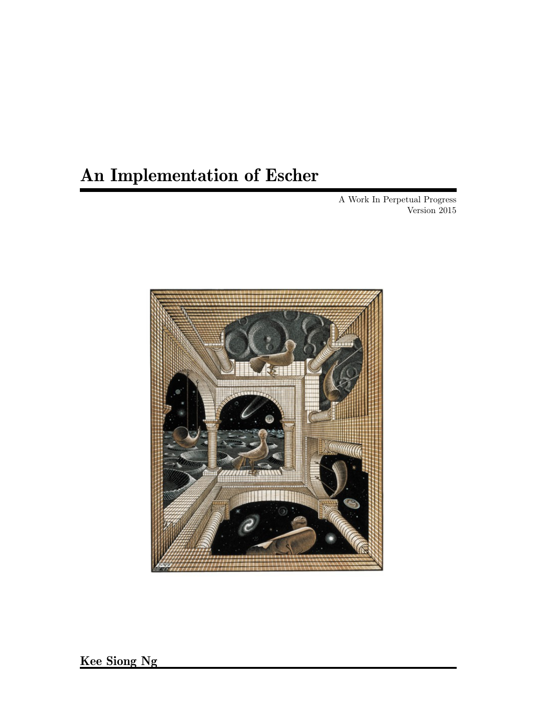# An Implementation of Escher

A Work In Perpetual Progress Version 2015

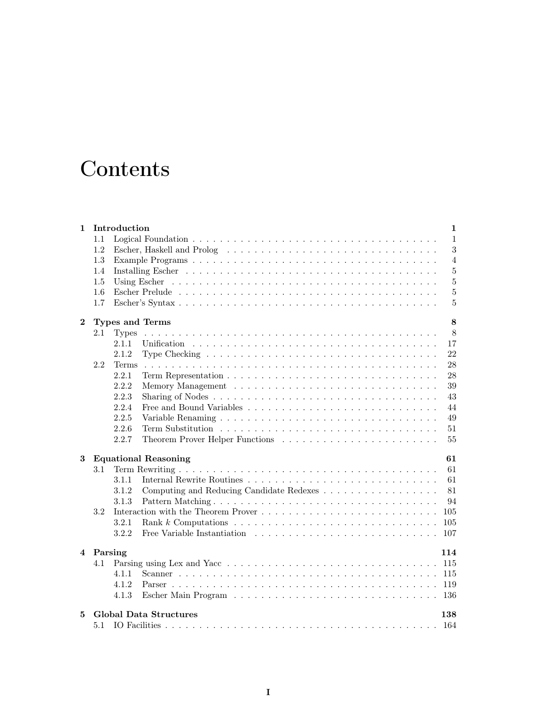# **Contents**

| $\mathbf{1}$ |     | Introduction                                                                                                   | $\mathbf{1}$   |
|--------------|-----|----------------------------------------------------------------------------------------------------------------|----------------|
|              | 1.1 |                                                                                                                | $\mathbf{1}$   |
|              | 1.2 |                                                                                                                | 3              |
|              | 1.3 |                                                                                                                | $\overline{4}$ |
|              | 1.4 | Installing Escher (Albert Leither Albert Leither Leither Albert Leither Leither Albert Leither Leither Leither | $\overline{5}$ |
|              | 1.5 |                                                                                                                | $\overline{5}$ |
|              | 1.6 |                                                                                                                | $\overline{5}$ |
|              | 1.7 |                                                                                                                | $\overline{5}$ |
| $\mathbf{2}$ |     | Types and Terms                                                                                                | 8              |
|              | 2.1 | <b>Types</b>                                                                                                   | 8              |
|              |     | 2.1.1                                                                                                          | 17             |
|              |     | 2.1.2<br>Type Checking $\ldots \ldots \ldots \ldots \ldots \ldots \ldots \ldots \ldots \ldots \ldots$          | 22             |
|              | 2.2 | <b>Terms</b>                                                                                                   | 28             |
|              |     | 2.2.1                                                                                                          | 28             |
|              |     | 2.2.2                                                                                                          | 39             |
|              |     | 2.2.3                                                                                                          | 43             |
|              |     | 2.2.4                                                                                                          | 44             |
|              |     | 2.2.5                                                                                                          | 49             |
|              |     | 2.2.6                                                                                                          | 51             |
|              |     | 2.2.7                                                                                                          | 55             |
| 3            |     | <b>Equational Reasoning</b>                                                                                    | 61             |
|              | 3.1 |                                                                                                                | 61             |
|              |     | 3.1.1                                                                                                          | 61             |
|              |     | Computing and Reducing Candidate Redexes<br>3.1.2                                                              | 81             |
|              |     | 3.1.3<br>Pattern Matching                                                                                      | 94             |
|              | 3.2 |                                                                                                                | $105\,$        |
|              |     | 3.2.1                                                                                                          | 105            |
|              |     | 3.2.2                                                                                                          | 107            |
|              |     | 4 Parsing                                                                                                      | 114            |
|              |     |                                                                                                                |                |
|              | 4.1 |                                                                                                                |                |
|              |     | 4.1.1                                                                                                          | 115            |
|              |     | 4.1.2                                                                                                          | 119            |
|              |     | 4.1.3                                                                                                          | 136            |
| 5.           |     | <b>Global Data Structures</b>                                                                                  | 138            |
|              | 5.1 |                                                                                                                | 164            |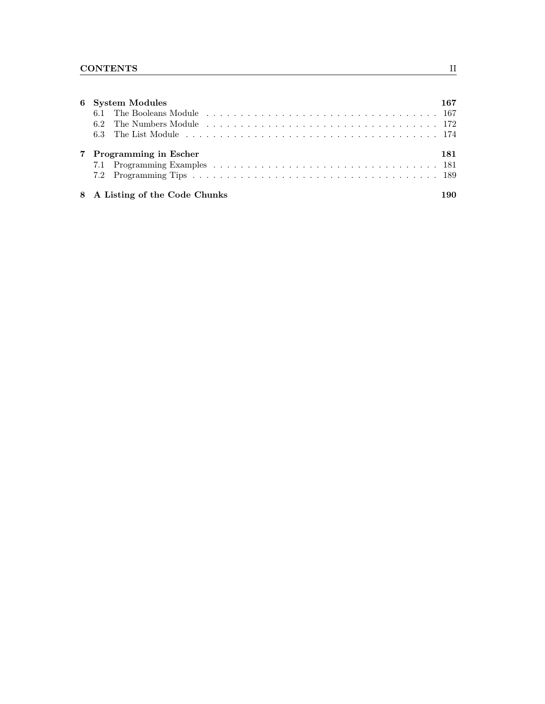| 6 System Modules               | 167 |
|--------------------------------|-----|
|                                |     |
|                                |     |
|                                |     |
| 7 Programming in Escher        | 181 |
| 8 A Listing of the Code Chunks | 190 |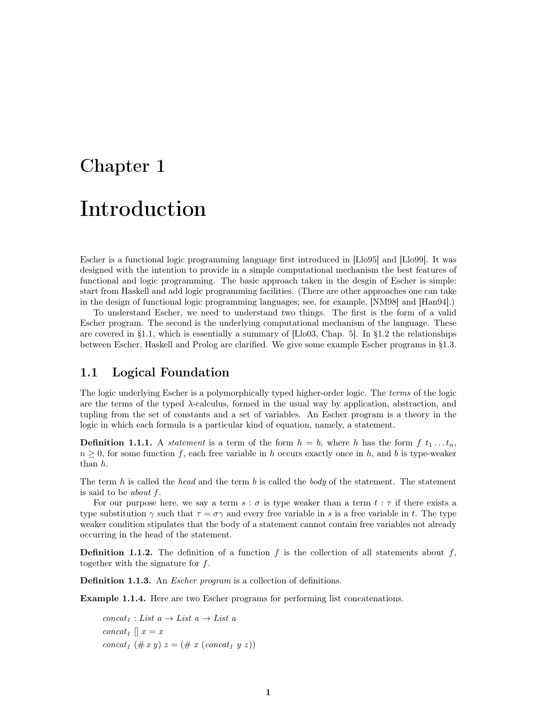# Chapter 1 Introduction

Escher is a functional logic programming language first introduced in [Llo95] and [Llo99]. It was designed with the intention to provide in a simple computational mechanism the best features of functional and logic programming. The basic approach taken in the desgin of Escher is simple: start from Haskell and add logic programming facilities. (There are other approaches one can take in the design of functional logic programming languages; see, for example, [NM98] and [Han94].)

To understand Escher, we need to understand two things. The first is the form of a valid Escher program. The second is the underlying computational mechanism of the language. These are covered in §1.1, which is essentially a summary of [Llo03, Chap. 5]. In §1.2 the relationships between Escher, Haskell and Prolog are clarified. We give some example Escher programs in §1.3.

# 1.1 Logical Foundation

The logic underlying Escher is a polymorphically typed higher-order logic. The terms of the logic are the terms of the typed  $\lambda$ -calculus, formed in the usual way by application, abstraction, and tupling from the set of constants and a set of variables. An Escher program is a theory in the logic in which each formula is a particular kind of equation, namely, a statement.

**Definition 1.1.1.** A statement is a term of the form  $h = b$ , where h has the form  $f_1, \ldots, f_n$ .  $n \geq 0$ , for some function f, each free variable in h occurs exactly once in h, and b is type-weaker than h.

The term  $h$  is called the *head* and the term  $b$  is called the *body* of the statement. The statement is said to be about f.

For our purpose here, we say a term  $s : \sigma$  is type weaker than a term  $t : \tau$  if there exists a type substitution  $\gamma$  such that  $\tau = \sigma \gamma$  and every free variable in s is a free variable in t. The type weaker condition stipulates that the body of a statement cannot contain free variables not already occurring in the head of the statement.

**Definition 1.1.2.** The definition of a function f is the collection of all statements about f, together with the signature for f.

Definition 1.1.3. An *Escher program* is a collection of definitions.

Example 1.1.4. Here are two Escher programs for performing list concatenations.

 $concat_1 : List\ a \rightarrow List\ a \rightarrow List\ a$ concat<sub>1</sub>  $\parallel$  x = x concat<sub>1</sub> (# x y)  $z = (\# x \ (concat_1 \ y \ z))$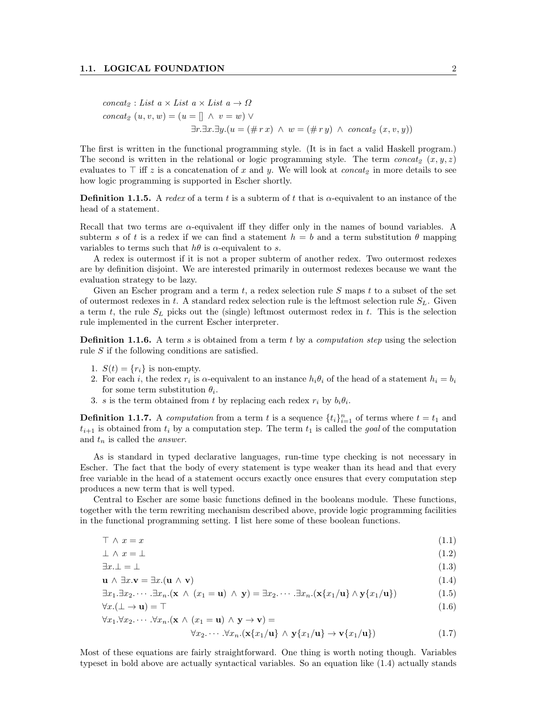$$
concat_2 : List \ a \times List \ a \times List \ a \rightarrow \Omega
$$
  
\n
$$
concat_2 \ (u, v, w) = (u = [] \ \land \ v = w) \ \lor
$$
  
\n
$$
\exists r. \exists x. \exists y. (u = (\# rx) \ \land \ w = (\# ry) \ \land \ concat_2 \ (x, v, y))
$$

The first is written in the functional programming style. (It is in fact a valid Haskell program.) The second is written in the relational or logic programming style. The term concat<sub>2</sub>  $(x, y, z)$ evaluates to  $\top$  iff z is a concatenation of x and y. We will look at *concat*<sub>2</sub> in more details to see how logic programming is supported in Escher shortly.

**Definition 1.1.5.** A redex of a term t is a subterm of t that is  $\alpha$ -equivalent to an instance of the head of a statement.

Recall that two terms are  $\alpha$ -equivalent iff they differ only in the names of bound variables. A subterm s of t is a redex if we can find a statement  $h = b$  and a term substitution  $\theta$  mapping variables to terms such that  $h\theta$  is  $\alpha$ -equivalent to s.

A redex is outermost if it is not a proper subterm of another redex. Two outermost redexes are by definition disjoint. We are interested primarily in outermost redexes because we want the evaluation strategy to be lazy.

Given an Escher program and a term  $t$ , a redex selection rule  $S$  maps  $t$  to a subset of the set of outermost redexes in t. A standard redex selection rule is the leftmost selection rule  $S_L$ . Given a term t, the rule  $S_L$  picks out the (single) leftmost outermost redex in t. This is the selection rule implemented in the current Escher interpreter.

**Definition 1.1.6.** A term s is obtained from a term t by a *computation step* using the selection rule S if the following conditions are satisfied.

- 1.  $S(t) = \{r_i\}$  is non-empty.
- 2. For each i, the redex  $r_i$  is  $\alpha$ -equivalent to an instance  $h_i \theta_i$  of the head of a statement  $h_i = b_i$ for some term substitution  $\theta_i$ .
- 3. s is the term obtained from t by replacing each redex  $r_i$  by  $b_i\theta_i$ .

**Definition 1.1.7.** A computation from a term t is a sequence  $\{t_i\}_{i=1}^n$  of terms where  $t = t_1$  and  $t_{i+1}$  is obtained from  $t_i$  by a computation step. The term  $t_1$  is called the goal of the computation and  $t_n$  is called the *answer*.

As is standard in typed declarative languages, run-time type checking is not necessary in Escher. The fact that the body of every statement is type weaker than its head and that every free variable in the head of a statement occurs exactly once ensures that every computation step produces a new term that is well typed.

Central to Escher are some basic functions defined in the booleans module. These functions, together with the term rewriting mechanism described above, provide logic programming facilities in the functional programming setting. I list here some of these boolean functions.

$$
\top \wedge x = x \tag{1.1}
$$

$$
\perp \wedge x = \perp \tag{1.2}
$$

$$
\exists x \perp = \perp \tag{1.3}
$$

$$
\mathbf{u} \wedge \exists x. \mathbf{v} = \exists x. (\mathbf{u} \wedge \mathbf{v}) \tag{1.4}
$$

$$
\exists x_1. \exists x_2. \cdots. \exists x_n. (\mathbf{x} \land (x_1 = \mathbf{u}) \land \mathbf{y}) = \exists x_2. \cdots. \exists x_n. (\mathbf{x} \{x_1/\mathbf{u}\} \land \mathbf{y} \{x_1/\mathbf{u}\})
$$
(1.5)

$$
\forall x. (\bot \to \mathbf{u}) = \top \tag{1.6}
$$

$$
\forall x_1. \forall x_2. \cdots. \forall x_n. (\mathbf{x} \land (x_1 = \mathbf{u}) \land \mathbf{y} \to \mathbf{v}) =
$$
  

$$
\forall x_2. \cdots. \forall x_n. (\mathbf{x} \{x_1/\mathbf{u}\} \land \mathbf{y} \{x_1/\mathbf{u}\} \to \mathbf{v} \{x_1/\mathbf{u}\})
$$
(1.7)

Most of these equations are fairly straightforward. One thing is worth noting though. Variables typeset in bold above are actually syntactical variables. So an equation like (1.4) actually stands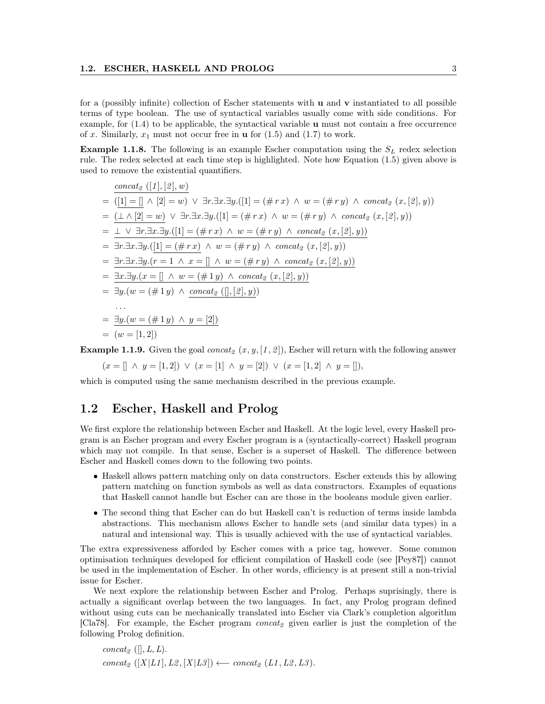for a (possibly infinite) collection of Escher statements with  $\bf{u}$  and  $\bf{v}$  instantiated to all possible terms of type boolean. The use of syntactical variables usually come with side conditions. For example, for  $(1.4)$  to be applicable, the syntactical variable **u** must not contain a free occurrence of x. Similarly,  $x_1$  must not occur free in **u** for  $(1.5)$  and  $(1.7)$  to work.

**Example 1.1.8.** The following is an example Escher computation using the  $S_L$  redex selection rule. The redex selected at each time step is highlighted. Note how Equation (1.5) given above is used to remove the existential quantifiers.

$$
\frac{\text{concat}_2([1],[2],w)}{([1]=[] \land [2]=w) \lor \exists r.\exists x.\exists y.([1]=(\#r x) \land w=(\#r y) \land \text{concat}_2(x,[2],y))}
$$
\n
$$
= \frac{(\bot \land [2]=w) \lor \exists r.\exists x.\exists y.([1]=(\#r x) \land w=(\#r y) \land \text{concat}_2(x,[2],y))}{\bot \lor \exists r.\exists x.\exists y.([1]=(\#r x) \land w=(\#r y) \land \text{concat}_2(x,[2],y))}
$$
\n
$$
= \frac{\bot \lor \exists r.\exists x.\exists y.([1]=(\#r x) \land w=(\#r y) \land \text{concat}_2(x,[2],y))}{\exists r.\exists x.\exists y.([1]=(\#r x) \land w=(\#r y) \land \text{concat}_2(x,[2],y))}
$$
\n
$$
= \frac{\exists r.\exists x.\exists y.(r=1 \land x=[\land w=(\#r y) \land \text{concat}_2(x,[2],y))}{\exists x.\exists y.(x=[\land w=(\#1 y) \land \text{concat}_2((],2],y))}
$$
\n
$$
= \exists y.(w=(\#1 y) \land \text{concat}_2((],2],y))
$$
\n
$$
\therefore
$$
\n
$$
= \frac{\exists y.(w=(\#1 y) \land y=[2])}{w=[1,2])}
$$

**Example 1.1.9.** Given the goal concat<sub>2</sub>  $(x, y, [1, 2])$ , Escher will return with the following answer

$$
(x = [] \land y = [1, 2]) \lor (x = [1] \land y = [2]) \lor (x = [1, 2] \land y = []),
$$

which is computed using the same mechanism described in the previous example.

## 1.2 Escher, Haskell and Prolog

We first explore the relationship between Escher and Haskell. At the logic level, every Haskell program is an Escher program and every Escher program is a (syntactically-correct) Haskell program which may not compile. In that sense, Escher is a superset of Haskell. The difference between Escher and Haskell comes down to the following two points.

- Haskell allows pattern matching only on data constructors. Escher extends this by allowing pattern matching on function symbols as well as data constructors. Examples of equations that Haskell cannot handle but Escher can are those in the booleans module given earlier.
- The second thing that Escher can do but Haskell can't is reduction of terms inside lambda abstractions. This mechanism allows Escher to handle sets (and similar data types) in a natural and intensional way. This is usually achieved with the use of syntactical variables.

The extra expressiveness afforded by Escher comes with a price tag, however. Some common optimisation techniques developed for efficient compilation of Haskell code (see [Pey87]) cannot be used in the implementation of Escher. In other words, efficiency is at present still a non-trivial issue for Escher.

We next explore the relationship between Escher and Prolog. Perhaps suprisingly, there is actually a significant overlap between the two languages. In fact, any Prolog program defined without using cuts can be mechanically translated into Escher via Clark's completion algorithm [Cla78]. For example, the Escher program  $concat_2$  given earlier is just the completion of the following Prolog definition.

```
concat_2 ([], L, L).
concat<sub>2</sub> ([X|L1], L2, [X|L3]) ← concat<sub>2</sub> (L1, L2, L3).
```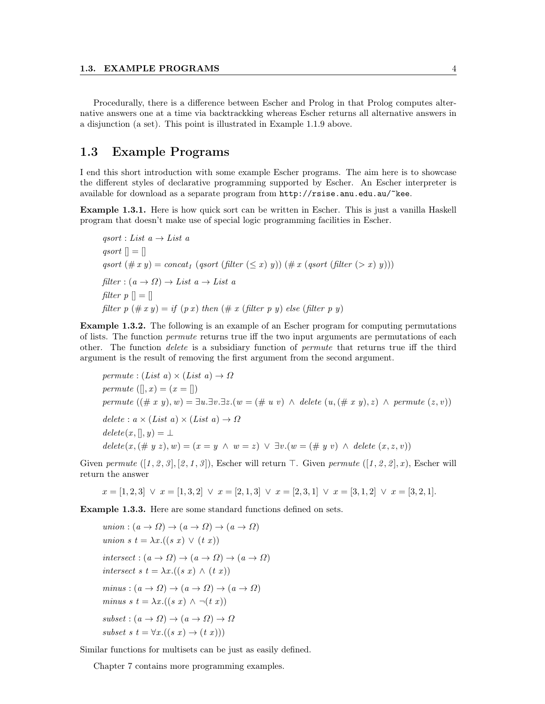Procedurally, there is a difference between Escher and Prolog in that Prolog computes alternative answers one at a time via backtrackking whereas Escher returns all alternative answers in a disjunction (a set). This point is illustrated in Example 1.1.9 above.

# 1.3 Example Programs

I end this short introduction with some example Escher programs. The aim here is to showcase the different styles of declarative programming supported by Escher. An Escher interpreter is available for download as a separate program from  $http://rsise.anu.edu.au/~kee.$ 

Example 1.3.1. Here is how quick sort can be written in Escher. This is just a vanilla Haskell program that doesn't make use of special logic programming facilities in Escher.

 $qsort$ : List  $a \rightarrow List a$ qsort  $\Vert = \Vert$ qsort  $(\# x y) = concat_1$  (qsort (filter  $(\leq x) y)$ )  $(\# x$  (qsort (filter  $(> x) y)$ ))  $filter: (a \rightarrow \Omega) \rightarrow List \ a \rightarrow List \ a$ filter  $p \parallel = \parallel$ filter  $p$  (# x y) = if (p x) then (# x (filter p y) else (filter p y)

Example 1.3.2. The following is an example of an Escher program for computing permutations of lists. The function permute returns true iff the two input arguments are permutations of each other. The function *delete* is a subsidiary function of *permute* that returns true iff the third argument is the result of removing the first argument from the second argument.

$$
permute: (List a) \times (List a) \to \Omega
$$
\n
$$
permute ([], x) = (x = [])
$$
\n
$$
permute ((# x y), w) = \exists u. \exists v. \exists z. (w = (\# u v) \land delete (u, (\# x y), z) \land permute (z, v))
$$
\n
$$
delete : a \times (List a) \times (List a) \to \Omega
$$
\n
$$
delete(x, [, y) = \bot
$$
\n
$$
delete(x, (\# y z), w) = (x = y \land w = z) \lor \exists v. (w = (\# y v) \land delete (x, z, v))
$$

Given permute  $([1, 2, 3], [2, 1, 3])$ , Escher will return  $\top$ . Given permute  $([1, 2, 2], x)$ , Escher will return the answer

$$
x = [1, 2, 3] \lor x = [1, 3, 2] \lor x = [2, 1, 3] \lor x = [2, 3, 1] \lor x = [3, 1, 2] \lor x = [3, 2, 1].
$$

Example 1.3.3. Here are some standard functions defined on sets.

```
union : (a \to \Omega) \to (a \to \Omega) \to (a \to \Omega)union s t = \lambda x . ((s x) \vee (t x))intersect:(a\rightarrow \Omega)\rightarrow (a\rightarrow \Omega)\rightarrow (a\rightarrow \Omega)intersect s t = \lambda x . ((s x) \wedge (t x))minus: (a \rightarrow \Omega) \rightarrow (a \rightarrow \Omega) \rightarrow (a \rightarrow \Omega)minus s t = \lambda x . ((s x) \wedge \neg (t x))subset : (a \rightarrow \Omega) \rightarrow (a \rightarrow \Omega) \rightarrow \Omegasubset s t = \forall x . ((s x) \rightarrow (t x))
```
Similar functions for multisets can be just as easily defined.

Chapter 7 contains more programming examples.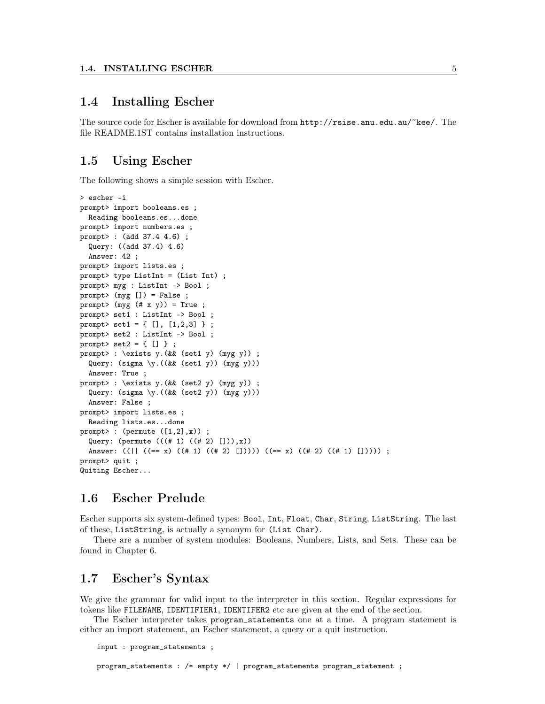## 1.4 Installing Escher

The source code for Escher is available for download from http://rsise.anu.edu.au/~kee/. The file README.1ST contains installation instructions.

# 1.5 Using Escher

The following shows a simple session with Escher.

```
> escher -i
prompt> import booleans.es ;
 Reading booleans.es...done
prompt> import numbers.es ;
prompt> : (add 37.4 4.6) ;
  Query: ((add 37.4) 4.6)
 Answer: 42 ;
prompt> import lists.es ;
prompt> type ListInt = (List Int) ;
prompt> myg : ListInt -> Bool ;
prompt> (myg []) = False ;
prompt> (myg (# x y)) = True ;prompt> set1 : ListInt -> Bool ;
prompt> set1 = {[], [1,2,3]};
prompt> set2 : ListInt -> Bool ;
prompt> set2 = \{ [] \};
prompt> : \exists y.(&& (set1 y) (myg y)) ;
  Query: (sigma \y.((&& (set1 y)) (myg y)))
  Answer: True ;
prompt> : \exists y.(&& (set2 y) (myg y)) ;
  Query: (sigma \y.((&& (set2 y)) (myg y)))
 Answer: False ;
prompt> import lists.es ;
 Reading lists.es...done
prompt> : (permute ([1,2],x));
  Query: (permute (((# 1) ((# 2) [])), x))
  Answer: ((|| ((== x) ((# 1) ((# 2) [])))) ((== x) ((# 2) ([)))));
prompt> quit ;
Quiting Escher...
```
# 1.6 Escher Prelude

Escher supports six system-defined types: Bool, Int, Float, Char, String, ListString. The last of these, ListString, is actually a synonym for (List Char).

There are a number of system modules: Booleans, Numbers, Lists, and Sets. These can be found in Chapter 6.

## 1.7 Escher's Syntax

We give the grammar for valid input to the interpreter in this section. Regular expressions for tokens like FILENAME, IDENTIFIER1, IDENTIFER2 etc are given at the end of the section.

The Escher interpreter takes program\_statements one at a time. A program statement is either an import statement, an Escher statement, a query or a quit instruction.

```
input : program_statements ;
```
program\_statements : /\* empty \*/ | program\_statements program\_statement ;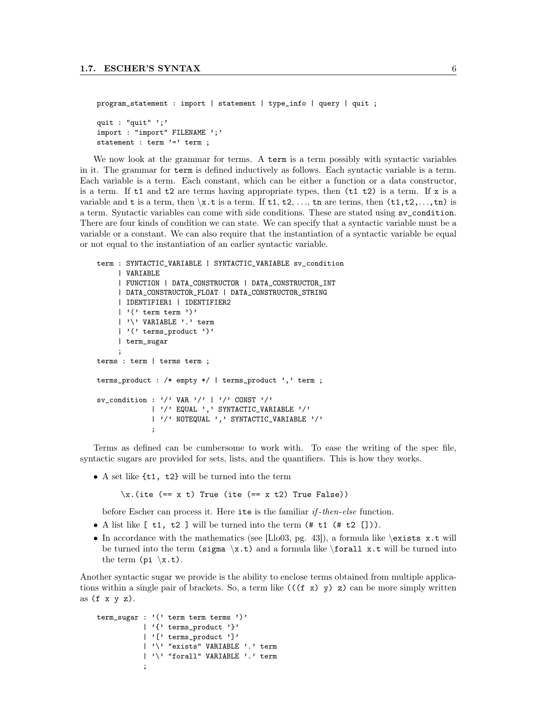```
program_statement : import | statement | type_info | query | quit ;
quit : "quit" ';'
import : "import" FILENAME ';'
statement : term '=' term ;
```
We now look at the grammar for terms. A term is a term possibly with syntactic variables in it. The grammar for term is defined inductively as follows. Each syntactic variable is a term. Each variable is a term. Each constant, which can be either a function or a data constructor, is a term. If t1 and t2 are terms having appropriate types, then (t1 t2) is a term. If x is a variable and t is a term, then  $\x.$ t is a term. If t1, t2, ..., tn are terms, then  $(t_1, t_2, \ldots, t_n)$  is a term. Syntactic variables can come with side conditions. These are stated using sv\_condition. There are four kinds of condition we can state. We can specify that a syntactic variable must be a variable or a constant. We can also require that the instantiation of a syntactic variable be equal or not equal to the instantiation of an earlier syntactic variable.

```
term : SYNTACTIC_VARIABLE | SYNTACTIC_VARIABLE sv_condition
     | VARIABLE
     | FUNCTION | DATA_CONSTRUCTOR | DATA_CONSTRUCTOR_INT
     | DATA_CONSTRUCTOR_FLOAT | DATA_CONSTRUCTOR_STRING
     | IDENTIFIER1 | IDENTIFIER2
     | '(' term term ')'
     | '\' VARIABLE '.' term
     | '(' terms_product ')'
     | term_sugar
     ;
terms : term | terms term ;
terms_product : /* empty */ | terms_product ',' term ;
sv\_condition : '/' VAR '/' | '/' CONST '/'
             | '/' EQUAL ',' SYNTACTIC_VARIABLE '/'
             | '/' NOTEQUAL ',' SYNTACTIC_VARIABLE '/'
             ;
```
Terms as defined can be cumbersome to work with. To ease the writing of the spec file, syntactic sugars are provided for sets, lists, and the quantifiers. This is how they works.

• A set like  $\{t1, t2\}$  will be turned into the term

 $\x.$ (ite (== x t) True (ite (== x t2) True False))

before Escher can process it. Here ite is the familiar  $if$ -then-else function.

- A list like  $[t1, t2]$  will be turned into the term  $(\# t1 (\# t2$
- In accordance with the mathematics (see [Llo03, pg. 43]), a formula like  $\exists x.t$  will be turned into the term (sigma \x.t) and a formula like \forall x.t will be turned into the term  $(\pi x.t)$ .

Another syntactic sugar we provide is the ability to enclose terms obtained from multiple applications within a single pair of brackets. So, a term like  $((f \times y) \times z)$  can be more simply written as  $(f \times y \, z)$ .

```
term_sugar : '(' term term terms ')'
           | '{' terms_product '}'
           | '[' terms_product ']'
           | '\' "exists" VARIABLE '.' term
           | '\' "forall" VARIABLE '.' term
           ;
```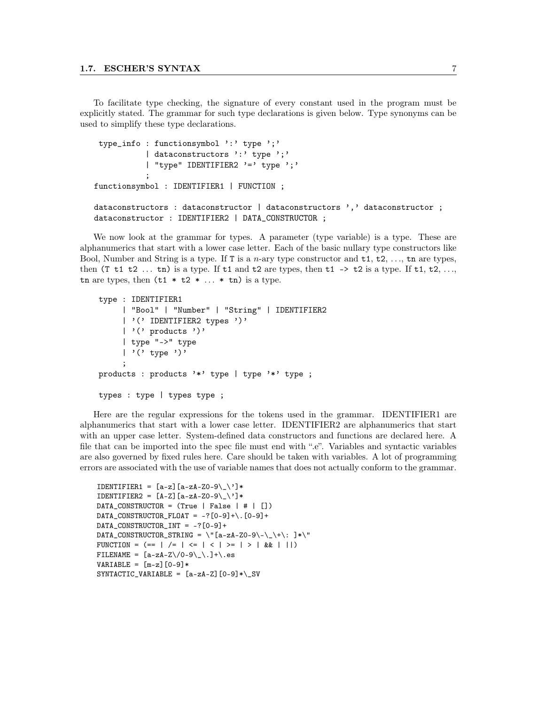To facilitate type checking, the signature of every constant used in the program must be explicitly stated. The grammar for such type declarations is given below. Type synonyms can be used to simplify these type declarations.

```
type_info : functionsymbol ':' type ';'
           | dataconstructors ':' type ';'
           | "type" IDENTIFIER2 '=' type ';'
           ;
functionsymbol : IDENTIFIER1 | FUNCTION ;
dataconstructors : dataconstructor | dataconstructors ',' dataconstructor ;
dataconstructor : IDENTIFIER2 | DATA_CONSTRUCTOR ;
```
We now look at the grammar for types. A parameter (type variable) is a type. These are alphanumerics that start with a lower case letter. Each of the basic nullary type constructors like Bool, Number and String is a type. If T is a *n*-ary type constructor and  $t_1, t_2, \ldots, t_n$  are types, then  $(T \t1 \t2 \t... \t n)$  is a type. If  $t1$  and  $t2$  are types, then  $t1 \rightarrow t2$  is a type. If  $t1, t2, \ldots$ , tn are types, then  $(t1 * t2 * ... * tn)$  is a type.

```
type : IDENTIFIER1
     | "Bool" | "Number" | "String" | IDENTIFIER2
     | '(' IDENTIFIER2 types ')'
     | '(' products ')'
     | type "->" type
     | '(' type ')'
     ;
products : products '*' type | type '*' type ;
types : type | types type ;
```
Here are the regular expressions for the tokens used in the grammar. IDENTIFIER1 are alphanumerics that start with a lower case letter. IDENTIFIER2 are alphanumerics that start with an upper case letter. System-defined data constructors and functions are declared here. A file that can be imported into the spec file must end with ".e". Variables and syntactic variables are also governed by fixed rules here. Care should be taken with variables. A lot of programming errors are associated with the use of variable names that does not actually conform to the grammar.

```
IDENTIFIER1 = [a-z][a-zA-Z0-9\_\']*
IDENTIFIER2 = [A-Z][a-zA-ZO-9\_\']*
DATA_CONSTRUCTOR = (True \mid False \mid # \mid [])DATA_CONSTRUCTOR_FLOAT = -?[0-9]+\.[0-9]+
DATA_CONSTRUCTOR_INT = -?[0-9]+
DATA_CONSTRUCTOR_STRING = \"[a-zA-ZO-9\-\_\+\: ]*\"
FUNCTION = (== | /= | \le | \le | \le | \ge | \ge | \le | \le  | \le | \le | \le | \le 1 |FILENAME = [a-zA-Z \10-9 \1.1+(s)]VARIABLE = [m-z] [0-9]*
SYNTACTIC_VARIABLE = [a-zA-Z] [0-9]* \&SV
```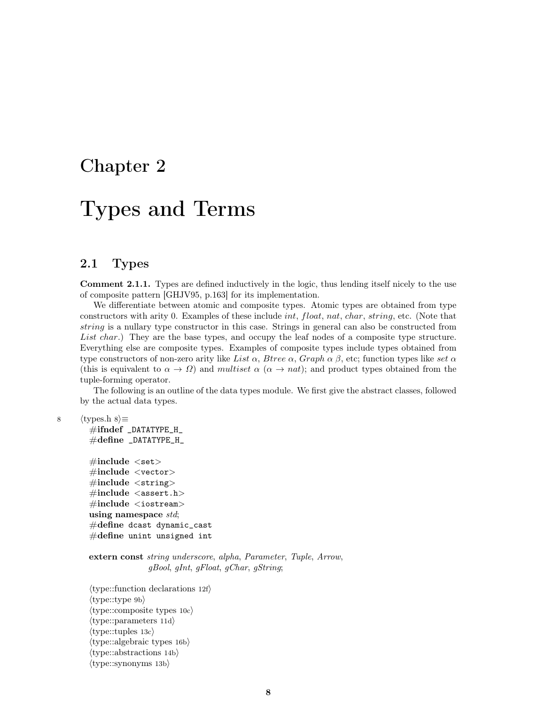# Chapter 2

# Types and Terms

# 2.1 Types

Comment 2.1.1. Types are defined inductively in the logic, thus lending itself nicely to the use of composite pattern [GHJV95, p.163] for its implementation.

We differentiate between atomic and composite types. Atomic types are obtained from type constructors with arity 0. Examples of these include *int*, float, nat, char, string, etc. (Note that string is a nullary type constructor in this case. Strings in general can also be constructed from List char.) They are the base types, and occupy the leaf nodes of a composite type structure. Everything else are composite types. Examples of composite types include types obtained from type constructors of non-zero arity like List  $\alpha$ , Btree  $\alpha$ , Graph  $\alpha$   $\beta$ , etc; function types like set  $\alpha$ (this is equivalent to  $\alpha \to \Omega$ ) and multiset  $\alpha$  ( $\alpha \to nat$ ); and product types obtained from the tuple-forming operator.

The following is an outline of the data types module. We first give the abstract classes, followed by the actual data types.

8  $\langle$  types.h 8 $\rangle$ ≡

#ifndef \_DATATYPE\_H\_  $\#$ define \_DATATYPE\_H\_

 $\#$ include  $\lt$ set $>$  $\#$ include <vector>  $\#$ include <string>  $\#include$  <assert.h>  $\#\text{include} < \text{isstream} >$ using namespace std;  $\#\text{define }$  dcast dynamic\_cast  $\#\text{define unit unsigned int}$ 

extern const string underscore, alpha, Parameter, Tuple, Arrow, gBool, gInt, gFloat, gChar, gString;

 $\langle$ type::function declarations 12f $\rangle$  $\langle$ type::type 9b $\rangle$  $\langle$ type::composite types 10c $\rangle$  $\langle$ type::parameters 11d $\rangle$  $\langle$ type::tuples 13c $\rangle$  $\langle$ type::algebraic types 16b $\rangle$  $\langle$ type::abstractions 14b $\rangle$  $\langle$ type::synonyms 13b $\rangle$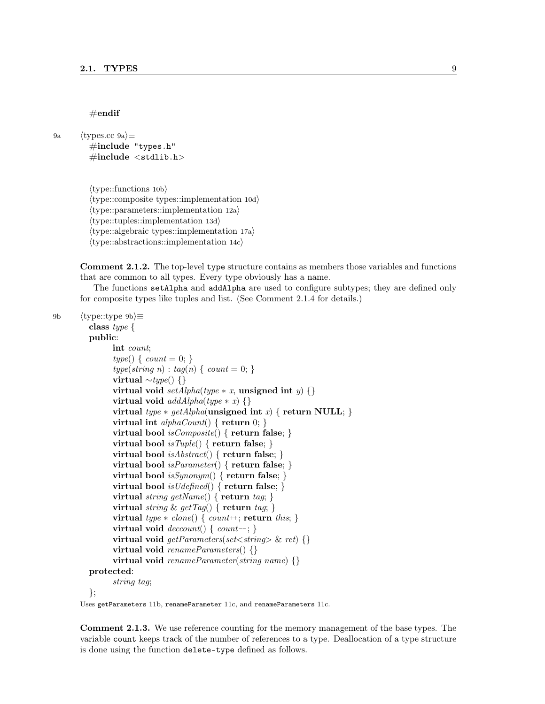#### $\#$ endif

```
9a \langletypes.cc 9a\rangle \equiv
```
#include "types.h"  $\#$ include  $\lt$ stdlib.h>

 $\langle$ type::functions 10b $\rangle$  $\langle$ type::composite types::implementation 10d $\rangle$  $\langle$ type::parameters::implementation 12a $\rangle$  $\langle$ type::tuples::implementation 13d $\rangle$  $\langle$ type::algebraic types::implementation 17a $\rangle$  $\langle$ type::abstractions::implementation 14c $\rangle$ 

Comment 2.1.2. The top-level type structure contains as members those variables and functions that are common to all types. Every type obviously has a name.

The functions setAlpha and addAlpha are used to configure subtypes; they are defined only for composite types like tuples and list. (See Comment 2.1.4 for details.)

9b  $\langle$ type::type 9b $\rangle$  $\equiv$ 

```
class type {
public:
      int count;
      type() \{ count = 0; \}type(string\ n): tag(n) \{ count = 0; \}virtual ∼type() {}
      virtual void setAlpha(type * x, unsigned int y) {}
      virtual void addAlpha(type * x) \{\}virtual type * getAlpha(unsigned int x) { return NULL; }virtual int alphaCount() \{ return 0; \}virtual bool isComposite() { return false; }
      virtual bool isTuple() \{ return false; \}virtual bool isAbstract() \{ return false; \}virtual bool isParameter() \{ return false; \}virtual bool isSynonym() \{ return false; \}virtual bool is U \text{ defined}() \{ return false; \}virtual string getName() { return tag; }
      virtual string & getTag() { return tag; }
      virtual type * clone() \{ count++; return this; \}virtual void deccount() \{ count--; \}virtual void getParameters(set \le string) \ {}
      virtual void renameParameters() {}
      virtual void renameParameter(String name) \{\}protected:
      string tag;
};
```
Uses getParameters 11b, renameParameter 11c, and renameParameters 11c.

Comment 2.1.3. We use reference counting for the memory management of the base types. The variable count keeps track of the number of references to a type. Deallocation of a type structure is done using the function delete-type defined as follows.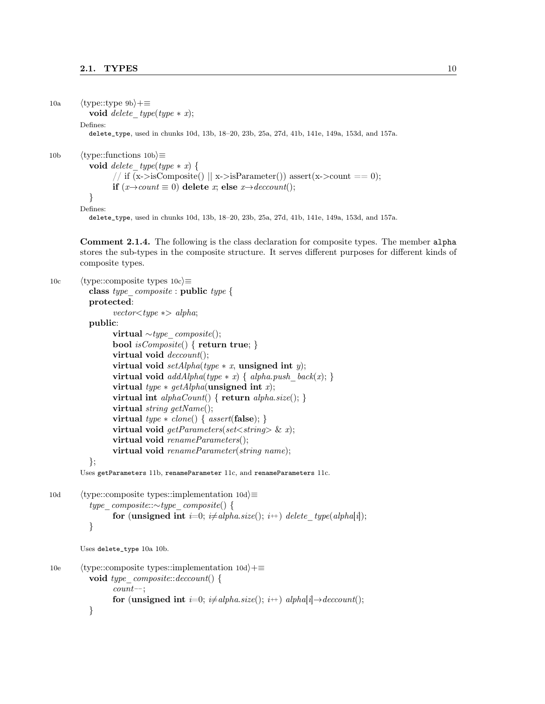```
10a \langletype::type 9b}+≡
          void delete type(type * x);
        Defines:
          delete_type, used in chunks 10d, 13b, 18–20, 23b, 25a, 27d, 41b, 141e, 149a, 153d, and 157a.
10b \langle type::functions 10b\rangle≡
          void delete type(type * x) {
                 // if (x\rightarrow isComposite() || x\rightarrow isParameter() ) assert(x\rightarrow count == 0);if (x\rightarrow count \equiv 0) delete x; else x\rightarrow deccount;
           }
        Defines:
          delete_type, used in chunks 10d, 13b, 18–20, 23b, 25a, 27d, 41b, 141e, 149a, 153d, and 157a.
        Comment 2.1.4. The following is the class declaration for composite types. The member alpha
        stores the sub-types in the composite structure. It serves different purposes for different kinds of
        composite types.
10c \langle type::composite types 10c\rangle\equivclass type \emph{composite} : public type {
          protected:
                 vector \textless type } \gg \text{alpha};public:
                 virtual ∼type\_composite();bool isComposite() { return true; }
                 virtual void deccount;
                 virtual void setAlpha(type * x, unsigned int y);
                 virtual void addAlpha(type * x) \{ alpha.push \ back(x); \}virtual type * getAlpha(unsigned int x);virtual int alphaCount() \{ return alpha.size(); \}virtual string getName();
                 virtual type * clone() { assert(false)}; }
                 virtual void getParameters(set \le string) \& x);virtual void renameParameters();
                 virtual void renameParameter(string name);
          };
        Uses getParameters 11b, renameParameter 11c, and renameParameters 11c.
10d (type::composite types::implementation 10d)\equivtype_composite::∼type_composite() {
                 for (unsigned int i=0; i\neqalpha.size(); i++) delete type(alpha[i]);
           }
        Uses delete_type 10a 10b.
10e (type::composite types::implementation 10d)+≡
          void type composite::decoder() {
                 count−−;
                 for (unsigned int i=0; i\neq alpha.size(); i++) alpha[i]\rightarrow deccount();
           }
```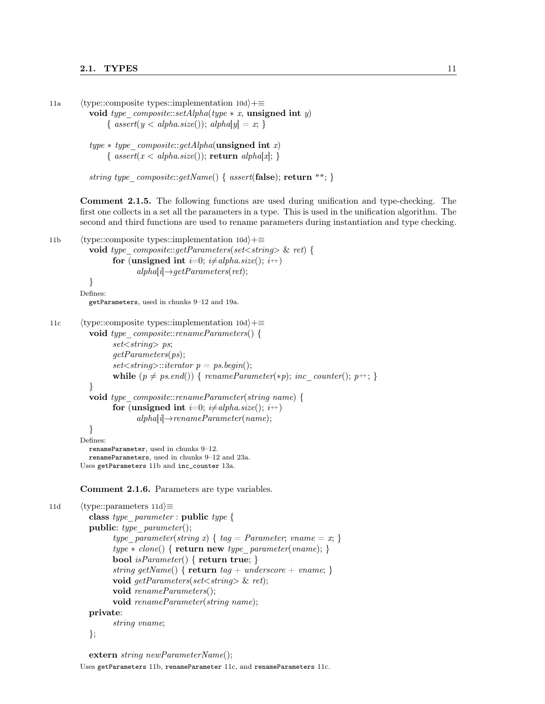```
11a (type::composite types::implementation 10d)+≡
           void type composite::setAlpha(type * x, unsigned int y)
                \{ assert(y < alpha.size()); alpha[y] = x; \}type * type-composite::getAlpha(\textbf{unsigned int } x){ assert(x < alpha.size()); return alpha[x]; }
           string type \mathit{composite::getName}() \{ \mathit{assert}(\mathbf{false}); \mathbf{return} \""; }
        Comment 2.1.5. The following functions are used during unification and type-checking. The
        first one collects in a set all the parameters in a type. This is used in the unification algorithm. The
        second and third functions are used to rename parameters during instantiation and type checking.
11b (type::composite types::implementation 10d)+\equivvoid type \textit{composite::getParameters}(\textit{set}{\leq}string{\geq} \ \& \ \textit{ret}) {
                 for (unsigned int i=0; i\neq alpha.size(); i+)
                        alpha[i] \rightarrow getParameters(rt);}
        Defines:
          getParameters, used in chunks 9–12 and 19a.
11c (type::composite types::implementation 10d)+≡
          void type composite::renameParameters() {
                 set < string > ps;
                 getParameters(ps);
                 set \leq string \geq :iterator \ p = ps.\begin{aligned} begin(\cdot); \end{aligned}while (p \neq ps.end()) { renameParameter(*p); inc_counter(); p++; }
           }
          void type composite::renameParameter(string name) {
                 for (unsigned int i=0; i\neq alpha.size(); i+)
                        alpha[i] \rightarrow renameParameter(name);}
        Defines:
          renameParameter, used in chunks 9–12.
          renameParameters, used in chunks 9–12 and 23a.
        Uses getParameters 11b and inc_counter 13a.
        Comment 2.1.6. Parameters are type variables.
11d (type::parameters 11d)\equivclass type_parameter : public type {
          public: type parameter();
                 type parameter(string x) { tag = Parameter; vname = x; }
                 type * clone() \{ return new type\_parameter(vanme); \}bool isParameter() { return true; }
                 string getName() { return tag + underscore + vname; }
                 void getParameters(set<string> & ret);
                 void renameParameters();
                 void renameParameter(string name);
          private:
                 string vname;
          };
```

```
extern string newParameterName();
```
Uses getParameters 11b, renameParameter 11c, and renameParameters 11c.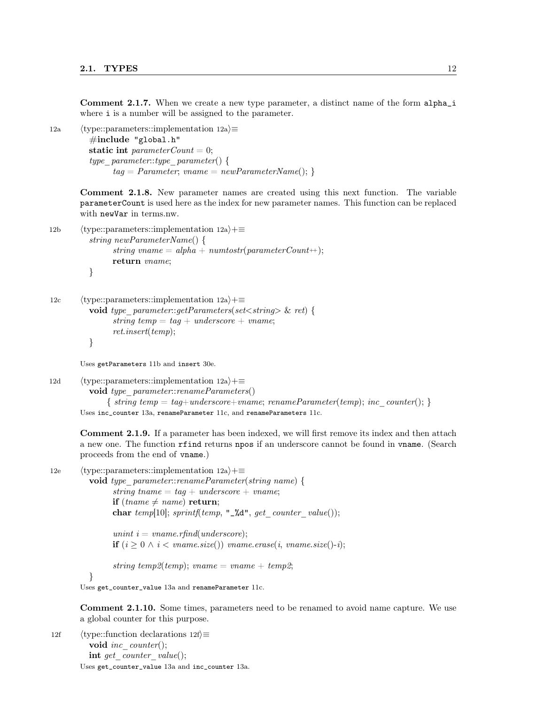Comment 2.1.7. When we create a new type parameter, a distinct name of the form alpha\_i where *i* is a number will be assigned to the parameter.

12a  $\langle$ type::parameters::implementation 12a $\rangle \equiv$  $\#$ include "global.h" static int parameterCount = 0; type  $parameter::type\_parameter()$  {  $tag = Parameter, \textit{vname} = \textit{newParameterName}();$ 

> Comment 2.1.8. New parameter names are created using this next function. The variable parameterCount is used here as the index for new parameter names. This function can be replaced with newVar in terms.nw.

```
12b \langletype::parameters::implementation 12a\rangle+\equivstring newParameterName() {
                string vname = alpha + numtostr(parameterCount +);return vname;
          }
```

```
12c \langle type::parameters::implementation 12a\rangle+\equivvoid type parameter::getParameters(set<string> \& ret) {
                string temp = tag + underscore + vname;ret.insert(temp);
          }
```
Uses getParameters 11b and insert 30e.

12d (type::parameters::implementation 12a)+≡ void type parameter::renameParameters()  $\{string\ temp = tag + underscore + vname;\ renameParameter(temp);\ inc\ counter();\}$ Uses inc\_counter 13a, renameParameter 11c, and renameParameters 11c.

Comment 2.1.9. If a parameter has been indexed, we will first remove its index and then attach a new one. The function rfind returns npos if an underscore cannot be found in vname. (Search proceeds from the end of vname.)

```
12e \langle type::parameters::implementation 12a\rangle+\equiv
```
void type parameter::renameParameter(string name) { string tname  $= tag + underscore + vname;$ if (thame  $\neq$  name) return; char temp[10]; sprintf(temp, "\_%d", get\_counter\_value()); unint  $i = v$ name.rfind(underscore);

**if**  $(i > 0 \land i < \text{vname.size}()$  vname.erase $(i, \text{vname.size}() - i)$ ;

string temp2(temp); vname = vname + temp2;

#### }

Uses get\_counter\_value 13a and renameParameter 11c.

Comment 2.1.10. Some times, parameters need to be renamed to avoid name capture. We use a global counter for this purpose.

12f  $\langle$  type::function declarations 12f $\rangle$  $\equiv$ void inc counter(); int get counter value(); Uses get\_counter\_value 13a and inc\_counter 13a.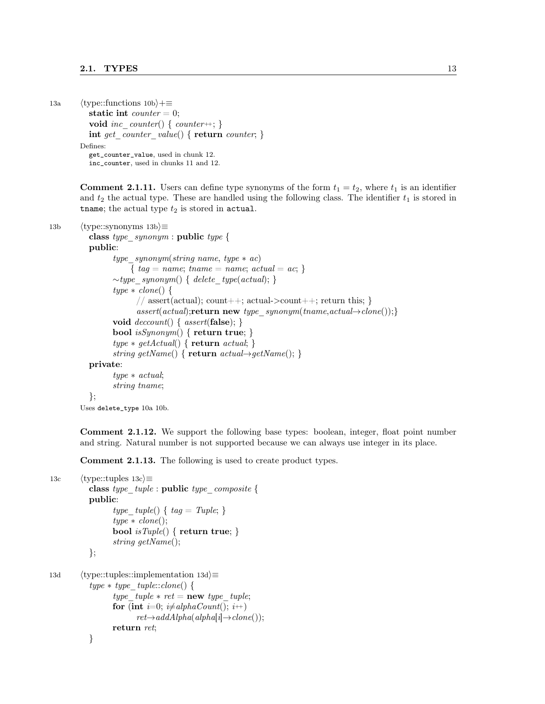```
13a (type::functions 10b)+≡
          static int counter = 0;
          void inc counter() { counter++; }
          int get counter value() { return counter; }
        Defines:
          get_counter_value, used in chunk 12.
          inc_counter, used in chunks 11 and 12.
```
**Comment 2.1.11.** Users can define type synonyms of the form  $t_1 = t_2$ , where  $t_1$  is an identifier and  $t_2$  the actual type. These are handled using the following class. The identifier  $t_1$  is stored in tname; the actual type  $t_2$  is stored in actual.

```
13b \langletype::synonyms 13b\rangle\equivclass type_synonym : public type {
          public:
                 type\_symonym(string name, type * ac){ tag = name; name = name; actual = ac; }
                 \simtype_synonym() { delete_type(actual); }
                 type * clone() \{// assert(actual); count++; actual->count++; return this; }
                       assert(actual);return new type synonym(tname,actual\rightarrow clone());void deccount() \{ assert({\bf false});\}bool isSynonym() { return true; }
                 type * getActual() \{ return actual; \}string getName() { return \ actual \rightarrow getName(); }
          private:
                 type ∗ actual;
                 string tname;
          };
        Uses delete_type 10a 10b.
```
Comment 2.1.12. We support the following base types: boolean, integer, float point number and string. Natural number is not supported because we can always use integer in its place.

Comment 2.1.13. The following is used to create product types.

```
13c \langle type::tuples 13c\rangle \equivclass type tuple: \textbf{public type} \text{ composite } \{public:
                   type tuple() \{ tag = Tuple; \}type * clone():bool isTuple() \{ return true; \}string getName();
            };
13d \langle type::tuples::implementation 13d\rangle \equivtype * type\_tuple::clone()type tuple * ret = new type\_tuple;for (int i=0; i\neqalphaCount(); i<sup>++</sup>)
                           ret\rightarrow addAlpha(alpha[i]\rightarrow clone());return ret;
            }
```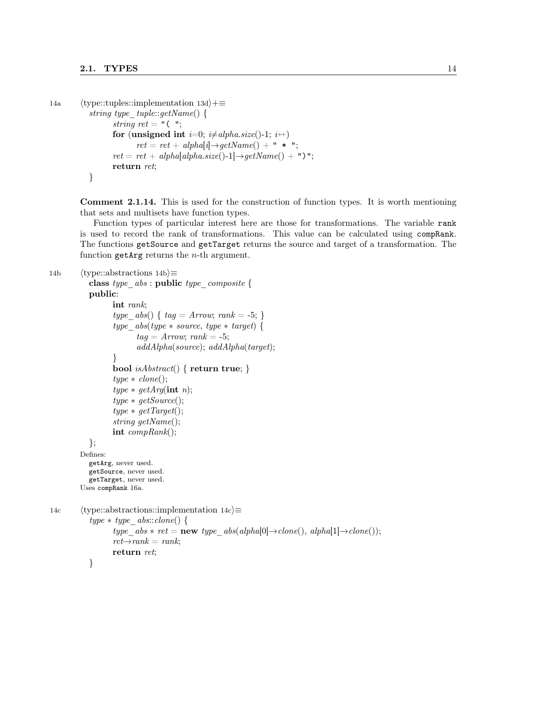```
14a \langletype::tuples::implementation 13d\rangle+\equivstring type tuple::getName() {
                  string ret = "( ";
                  for (unsigned int i=0; i\neq alpha.size()-1; i+)
                         ret = ret + alpha[i] \rightarrow getName() + " * ";ret = ret + alpha[alpha.size() - 1] \rightarrow getName() + "return ret;
           }
```
Comment 2.1.14. This is used for the construction of function types. It is worth mentioning that sets and multisets have function types.

Function types of particular interest here are those for transformations. The variable rank is used to record the rank of transformations. This value can be calculated using compRank. The functions getSource and getTarget returns the source and target of a transformation. The function getArg returns the  $n$ -th argument.

```
14b \langle type::abstractions 14b\rangle\equivclass type abs : public type composite {
           public:
                  int rank;
                  type abs() \{ tag = Arrow; rank = -5; \}type \;abs(type * source, \;type * target) \; \{tag = Arrow; rank = -5;addAlpha(source); addAlpha(target);
                  }
                  bool isAbstract() \{ return true; \}type * clone();type * getArg(int n);type * getSource();type * getTarget();string getName();
                  int compRank();
           };
        Defines:
           getArg, never used.
           getSource, never used.
           getTarget, never used.
        Uses compRank 16a.
14c \langle type::abstractions::implementation 14c\rangle \equivtype * type\_abs::clone() {
                  type abs * ret = new type \ abs(alpha[0] \rightarrow clone(), alpha[1] \rightarrow clone());ret{\rightarrow} rank = rank;return ret;
           }
```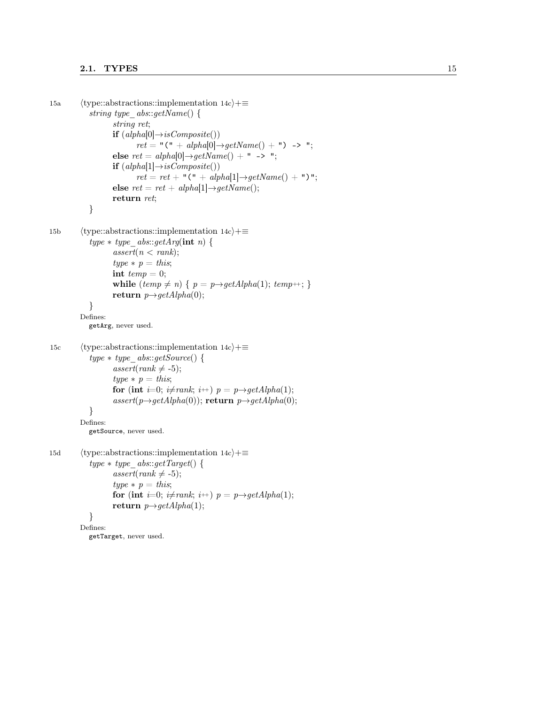### 2.1. TYPES  $15$

```
15a
           \langletype::abstractions::implementation 14c\rangle+=
              string type abs::getName() {
                       string ret;
                       if (alpha[0] \rightarrow isComposite())\mathit{ret} = "\mathsf{(" + alpha[0]}{\rightarrow}\mathit{getName() + "\mathsf{)} \rightarrow "\mathsf{};else ret = alpha[0] \rightarrow getName() + " -> ";if (alpha[1] \rightarrow isComposite()\mathit{ret} = \mathit{ret} + "(" + alpha[1]\rightarrow \mathit{getName}() + ")";
                       else ret = ret + alpha[1] \rightarrow getName();return ret;
              }
15b
           \langletype::abstractions::implementation 14c\rangle+=
              type * type\_abs::getArg(int n) {
                       assert(n < rank);type * p = this;int temp = 0;
                       while (temp \neq n) \{p = p \rightarrow getAlpha(1); temp \leftrightarrow ; \}\mathbf{return}\ \mathit{p}\rightarrow\mathit{getAlpha}(0);}
           Defines:
              getArg, never used.
15c
           \langletype::abstractions::implementation 14c\rangle + \equivtype * type\_abs::getSource() {
                       assert(rank \neq -5);type * p = this;for (int i=0; i\neqrank; i<sup>\leftrightarrow</sup>) p = p \rightarrow getAlpha(1);assert(p \rightarrow getAlpha(0)); return p \rightarrow getAlpha(0);}
           Defines:
              getSource, never used.
15d
           \langletype::abstractions::implementation 14c\rangle+=
              type * type\_abs::getTarget() {
                       assert(rank \neq -5);type * p = this;for (int i=0; i\neqrank; i<sup>\leftrightarrow</sup>) p = p \rightarrow getAlpha(1);return p \rightarrow getAlpha(1);}
           Defines:
              getTarget, never used.
```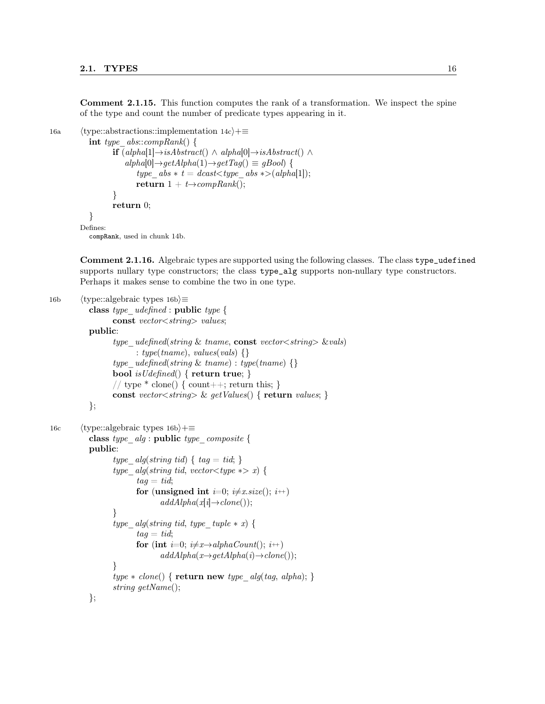Comment 2.1.15. This function computes the rank of a transformation. We inspect the spine of the type and count the number of predicate types appearing in it.

```
16a (type::abstractions::implementation 14c)+≡
            int type abs::compRank() {
                    if (alpha[1] \rightarrow isAbstract() \land alpha[0] \rightarrow isAbstract() \landalpha[0] \rightarrow getAlpha(1) \rightarrow getTag() \equiv gBool {
                           type abs * t = dcast < type \, abs * > (alpha[1]);return 1 + t \rightarrow compRank();}
                    return 0;
            }
          Defines:
```
compRank, used in chunk 14b.

Comment 2.1.16. Algebraic types are supported using the following classes. The class type\_udefined supports nullary type constructors; the class type\_alg supports non-nullary type constructors. Perhaps it makes sense to combine the two in one type.

```
16b (type::algebraic types 16b)≡
           class type_udefined : public type {
                  const vector<string> values;
           public:
                  type udefined(string \& tname, const vector \lt string \gt \& vals)
                        : type(tname), values(vals) \{\}type udefined(string & tname) : type(tname) {}
                  bool is U \text{ defined}() \{ return true; \}// type * clone() { count++; return this; }
                  const vector \langle string \rangle \& getValues() { return values; }
           };
16c (type::algebraic types 16b)+≡
           class type alg : public type composite {
           public:
                  type alg(string tid) \{ tag = tid; \}type alg(string tid, vector < type * > x) {
                        tag = tid;for (unsigned int i=0; i\neq x.size(); i+)
                               addAlpha(x[i] \rightarrow clone());
                  }
                  type alg(string tid, type \text{ tuple } * x) {
                        taq = tid;for (int i=0; i\neq x\rightarrow alphaCount); i+addAlpha(x \rightarrow getAlpha(i) \rightarrow clone());}
                  type * clone() \{ return new type\_alg(tag, alpha); \}string getName();
           };
```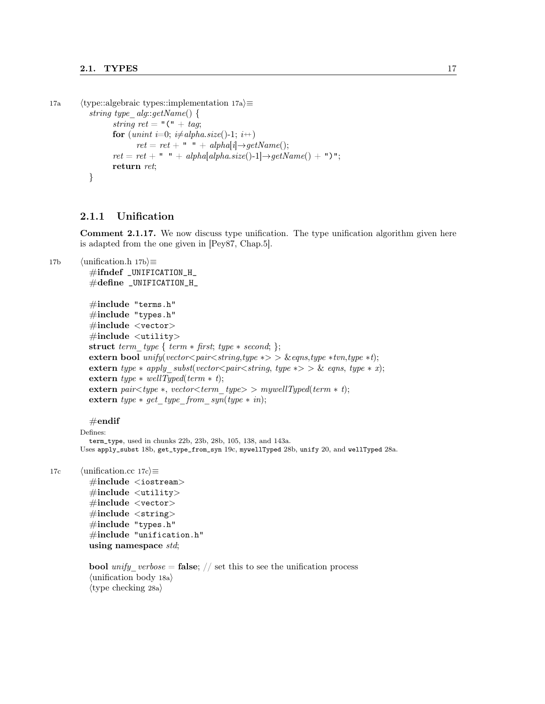```
17a (type::algebraic types::implementation 17a)\equivstring type alg::getName() {
                  string ret = "(" + tag;
                  for (unint i=0; i\neq alpha.size()-1; i+)
                        ret = ret + " " + alpha[i] \rightarrow getName();ret = ret + " " + alpha[alpha.size() - 1] \rightarrow getName() + ") ";return ret;
           }
```
#### 2.1.1 Unification

Comment 2.1.17. We now discuss type unification. The type unification algorithm given here is adapted from the one given in [Pey87, Chap.5].

```
17b \langleunification.h 17b\rangle≡
```
 $\#$ ifndef \_UNIFICATION\_H\_  $\#$ define \_UNIFICATION\_H\_

```
#include "terms.h"
#include "types.h"
#include <vector>
\#include \ltutility>
struct term type { term * first; type * second; };
extern bool unify(vector<pair<string,type *> > &eqns,type *tvn,type *t);
extern type * apply subst(vector<pair<string, type *> \& eqns, type * x);
extern type * wellTyped(term * t);extern pair<type *, vector<term_type> > mywellTyped(term * t);
extern type * get\_type\_from\_syn(type * in);
```
 $#$ endif

Defines: term\_type, used in chunks 22b, 23b, 28b, 105, 138, and 143a. Uses apply\_subst 18b, get\_type\_from\_syn 19c, mywellTyped 28b, unify 20, and wellTyped 28a.

17c  $\langle \text{unification}.\text{cc} \ 17c \rangle \equiv$ 

 $\#\text{include} < \text{isstream} >$  $\#$ include  $\lt$ utility> #include <vector>  $\#\text{include } < \text{string}>$ #include "types.h"  $\#$ include "unification.h" using namespace std;

```
bool unify verbose = false; // set this to see the unification process
\langleunification body 18a\rangle\langletype checking 28a\rangle
```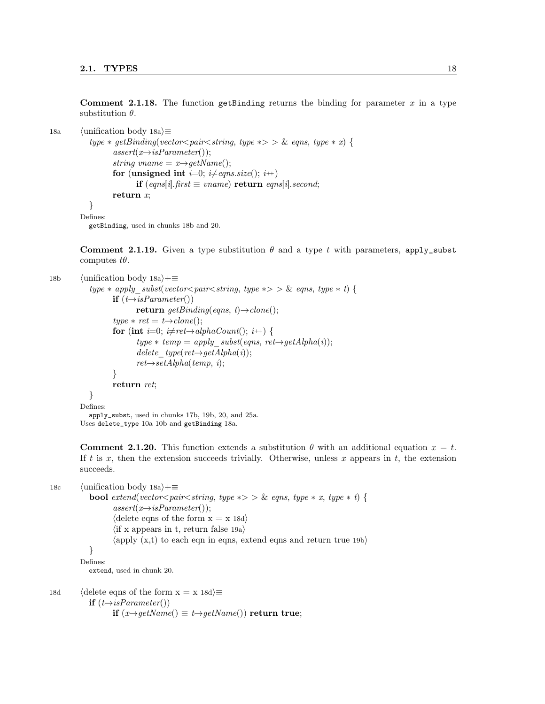**Comment 2.1.18.** The function getBinding returns the binding for parameter x in a type substitution  $\theta$ .

```
18a \langleunification body 18a\rangle≡
              type * get Binding(vector \textless{} pair \textless{} string, type * \textgreater{} > \& eqns, type * x) {
                      assert(x \rightarrow isParameter<sup>()</sup>);
                      string vname = x \rightarrow q e t Name;
                      for (unsigned int i=0; i\neqeqns.size(); i\leftrightarrow)
                              if (eqns[i].first ≡ vname) return eqns[i].second;
                      return x;
              }
          Defines:
```
getBinding, used in chunks 18b and 20.

Comment 2.1.19. Given a type substitution  $\theta$  and a type t with parameters, apply\_subst computes  $t\theta$ .

```
18b (unification body 18a)+≡
            type * apply subst(vector<pair<string, type * > > & eqns, type * t) {
                   if (t \rightarrow isParameter()return getBinding(eqns, t)\rightarrowclone();
                   type * ret = t \rightarrow clone();for (int i=0; i\neqret\rightarrowalphaCount(); i++) {
                           type * temp = apply\_subst(eqns, ret \rightarrow getAlpha(i));delete type(ret \rightarrow getAlpha(i));ret{\rightarrow} setAlpha(temp, i);}
                   return ret;
            }
         Defines:
            apply_subst, used in chunks 17b, 19b, 20, and 25a.
```
Uses delete\_type 10a 10b and getBinding 18a.

**Comment 2.1.20.** This function extends a substitution  $\theta$  with an additional equation  $x = t$ . If t is x, then the extension succeeds trivially. Otherwise, unless x appears in t, the extension succeeds.

18c  $\langle$ unification body 18a $\rangle$ +≡ bool extend(vector<pair<string, type \*> > & eqns, type \* x, type \* t) {  $assert(x \rightarrow isParameter());$  $\langle$  delete eqns of the form  $x = x 18d$  $\langle$  if x appears in t, return false 19a $\rangle$  $\langle \text{apply } (\mathbf{x},t) \rangle$  to each eqn in eqns, extend eqns and return true 19b } Defines: extend, used in chunk 20. 18d (delete eqns of the form  $x = x 18d \equiv$ 

if  $(t \rightarrow isParameter()$ if  $(x\rightarrow getName()$   $\equiv t\rightarrow getName())$  return true;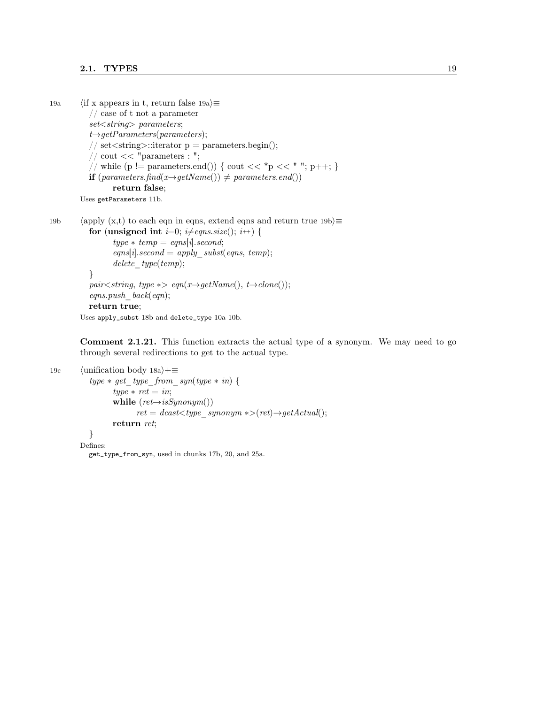#### 2.1. TYPES  $19$

```
19a \langle if x appears in t, return false 19a\rangle\equiv// case of t not a parameter
            set < string> parameters;
            t \rightarrow getParameters(parameters);// set <string>::iterator p = parameters.begin();
            // cout << "parameters : ";
            // while (p != parameters.end()) { cout << *p << " "; p++; }
           if (\text{parameters}, \text{find}(x \rightarrow \text{getName})) \neq \text{parameters}. \text{end}())return false;
         Uses getParameters 11b.
```
19b (apply  $(x,t)$  to each eqn in eqns, extend eqns and return true 19b $\equiv$ for (unsigned int *i*=0; *i* $\neq$ *eqns.size*(); *i* $\leftrightarrow$  {  $type * temp = eqns[i].second;$  $eqns[i].second = apply\_subst(eqns, temp);$  $delete\_type(temp);$ } pair<string, type  $\ast$ > eqn(x→getName(), t→clone());  $eqns.push$  back(eqn);

```
return true;
```
Uses apply\_subst 18b and delete\_type 10a 10b.

Comment 2.1.21. This function extracts the actual type of a synonym. We may need to go through several redirections to get to the actual type.

```
19c \langleunification body 18a\rangle+≡
             type * get\_type\_from\_syn(type * in) {
                      type * ret = in;while (ret \rightarrow isSymonym())ret = dcast \lt^{\text{type}} \text{ synonym } \text{*} > (ret) \rightarrow \text{getActual}();return ret;
             }
          Defines:
```
get\_type\_from\_syn, used in chunks 17b, 20, and 25a.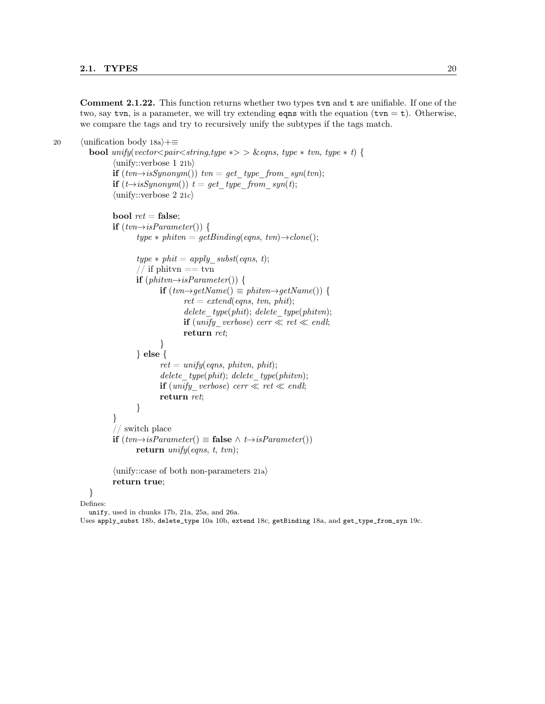Comment 2.1.22. This function returns whether two types tvn and t are unifiable. If one of the two, say tvn, is a parameter, we will try extending eqns with the equation  $(tvn = t)$ . Otherwise, we compare the tags and try to recursively unify the subtypes if the tags match.

```
20 \langleunification body 18a\rangle+≡
           bool unify(vector<pair<string,type \ast> > &eqns, type * tvn, type * t) {
                  \langleunify::verbose 1 21b\rangleif (tvn \rightarrow isSynonym() tvn = get type from syn(tvn);
                  if (t \rightarrow isSymonym()) t = get type from syn(t);
                  \langle \text{unify::verbose } 2 \text{ 21c} \ranglebool ret = false;
                  if (tvn\rightarrow isParameter() {
                          type * phitvn = get Binding(eqns, twn) \rightarrow clone();type * phi = apply\_subst(eqns, t);// if phitvn == tvn
                         if (phitvn \rightarrow isParameter() )if (tvn\rightarrow qetName() \equiv phitvn→getName()) {
                                        ret = extend(eqns, tvn, phi);delete type(phit); delete type(phitvn);
                                        if (unify\_verbose) \text{ } cert \ll \text{ } end!;return ret;
                                 }
                         } else {
                                 ret = \text{unify}(\text{eqns}, \text{phitvn}, \text{phi};delete\_type(phi); delete\_type(phi);if (unify verbose) cerr \ll ret \ll endl;
                                 return ret;
                         }
                  }
                  // switch place
                  if (tvn\rightarrow isParameter() ≡ false \land t\rightarrow isParameter()return unify(eqns, t, twn);\langleunify::case of both non-parameters 21a\ranglereturn true;
           }
        Defines:
```

```
unify, used in chunks 17b, 21a, 25a, and 26a.
```
Uses apply\_subst 18b, delete\_type 10a 10b, extend 18c, getBinding 18a, and get\_type\_from\_syn 19c.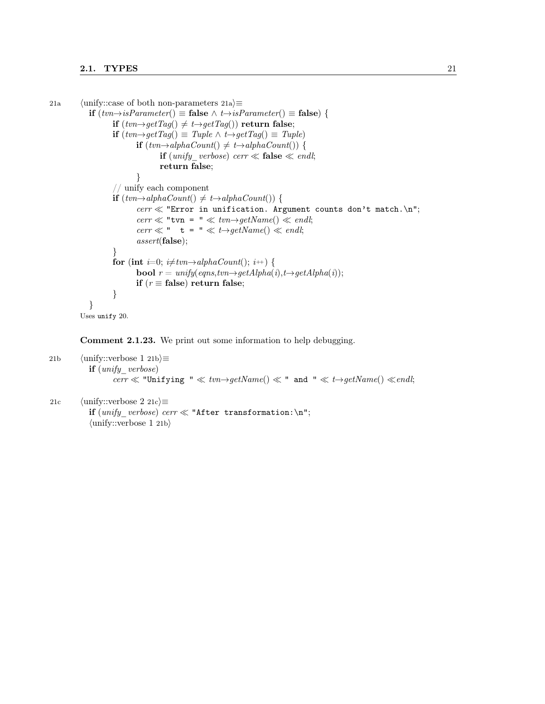```
21a \langle \text{unify::case of both non-parameters 21a} \rangle \equivif (tvn\rightarrow isParameter() ≡ false ∧ t\rightarrow isParameter() ≡ false) {
                     if (tvn\rightarrow getTag() ≠ t\rightarrow getTag()) return false;
                     if (tvn\rightarrow getTag() \equiv Type \land t\rightarrow getTag() \equiv Type)if (tvn\rightarrow alphaCount() ≠ t\rightarrow alphaCount()) {
                                     if (unify\_verlose) \text{ } cert \ll false \ll \text{ }endl;return false;
                             }
                     // unify each component
                     if (tvn\rightarrow alphaCount() ≠ t\rightarrow alphaCount()) {
                             \text{corr} \ll \text{''Error} in unification. Argument counts don't match.\ln";
                             cerr \ll "tvn = " \ll tvn\rightarrowgetName() \ll endl;
                             cerr \ll " t = " \ll t \rightarrow getName() \ll end!;
                             assert(false);
                     }
                     for (int i=0; i\neq tvn\rightarrow alphaCount); i\rightarrow {
                             bool r = unify(eqns, tvn \rightarrow getAlpha(i), t \rightarrow getAlpha(i));if (r \equiv false) return false;
                     }
             }
          Uses unify 20.
```
Comment 2.1.23. We print out some information to help debugging.

```
21b \langle \text{unify::verbose 1 21b} \rangle \equivif (unify\;\;verbose)cerr \ll "Unifying " \ll tvn\rightarrowgetName() \ll " and " \ll t\rightarrowgetName() \llendl;
```

```
21c \langle \text{unify::verbose } 2 \text{ 21c} \rangle \equivif (unify\_verbose) \text{ } cerr \ll "After transformation:\n \mathcal{N}\langleunify::verbose 1 21b\rangle
```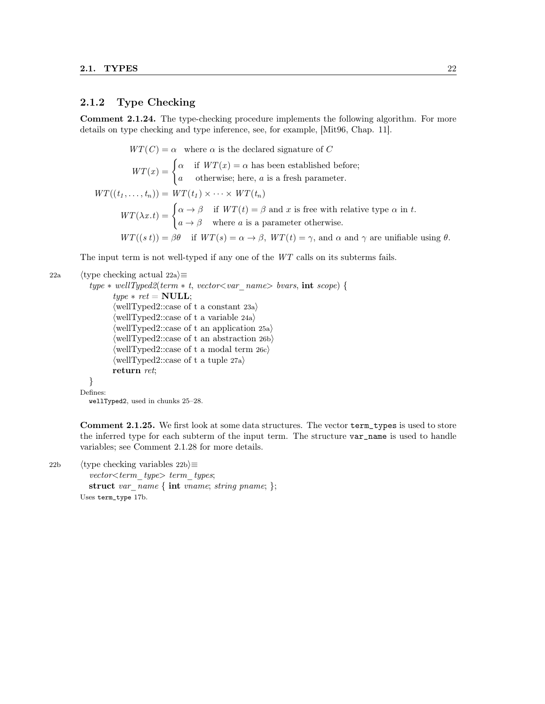### 2.1.2 Type Checking

Comment 2.1.24. The type-checking procedure implements the following algorithm. For more details on type checking and type inference, see, for example, [Mit96, Chap. 11].

$$
WT(C) = \alpha \quad \text{where } \alpha \text{ is the declared signature of } C
$$
\n
$$
WT(x) = \begin{cases} \alpha & \text{if } WT(x) = \alpha \text{ has been established before;} \\ a & \text{otherwise; here, } a \text{ is a fresh parameter.} \end{cases}
$$
\n
$$
WT((t_1, \ldots, t_n)) = WT(t_1) \times \cdots \times WT(t_n)
$$
\n
$$
WT(\lambda x. t) = \begin{cases} \alpha \to \beta & \text{if } WT(t) = \beta \text{ and } x \text{ is free with relative type } \alpha \text{ in } t. \\ a \to \beta & \text{where } a \text{ is a parameter otherwise.} \end{cases}
$$
\n
$$
WT((s \ t)) = \beta \theta \quad \text{if } WT(s) = \alpha \to \beta, \ WT(t) = \gamma, \text{ and } \alpha \text{ and } \gamma \text{ are unifiable using } \theta.
$$

The input term is not well-typed if any one of the WT calls on its subterms fails.

```
22a (type checking actual 22a)\equiv
```

```
type * wellType d2 (term * t, vector < var\_name > bvars, int scope) {
        type * ret = NULL;\langlewellTyped2::case of t a constant 23a\rangle\langlewellTyped2::case of t a variable 24a\rangle\langle \text{wellTyped2::case of t an application 25a} \rangle\langle \text{wellTyped2::case of t an abstraction 26b} \rangle\langle \text{wellTyped2::case of t a modal term } 26c \rangle\langlewellTyped2::case of t a tuple 27a\ranglereturn ret;
}
```
Defines:

```
wellTyped2, used in chunks 25–28.
```
Comment 2.1.25. We first look at some data structures. The vector term\_types is used to store the inferred type for each subterm of the input term. The structure var name is used to handle variables; see Comment 2.1.28 for more details.

22b (type checking variables 22b) $\equiv$  $vector < term$  type $> term$  types;

struct var name { int vname; string pname; };

Uses term\_type 17b.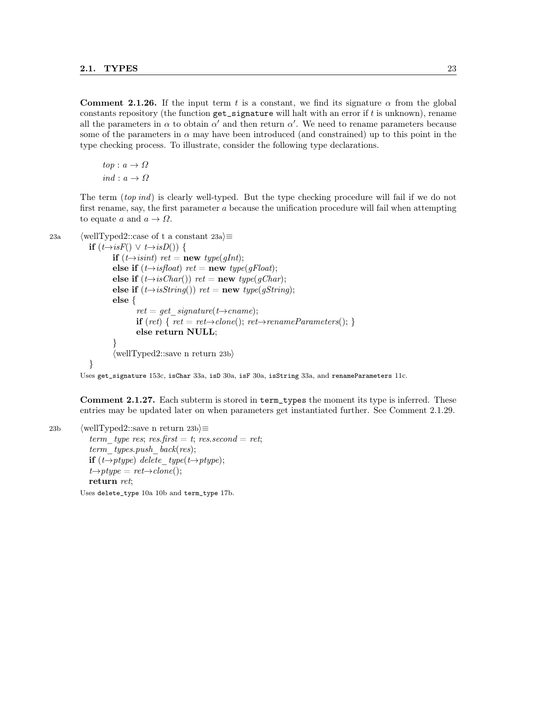Comment 2.1.26. If the input term t is a constant, we find its signature  $\alpha$  from the global constants repository (the function  $get\_signature$  will halt with an error if  $t$  is unknown), rename all the parameters in  $\alpha$  to obtain  $\alpha'$  and then return  $\alpha'$ . We need to rename parameters because some of the parameters in  $\alpha$  may have been introduced (and constrained) up to this point in the type checking process. To illustrate, consider the following type declarations.

```
top: a \rightarrow \Omegaind : a \rightarrow \Omega
```
The term (top ind) is clearly well-typed. But the type checking procedure will fail if we do not first rename, say, the first parameter a because the unification procedure will fail when attempting to equate a and  $a \to \Omega$ .

}

```
23a (wellTyped2::case of t a constant 23a)\equiv
```

```
if (t \rightarrow isF() \vee t \rightarrow isD()) {
        if (t \rightarrow isint) ret = new type(gInt);
        else if (t \rightarrow isfloat) ret = new type(gFloat);
        else if (t \rightarrow isChar)) ret = new type(gChar);
        else if (t \rightarrow isString() ) ret = new type(gString);
        else {
                ret = get\ signature(t\rightarrow{}name);if (ret) { ret = ret \rightarrow clone(); ret \rightarrow renameParameters();else return NULL;
        }
        \langlewellTyped2::save n return 23b\rangle
```
Uses get\_signature 153c, isChar 33a, isD 30a, isF 30a, isString 33a, and renameParameters 11c.

Comment 2.1.27. Each subterm is stored in term\_types the moment its type is inferred. These entries may be updated later on when parameters get instantiated further. See Comment 2.1.29.

23b (wellTyped2::save n return 23b $\rangle$ ≡ term type res; res.first = t; res.second = ret; term types.push  $back(res);$ if  $(t\rightarrow ptype)$  delete type(t $\rightarrow ptype$ );  $t \rightarrow ptype = ret \rightarrow clone();$ return ret;

Uses delete\_type 10a 10b and term\_type 17b.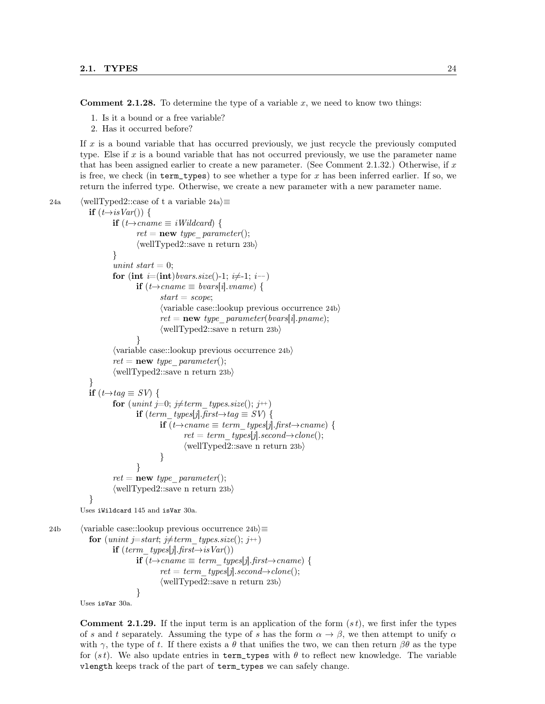**Comment 2.1.28.** To determine the type of a variable  $x$ , we need to know two things:

- 1. Is it a bound or a free variable?
- 2. Has it occurred before?

If  $x$  is a bound variable that has occurred previously, we just recycle the previously computed type. Else if x is a bound variable that has not occurred previously, we use the parameter name that has been assigned earlier to create a new parameter. (See Comment 2.1.32.) Otherwise, if  $x$ is free, we check (in term\_types) to see whether a type for x has been inferred earlier. If so, we return the inferred type. Otherwise, we create a new parameter with a new parameter name.

```
24a (wellTyped2::case of t a variable 24a\rangle \equivif (t \rightarrow isVar)) {
                      if (t\rightarrow{}{\text{cname}} \equiv iWildcard) {
                              ret = new type parameter();\langlewellTyped2::save n return 23b\rangle}
                      unint start = 0;
                      for (int i=(int)bvars.size()-1; i\neq-1; i--)
                              if (t\rightarrow{}{\text{cname}} \equiv {\text{bvars}}[i].{\text{vname}}) {
                                      start = scope;\langlevariable case::lookup previous occurrence 24b\rangleret = new \ type \ parameter(bvars[i].pname);\langlewellTyped2::save n return 23b\rangle}
                      \langlevariable case::lookup previous occurrence 24b\rangleret = new type parameter();\langlewellTyped2::save n return 23b\rangle}
             if (t \rightarrow taq \equiv SV) {
                      for (unint j=0; j \neq term\_types.size(); j++)if (term_types[j].first\rightarrowtag \equiv SV) {
                                      if (t\rightarrow{}{\text{cname}} \equiv {term\_types[j].{\text{first}} \rightarrow}{\text{cname}}) {
                                               ret = term \t{types[j].second \rightarrow clone();\langlewellTyped2::save n return 23b\rangle}
                              }
                      ret = new type parameter();\langlewellTyped2::save n return 23b\rangle}
          Uses iWildcard 145 and isVar 30a.
24b (variable case::lookup previous occurrence 24b)\equivfor (unint j=start; j\neqterm_types.size(); j++)
                      if term types[j].first\rightarrowisVar())
                              if (t\rightarrow{}{\text{cname}} \equiv {term\_types[j].{\text{first}} \rightarrow{}{\text{cname}}) {
                                      ret = term \ types[j].second \rightarrow clone();\langlewellTyped2::save n return 23b\rangle}
          Uses isVar 30a.
```
**Comment 2.1.29.** If the input term is an application of the form  $(st)$ , we first infer the types of s and t separately. Assuming the type of s has the form  $\alpha \to \beta$ , we then attempt to unify  $\alpha$ with  $\gamma$ , the type of t. If there exists a  $\theta$  that unifies the two, we can then return  $\beta\theta$  as the type for  $(st)$ . We also update entries in term\_types with  $\theta$  to reflect new knowledge. The variable vlength keeps track of the part of term\_types we can safely change.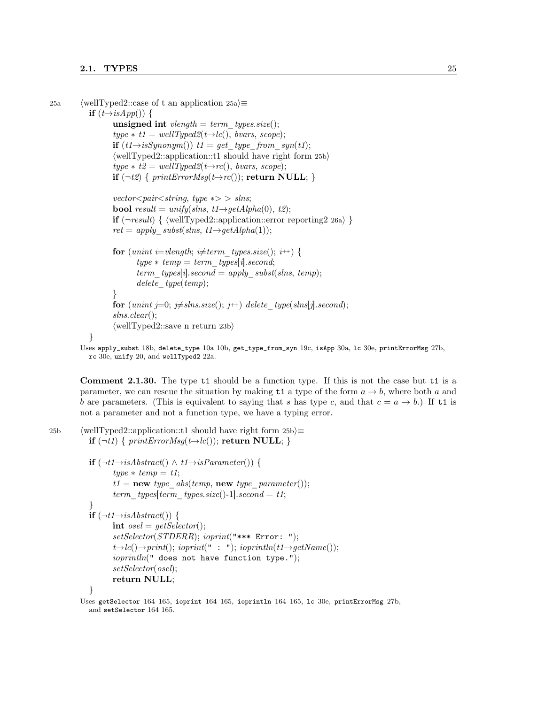#### 2.1. TYPES 25

```
25a (wellTyped2::case of t an application 25a)\equivif (t\rightarrow isApp()) {
                          unsigned int vlength = term types.size();
                          type * t1 = wellType d2(t \rightarrow lc(), \text{ ~} 5 \text{ ~} 5 \text{ ~} 5 \text{ ~} 5 \text{ ~} 6 \text{ ~} 7 \text{ ~} 6 \text{ ~} 7 \text{ ~} 7 \text{ ~} 7 \text{ ~} 7 \text{ ~} 7 \text{ ~} 7 \text{ ~} 7 \text{ ~} 7 \text{ ~} 7 \text{ ~} 7 \text{ ~} 7 \text{ ~} 7 \text{ ~} 7 \text{ ~} 7 \text{ ~} 7 \text{ ~} 7 \text{ ~} 7 \text{ ~} 7 \text{ ~} 7 \text{ ~} 7 \text{ ~} 7 \text{ ~} 7 \text{if (t1 \rightarrow isSymonym()) t1 = get type\_from\_syn(t1);\langlewellTyped2::application::t1 should have right form 25b\rangletype * t2 = wellType d2(t \rightarrow rc(), \text{ ~} 0, \text{ ~} 0);
                          if (\neg t\mathcal{Z}) { printErrorMsq(t\rightarrow rc()); return NULL; }
                          vector<pair<string, type *> slns;
                          bool result = unify(slns, t1 \rightarrow getAlpha(0), t2);if (\neg result) { \tellTyped2::application::error reporting2 26a) }
                          ret = apply\_subst(slns, t1 \rightarrow getAlpha(1));for (unint i=vlength; i\neqterm_types.size(); i++) {
                                    type * temp = term \quad types[i].second;term_types[i].second = apply_subst(slns, temp);
                                    delete type(temp);
                          }
                          for (unint j=0; j\neq slns.size(); j++) delete type(slns[j].second);
                          slns.clear();
                          \langlewellTyped2::save n return 23b\rangle}
```
Uses apply\_subst 18b, delete\_type 10a 10b, get\_type\_from\_syn 19c, isApp 30a, lc 30e, printErrorMsg 27b, rc 30e, unify 20, and wellTyped2 22a.

Comment 2.1.30. The type t1 should be a function type. If this is not the case but t1 is a parameter, we can rescue the situation by making  $t1$  a type of the form  $a \rightarrow b$ , where both a and b are parameters. (This is equivalent to saying that s has type c, and that  $c = a \rightarrow b$ .) If t1 is not a parameter and not a function type, we have a typing error.

```
25b (wellTyped2::application::t1 should have right form 25b)\equiv
```

```
if (\neg t1) { printErrorMsq(t\rightarrow lc()); return NULL; }
if (\neg t1 \rightarrow isAbstract() \land t1 \rightarrow isParameter()) {
       type * temp = t1;t1 = new type\_abs(temp, new type\_parameter());term_types[term_types.size()-1].second = t1;
}
if (\neg t1 \rightarrow isAbstract) {
       int osel = getSelect();setSelector(STDERR); ioprint("*** Error: ");
       t \rightarrow lc() \rightarrow print(); ioprint(" : "); ioprintln(t1\rightarrow getName());
       ioprintln(" does not have function type.");
       setSelector(osel);
       return NULL;
}
```
Uses getSelector 164 165, ioprint 164 165, ioprintln 164 165, lc 30e, printErrorMsg 27b, and setSelector 164 165.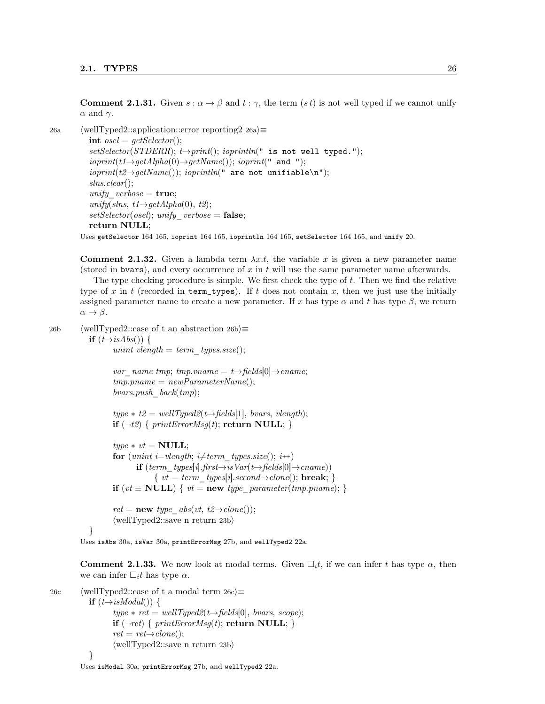**Comment 2.1.31.** Given  $s : \alpha \to \beta$  and  $t : \gamma$ , the term  $(st)$  is not well typed if we cannot unify  $\alpha$  and  $\gamma$ .

26a (wellTyped2::application::error reporting2 26a) $\equiv$ 

int  $osel = getSelect(r);$  $setSelector(STDERR); t\rightarrow print();ioprintln(" is not well typed.");$  $ioprint(t1\rightarrow getAlpha(0)\rightarrow getName())$ ;  $ioprint(" and ");$  $ioprint(t2 \rightarrow getName())$ ;  $ioprintln(" are not unifiable\n")$ ; slns.clear(); unify  $verbose = true;$ unify(slns,  $t1 \rightarrow getAlpha(0), t2);$  $setSelector(osel);$  unify verbose = false; return NULL;

Uses getSelector 164 165, ioprint 164 165, ioprintln 164 165, setSelector 164 165, and unify 20.

**Comment 2.1.32.** Given a lambda term  $\lambda x.t$ , the variable x is given a new parameter name (stored in bvars), and every occurrence of  $x$  in  $t$  will use the same parameter name afterwards.

The type checking procedure is simple. We first check the type of  $t$ . Then we find the relative type of x in t (recorded in term\_types). If t does not contain x, then we just use the initially assigned parameter name to create a new parameter. If x has type  $\alpha$  and t has type  $\beta$ , we return  $\alpha \rightarrow \beta$ .

26b (wellTyped2::case of t an abstraction 26b) $\equiv$ 

if  $(t\rightarrow isAbs())$  { unint vlength = term types.size();

> var\_name tmp; tmp.vname = t $\rightarrow$ fields[0] $\rightarrow$ cname;  $tmp.pname = newParameterName();$

bvars.push  $back(tmp);$ 

 $type * t2 = wellType d2(t \rightarrow fields[1], \text{ ~} 50$ if  $(\neg t2)$  { printErrorMsg(t); return NULL; }

 $type * vt = NULL;$ for (unint i=vlength; i $\neq$ term\_types.size(); i++) **if**  $(term \ types[i].first \rightarrow isVar(t \rightarrow fields[0] \rightarrow change))$  $\{ vt = term \ types[i].second \rightarrow clone(); \ break; \}$ if  $(vt \equiv \textbf{NULL}) \{ vt = \textbf{new type} parameter(tmp.pname); \}$ 

 $ret = new type\_abs(vt, t2 \rightarrow clone())$ ;  $\langle$ wellTyped2::save n return 23b $\rangle$ 

```
}
```
Uses isAbs 30a, isVar 30a, printErrorMsg 27b, and wellTyped2 22a.

**Comment 2.1.33.** We now look at modal terms. Given  $\Box_i t$ , if we can infer t has type  $\alpha$ , then we can infer  $\Box_i t$  has type  $\alpha$ .

```
26c (wellTyped2::case of t a modal term 26c \equivif (t \rightarrow isModal() ) {
                     type * ret = wellType d2(t \rightarrow fields[0], \text{ \textit{bvars}, scope});if (\neg ret) { printErrorMsg(t); return NULL; }
                     ret = ret \rightarrow clone();\langlewellTyped2::save n return 23b\rangle}
```
Uses isModal 30a, printErrorMsg 27b, and wellTyped2 22a.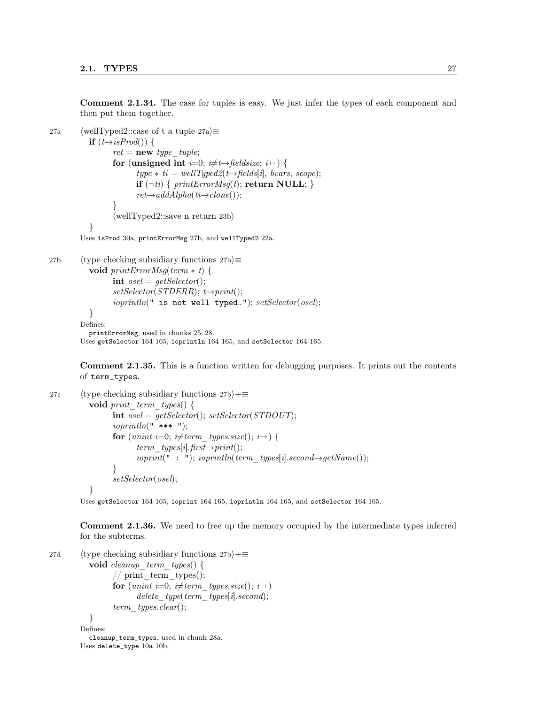Comment 2.1.34. The case for tuples is easy. We just infer the types of each component and then put them together.

```
27a (wellTyped2::case of t a tuple 27a)\equivif (t \rightarrow isProd() ) {
                     ret = new type\_tuple;for (unsigned int i=0; i\neq t\rightarrow fieldsize; i+1) {
                             type * ti = wellType d2(t \rightarrow fields[i], \text{ \textit{bvars}, scope});if (\neg ti) { printErrorMsg(t); return NULL; }
                             ret\rightarrow addAlpha(ti\rightarrow clone());}
                     \langlewellTyped2::save n return 23b\rangle}
          Uses isProd 30a, printErrorMsg 27b, and wellTyped2 22a.
```

```
27b (type checking subsidiary functions 27b)\equivvoid printErrorMsg(term ∗ t) {
                 int osel = getSelect(r);setSelector(STDERR); t\rightarrow print();ioprintln(" is not well typed."); setSelector(osel);}
        Defines:
          printErrorMsg, used in chunks 25–28.
        Uses getSelector 164 165, ioprintln 164 165, and setSelector 164 165.
```
Comment 2.1.35. This is a function written for debugging purposes. It prints out the contents

of term\_types.

```
27c (type checking subsidiary functions 27b)+\equivvoid print term types() {
                 int osel = getSelect(); setSelector(STDOUT);ioprintln(" *** ");for (unint i=0; i\neqterm types.size(); i++) {
                       term_types[i].first\rightarrowprint();
                       ioprint(" : "); ioprintln(term types[i].second\rightarrow getName());}
                 setSelector(osel);
          }
```
Uses getSelector 164 165, ioprint 164 165, ioprintln 164 165, and setSelector 164 165.

Comment 2.1.36. We need to free up the memory occupied by the intermediate types inferred for the subterms.

```
27d (type checking subsidiary functions 27b)+≡
          void cleanup term types() {
                // print_term_types();
                for (unint i=0; i\neqterm types.size(); i++)
                       delete\_type(term\_types[i].second);term types.clear();
          }
        Defines:
          cleanup_term_types, used in chunk 28a.
        Uses delete_type 10a 10b.
```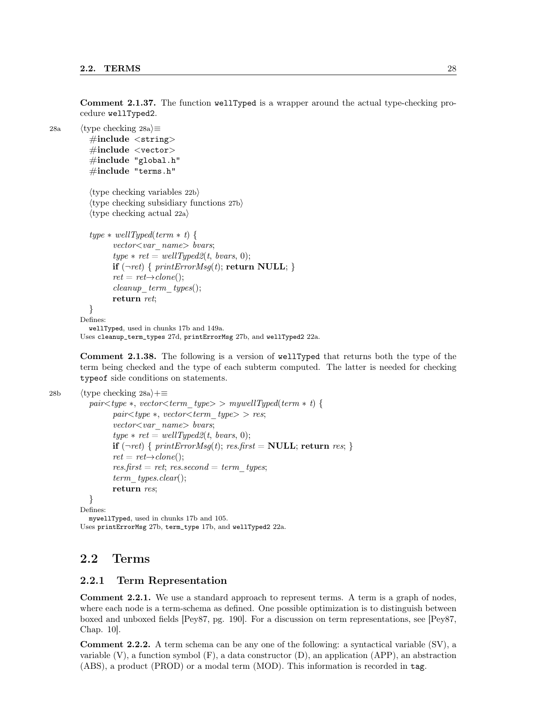Comment 2.1.37. The function wellTyped is a wrapper around the actual type-checking procedure wellTyped2.

28a  $\langle$  type checking 28a $\rangle$  $\equiv$  $\#$ include  $\lt$ string>  $\#\text{include} < \text{vector}$  $\#$ include "global.h" #include "terms.h"

```
\langletype checking variables 22b\rangle\langletype checking subsidiary functions 27b\rangle\langletype checking actual 22a\rangle
```

```
type * wellTyped(term * t) {
      vector < var name > bvars;type * ret = wellType d2(t, \text{ ~} 0);if (\neg ret) { printErrorMsg(t); return NULL; }
      ret = ret \rightarrow clone();cleanup term types();return ret;
}
```

```
Defines:
  wellTyped, used in chunks 17b and 149a.
```
Uses cleanup\_term\_types 27d, printErrorMsg 27b, and wellTyped2 22a.

Comment 2.1.38. The following is a version of wellTyped that returns both the type of the term being checked and the type of each subterm computed. The latter is needed for checking typeof side conditions on statements.

```
28b (type checking 28a)+≡
```

```
pair < type *, vector < term \ type > \supset mywellTyped(term * t) {
         pair < type *, vector < term type > res;vector < var name > bvars;type * ret = wellType d2(t, \text{ ~} 0);if (\neg ret) { printErrorMsg(t); res.first = NULL; return res; }
         ret = ret \rightarrow clone():res. first = ret; res. second = term\_types;
         term types.clear();
         return res;
  }
Defines:
```
mywellTyped, used in chunks 17b and 105. Uses printErrorMsg 27b, term\_type 17b, and wellTyped2 22a.

# 2.2 Terms

#### 2.2.1 Term Representation

Comment 2.2.1. We use a standard approach to represent terms. A term is a graph of nodes, where each node is a term-schema as defined. One possible optimization is to distinguish between boxed and unboxed fields [Pey87, pg. 190]. For a discussion on term representations, see [Pey87, Chap. 10].

Comment 2.2.2. A term schema can be any one of the following: a syntactical variable (SV), a variable  $(V)$ , a function symbol  $(F)$ , a data constructor  $(D)$ , an application  $(APP)$ , an abstraction (ABS), a product (PROD) or a modal term (MOD). This information is recorded in tag.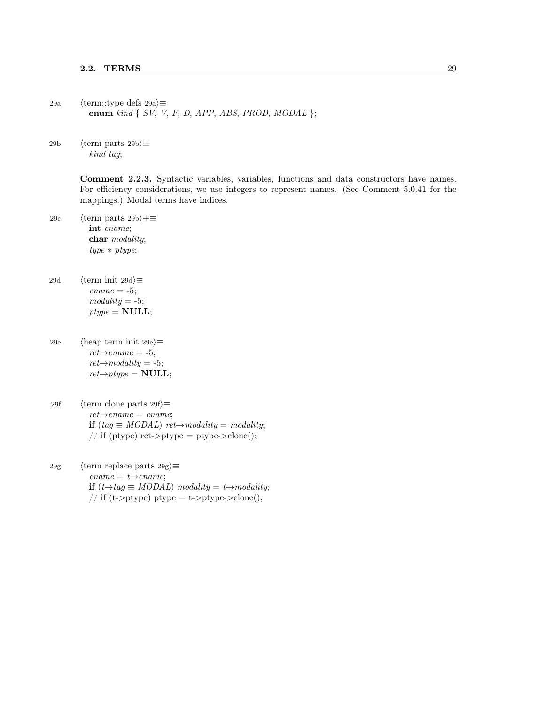29a  $\langle \text{term::type defs 29a} \rangle \equiv$ enum kind  $\{ SV, V, F, D, APP, ABS, PROD, MODAL \};$ 

29b (term parts 29b) $\equiv$ kind tag;

> Comment 2.2.3. Syntactic variables, variables, functions and data constructors have names. For efficiency considerations, we use integers to represent names. (See Comment 5.0.41 for the mappings.) Modal terms have indices.

- 29c  $\langle \text{term parts } 29b \rangle + \equiv$ int cname; char modality; type ∗ ptype;
- 29d (term init 29d) $\equiv$  $\textit{cname} = -5$ ;  $modality = -5;$  $ptype = NULL;$
- 29e  $\langle$ heap term init 29e $\rangle \equiv$  $ret{\rightarrow}cname = -5;$  $ret\rightarrow modality = -5;$  $ret{\rightarrow}ptype = NULL;$
- 29f (term clone parts 29f) $\equiv$  $ret{\rightarrow}cname = \textit{cname};$ if  $(tag \equiv MODAL)$  ret $\rightarrow modality = modality;$ // if (ptype) ret- $>$ ptype = ptype- $>$ clone();
- 29g (term replace parts 29g) $\equiv$  $\mathit{cname} = t \rightarrow \mathit{cname};$ if  $(t \rightarrow tag \equiv MODAL)$  modality =  $t \rightarrow modality$ ; // if (t->ptype) ptype = t->ptype->clone();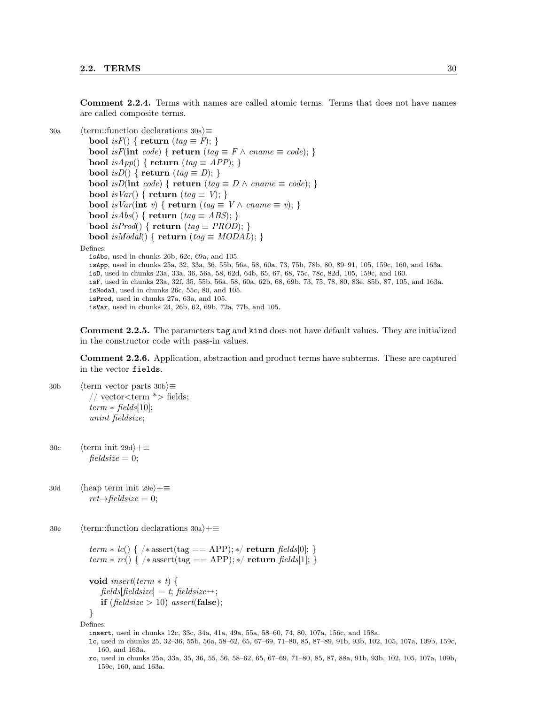Comment 2.2.4. Terms with names are called atomic terms. Terms that does not have names are called composite terms.

```
30a \langle term::function declarations 30a\rangle \equivbool isF() { return (tag \equiv F); }
            bool isF(int code) { return (tag \equiv F \land cname \equiv code); }
            bool isApp() \{ return (tag \equiv APP); \}bool isD() { return (taq \equiv D); }
            bool isD(int code) { return (tag \equiv D \wedge \text{cname} \equiv \text{code}; }
            bool is Var() \{ return (tag \equiv V); \}bool is Var(int v) { return (tag \equiv V \land cname \equiv v); }
            bool isAbs() \{ return (tag \equiv ABS);bool isProd() { return (tag \equiv PROD); }
            bool isModal() { return (tag \equiv MODAL); }
         Defines:
            isAbs, used in chunks 26b, 62c, 69a, and 105.
            isApp, used in chunks 25a, 32, 33a, 36, 55b, 56a, 58, 60a, 73, 75b, 78b, 80, 89–91, 105, 159c, 160, and 163a.
            isD, used in chunks 23a, 33a, 36, 56a, 58, 62d, 64b, 65, 67, 68, 75c, 78c, 82d, 105, 159c, and 160.
            isF, used in chunks 23a, 32f, 35, 55b, 56a, 58, 60a, 62b, 68, 69b, 73, 75, 78, 80, 83e, 85b, 87, 105, and 163a.
            isModal, used in chunks 26c, 55c, 80, and 105.
            isProd, used in chunks 27a, 63a, and 105.
            isVar, used in chunks 24, 26b, 62, 69b, 72a, 77b, and 105.
```
Comment 2.2.5. The parameters tag and kind does not have default values. They are initialized in the constructor code with pass-in values.

Comment 2.2.6. Application, abstraction and product terms have subterms. These are captured in the vector fields.

30b (term vector parts 30b) $\equiv$ // vector<term  $*$ > fields;  $term * fields[10]$ ; unint fieldsize;

30c  $\langle \text{term init } 29d \rangle + \equiv$  $fieldsize = 0;$ 

30d (heap term init 29e) $+$ ≡  $ret{\rightarrow}$ fieldsize = 0;

30e  $\langle$  term::function declarations 30a $\rangle+\equiv$ 

```
term * lc() \{ /* assert(tag == APP); */ return fields[0]; \}term * rc() { \times} assert(tag == APP); */ return fields[1]; }
```

```
void insert(term * t) {
   fields[fieldsize] = t; fieldsize++;
   if (fieldsize > 10) assert(false);
}
```
Defines:

insert, used in chunks 12c, 33c, 34a, 41a, 49a, 55a, 58–60, 74, 80, 107a, 156c, and 158a.

lc, used in chunks 25, 32–36, 55b, 56a, 58–62, 65, 67–69, 71–80, 85, 87–89, 91b, 93b, 102, 105, 107a, 109b, 159c, 160, and 163a.

rc, used in chunks 25a, 33a, 35, 36, 55, 56, 58–62, 65, 67–69, 71–80, 85, 87, 88a, 91b, 93b, 102, 105, 107a, 109b, 159c, 160, and 163a.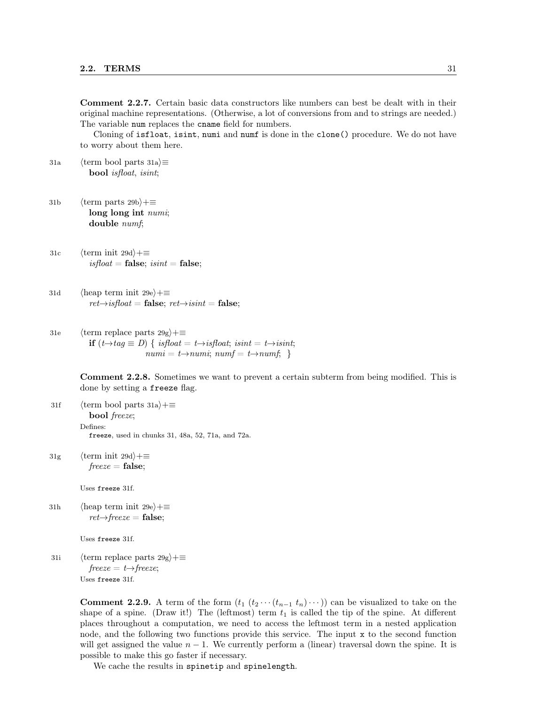Comment 2.2.7. Certain basic data constructors like numbers can best be dealt with in their original machine representations. (Otherwise, a lot of conversions from and to strings are needed.) The variable num replaces the cname field for numbers.

Cloning of isfloat, isint, numi and numf is done in the clone() procedure. We do not have to worry about them here.

31a (term bool parts 31a) $\equiv$ bool isfloat, isint;

- 31b  $\langle$  term parts 29b $\rangle$ +≡ long long int numi; double numf;
- 31c  $\langle \text{term init } 29d \rangle + \equiv$  $is float = false; is int = false;$
- 31d (heap term init 29e)+≡  $ret\rightarrow isfloat = false; ret\rightarrow isint = false;$
- 31e (term replace parts  $29g$ )+≡ **if**  $(t→tag \equiv D)$  { isfloat =  $t→isfloat$ ; isint =  $t→isinit$ ;  $numi = t \rightarrow numi; numf = t \rightarrow numf;$

Comment 2.2.8. Sometimes we want to prevent a certain subterm from being modified. This is done by setting a freeze flag.

- 31f (term bool parts 31a)+≡ bool freeze; Defines: freeze, used in chunks 31, 48a, 52, 71a, and 72a.
- 31g  $\langle \text{term init } 29d \rangle + \equiv$  $freeze = false;$

Uses freeze 31f.

31h  $\langle$ heap term init 29e $\rangle+\equiv$  $ret{\rightarrow} \text{freeze} = \textbf{false};$ 

Uses freeze 31f.

31i (term replace parts  $29g$ )+≡  $freeze = t \rightarrow freeze;$ Uses freeze 31f.

> **Comment 2.2.9.** A term of the form  $(t_1 (t_2 \cdots (t_{n-1} t_n) \cdots))$  can be visualized to take on the shape of a spine. (Draw it!) The (leftmost) term  $t_1$  is called the tip of the spine. At different places throughout a computation, we need to access the leftmost term in a nested application node, and the following two functions provide this service. The input x to the second function will get assigned the value  $n - 1$ . We currently perform a (linear) traversal down the spine. It is possible to make this go faster if necessary.

We cache the results in spinetip and spinelength.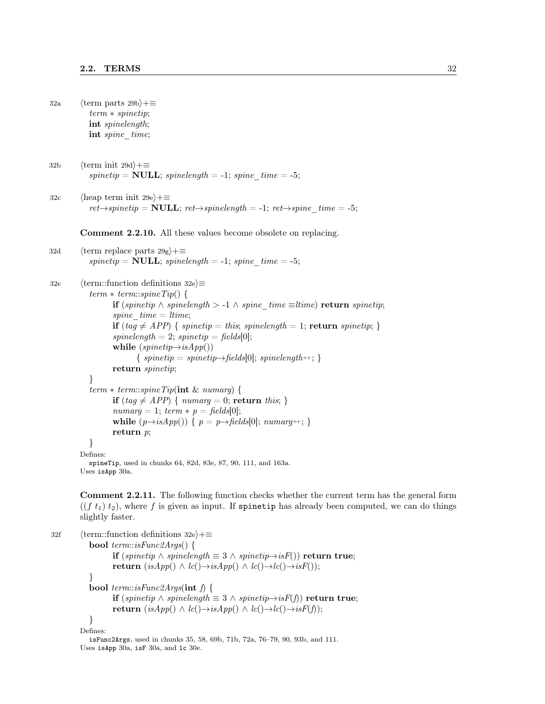- 32a  $\langle \text{term parts } 29b \rangle + \equiv$ term ∗ spinetip; int spinelength; int spine time;
- 32b  $\langle \text{term init } 29d \rangle + \equiv$  $spinetip = NULL; spinelength = -1; spine-time = -5;$
- 32c (heap term init 29e) $+\equiv$  $ret{\rightarrow}spinetip = \textbf{NULL}; ret{\rightarrow}spinelength = -1; ret{\rightarrow}spine-time = -5;$

Comment 2.2.10. All these values become obsolete on replacing.

```
32d (term replace parts 29g)+≡
         spinetip = NULL; spinelength = -1; spine-time = -5;
```
32e  $\langle$  term::function definitions 32e $\rangle \equiv$  $term * term::spineTip()$  { **if** (spinetip ∧ spinelength > -1 ∧ spine\_time ≡ltime) return spinetip; spine  $time = time;$ if (tag  $\neq$  APP) { spinetip = this; spinelength = 1; return spinetip; }  $spinelength = 2;$   $spinetip = fields[0];$ while  $(spinetip\rightarrow isApp())$  $\{$  spinetip = spinetip $\rightarrow$  fields[0]; spinelength ++;  $\}$ return spinetip; }  $term * term::spineTip(int \& numarg)$  { if  $(tag \neq APP) \{ numarg = 0; return this; \}$  $numarg = 1; term * p = fields[0];$ while  $(p\rightarrow isApp())$  {  $p = p\rightarrow fields[0]$ ;  $numarg++;$  } return p; } Defines: spineTip, used in chunks 64, 82d, 83e, 87, 90, 111, and 163a.

Uses isApp 30a.

Comment 2.2.11. The following function checks whether the current term has the general form  $((f t<sub>1</sub>) t<sub>2</sub>)$ , where f is given as input. If spinetip has already been computed, we can do things slightly faster.

```
32f (term::function definitions 32e)+≡
          bool term::isFunc2Args() {
                  if (spinetip ∧ spinelength \equiv 3 ∧ spinetip→isF()) return true;
                  return (isApp() \wedge lc() \rightarrow isApp() \wedge lc() \rightarrow lc() \rightarrow isF());}
          bool term::isFunc2Args(int f) {
                  if (spinetip ∧ spinelength \equiv 3 ∧ spinetip→isF(f)) return true;
                  return (isApp() ∧ lc()→isApp() ∧ lc()→lc()→isF(f));}
        Defines:
          isFunc2Args, used in chunks 35, 58, 69b, 71b, 72a, 76–79, 90, 93b, and 111.
        Uses isApp 30a, isF 30a, and lc 30e.
```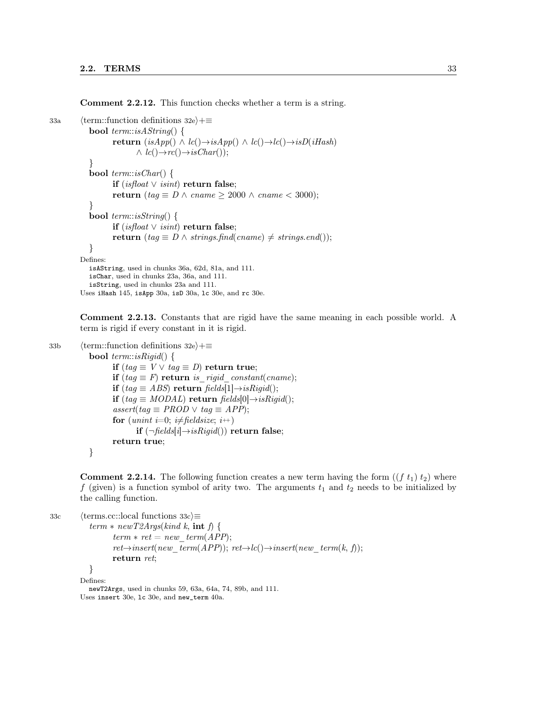Comment 2.2.12. This function checks whether a term is a string.

```
33a (term::function definitions 32e)+≡
            bool term::isAString() {
                   return (isApp() ∧ lc() → isApp() ∧ lc() → lc() → isD(iHash)\wedge lc()\rightarrowrc()\rightarrowisChar());
            }
           bool term::isChar() {
                   if (isfloat ∨ isint) return false;
                   return (tag \equiv D \wedge \text{cname} \geq 2000 \wedge \text{cname} < 3000);
            }
           bool term::isString() {
                   if (isfloat ∨ isint) return false;
                   return (tag \equiv D \wedge strings.find(cname) \neq strings.end());
            }
         Defines:
           isAString, used in chunks 36a, 62d, 81a, and 111.
           isChar, used in chunks 23a, 36a, and 111.
           isString, used in chunks 23a and 111.
         Uses iHash 145, isApp 30a, isD 30a, lc 30e, and rc 30e.
```
Comment 2.2.13. Constants that are rigid have the same meaning in each possible world. A term is rigid if every constant in it is rigid.

```
33b \langle term::function definitions 32e\rangle+\equivbool term::isRigid() {
                    if (tag \equiv V \vee tag \equiv D) return true;
                    if (taq \equiv F) return is rigid constant(cname);
                    if (tag \equiv ABS) return fields[1]\rightarrowisRigid();
                    if (tag \equiv MODAL) return fields[0]\rightarrow isRigid;
                    assert(tag \equiv PROD \lor tag \equiv APP);for (unint i=0; i\neqfieldsize; i++)
                           if (\neg fields[i] \rightarrow isRigid)) return false;
                    return true;
            }
```
**Comment 2.2.14.** The following function creates a new term having the form  $((f t_1) t_2)$  where f (given) is a function symbol of arity two. The arguments  $t_1$  and  $t_2$  needs to be initialized by the calling function.

```
33c \langle \text{terms.cc::local functions } 33c \rangle \equivterm * newT2Args (kind k, int f)term * ret = new-term(APP);ret{\rightarrow} insert(new-term(APP)); ret{\rightarrow}lc(){\rightarrow}insert(new-term(k, f));return ret;
             }
          Defines:
```
newT2Args, used in chunks 59, 63a, 64a, 74, 89b, and 111. Uses insert 30e, lc 30e, and new\_term 40a.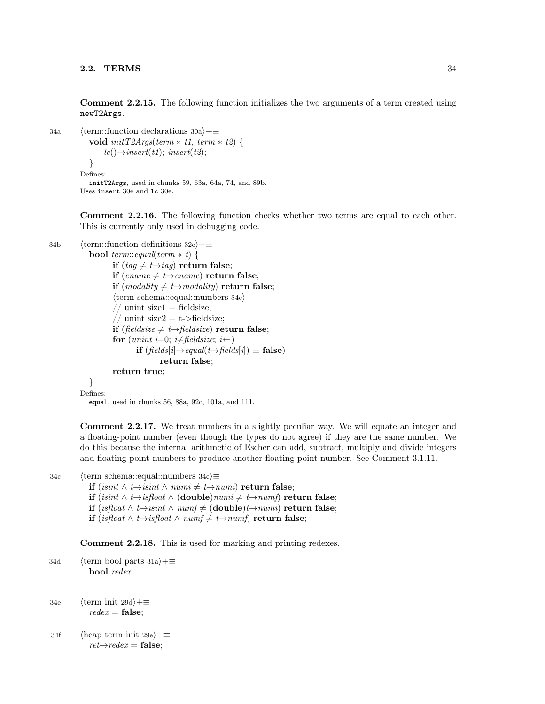Comment 2.2.15. The following function initializes the two arguments of a term created using newT2Args.

```
34a (term::function declarations 30a)+≡
           void initT2Args(term * t1, term * t2) {
               lc() \rightarrow insert(t1); insert(t2);}
         Defines:
           initT2Args, used in chunks 59, 63a, 64a, 74, and 89b.
         Uses insert 30e and lc 30e.
```
Comment 2.2.16. The following function checks whether two terms are equal to each other. This is currently only used in debugging code.

```
34b \langle term::function definitions 32e\rangle+\equivbool term::equal(term * t) {
                    if (taq \neq t \rightarrow taq) return false;
```

```
if (cname \neq t \rightarrow cname) return false;
if (modality \neq t \rightarrow modality) return false;
\langle \text{term schema::equal::numbers 34c} \rangle// unint size1 = fieldsize;
 / unint size2 = t->fieldsize;
if (fieldsize \neq t \rightarrowfieldsize) return false;
for (unint i=0; i\neq fieldsize; i++)
        if (fields[i] \rightarrow equal(t \rightarrow fields[i]) \equiv false)return false;
return true;
```
} Defines:

equal, used in chunks 56, 88a, 92c, 101a, and 111.

Comment 2.2.17. We treat numbers in a slightly peculiar way. We will equate an integer and a floating-point number (even though the types do not agree) if they are the same number. We do this because the internal arithmetic of Escher can add, subtract, multiply and divide integers and floating-point numbers to produce another floating-point number. See Comment 3.1.11.

```
34c \langle \text{term schema::equal::numbers 34c} \rangle \equiv
```
- **if** (isint  $\land$  t→isint  $\land$  numi  $\neq$  t→numi) return false;
- if (isint ∧ t→isfloat ∧ (double)numi  $\neq t \rightarrow numf$ ) return false;
- if (isfloat ∧ t→isint ∧ numf  $\neq$  (double)t→numi) return false;
- **if** (isfloat ∧ t→isfloat ∧ numf  $\neq$  t→numf) return false;

Comment 2.2.18. This is used for marking and printing redexes.

34d (term bool parts 31a) $+$ ≡ bool redex;

34e  $\langle \text{term init } 29d \rangle + \equiv$  $redex = false$ :

34f (heap term init 29e)+≡  $ret{\rightarrow}redex =$  false;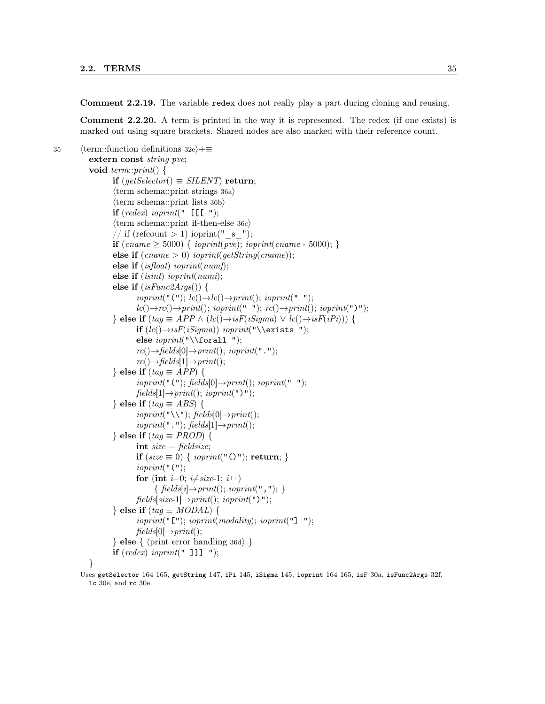Comment 2.2.19. The variable redex does not really play a part during cloning and reusing.

Comment 2.2.20. A term is printed in the way it is represented. The redex (if one exists) is marked out using square brackets. Shared nodes are also marked with their reference count.

```
35 \langle term::function definitions 32e\rangle+≡
            extern const string pve;
            void term::print() {
                    if (getSelector() \equiv SILENT) return;
                    \langle \text{term schema::print strings } 36a \rangle\langle \text{term schema::print lists } 36b \rangleif (\text{redex}) ioprint(" [[[ ");
                    \langle \text{term schema::print if-then-else 36c} \rangle/ if (refcount > 1) ioprint("_s");
                    if (cname \ge 5000) { ioprint(pve); ioprint(cname - 5000); }
                    else if (\text{cname} > 0) ioprint(\text{qetString}(\text{cname}));
                    else if (isfloat) ioprint(numf);
                    else if (isint) ioprint(numi);
                    else if (isFunc2Args()) {
                            ioprint("("'); lc() \rightarrow lce() \rightarrow print(); ioprint(" ");lc() \rightarrow rc() \rightarrow print(); ioprint(" "); rc() \rightarrow print(); ioprint(")");
                    \} else if (tag \equiv APP \wedge (lc)) \rightarrow isF(iSigma) \vee lc) \rightarrow isF(iPi)) {
                            if (lc() \rightarrow isF(iSignal) ioprint("\\exists ");
                            else \text{input}(\text{``\texttt{d1}''});rc() \rightarrow fields[0] \rightarrow print(); ioprint(".");
                            rc() \rightarrow fields[1] \rightarrow print();} else if (tag \equiv APP) {
                            ioprint("("); \, fields[0] \rightarrow print(): \, ioprint(" ");fields[1] \rightarrow print(); ioprint(")");
                    } else if (tag \equiv ABS) {
                            ioprint("\\ \N^n); fields[0]\rightarrow print();ioprint(" ""); \, fields[1] \rightarrow print();} else if (taq \equiv PROD) {
                            int size = fieldsize;if (size \equiv 0) { ioprint("()"); return; }
                            ioprint("("for (int i=0; i\neqsize-1; i++)
                                  { fields[i] \rightarrow print(); ioprint(", ");}
                            fields[size-1] \rightarrow print(); ioprint(")");
                    } else if (tag \equiv MODAL) {
                            ioprint("["");'ioprint(modality);'ioprint(""]";
                            fields[0] \rightarrow print();
                    \} else \{ (print error handling 36d) \}if (\text{redex}) ioprint(" ]]] ");
```
#### }

Uses getSelector 164 165, getString 147, iPi 145, iSigma 145, ioprint 164 165, isF 30a, isFunc2Args 32f, lc 30e, and rc 30e.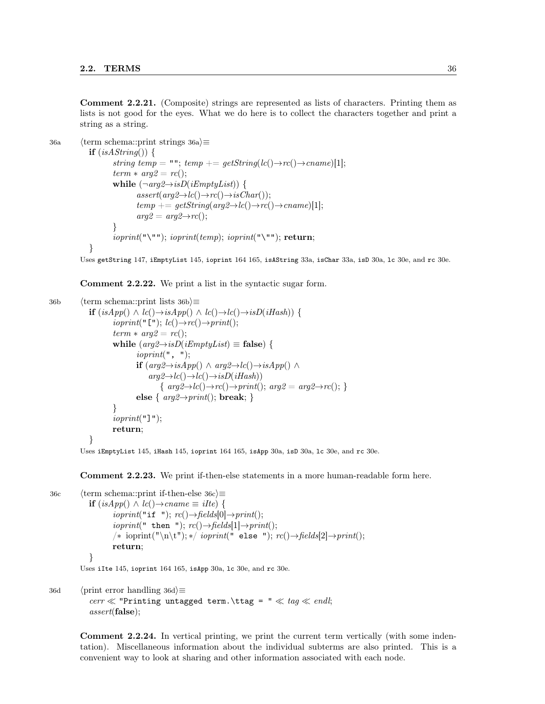Comment 2.2.21. (Composite) strings are represented as lists of characters. Printing them as lists is not good for the eyes. What we do here is to collect the characters together and print a string as a string.

```
36a (term schema::print strings 36a)\equivif (isAString() )string temp = ""; temp += qetString(lc() \rightarrow rc() \rightarrow canme)[1];term * arg2 = rc();while (\neg arg2 \rightarrow isD(iEmptyList)) {
                             assert(arg2 \rightarrow lc() \rightarrow rc() \rightarrow isChar());temp += getString(arg2 \rightarrow lc() \rightarrow rc() \rightarrow canme)[1];arg2 = arg2 \rightarrow rc();}
                     ioprint("\\"'); ioprint(temp); ioprint("\\"'); return;
             }
```
Uses getString 147, iEmptyList 145, ioprint 164 165, isAString 33a, isChar 33a, isD 30a, lc 30e, and rc 30e.

Comment 2.2.22. We print a list in the syntactic sugar form.

```
36b (term schema::print lists 36b\rangle\equivif (isApp() ∧ lc() → isApp() ∧ lc() → lc() → isD(iHash)) {
                          ioprint("[""); lc() \rightarrow rc() \rightarrow print();term * arg2 = rc();while (\text{arg2} \rightarrow \text{isD}(\text{imptyList}) \equiv \text{false}) {
                                    ioprint", "if (\text{arg2} \rightarrow \text{isApp()} \land \text{arg2} \rightarrow \text{lc}() \rightarrow \text{isApp()} \landarg2 \rightarrow lc() \rightarrow lc() \rightarrow isD(iHash)){ arg2 \rightarrow lc() \rightarrow rc() \rightarrow print(); arg2 = arg2 \rightarrow rc(); }
                                    else { arg2 \rightarrow print; break; }
                          }
                          ioprint("]");
                          return;
                }
```
Uses iEmptyList 145, iHash 145, ioprint 164 165, isApp 30a, isD 30a, lc 30e, and rc 30e.

Comment 2.2.23. We print if-then-else statements in a more human-readable form here.

```
36c (term schema::print if-then-else 36c)\equivif (isApp() ∧ lc() → can me ≡ ilte) {
                     ioprint("if "); rc() \rightarrow fields[0] \rightarrow print();ioprint(" then "); rc() \rightarrow fields[1] \rightarrow print;
                     /* ioprint("\n\t"); */ ioprint(" else "); rc() \rightarrow fields[2] \rightarrow print(;
                     return;
             }
```
Uses iIte 145, ioprint 164 165, isApp 30a, lc 30e, and rc 30e.

```
36d \langle print error handling 36d\rangle\equivcerr \ll "Printing untagged term. \ttag = " \ll tag \ll endl;
           assert(false);
```
Comment 2.2.24. In vertical printing, we print the current term vertically (with some indentation). Miscellaneous information about the individual subterms are also printed. This is a convenient way to look at sharing and other information associated with each node.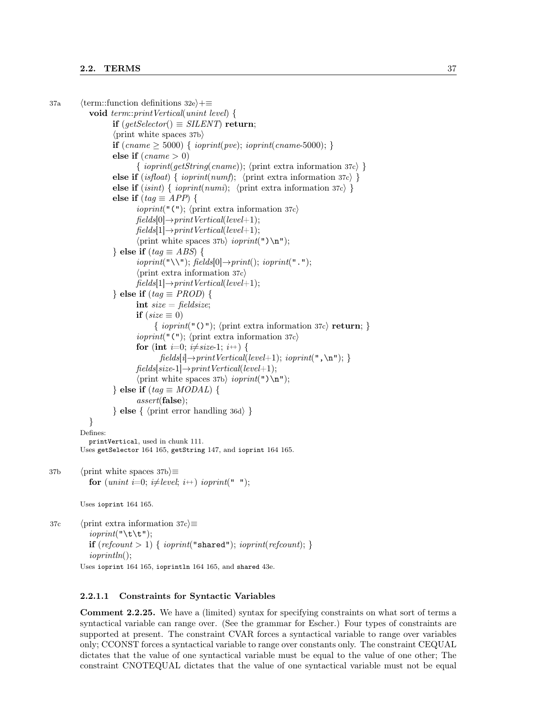```
37a (term::function definitions 32e)+≡
            void term::printVertical(unint level) {
                   if (qetSelector) \equiv SILENT return;
                   \langle print white spaces 37b\rangleif (cname \ge 5000) { ioprint(pve); ioprint(cname-5000); }
                   else if (\text{cname} > 0){ ioprint(getString(cname)); hprint extra information 37ci }
                   else if (isfloat) { ioprint(numf); \the extra information 37c) }
                   else if (isint) \{ioprint(numi); \langle print extra information 37c \rangle \}else if (taq \equiv APP) {
                           ioprint("("'); \langle print extra information 37c\ranglefields[0] \rightarrow printVertical(level+1);fields[1] \rightarrow printVertical(level+1);\langle print white spaces 37b\rangle ioprint(") \n");
                   } else if (tag \equiv ABS) {
                           ioprint("\\ \\\langle"]; \, fields[0] \rightarrow print(); \, ioprint("'.");\langle print extra information 37c\ranglefields[1] \rightarrow printVertical(level+1);} else if (tag \equiv PROD) {
                           int size = fieldsize;if (size \equiv 0)\{ioprint("()"); (print extra information 37c) return; }
                           ioprint("("'); \langle print extra information 37c\ranglefor (int i=0; i\neqsize-1; i++) {
                                  fields[i] \rightarrow printVertical(level+1); ioprint(", \n"); }
                           fields[size-1] \rightarrow printVertical(level+1);\langle print white spaces 37b\rangle ioprint(")\n\lambdan");
                   } else if (taq \equiv MODAL) {
                           assert(false);
                   \} else \{ \langle \text{print error handling 36d} \rangle \}}
         Defines:
            printVertical, used in chunk 111.
         Uses getSelector 164 165, getString 147, and ioprint 164 165.
37b (print white spaces 37b)\equivfor (unint i=0; i\neqlevel; i++) ioprint("");
         Uses ioprint 164 165.
37c (print extra information 37c)\equivioprint("\\t\":
```
**if**  $(refcount > 1)$  {  $ioprint("shared");$   $ioprint(refcount);$ } ioprintln(); Uses ioprint 164 165, ioprintln 164 165, and shared 43e.

#### 2.2.1.1 Constraints for Syntactic Variables

Comment 2.2.25. We have a (limited) syntax for specifying constraints on what sort of terms a syntactical variable can range over. (See the grammar for Escher.) Four types of constraints are supported at present. The constraint CVAR forces a syntactical variable to range over variables only; CCONST forces a syntactical variable to range over constants only. The constraint CEQUAL dictates that the value of one syntactical variable must be equal to the value of one other; The constraint CNOTEQUAL dictates that the value of one syntactical variable must not be equal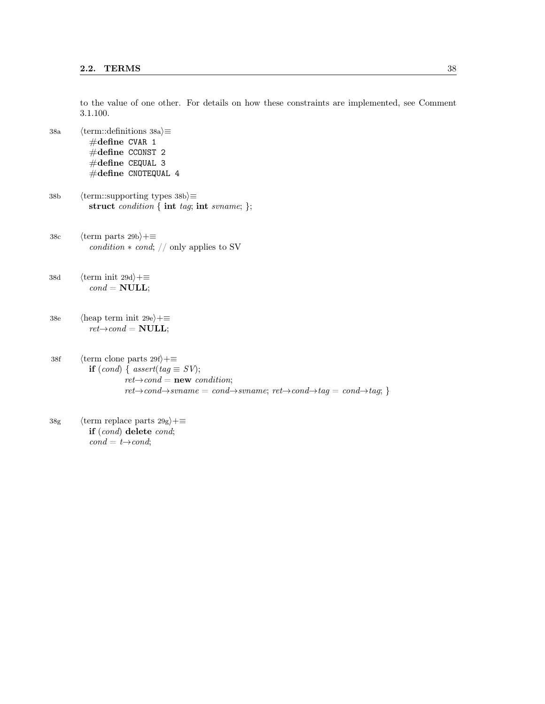to the value of one other. For details on how these constraints are implemented, see Comment 3.1.100.

- 38a  $\langle$  term::definitions 38a $\rangle \equiv$ #define CVAR 1 #define CCONST 2 #define CEQUAL 3  $\#\text{define}$  CNOTEQUAL 4
- 38b (term::supporting types 38b) $\equiv$ struct condition { int tag; int svname; };
- 38c  $\langle$  term parts 29b $\rangle$ +≡  $condition * cond; // only applies to SV$
- 38d  $\langle \text{term init } 29d \rangle + \equiv$  $cond = NULL;$
- 38e  $\langle$ heap term init 29e $\rangle+\equiv$  $ret\rightarrow cond = \textbf{NULL};$
- 38f (term clone parts  $29f$ ) +≡ if  $(cond) \{ assert(tag \equiv SV);$  $ret{\rightarrow}cond = {\bf new}~condition;$  $ret{\rightarrow}cond{\rightarrow}svname = cond{\rightarrow}svname; ret{\rightarrow}cond{\rightarrow}tag = cond{\rightarrow}tag;$
- 38g (term replace parts  $29g$ )+≡ if (cond) delete cond;  $cond = t \rightarrow cond;$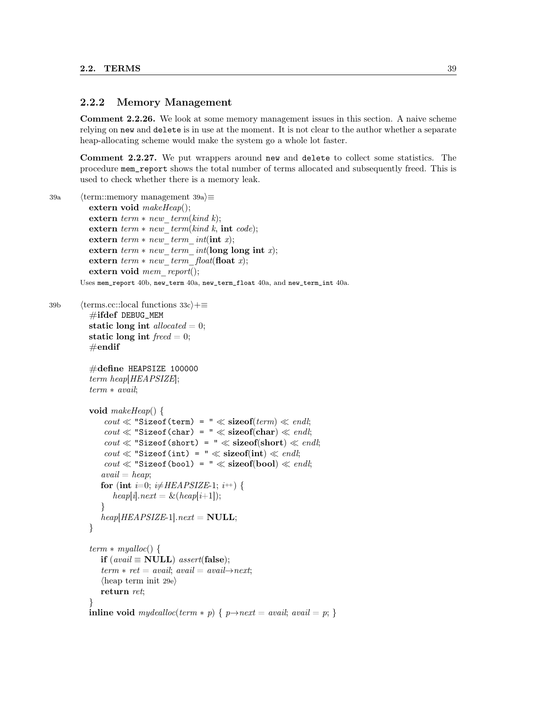#### 2.2.2 Memory Management

Comment 2.2.26. We look at some memory management issues in this section. A naive scheme relying on new and delete is in use at the moment. It is not clear to the author whether a separate heap-allocating scheme would make the system go a whole lot faster.

Comment 2.2.27. We put wrappers around new and delete to collect some statistics. The procedure mem\_report shows the total number of terms allocated and subsequently freed. This is used to check whether there is a memory leak.

```
39a \langle \text{term::memory management 39a} \rangle \equiv
```

```
extern void makeHeap();extern term * new-term(kind k);extern term * new-term(kind k, int code);extern term * new term int(int x);extern term * new term int(long long int x);extern term * new term float(float x);
extern void mem report();
```
Uses mem\_report 40b, new\_term 40a, new\_term\_float 40a, and new\_term\_int 40a.

```
39b \langle \text{terms.cc::local functions } 33c \rangle + \equiv\#ifdef DEBUG_MEM
             static long int allocated = 0;
             static long int \text{freed} = 0;
             \#\textbf{endif}
```

```
#define HEAPSIZE 100000
term heap[HEAPSIZE];
term ∗ avail;
```

```
void makeHeap() {
      \text{cout} \ll \text{``Sizeof}(\text{term}) = \text{``} \ll \text{sizeof}(\text{term}) \ll \text{end}\text{cout} \ll \text{``Sizeof}(\text{char}) = \text{``} \ll \text{sizeof}(\text{char}) \ll \text{end}\text{cout} \ll \text{``Sizeof}(\text{short}) = \text{``} \ll \text{sizeof}(\text{short}) \ll \text{end}\text{cout} \ll \text{``Sizeof(int)} = \text{``} \ll \text{sizeof(int)} \ll \text{endl};\text{cout} \ll \text{``Sizeof}(\text{bool}) = " \ll \text{sizeof}(\text{bool}) \ll \text{end}avail = heap;for (int i=0; i\neqHEAPSIZE-1; i\leftrightarrow) {
         heap[i].next = \&(heap[i+1]);}
    heap[HEAPSIZE-1].next = NULL;}
term * myalloc() {
```

```
if (avail ≡ NULL) assert(false);
   term * ret = avail; avail = avail \rightarrow next;\langleheap term init 29e\ranglereturn ret;
}
inline void mydealloc(term * p) { p \rightarrow next = avail; avail = p; }
```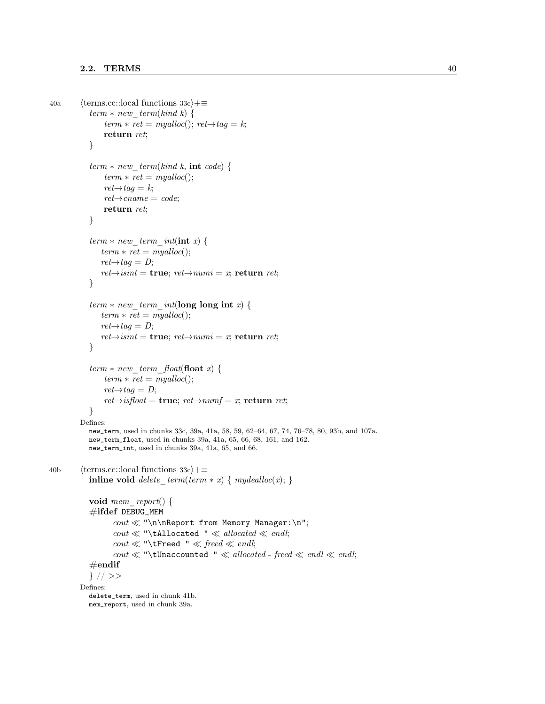```
40a (terms.cc::local functions 33c)+≡
             term * new-term(kind k) {
                  term * ret = myalloc(); ret \rightarrow taq = k;return ret;
             }
             term * new-term(kind k, int code) {
                 term * ret = myalloc();ret{\rightarrow}taq=k;ret{\rightarrow}cname = code;return ret;
             }
             term * new term int(int x) {
                term * ret = myalloc();ret{\rightarrow}tag = D;ret{\rightarrow} is int = \textbf{true}; ret{\rightarrow} numi = x; \textbf{return } ret;}
             term * new term int(long long int x)term * ret = myalloc();ret{\rightarrow}taq = D;ret{\rightarrow} is int = true; ret{\rightarrow} numi = x; return ret;}
             term * new\_term\_float(\textbf{float} x) {
                 term * ret = myalloc();ret{\rightarrow}tag = D;ret\rightarrow isfloat = \textbf{true}; ret\rightarrow numf = x; \textbf{return } ret;}
          Defines:
            new_term, used in chunks 33c, 39a, 41a, 58, 59, 62–64, 67, 74, 76–78, 80, 93b, and 107a.
            new_term_float, used in chunks 39a, 41a, 65, 66, 68, 161, and 162.
            new_term_int, used in chunks 39a, 41a, 65, and 66.
40b (terms.cc::local functions 33c)+≡
             inline void delete term(term * x) { mydealloc(x); }
             void mem report() {
             #ifdef DEBUG_MEM
                    \text{count} \ll \text{``\n} \text{Report from Memory Manager:}\n\text{count} \ll \text{``\texttt{t}Allocated} \ll \text{allowated} \ll \text{endl};\text{count} \ll \text{``\texttt{{\char'134}reed} \ll \text{fred} \ll \text{endl};\text{count} \ll \text{``\texttt{tUnaccounted''}} \ll \text{allowed} - freed \ll \text{endl} \ll \text{endl};\#\textbf{endif}} // >>
          Defines:
             delete_term, used in chunk 41b.
            mem_report, used in chunk 39a.
```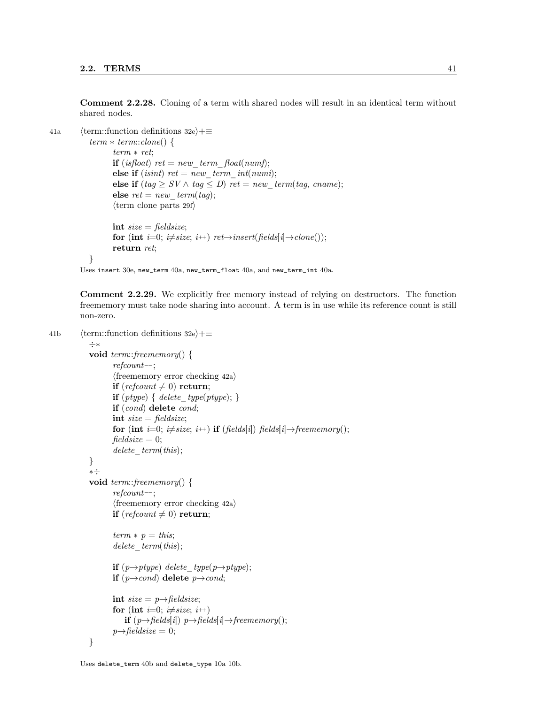Comment 2.2.28. Cloning of a term with shared nodes will result in an identical term without shared nodes.

```
41a (term::function definitions 32e)+≡
```

```
term * term::clone() {
      term ∗ ret;
      if (isfloat) ret = new term float(numf);
      else if (isint) ret = new term int(numi);
      else if (tag \geq SV \wedge tag \leq D) ret = new term(tag, cname);
      else ret = new\_term(tag);\langle \text{term clone parts 29f} \rangleint size = fieldsize;for (int i=0; i\neqsize; i++) ret→insert(fields[i]→clone());
      return ret;
}
```
Uses insert 30e, new\_term 40a, new\_term\_float 40a, and new\_term\_int 40a.

Comment 2.2.29. We explicitly free memory instead of relying on destructors. The function freememory must take node sharing into account. A term is in use while its reference count is still non-zero.

```
41b \langle term::function definitions 32e\rangle+\equiv
```

```
÷∗
void term::freememory() {
       refcount−−;
       \langle freememory error checking 42a\rangleif (refcount \neq 0) return;
       if (ptype) { delete type(ptype); }
       if (cond) delete cond;
       int size = fieldsize;for (int i=0; i\neqsize; i++) if (fields[i]) fields[i]→freememory();
       fieldsize = 0;delete term(this);}
∗÷
void term::freememory() {
       refcount−−;
       \langle freememory error checking 42a\rangleif (refcount \neq 0) return;
       term * p = this;delete term(this);if (p \rightarrow ptype) delete type(p\rightarrow ptype);
       if (p \rightarrow cond) delete p \rightarrow cond;int size = p \rightarrow fieldsize;for (int i=0; i\neqsize; i<sup>++</sup>)
           if (p \rightarrow fields[i]) p \rightarrow fields[i] \rightarrow free memory();p \rightarrowfieldsize = 0;
}
```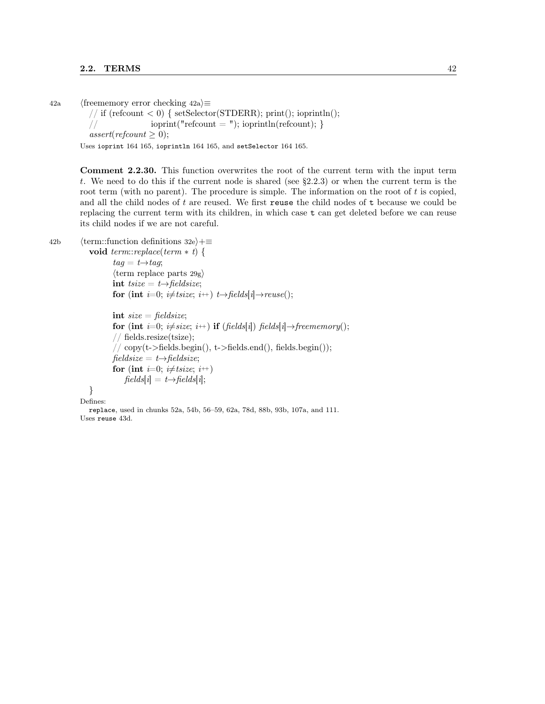42a (freememory error checking 42a) $\equiv$ 

// if (refcount  $< 0$ ) { setSelector(STDERR); print(); ioprintln(); //  $i$  ioprint("refcount = "); ioprintln(refcount); } assert(refcount  $\geq 0$ );

Uses ioprint 164 165, ioprintln 164 165, and setSelector 164 165.

Comment 2.2.30. This function overwrites the root of the current term with the input term t. We need to do this if the current node is shared (see §2.2.3) or when the current term is the root term (with no parent). The procedure is simple. The information on the root of  $t$  is copied, and all the child nodes of  $t$  are reused. We first reuse the child nodes of  $t$  because we could be replacing the current term with its children, in which case t can get deleted before we can reuse its child nodes if we are not careful.

```
42b \langle \text{term::function definitions 32e} \rangle + \equiv
```

```
void term::replace(term ∗ t) {
        taq = t \rightarrow taq;\langleterm replace parts 29g\rangleint tsize = t \rightarrow \text{fields}ize;for (int i=0; i\neqtsize; i++) t→fields[i]→reuse();
```

```
int size = fieldsize;for (int i=0; i\neqsize; i++) if (fields[i]) fields[i]→freememory();
// fields.resize(tsize);
// copy(t->fields.begin(), t->fields.end(), fields.begin());fieldsize = t \rightarrow fieldsize;for (int i=0; i\neqtsize; i++)
   fields[i] = t \rightarrow fields[i];
```
} Defines:

replace, used in chunks 52a, 54b, 56–59, 62a, 78d, 88b, 93b, 107a, and 111. Uses reuse 43d.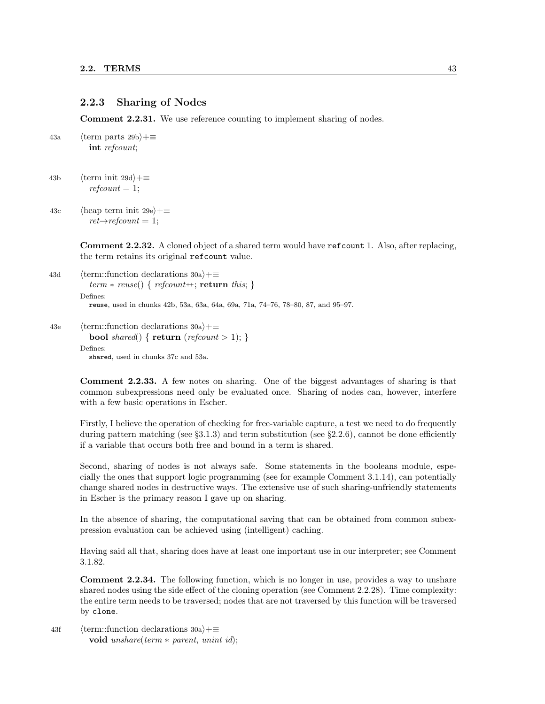#### 2.2.3 Sharing of Nodes

Comment 2.2.31. We use reference counting to implement sharing of nodes.

43a  $\langle$  term parts 29b $\rangle$ +≡ int refcount;

43b  $\langle \text{term init } 29d \rangle + \equiv$  $refcount = 1;$ 

43c (heap term init 29e) $+\equiv$  $ret\rightarrow refcount = 1;$ 

> Comment 2.2.32. A cloned object of a shared term would have refcount 1. Also, after replacing, the term retains its original refcount value.

```
43d (term::function declarations 30a)+≡
          term * reuse() \{ reform++; return this; \}Defines:
          reuse, used in chunks 42b, 53a, 63a, 64a, 69a, 71a, 74–76, 78–80, 87, and 95–97.
```

```
43e \langle term::function declarations 30a\rangle+\equivbool shared() { return (refcount > 1); }
        Defines:
```
shared, used in chunks 37c and 53a.

Comment 2.2.33. A few notes on sharing. One of the biggest advantages of sharing is that common subexpressions need only be evaluated once. Sharing of nodes can, however, interfere with a few basic operations in Escher.

Firstly, I believe the operation of checking for free-variable capture, a test we need to do frequently during pattern matching (see  $\S3.1.3$ ) and term substitution (see  $\S2.2.6$ ), cannot be done efficiently if a variable that occurs both free and bound in a term is shared.

Second, sharing of nodes is not always safe. Some statements in the booleans module, especially the ones that support logic programming (see for example Comment 3.1.14), can potentially change shared nodes in destructive ways. The extensive use of such sharing-unfriendly statements in Escher is the primary reason I gave up on sharing.

In the absence of sharing, the computational saving that can be obtained from common subexpression evaluation can be achieved using (intelligent) caching.

Having said all that, sharing does have at least one important use in our interpreter; see Comment 3.1.82.

Comment 2.2.34. The following function, which is no longer in use, provides a way to unshare shared nodes using the side effect of the cloning operation (see Comment 2.2.28). Time complexity: the entire term needs to be traversed; nodes that are not traversed by this function will be traversed by clone.

43f (term::function declarations  $30a$ )+≡ void unshare(term ∗ parent, unint id);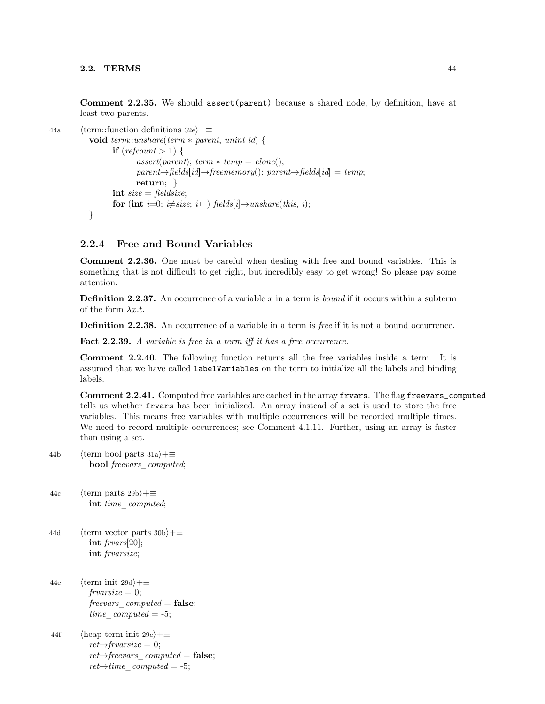Comment 2.2.35. We should assert(parent) because a shared node, by definition, have at least two parents.

```
44a \langle term::function definitions 32e\rangle+\equivvoid term::unshare(term ∗ parent, unint id) {
                     if (refcount > 1) {
                             assert(<i>parent</i>); <i>term</i> * <i>temp</i> = <i>clone</i>();parent\rightarrow fields_id]\rightarrow free memory();\ parent\rightarrow fields_id]=temp;return; }
                     int size = fieldsize;for (int i=0; i\neq size; i+) fields[i] \rightarrowunshare(this, i);
             }
```
#### 2.2.4 Free and Bound Variables

Comment 2.2.36. One must be careful when dealing with free and bound variables. This is something that is not difficult to get right, but incredibly easy to get wrong! So please pay some attention.

**Definition 2.2.37.** An occurrence of a variable x in a term is *bound* if it occurs within a subterm of the form  $\lambda x.t.$ 

**Definition 2.2.38.** An occurrence of a variable in a term is free if it is not a bound occurrence.

Fact 2.2.39. A variable is free in a term iff it has a free occurrence.

Comment 2.2.40. The following function returns all the free variables inside a term. It is assumed that we have called labelVariables on the term to initialize all the labels and binding labels.

Comment 2.2.41. Computed free variables are cached in the array frvars. The flag freevars\_computed tells us whether frvars has been initialized. An array instead of a set is used to store the free variables. This means free variables with multiple occurrences will be recorded multiple times. We need to record multiple occurrences; see Comment 4.1.11. Further, using an array is faster than using a set.

- 44b  $\langle$  term bool parts 31a $\rangle$ +≡ bool freevars computed;
- 44c  $\langle$  term parts 29b $\rangle$ +≡ int time computed;
- 44d (term vector parts 30b) $+$ ≡ int frvars[20]; int frvarsize;
- 44e  $\langle \text{term init } 29d \rangle + \equiv$  $frvarsize = 0;$ freevars  $computed = false;$ time  $computed = -5;$
- 44f (heap term init 29e) $+$ ≡  $ret \rightarrow \text{frvarsize} = 0;$  $ret{\rightarrow}freevars$  computed = false;  $ret{\rightarrow} time\,computed = -5;$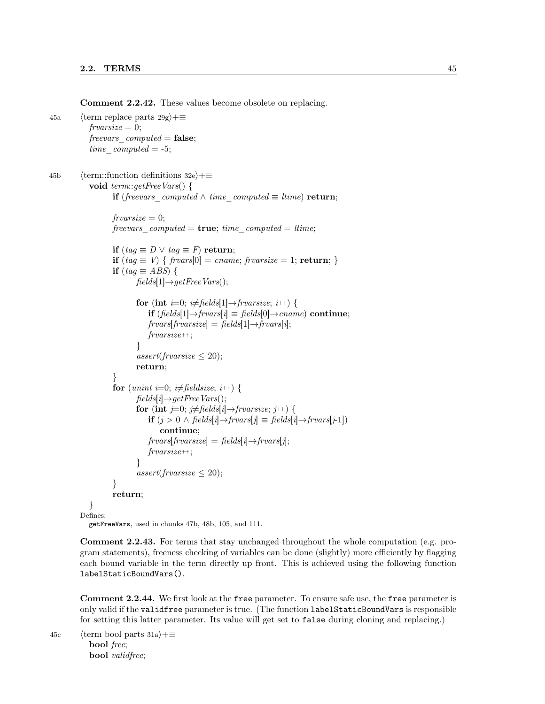Comment 2.2.42. These values become obsolete on replacing.

45a (term replace parts  $29g$ )+≡  $frvarsize = 0;$ freevars  $computed = false;$ time  $computed = -5;$ 45b (term::function definitions 32e)+≡ void term::getFreeVars() { if (freevars computed  $\wedge$  time\_computed  $\equiv$  ltime) return;  $frvarsize = 0;$ freevars computed =  $true$ ; time computed = ltime;

```
if (tag \equiv D \lor tag \equiv F) return;
            if (tag \equiv V) \{ \text{frvars}[0] = \text{cname}; \text{frvarsize} = 1; \text{return}; \}if (tag \equiv ABS) {
                    fields[1] \rightarrow getFreeVars();for (int i=0; i\neq fields[1]\rightarrowfrvarsize; i\leftrightarrow) {
                         if (fields[1]→frvars[i] \equiv fields[0]→cname) continue;
                         frrars[frrarsize] = \text{fields}[1] \rightarrow \text{frrars}[i];frvarsize\{++;}
                     assert(frvarsize \leq 20);return;
            }
            for (unint i=0; i\neq fieldsize; i++) {
                     fields[i] \rightarrow getFreeVars();for (int j=0; j\neq fields[i]→frvarsize; j++) {
                         if (j > 0 \land \text{fields}[i] \rightarrow \text{frvars}[j] \equiv \text{fields}[i] \rightarrow \text{frvars}[j-1])continue;
                         fivars[frvarsize] = \text{fields}[i] \rightarrow \text{frvars}[j];frvarsize++;}
                     assert(frvarsize \leq 20);}
            return;
   }
Defines:
```
getFreeVars, used in chunks 47b, 48b, 105, and 111.

Comment 2.2.43. For terms that stay unchanged throughout the whole computation (e.g. program statements), freeness checking of variables can be done (slightly) more efficiently by flagging each bound variable in the term directly up front. This is achieved using the following function labelStaticBoundVars().

Comment 2.2.44. We first look at the free parameter. To ensure safe use, the free parameter is only valid if the validfree parameter is true. (The function labelStaticBoundVars is responsible for setting this latter parameter. Its value will get set to false during cloning and replacing.)

45c (term bool parts 31a) $+$ ≡ bool free; bool validfree;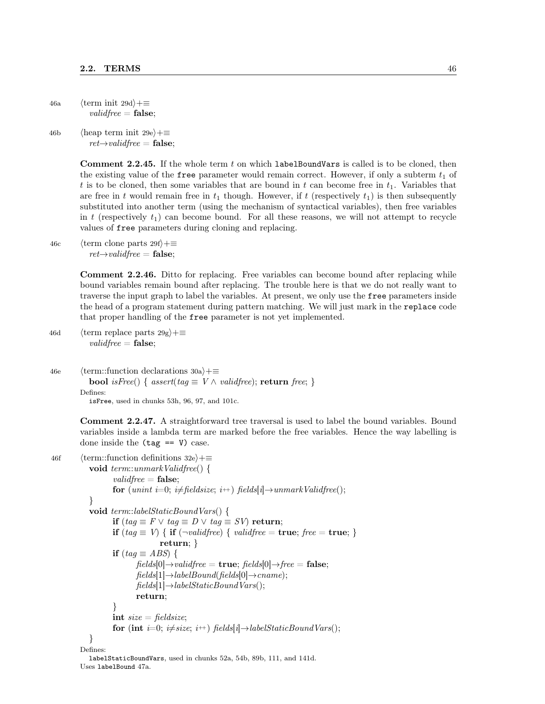46a  $\langle \text{term init } 29d \rangle + \equiv$  $validfree = false;$ 

46b (heap term init 29e)+≡  $ret{\rightarrow}validfree =$  false;

> Comment 2.2.45. If the whole term t on which labelBoundVars is called is to be cloned, then the existing value of the free parameter would remain correct. However, if only a subterm  $t_1$  of t is to be cloned, then some variables that are bound in t can become free in  $t<sub>1</sub>$ . Variables that are free in t would remain free in  $t_1$  though. However, if t (respectively  $t_1$ ) is then subsequently substituted into another term (using the mechanism of syntactical variables), then free variables in t (respectively  $t_1$ ) can become bound. For all these reasons, we will not attempt to recycle values of free parameters during cloning and replacing.

46c  $\langle \text{term clone parts } 29f \rangle + \equiv$  $ret{\rightarrow}validfree =$  false;

> Comment 2.2.46. Ditto for replacing. Free variables can become bound after replacing while bound variables remain bound after replacing. The trouble here is that we do not really want to traverse the input graph to label the variables. At present, we only use the free parameters inside the head of a program statement during pattern matching. We will just mark in the replace code that proper handling of the free parameter is not yet implemented.

46d (term replace parts  $29g$ )+≡  $validfree = false;$ 

```
46e (term::function declarations 30a)+≡
          bool isFree() { assert(tag \equiv V \wedge validate); return free; }
        Defines:
```
isFree, used in chunks 53h, 96, 97, and 101c.

Comment 2.2.47. A straightforward tree traversal is used to label the bound variables. Bound variables inside a lambda term are marked before the free variables. Hence the way labelling is done inside the  $(\text{tag} == \text{V})$  case.

```
46f (term::function definitions 32e)+≡
            void term::unmarkValidfree() {
                   validfree = false;
                   for (unint i=0; i\neq fieldsize; i++) fields[i] \rightarrow unmarkValidfree();}
            void term::labelStaticBoundVars() {
                   if (tag \equiv F \lor tag \equiv D \lor tag \equiv SV) return;
                   if (tag \equiv V) { if (\negvalidfree) { validfree = true; free = true; }
                                  return; }
                   if (taq \equiv ABS) {
                           fields[0] \rightarrow validfree = \textbf{true}; \, fields[0] \rightarrow free = \textbf{false};fields[1] \rightarrow labelBound(fields[0] \rightarrow came);fields[1] \rightarrow labelStaticBoundVars();return;
                    }
                   int size = fieldsize;for (int i=0; i\neqsize; i++) fields[i]\rightarrowlabelStaticBoundVars();
            }
         Defines:
            labelStaticBoundVars, used in chunks 52a, 54b, 89b, 111, and 141d.
         Uses labelBound 47a.
```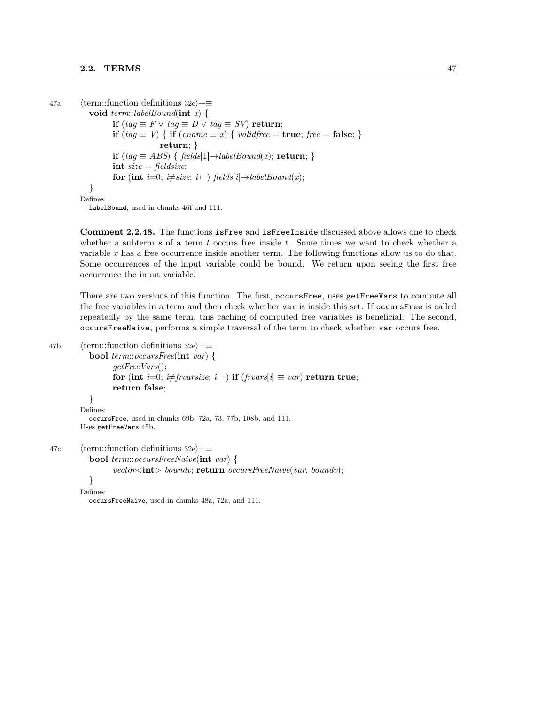```
47a (term::function definitions 32e)+≡
            void term::labelBound(int x) {
                   if (taq \equiv F \vee taq \equiv D \vee taq \equiv SV) return;
                   if (tag \equiv V) { if (cname \equiv x) { validfree = true; free = false; }
                                 return; }
                   if (tag \equiv ABS) { fields[1]\rightarrowlabelBound(x); return; }
                   int size = fieldsize;for (int i=0; i\neq size; i+) fields[i] \rightarrowlabelBound(x);
            }
         Defines:
```
labelBound, used in chunks 46f and 111.

Comment 2.2.48. The functions is Free and is Free Inside discussed above allows one to check whether a subterm s of a term t occurs free inside t. Some times we want to check whether a variable x has a free occurrence inside another term. The following functions allow us to do that. Some occurrences of the input variable could be bound. We return upon seeing the first free occurrence the input variable.

There are two versions of this function. The first, occursFree, uses getFreeVars to compute all the free variables in a term and then check whether var is inside this set. If occursFree is called repeatedly by the same term, this caching of computed free variables is beneficial. The second, occursFreeNaive, performs a simple traversal of the term to check whether var occurs free.

```
47b (term::function definitions 32e)+≡
```

```
bool term::occursFree(int var) {
                  getFreeVars();
                  for (int i=0; i\neq frvarsize; i++) if (frvars[i] \equiv var) return true;
                  return false;
           }
        Defines:
           occursFree, used in chunks 69b, 72a, 73, 77b, 108b, and 111.
        Uses getFreeVars 45b.
47c \langle term::function definitions 32e\rangle+\equivbool term::occursFreeNaive(int var) {
                  vector<int> boundv; return occursFreeNaive(var, boundv);
           }
        Defines:
```
occursFreeNaive, used in chunks 48a, 72a, and 111.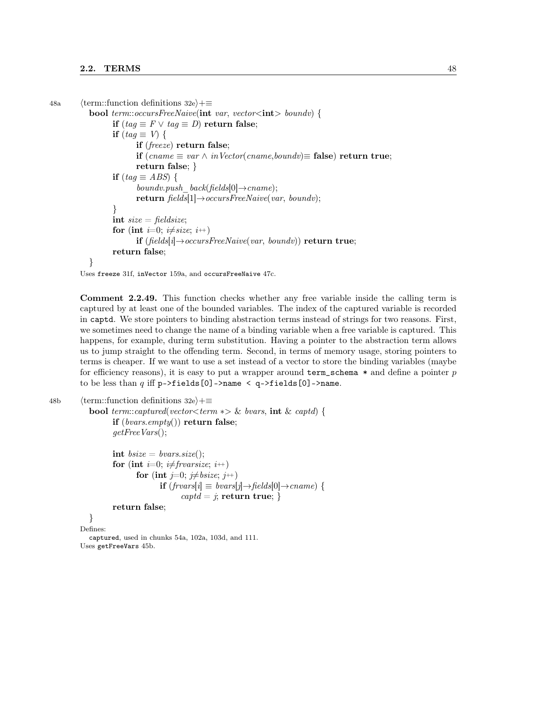```
48a (term::function definitions 32e)+≡
           bool term::occursFreeNaive(\text{int} var, vector\lt\text{int} boundv) {
                  if (taq \equiv F \vee taq \equiv D) return false;
                  if (tag \equiv V) {
                        if (freeze) return false;
                        if (cname ≡ var ∧ inVector(cname, boundv)≡ false) return true;
                        return false; }
                  if (taq \equiv ABS) {
                        boundv.push_back(fields[0]\rightarrowcname);
                        return fields[1] \rightarrow occursFreeNaive(var, boundv);}
                  int size = fieldsize;
                  for (int i=0; i\neqsize; i++)
                        if (fields[i]→occursFreeNaive(var, boundv)) return true;
                  return false;
           }
```
Uses freeze 31f, inVector 159a, and occursFreeNaive 47c.

Comment 2.2.49. This function checks whether any free variable inside the calling term is captured by at least one of the bounded variables. The index of the captured variable is recorded in captd. We store pointers to binding abstraction terms instead of strings for two reasons. First, we sometimes need to change the name of a binding variable when a free variable is captured. This happens, for example, during term substitution. Having a pointer to the abstraction term allows us to jump straight to the offending term. Second, in terms of memory usage, storing pointers to terms is cheaper. If we want to use a set instead of a vector to store the binding variables (maybe for efficiency reasons), it is easy to put a wrapper around term\_schema  $*$  and define a pointer p to be less than  $q$  iff  $p$ ->fields[0]->name < q->fields[0]->name.

```
48b (term::function definitions 32e)+≡
            bool term::captured(vector<term *\triangleright \& bvars, \text{int } \& captd) {
                    if (bvars.empty()) return false;
                    getFreeVars);
                    int bsize = bvars.size();for (int i=0; i\neqfrvarsize; i\leftrightarrow)
                            for (int j=0; j\neqbsize; j++)
                                   if (frvars[i] ≡ \text{bvars}[j] \rightarrow \text{fields}[0] \rightarrow \text{cname}) {
                                          captd = j; return true; }
                    return false;
            }
          Defines:
            captured, used in chunks 54a, 102a, 103d, and 111.
          Uses getFreeVars 45b.
```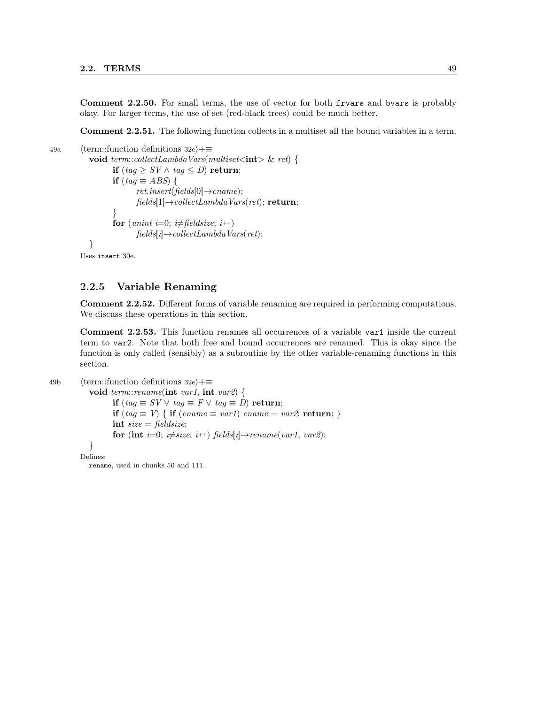Comment 2.2.50. For small terms, the use of vector for both frvars and bvars is probably okay. For larger terms, the use of set (red-black trees) could be much better.

Comment 2.2.51. The following function collects in a multiset all the bound variables in a term.

49a  $\langle$  term::function definitions 32e $\rangle$ +≡ void term::collectLambdaVars(multiset $\langle int \rangle$  & ret) { if  $(tag \geq SV \wedge tag \leq D)$  return; if  $(tag \equiv ABS)$  {  $ret.insert(fields[0] \rightarrow cname);$  $fields[1] \rightarrow collectLambdaVars(ret);$  return; } for (unint i=0; i $\neq$  fieldsize; i++)  $fields[i] \rightarrow collectLambda\,Vars(ret);$ } Uses insert 30e.

#### 2.2.5 Variable Renaming

Comment 2.2.52. Different forms of variable renaming are required in performing computations. We discuss these operations in this section.

Comment 2.2.53. This function renames all occurrences of a variable var1 inside the current term to var2. Note that both free and bound occurrences are renamed. This is okay since the function is only called (sensibly) as a subroutine by the other variable-renaming functions in this section.

```
49b \langle term::function definitions 32e\rangle+\equiv
```
void term::rename(int var1, int var2) { if  $(tag \equiv SV \vee tag \equiv F \vee tag \equiv D)$  return; if (tag  $\equiv V$ ) { if (cname  $\equiv var1$ ) cname  $= var2$ ; return; } int  $size = fieldsize;$ for (int i=0; i $\neq$ size; i++) fields[i]→rename(var1, var2); } Defines:

rename, used in chunks 50 and 111.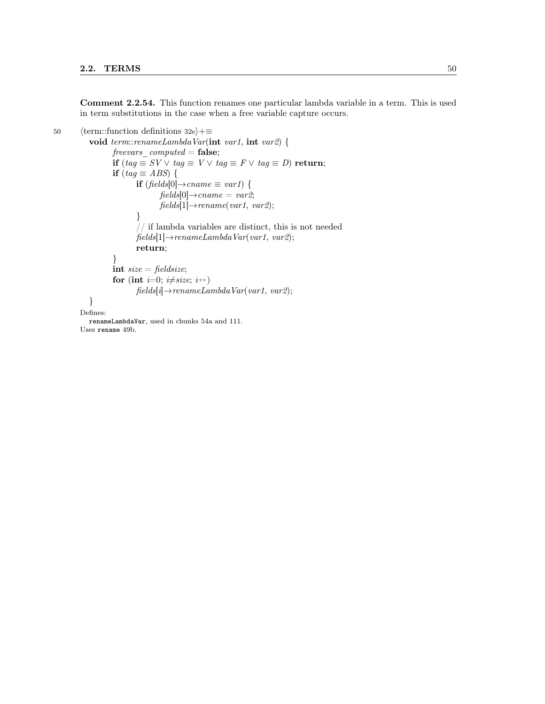Comment 2.2.54. This function renames one particular lambda variable in a term. This is used in term substitutions in the case when a free variable capture occurs.

```
50 \langle term::function definitions 32e\rangle+≡
           void term::renameLambdaVar(int var1, int var2) {
                   \label{eq:revers} \textit{freevars\_computed} = \textbf{false};if (tag \equiv SV \vee tag \equiv V \vee tag \equiv F \vee tag \equiv D) return;
                   if (tag \equiv ABS) {
                           if (fields[0] \rightarrow \text{cname} \equiv \text{var1}) {
                                   fields[0] \rightarrow change = var2;fields[1] \rightarrow rename(var1, var2);}
                           // if lambda variables are distinct, this is not needed
                           fields[1] \rightarrow renameLambdaVar(var1, var2);return;
                   }
                   int size = fieldsize;for (int i=0; i\neqsize; i+)
                           fields[i] \rightarrow renameLambdaVar(var1, var2);}
         Defines:
           renameLambdaVar, used in chunks 54a and 111.
         Uses rename 49b.
```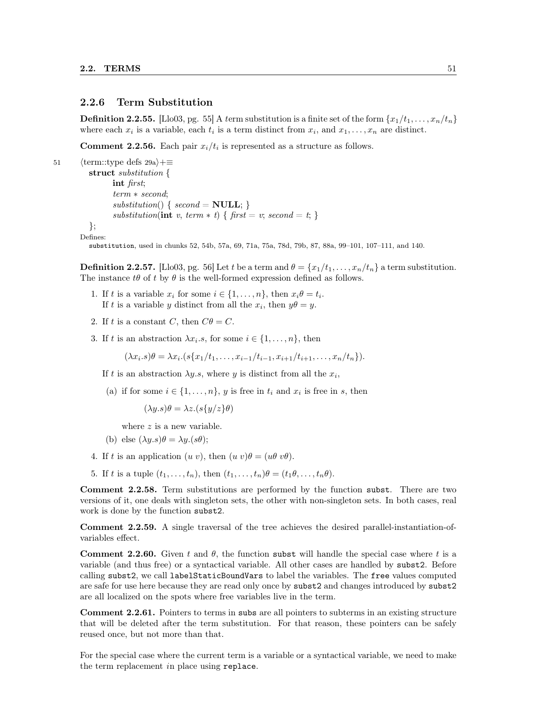#### 2.2.6 Term Substitution

**Definition 2.2.55.** [Llo03, pg. 55] A term substitution is a finite set of the form  $\{x_1/t_1, \ldots, x_n/t_n\}$ where each  $x_i$  is a variable, each  $t_i$  is a term distinct from  $x_i$ , and  $x_1, \ldots, x_n$  are distinct.

**Comment 2.2.56.** Each pair  $x_i/t_i$  is represented as a structure as follows.

51  $\langle \text{term::type defs 29a} \rangle + \equiv$ struct substitution { int first; term ∗ second;  $substitution() \{ second = NULL; \}$ substitution(int v, term  $*$  t) { first = v; second = t; } }; Defines:

substitution, used in chunks 52, 54b, 57a, 69, 71a, 75a, 78d, 79b, 87, 88a, 99–101, 107–111, and 140.

**Definition 2.2.57.** [Llo03, pg. 56] Let t be a term and  $\theta = \{x_1/t_1, \ldots, x_n/t_n\}$  a term substitution. The instance  $t\theta$  of t by  $\theta$  is the well-formed expression defined as follows.

- 1. If t is a variable  $x_i$  for some  $i \in \{1, \ldots, n\}$ , then  $x_i \theta = t_i$ . If t is a variable y distinct from all the  $x_i$ , then  $y\theta = y$ .
- 2. If t is a constant C, then  $C\theta = C$ .
- 3. If t is an abstraction  $\lambda x_i.s$ , for some  $i \in \{1, \ldots, n\}$ , then

 $(\lambda x_i.s)\theta = \lambda x_i.(s\{x_1/t_1,\ldots,x_{i-1}/t_{i-1},x_{i+1}/t_{i+1},\ldots,x_n/t_n\}).$ 

- If t is an abstraction  $\lambda y.s$ , where y is distinct from all the  $x_i$ ,
- (a) if for some  $i \in \{1, \ldots, n\}$ , y is free in  $t_i$  and  $x_i$  is free in s, then

 $(\lambda y.s)\theta = \lambda z.(s\{y/z\}\theta)$ 

where  $z$  is a new variable.

- (b) else  $(\lambda y.s)\theta = \lambda y.(s\theta);$
- 4. If t is an application  $(u v)$ , then  $(u v)\theta = (u\theta v\theta)$ .
- 5. If t is a tuple  $(t_1, \ldots, t_n)$ , then  $(t_1, \ldots, t_n) \theta = (t_1 \theta, \ldots, t_n \theta)$ .

Comment 2.2.58. Term substitutions are performed by the function subst. There are two versions of it, one deals with singleton sets, the other with non-singleton sets. In both cases, real work is done by the function subst2.

Comment 2.2.59. A single traversal of the tree achieves the desired parallel-instantiation-ofvariables effect.

**Comment 2.2.60.** Given t and  $\theta$ , the function subst will handle the special case where t is a variable (and thus free) or a syntactical variable. All other cases are handled by subst2. Before calling subst2, we call labelStaticBoundVars to label the variables. The free values computed are safe for use here because they are read only once by subst2 and changes introduced by subst2 are all localized on the spots where free variables live in the term.

Comment 2.2.61. Pointers to terms in subs are all pointers to subterms in an existing structure that will be deleted after the term substitution. For that reason, these pointers can be safely reused once, but not more than that.

For the special case where the current term is a variable or a syntactical variable, we need to make the term replacement in place using replace.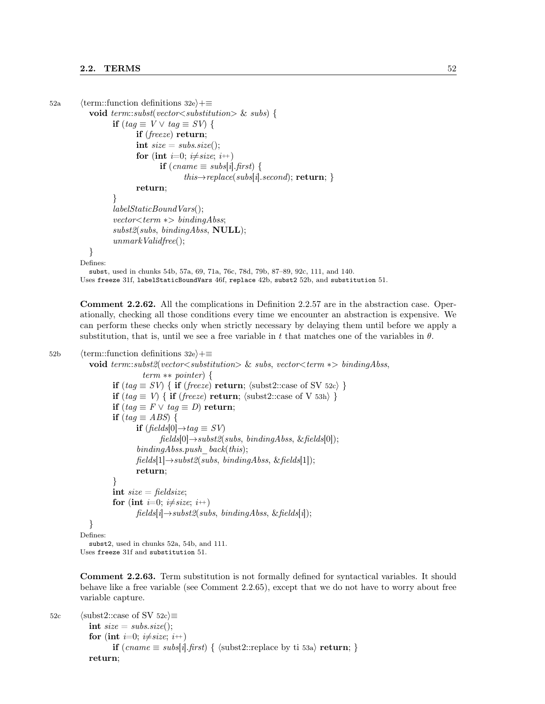```
52a (term::function definitions 32e)+≡
           void term::subst(vector<substitution> & subs) {
                  if (taq \equiv V \vee taq \equiv SV) {
                         if (freeze) return;
                         int size = subs.size();for (int i=0; i\neqsize; i<sup>++</sup>)
                                if (cname \equiv subs[i].first) {
                                       this\rightarrowreplace(subs[i].second); return; }
                         return;
                  }
                  labelStaticBoundVars(;
                  vector \textless term} ∗> bindingAbss;
                  subst2(subs, bindingAbss, NULL);unmarkValidfree;
           }
         Defines:
           subst, used in chunks 54b, 57a, 69, 71a, 76c, 78d, 79b, 87–89, 92c, 111, and 140.
         Uses freeze 31f, labelStaticBoundVars 46f, replace 42b, subst2 52b, and substitution 51.
```
Comment 2.2.62. All the complications in Definition 2.2.57 are in the abstraction case. Operationally, checking all those conditions every time we encounter an abstraction is expensive. We can perform these checks only when strictly necessary by delaying them until before we apply a substitution, that is, until we see a free variable in t that matches one of the variables in  $\theta$ .

```
52b \langle term::function definitions 32e\rangle+≡
            void term::subst2(vector<substitution> & subs, vector<term ∗> bindingAbss,
                             term ∗∗ pointer) {
                    if (tag \equiv SV) { if (freeze) return; \langle \text{subst2::case of SV 52c} \rangle}
                    if (tag \equiv V) { if (freeze) return; \langle \text{subst2::case of V 53h} \rangle}
                    if (tag \equiv F \lor tag \equiv D) return;
                    if (tag \equiv ABS) {
                           if (fields[0]→tag \equiv SV)
                                  fields[0] \rightarrow subst2(subs, bindingAbs, & fields[0]);bindingAbss.push back(this);
                           fields[1] \rightarrow subst2(subs, bindingAbs, & fields[1]);return;
                    }
                   int size = fieldsize;
                    for (int i=0; i\neqsize; i++)
                           fields[i] \rightarrow subst2(subs, bindingAbs, \& fields[i]);}
         Defines:
            subst2, used in chunks 52a, 54b, and 111.
         Uses freeze 31f and substitution 51.
```
Comment 2.2.63. Term substitution is not formally defined for syntactical variables. It should behave like a free variable (see Comment 2.2.65), except that we do not have to worry about free variable capture.

```
52c 		\langle \text{subst2::case of SV 52c} \rangle \equivint size = subs.size();for (int i=0; i\neqsize; i<sup>++</sup>)
                       if (cname ≡ subs[i].first) { \langle \text{subst2::replace by ti 53a} \rangle return; }
              return;
```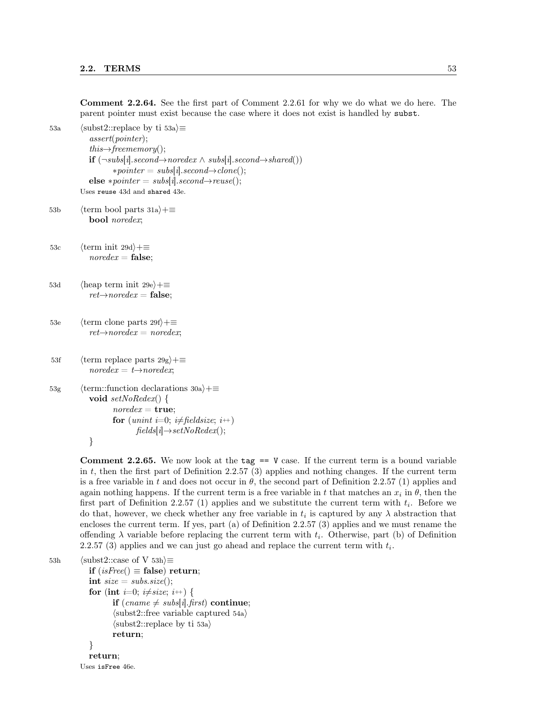Comment 2.2.64. See the first part of Comment 2.2.61 for why we do what we do here. The parent pointer must exist because the case where it does not exist is handled by subst. 53a (subst2::replace by ti 53a $\rangle \equiv$ assert(pointer);  $this \rightarrow free memory();$ **if**  $(\neg \textit{subs}[i].\textit{second} \rightarrow \textit{noredex} \land \textit{subs}[i].\textit{second} \rightarrow \textit{shared}())$  $* pointer = subs[i].second \rightarrow clone();$ else \*pointer = subs[i].second $\rightarrow$ reuse(); Uses reuse 43d and shared 43e. 53b (term bool parts 31a) $+$ ≡ bool noredex; 53c  $\langle \text{term init } 29d \rangle + \equiv$  $noredex = false;$ 53d (heap term init 29e) $+$ ≡  $ret{\rightarrow}noredex = false;$ 53e (term clone parts 29f)+≡  $ret{\rightarrow}noredex = noredex;$ 53f (term replace parts  $29g$ )+≡  $noredex = t \rightarrow noredex;$ 53g (term::function declarations 30a)+≡ void setNoRedex() {  $noredex = true;$ for (unint i=0; i $\neq$  fieldsize; i++)  $fields[i] \rightarrow setNoRedex();$ } **Comment 2.2.65.** We now look at the tag  $==$  V case. If the current term is a bound variable

in t, then the first part of Definition 2.2.57 (3) applies and nothing changes. If the current term is a free variable in t and does not occur in  $\theta$ , the second part of Definition 2.2.57 (1) applies and again nothing happens. If the current term is a free variable in t that matches an  $x_i$  in  $\theta$ , then the first part of Definition 2.2.57 (1) applies and we substitute the current term with  $t_i$ . Before we do that, however, we check whether any free variable in  $t_i$  is captured by any  $\lambda$  abstraction that encloses the current term. If yes, part (a) of Definition 2.2.57 (3) applies and we must rename the offending  $\lambda$  variable before replacing the current term with  $t_i$ . Otherwise, part (b) of Definition 2.2.57 (3) applies and we can just go ahead and replace the current term with  $t_i$ .

```
53h (subst2::case of V 53h)\equivif (isFree) \equiv false) return;
            int size = subs.size();for (int i=0; i\neqsize; i\leftrightarrow) {
                    if (cname \neq subs[i].first) continue;
                    \langlesubst2::free variable captured 54a\rangle\langle \text{subst2::replace by ti 53a} \ranglereturn;
             }
            return;
```
Uses isFree 46e.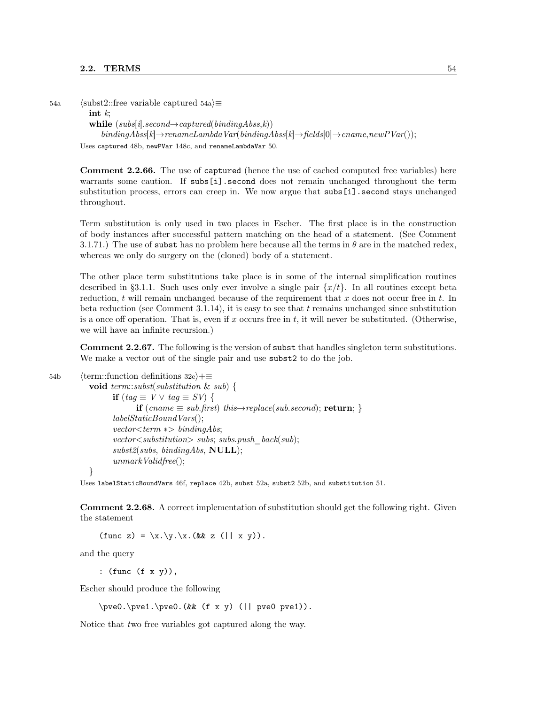54a (subst2::free variable captured 54a) $\equiv$ 

int  $k$ :

while  $(subs[i].second \rightarrow captured(bindingAbss,k))$ 

 $bindingAbss[k]\rightarrow renameLambdaVar(bindingAbss[k]\rightarrow fields[0]\rightarrow canme, newPVar());$ 

Uses captured 48b, newPVar 148c, and renameLambdaVar 50.

Comment 2.2.66. The use of captured (hence the use of cached computed free variables) here warrants some caution. If subs[i].second does not remain unchanged throughout the term substitution process, errors can creep in. We now argue that subs[i].second stays unchanged throughout.

Term substitution is only used in two places in Escher. The first place is in the construction of body instances after successful pattern matching on the head of a statement. (See Comment 3.1.71.) The use of subst has no problem here because all the terms in  $\theta$  are in the matched redex, whereas we only do surgery on the (cloned) body of a statement.

The other place term substitutions take place is in some of the internal simplification routines described in §3.1.1. Such uses only ever involve a single pair  $\{x/t\}$ . In all routines except beta reduction, t will remain unchanged because of the requirement that x does not occur free in t. In beta reduction (see Comment 3.1.14), it is easy to see that  $t$  remains unchanged since substitution is a once off operation. That is, even if x occurs free in t, it will never be substituted. (Otherwise, we will have an infinite recursion.)

Comment 2.2.67. The following is the version of subst that handles singleton term substitutions. We make a vector out of the single pair and use subst2 to do the job.

```
54b \langle term::function definitions 32e\rangle+\equiv
```
void term::subst(substitution & sub) { if  $(taq \equiv V \vee taq \equiv SV)$  { if  $(cname \equiv sub.first)$  this $\rightarrow replace(sub.second)$ ; return; }  $labelStaticBoundVars()$ ;  $vector \textless term}$  ∗> bindingAbs;  $vector \textless substitution>}$  subs; subs.push\_back(sub);  $subst2(subs, bindingAbs, NULL);$  $unmarkValidfree()$ ;

}

Uses labelStaticBoundVars 46f, replace 42b, subst 52a, subst2 52b, and substitution 51.

Comment 2.2.68. A correct implementation of substitution should get the following right. Given the statement

 $(\text{func } z) = \x.\y.\x.(& z (|| x y)).$ 

and the query

: (func (f x y)),

Escher should produce the following

 $\begin{align*} \begin{bmatrix} \n\frac{1}{\text{pve0}} & \text{f x y} \\
\text{f y} & \text{f y} \\
\text{f y} & \text{f y}\n\end{bmatrix} \end{align*}$ 

Notice that two free variables got captured along the way.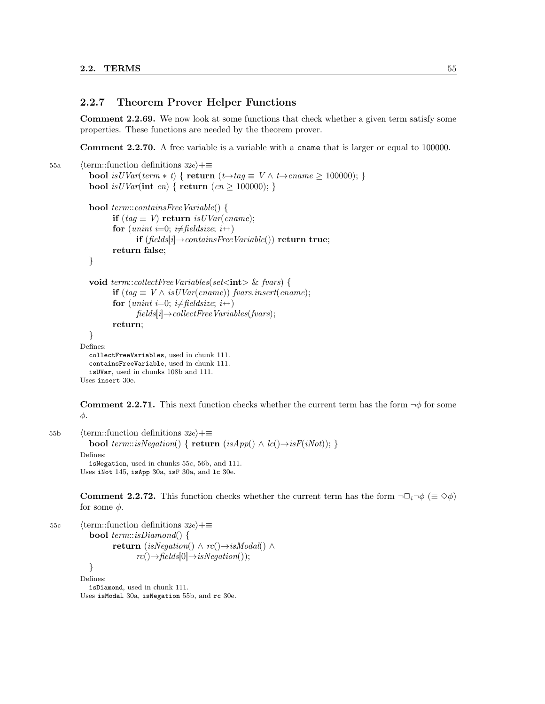#### 2.2.7 Theorem Prover Helper Functions

Comment 2.2.69. We now look at some functions that check whether a given term satisfy some properties. These functions are needed by the theorem prover.

Comment 2.2.70. A free variable is a variable with a cname that is larger or equal to 100000.

```
55a (term::function definitions 32e)+≡
           bool is UVar(term * t) { return (t \rightarrow tag \equiv V \land t \rightarrow came \ge 100000); }
           bool is UVar(int cn) { return (cn \ge 100000); }
           bool term::containsFreeVariable() {
                  if (tag \equiv V) return is UVar(cname);for (unint i=0; i\neq fieldsize; i++)
                         if (fields[i] \rightarrow containsFreeVariable() return true;
                  return false;
           }
           void term::collectFreeVariables(set\langleint\rangle & fvars) {
                  if (tag \equiv V \wedge isUVar(cname)) frame);
                  for (unint i=0; i\neq fieldsize; i++)
                         fields[i] \rightarrow collectFree\,Variables(fvars);return;
           }
         Defines:
           collectFreeVariables, used in chunk 111.
           containsFreeVariable, used in chunk 111.
           isUVar, used in chunks 108b and 111.
         Uses insert 30e.
```
**Comment 2.2.71.** This next function checks whether the current term has the form  $\neg \phi$  for some φ.

55b (term::function definitions 32e)+≡ **bool** term::isNegation() {  $return (isApp() \wedge lc() \rightarrow isF(iNot));$  } Defines: isNegation, used in chunks 55c, 56b, and 111. Uses iNot 145, isApp 30a, isF 30a, and lc 30e.

> **Comment 2.2.72.** This function checks whether the current term has the form  $\neg \Box_i \neg \phi \ (\equiv \Diamond \phi)$ for some  $\phi$ .

```
55c \langle term::function definitions 32e\rangle+≡
            bool term::isDiamond() {
                    return (isNegation() \land rc()\rightarrowisModal() \landrc() \rightarrow fields[0] \rightarrow isNegation();
             }
          Defines:
            isDiamond, used in chunk 111.
          Uses isModal 30a, isNegation 55b, and rc 30e.
```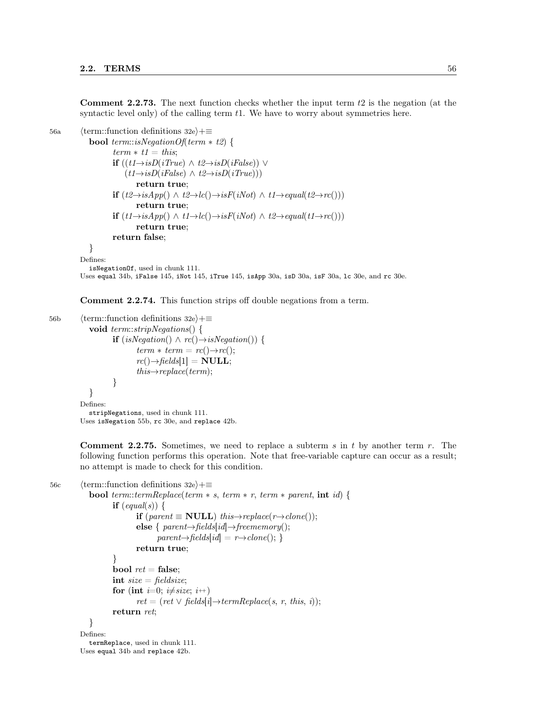**Comment 2.2.73.** The next function checks whether the input term  $t_2$  is the negation (at the syntactic level only) of the calling term t1. We have to worry about symmetries here.

```
56a (term::function definitions 32e\rangle+\equiv
```
**bool** term::isNegationOf(term  $*$  t2) {  $term * t1 = this;$ **if**  $((t1\rightarrow isD(iTrue) \land t2\rightarrow isD(iFalse)) \lor$  $(t1 \rightarrow isD(iFalse) \land t2 \rightarrow isD(iTrue))$ return true; if  $(t2 \rightarrow isApp() \land t2 \rightarrow lc() \rightarrow isF(iNot) \land t1 \rightarrow equal(t2 \rightarrow rc())$ return true; **if**  $(t1 \rightarrow isApp() \land t1 \rightarrow lc() \rightarrow isF(iNot) \land t2 \rightarrow equal(t1 \rightarrow rc())$ return true; return false;

} Defines:

```
isNegationOf, used in chunk 111.
```
Uses equal 34b, iFalse 145, iNot 145, iTrue 145, isApp 30a, isD 30a, isF 30a, lc 30e, and rc 30e.

Comment 2.2.74. This function strips off double negations from a term.

```
56b (term::function definitions 32e)+≡
             void term::stripNegations() {
                     if (isNegation() \wedge rc() \rightarrow isNegation()) {
                             term * term = rc() \rightarrow rc();rc(\rightarrow\text{fields}[1] = \textbf{NULL};this \rightarrow replace(term);}
             }
          Defines:
             stripNegations, used in chunk 111.
```
Uses isNegation 55b, rc 30e, and replace 42b.

**Comment 2.2.75.** Sometimes, we need to replace a subterm s in t by another term  $r$ . The following function performs this operation. Note that free-variable capture can occur as a result; no attempt is made to check for this condition.

```
56c \langle term::function definitions 32e\rangle+≡
             bool term::termReplace(term * s, term * r, term * parent, int id) {
                     if \text{(equal)}\text{)}\left\{ \right.if (parent \equiv NULL) this→replace(r→clone());
                            else { parent \rightarrow fields [id] \rightarrow free memory();parent\rightarrow fields[id] = r\rightarrow clone();return true;
                     }
                     bool ret = false;
                     int size = fieldsize;for (int i=0; i\neqsize; i<sup>++</sup>)
                             ret = (ret \vee fields[i] \rightarrow termReplace(s, r, this, i));return ret;
             }
          Defines:
             termReplace, used in chunk 111.
```
Uses equal 34b and replace 42b.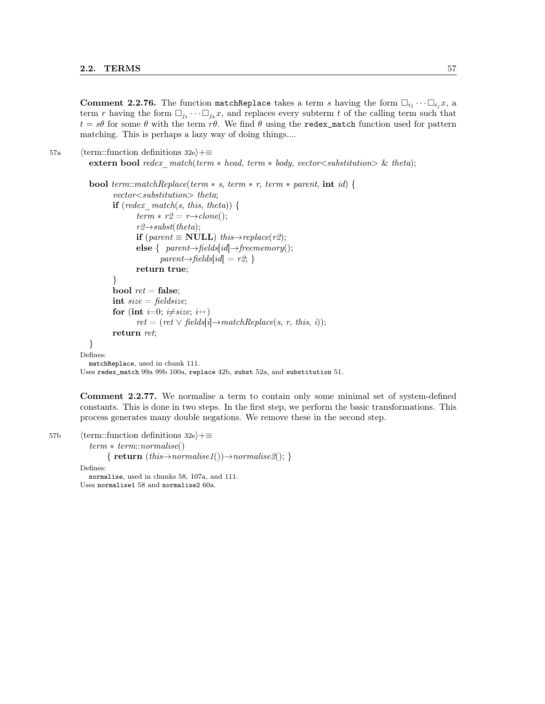**Comment 2.2.76.** The function matchReplace takes a term s having the form  $\Box_{i_1} \cdots \Box_{i_j} x$ , a term r having the form  $\Box_{j_1} \cdots \Box_{j_k} x$ , and replaces every subterm t of the calling term such that  $t = s\theta$  for some  $\theta$  with the term r $\theta$ . We find  $\theta$  using the redex\_match function used for pattern matching. This is perhaps a lazy way of doing things....

```
57a (term::function definitions 32e)+≡
         extern bool redex match(term * head, term * body, vector \leq substitution) \& theta);
```

```
bool term::matchReplace(term * s, term * r, term * parent, int id) {
          vector<substitution> theta;
          if (redex match(s, this, theta)) {
                 term * r2 = r \rightarrow clone();r2 \rightarrow subst(theta);
                 if (parent \equiv NULL) this→replace(r2);
                 else { parent \rightarrow fields [id] \rightarrow free memory();parent\rightarrow fields(id] = r2;}
                 return true;
          }
          bool ret = false;
          int size = fieldsize;for (int i=0; i\neqsize; i<sup>++</sup>)
                 ret = (ret \vee fields[i] \rightarrow matchReplace(s, r, this, i));return ret;
  }
Defines:
  matchReplace, used in chunk 111.
Uses redex_match 99a 99b 100a, replace 42b, subst 52a, and substitution 51.
```
Comment 2.2.77. We normalise a term to contain only some minimal set of system-defined constants. This is done in two steps. In the first step, we perform the basic transformations. This process generates many double negations. We remove these in the second step.

57b (term::function definitions 32e)+≡

term ∗ term::normalise()

{  $return (this \rightarrow normalise1()) \rightarrow normalise2();$ }

Defines:

normalise, used in chunks 58, 107a, and 111. Uses normalise1 58 and normalise2 60a.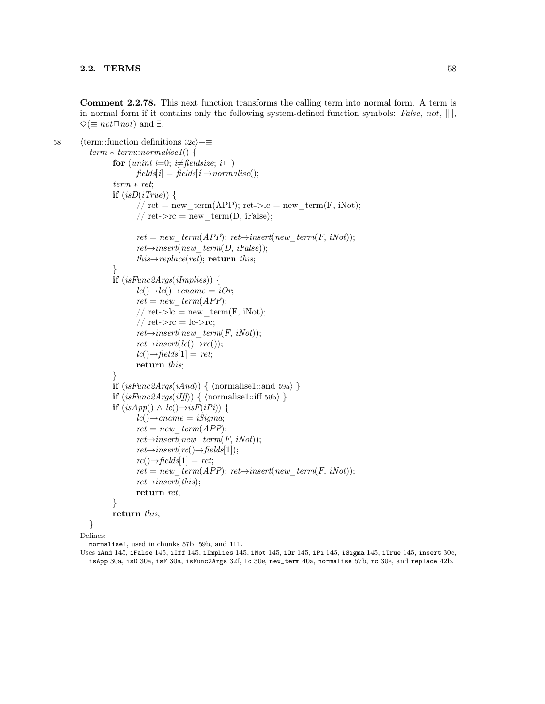Comment 2.2.78. This next function transforms the calling term into normal form. A term is in normal form if it contains only the following system-defined function symbols: False, not,  $\|\|$ ,  $\diamond$ ( $\equiv$  not $\Box$ not) and  $\exists$ .

```
58 \langle term::function definitions 32e\rangle+≡
            term * term::normalise1() {
                   for (unint i=0; i\neq fieldsize; i++)
                           fields[i] = fields[i] \rightarrow normalise();term ∗ ret;
                   if (isD(iTrue)) {
                            // ret = new term(APP); ret->lc = new term(F, iNot);
                           // ret->rc = new term(D, iFalse);
                           ret = new \ term(APP); ret \rightarrow insert(new \ term(F, iNot));ret{\rightarrow} insert(new-term(D, ifalse));this \rightarrow replace(rt); return this;
                   }
                   if (isFunc2Args(implies)) {
                           lc(\rightarrow cl\rightarrow cname = iOr;ret = new\ term(APP);// ret->lc = new_term(F, iNot);
                           // ret\text{-}src = lc\text{-}src;ret{\rightarrow} insert(new\_term(F, iNot));ret{\rightarrow}insert(lc(\rightarrow~rc));
                           lc() \rightarrow fields[1] = ret;return this;
                   }
                   if (isFunc2Args(iAnd)) \{ \; \langle normalise1::and \; 59a \rangle \; \}if (isFunc2Args(iIff)) \{ \text{normalise1::} \text{iff } 59b \} \}if (isApp() \wedge lc() \rightarrow isF(iPi)}
                           lc() \rightarrow change = iSigma;ret = new\ term(APP);ret{\rightarrow} insert(new-term(F, iNot));ret{\rightarrow}insert(rc(\rightarrow{\rightarrow}fields[1]);rc() \rightarrow fields[1] = ret;ret = new \ term(APP); ret \rightarrow insert(new \ term(F, iNot));ret{\rightarrow} insert(this);return ret;
                   }
                   return this;
           }
```
Defines:

normalise1, used in chunks 57b, 59b, and 111.

Uses iAnd 145, iFalse 145, iIff 145, iImplies 145, iNot 145, iOr 145, iPi 145, iSigma 145, iTrue 145, insert 30e, isApp 30a, isD 30a, isF 30a, isFunc2Args 32f, lc 30e, new\_term 40a, normalise 57b, rc 30e, and replace 42b.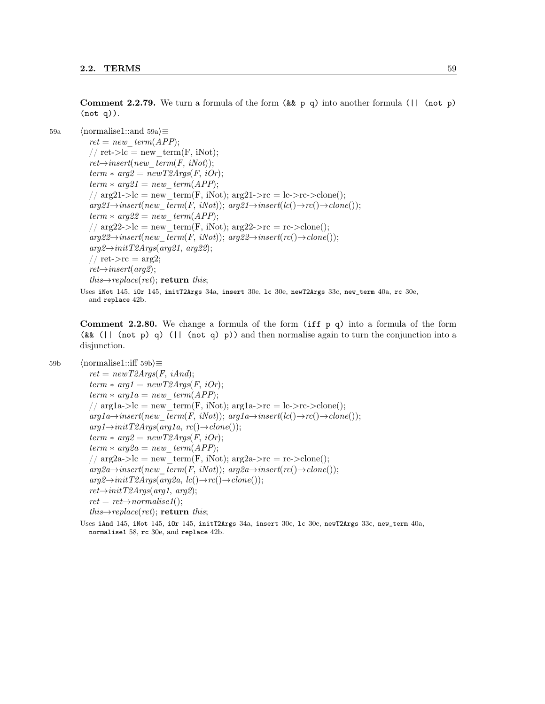**Comment 2.2.79.** We turn a formula of the form  $(kk p q)$  into another formula  $(||$  (not p) (not q)).

```
59a \langle hormalise1::and 59a\rangle \equivret = new\ term(APP);// ret->lc = new term(F, iNot);
            ret{\rightarrow} insert(new-term(F, iNot));term * arg2 = newT2Args(F, iOr);term * arg21 = new\_term(APP);// arg21->lc = new term(F, iNot); arg21->rc = lc->rc->clone();
            arg21 \rightarrow insert(new-term(F, iNot)); arg21 \rightarrow insert(lc(\rightarrow rc(\rightarrow clone))).term * arg22 = new-term(APP);// arg22>>lc = new-term(F, iNot); arg22>>rc = rc>>clone();arg22 \rightarrow insert(new-term(F, iNot)); arg22 \rightarrow insert(rc() \rightarrow clone());arg2 \rightarrow initT2Args(arg21, arg22);// ret\text{-}src = arg2;ret{\rightarrow} insert(arg2);this \rightarrow replace(rt); return this;
         Uses iNot 145, iOr 145, initT2Args 34a, insert 30e, lc 30e, newT2Args 33c, new_term 40a, rc 30e,
```
**Comment 2.2.80.** We change a formula of the form (iff  $p$  q) into a formula of the form ( $\&$  ( $\parallel$  (not p) q) ( $\parallel$  (not q) p)) and then normalise again to turn the conjunction into a disjunction.

59b  $\langle$  hormalise1::iff 59b $\rangle$  $\equiv$ 

 $ret = newT2Args(F, iAnd);$  $term * arg1 = newT2Args(F, iOr);$  $term * arg1a = new-term(APP);$ //  $arg1a$ ->lc = new term(F, iNot);  $arg1a$ ->rc = lc->rc->clone();  $arg1a\rightarrow insert(new-term(F, iNot)); arg1a\rightarrow insert(lc(\rightarrow rc(\rightarrow clone))).$  $arg1 \rightarrow initT2Args(arg1a, rc() \rightarrow clone());$  $term * arg2 = newT2Args (F, iOr);$  $term * arg2a = new-term(APP);$ //  $arg2a$ ->lc = new term(F, iNot);  $arg2a$ ->rc = rc->clone();  $arg2a \rightarrow insert(new-term(F, iNot)); arg2a \rightarrow insert(rc(\rightarrow clone());$  $arg2 \rightarrow initT2Args(arg2a, lc() \rightarrow rc() \rightarrow clone());$  $ret{\rightarrow}initT2Args(\text{arg1}, \text{arg2})$ ;  $ret = ret{\rightarrow}normalise1();$  $this \rightarrow replace (ret)$ ; return this;

Uses iAnd 145, iNot 145, iOr 145, initT2Args 34a, insert 30e, lc 30e, newT2Args 33c, new\_term 40a, normalise1 58, rc 30e, and replace 42b.

and replace 42b.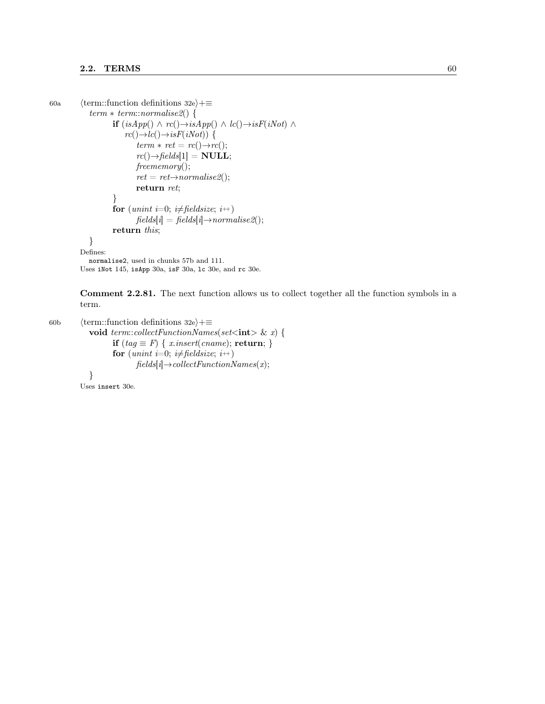```
60a (term::function definitions 32e)+≡
             term * term::normalise2() {
                     if (isApp() \wedge rc() \rightarrow isApp() \wedge lc() \rightarrow isF(iNot) \wedgerc(\rightarrow \to lc(\rightarrow \to isF(iNot)) {
                             term * ret = rc() \rightarrow rc();rc(\rightarrowfields[1] = NULL;
                            freememory();
                             ret = ret \rightarrow normalise2();return ret;
                     }
                     for (unint i=0; i\neq fieldsize; i++)
                            fields[i] = fields[i] \rightarrow normalise2();return this;
             }
          Defines:
            normalise2, used in chunks 57b and 111.
```
Uses iNot 145, isApp 30a, isF 30a, lc 30e, and rc 30e.

Comment 2.2.81. The next function allows us to collect together all the function symbols in a term.

60b  $\langle$  term::function definitions 32e $\rangle$ +≡ void term::collectFunctionNames(set<int> & x) { if  $(tag \equiv F) \{ x.insert(cname); return; \}$ for (unint i=0; i $\neq$  fieldsize; i++)  $fields[i] \rightarrow collectFunctionNames(x);$ }

Uses insert 30e.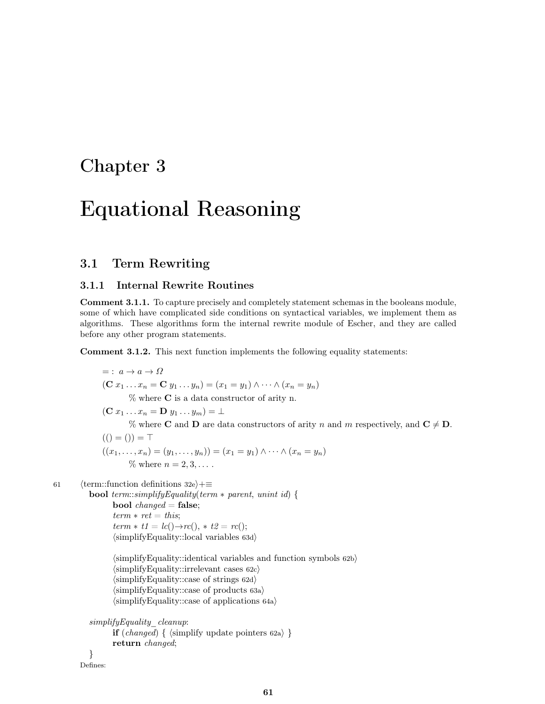## Chapter 3

# Equational Reasoning

### 3.1 Term Rewriting

#### 3.1.1 Internal Rewrite Routines

Comment 3.1.1. To capture precisely and completely statement schemas in the booleans module, some of which have complicated side conditions on syntactical variables, we implement them as algorithms. These algorithms form the internal rewrite module of Escher, and they are called before any other program statements.

Comment 3.1.2. This next function implements the following equality statements:

 $= : a \rightarrow a \rightarrow \Omega$  $({\bf C} x_1 \ldots x_n = {\bf C} y_1 \ldots y_n) = (x_1 = y_1) \wedge \cdots \wedge (x_n = y_n)$ % where C is a data constructor of arity n.  $(\mathbf{C} x_1 \ldots x_n = \mathbf{D} y_1 \ldots y_m) = \perp$ % where **C** and **D** are data constructors of arity n and m respectively, and  $C \neq D$ .  $(( ) = ( )) = \top$  $((x_1, \ldots, x_n) = (y_1, \ldots, y_n)) = (x_1 = y_1) \wedge \cdots \wedge (x_n = y_n)$  $\%$  where  $n = 2, 3, \ldots$ . 61  $\langle$  term::function definitions 32e $\rangle$ +≡ **bool** term::simplifyEquality(term  $*$  parent, unint id) { **bool**  $changed = false;$  $term * ret = this;$  $term * t1 = lc() \rightarrow rc(), * t2 = rc();$  $\langle$ simplifyEquality::local variables 63d $\rangle$  $\langle$ simplifyEquality::identical variables and function symbols 62b $\rangle$  $\langle$ simplifyEquality::irrelevant cases 62c $\rangle$  $\langle$ simplifyEquality::case of strings 62d $\rangle$  $\langle$ simplifyEquality::case of products 63a $\rangle$  $\langle$ simplifyEquality::case of applications 64a $\rangle$ 

```
simplifyEquality_cleanup:
       if (charged) \{ \langle \text{simplify update pointers 62a} \rangle \}return changed;
}
```
Defines: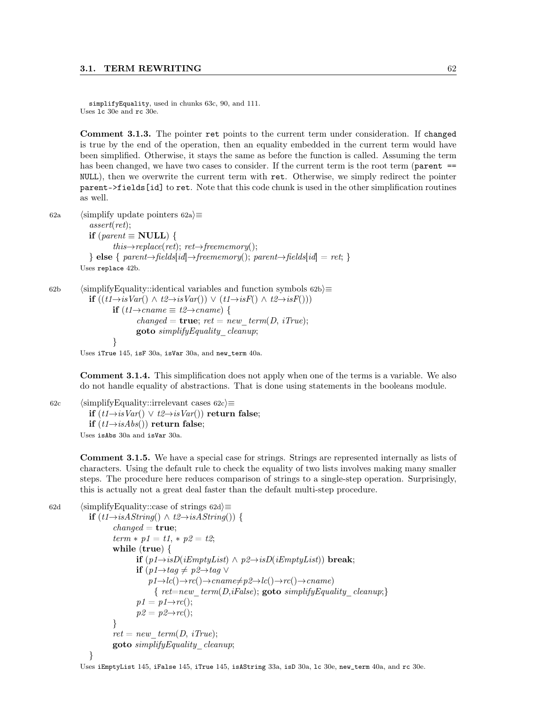simplifyEquality, used in chunks 63c, 90, and 111. Uses lc 30e and rc 30e.

Comment 3.1.3. The pointer ret points to the current term under consideration. If changed is true by the end of the operation, then an equality embedded in the current term would have been simplified. Otherwise, it stays the same as before the function is called. Assuming the term has been changed, we have two cases to consider. If the current term is the root term (parent == NULL), then we overwrite the current term with ret. Otherwise, we simply redirect the pointer parent->fields[id] to ret. Note that this code chunk is used in the other simplification routines as well.

```
62a (simplify update pointers 62a)\equivassert(ret);
           if (parent \equiv NULL) {
                   this \rightarrow replace (ret); ret \rightarrow free memory();\} else { parent→fields[id]→freememory(); parent→fields[id] = ret; }
         Uses replace 42b.
```
62b (simplifyEquality::identical variables and function symbols 62b $\rangle$  $\equiv$ **if**  $((t1\rightarrow isVar() \land t2\rightarrow isVar()) \lor (t1\rightarrow isF() \land t2\rightarrow isF)))$ **if**  $(t1\rightarrow{}name \equiv t2\rightarrow{}change)$  {  $changed = true; ret = new\_term(D, iTrue);$ goto simplifyEquality\_cleanup; }

Uses iTrue 145, isF 30a, isVar 30a, and new\_term 40a.

Comment 3.1.4. This simplification does not apply when one of the terms is a variable. We also do not handle equality of abstractions. That is done using statements in the booleans module.

62c (simplifyEquality::irrelevant cases 62c)≡ if  $(t1\rightarrow isVar()$   $\lor t2\rightarrow isVar()$  return false; if  $(t1 \rightarrow isAbs()$ ) return false;

Uses isAbs 30a and isVar 30a.

Comment 3.1.5. We have a special case for strings. Strings are represented internally as lists of characters. Using the default rule to check the equality of two lists involves making many smaller steps. The procedure here reduces comparison of strings to a single-step operation. Surprisingly, this is actually not a great deal faster than the default multi-step procedure.

```
62d (simplifyEquality::case of strings 62d\rangle\equivif (t1\rightarrow isAString() \wedge t2\rightarrow isAString()) {
                      changed = true;term * p1 = t1, * p2 = t2;while (true) {
                              if (p1 \rightarrow isD(iEmptyList) \land p2 \rightarrow isD(iEmptyList)) break;
                              if (p1 \rightarrow tag \neq p2 \rightarrow tag \veep1 \rightarrow lc() \rightarrow rc() \rightarrow canme \neq p2 \rightarrow lc() \rightarrow rc() \rightarrow canme){ ret=new\ term(D,iFalse); goto simplifyEquality\ cleanup;}
                               p1 = p1 \rightarrow r0;
                              p2 = p2 \rightarrow rc.
                      }
                      ret = new \ term(D, iTrue);goto simplifyEquality_cleanup;
              }
```
Uses iEmptyList 145, iFalse 145, iTrue 145, isAString 33a, isD 30a, lc 30e, new\_term 40a, and rc 30e.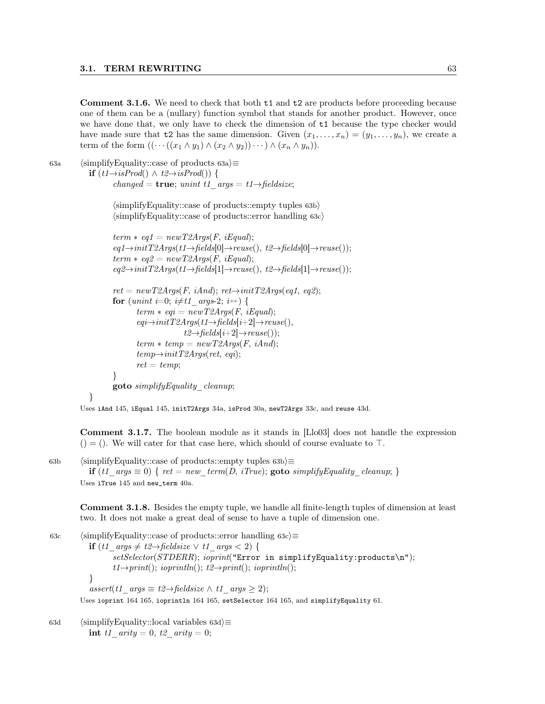Comment 3.1.6. We need to check that both t1 and t2 are products before proceeding because one of them can be a (nullary) function symbol that stands for another product. However, once we have done that, we only have to check the dimension of t1 because the type checker would have made sure that t2 has the same dimension. Given  $(x_1, \ldots, x_n) = (y_1, \ldots, y_n)$ , we create a term of the form  $((\cdots((x_1 \wedge y_1) \wedge (x_2 \wedge y_2)) \cdots) \wedge (x_n \wedge y_n)).$ 

}

63a (simplifyEquality::case of products 63a) $\equiv$ **if**  $(t1\rightarrow isProd() \wedge t2\rightarrow isProd())$  { changed =  $true$ ; unint t1 args = t1→fieldsize;

> $\langle$ simplifyEquality::case of products::empty tuples 63b $\rangle$  $\langle$ simplifyEquality::case of products::error handling 63c $\rangle$

```
term * eq1 = newT2Args(F, iEqual);eq1 \rightarrow initT2Args(t1 \rightarrow fields[0] \rightarrow reuse(), t2 \rightarrow fields[0] \rightarrow reuse());term * eq2 = newT2Args (F, iEqual);eq2 \rightarrow initT2Args(t1 \rightarrow fields[1] \rightarrow reuse(), t2 \rightarrow fields[1] \rightarrow reuse());ret = newT2Args(F, iAnd); ret \rightarrow initT2Args(eq1, eq2);for (unint i=0; i\neq t1 args-2; i++) {
        term * eqi = newT2Args(F, iEqual);eqi \rightarrow initT2Args(t1 \rightarrow fields[i+2] \rightarrow reuse(),t2 \rightarrow fields[i+2] \rightarrow reuse());term * temp = newT2Args (F, iAnd);temp \rightarrow initT2Args(\text{ret}, eqi);ret = temp;}
goto simplifyEquality_cleanup;
```
Uses iAnd 145, iEqual 145, initT2Args 34a, isProd 30a, newT2Args 33c, and reuse 43d.

Comment 3.1.7. The boolean module as it stands in [Llo03] does not handle the expression  $($  = (). We will cater for that case here, which should of course evaluate to  $\top$ .

63b (simplifyEquality::case of products::empty tuples  $63b$ ) $\equiv$ if (t1\_args  $\equiv 0$ ) { ret = new\_term(D, iTrue); goto simplify Equality\_cleanup; } Uses iTrue 145 and new\_term 40a.

Comment 3.1.8. Besides the empty tuple, we handle all finite-length tuples of dimension at least two. It does not make a great deal of sense to have a tuple of dimension one.

63c (simplifyEquality::case of products::error handling 63c) $\equiv$ **if** (t1\_args  $\neq t2 \rightarrow$  fieldsize ∨ t1\_args < 2) {  $setSelector(STDERR);$  ioprint("Error in simplifyEquality:products\n");  $t1\rightarrow print()$ ; ioprintln();  $t2\rightarrow print()$ ; ioprintln(); }  $assert(t1 \quad args \equiv t2 \rightarrow fieldsize \land t1 \quad args \geq 2);$ Uses ioprint 164 165, ioprintln 164 165, setSelector 164 165, and simplifyEquality 61.

63d (simplifyEquality::local variables 63d $\rangle$  $\equiv$ int t1\_arity = 0, t2\_arity = 0;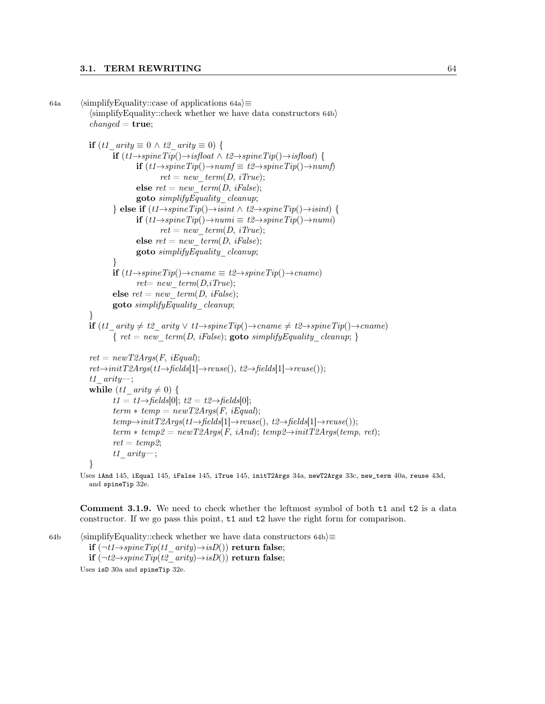```
64a (simplifyEquality::case of applications 64a)\equiv\langlesimplifyEquality::check whether we have data constructors 64b\ranglechanged = true;if (t1_arity \equiv 0 \wedge t2_arity \equiv 0) {
                      if (t1 \rightarrow spineTip() \rightarrow isfloat \land t2 \rightarrow spineTip() \rightarrow isfloat) {
                              if (t1 \rightarrow spineTip() \rightarrow numf \equiv t2 \rightarrow spineTip() \rightarrow numf)ret = new \ term(D, iTrue);else ret = new \ term(D, iFalse);goto simplifyEquality_cleanup;
                      } else if (t1 \rightarrow spineTip() \rightarrow isint \land t2 \rightarrow spineTip() \rightarrow isint) {
                              if (t1 \rightarrow spineTip() \rightarrow numi \equiv t2 \rightarrow spineTip() \rightarrow numi)ret = new\_term(D, iTrue);else ret = new \ term(D, ifalse);goto simplifyEquality_cleanup;
                      }
                      if (t1 \rightarrow spineTip() \rightarrow rename \equiv t2 \rightarrow spineTip() \rightarrow rename)ret= new\ term(D,iTrue);else ret = new \ term(D, iFalse);goto simplifyEquality_cleanup;
              }
             if (t1_arity \neq t2_arity \vee t1\rightarrow spineTip()\rightarroworange \neq t2\rightarrow spineTip()\rightarroworange{ ret = new \ term(D, iFalse); goto simplify Equality cleanup; }
              ret = newT2Args(F, iEqual);ret{\rightarrow}initT2Args(t1{\rightarrow}fields[1]{\rightarrow}reuse(), t2{\rightarrow}fields[1]{\rightarrow}reuse());t1_arity−−;
              while (t1\_arity \neq 0) {
                      t1 = t1 \rightarrow \text{fields}[0]; t2 = t2 \rightarrow \text{fields}[0];term * temp = newT2Args (F, iEqual);temp \rightarrow initT2Args(t1 \rightarrow fields[1] \rightarrow reuse(), t2 \rightarrow fields[1] \rightarrow reuse());term * temp2 = newT2Args (F, iAnd); temp2 \rightarrow initT2Args (temp, ret);ret = temp2;t1_arity--;
              }
          Uses iAnd 145, iEqual 145, iFalse 145, iTrue 145, initT2Args 34a, newT2Args 33c, new_term 40a, reuse 43d,
```
and spineTip 32e.

Comment 3.1.9. We need to check whether the leftmost symbol of both  $t1$  and  $t2$  is a data constructor. If we go pass this point, t1 and t2 have the right form for comparison.

64b (simplifyEquality::check whether we have data constructors 64b) $\equiv$ if  $(\neg t1 \rightarrow spineTip(t1-airty) \rightarrow isD))$  return false; if  $(\neg t2 \rightarrow spineTip(t2-airty) \rightarrow isD())$  return false; Uses isD 30a and spineTip 32e.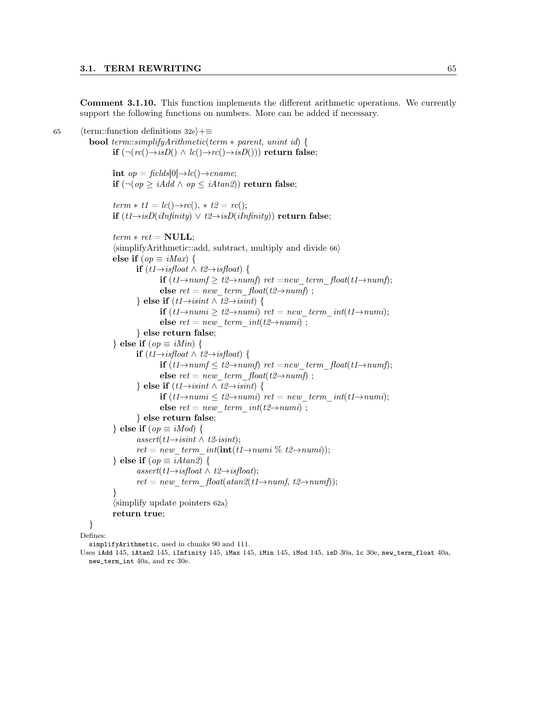Comment 3.1.10. This function implements the different arithmetic operations. We currently support the following functions on numbers. More can be added if necessary.

65 (term::function definitions 32e)+≡ bool term::simplifyArithmetic(term ∗ parent, unint id) { if  $(\neg (rc(\rightarrow isD)) \wedge lc(\rightarrow or(\rightarrow isD)))$  return false; int  $op = \text{fields}[0] \rightarrow lc() \rightarrow \text{cname};$ **if** ( $\neg$ (*op* ≥ *iAdd* ∧ *op* ≤ *iAtan2*)) return false;  $term * t1 = lc() \rightarrow rc(), * t2 = rc();$ if  $(t1\rightarrow isD(iInfinity)$   $\lor$   $t2\rightarrow isD(iInfinity)$ ) return false;  $term * ret = NULL;$  $\langle$ simplifyArithmetic::add, subtract, multiply and divide 66 $\rangle$ else if  $(op \equiv iMax)$  { **if**  $(t1\rightarrow isfloat \wedge t2\rightarrow isfloat)$  { if  $(t1\rightarrow numf \geq t2\rightarrow numf)$  ret =new term\_float(t1→numf); else  $ret = new \ term \ float(t2 \rightarrow numf)$ ; } else if  $(t1 \rightarrow isint \wedge t2 \rightarrow isint)$  { if  $(t1\rightarrow numi$  ≥  $t2\rightarrow numi)$  ret = new term int(t1→numi); else  $ret = new \ term \ int(t2 \rightarrow numi)$ ; } else return false; } else if  $(op \equiv iMin)$  { **if**  $(t1 \rightarrow isfloat \land t2 \rightarrow isfloat)$  { if  $(t1\rightarrow numf \leq t2\rightarrow numf)$  ret =new term float(t1→numf); else  $ret = new\_term\_float(t2 \rightarrow numf);$ } else if  $(t1 \rightarrow isint \wedge t2 \rightarrow isint)$  { if  $(t1\rightarrow numi$  ≤  $t2\rightarrow numi)$  ret = new term int(t1→numi); else  $ret = new \ term \ int(t2 \rightarrow numi)$  ; } else return false; } else if  $(op \equiv iMod)$  {  $assert(t1\rightarrow isint \wedge t2\text{-}isint);$  $ret = new \ term \ int(int(t1\rightarrow numi \% t2\rightarrow numi));$ } else if  $(op \equiv iAtan2)$  {  $assert(t1\rightarrow isfloat \wedge t2\rightarrow isfloat);$  $ret = new \ term \ float(atan2(t1\rightarrow numf, t2\rightarrow numf));$ }  $\langle$ simplify update pointers 62a $\rangle$ return true; } Defines:

simplifyArithmetic, used in chunks 90 and 111.

Uses iAdd 145, iAtan2 145, iInfinity 145, iMax 145, iMin 145, iMod 145, isD 30a, lc 30e, new\_term\_float 40a, new\_term\_int 40a, and rc 30e.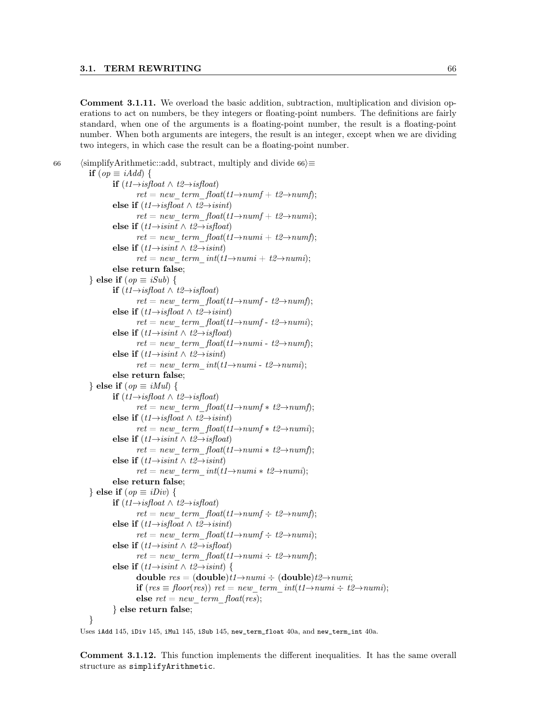Comment 3.1.11. We overload the basic addition, subtraction, multiplication and division operations to act on numbers, be they integers or floating-point numbers. The definitions are fairly standard, when one of the arguments is a floating-point number, the result is a floating-point number. When both arguments are integers, the result is an integer, except when we are dividing two integers, in which case the result can be a floating-point number.

```
66 (simplifyArithmetic::add, subtract, multiply and divide 66\rangle\equivif (op \equiv iAdd) {
                       if (t1 \rightarrow isfloat \land t2 \rightarrow isfloat)ret = new \ term \ float(t1 \rightarrow numf + t2 \rightarrow numf);else if (t1 \rightarrow isfloat \land t2 \rightarrow isint)ret = new \ term \ float(t1 \rightarrow numf + t2 \rightarrow numi);else if (t1 \rightarrow isint \wedge t2 \rightarrow isfloat)ret = new \ term \ float(t1 \rightarrow numi + t2 \rightarrow numf);else if (t1 \rightarrow isint \wedge t2 \rightarrow isint)ret = new \ term \ int(t1 \rightarrow numi + t2 \rightarrow numi);else return false;
              } else if (op \equiv iSub) {
                       if (t1 \rightarrow isfloat \land t2 \rightarrow isfloat)ret = new \ term \ float(t1 \rightarrow numf - t2 \rightarrow numf);else if (t1 \rightarrow isfloat \land t2 \rightarrow isint)ret = new \ term \ float(t1 \rightarrow numf - t2 \rightarrow numi);else if (t1 \rightarrow isint \wedge t2 \rightarrow isfloat)ret = new\_term\_float(t1 \rightarrow numi - t2 \rightarrow numf);else if (t1 \rightarrow isint \wedge t2 \rightarrow isint)ret = new \ term \ int(t1 \rightarrow numi - t2 \rightarrow numi);else return false;
              } else if (op \equiv iMul) {
                       if (t1 \rightarrow isfloat \land t2 \rightarrow isfloat)ret = new \ term \ float(t1 \rightarrow numf * t2 \rightarrow numf);else if (t1 \rightarrow isfloat \land t2 \rightarrow isint)ret = new \ term \ float(t1 \rightarrow numf * t2 \rightarrow numi);else if (t1 \rightarrow isint \wedge t2 \rightarrow isfloat)ret = new \ term \ float(t1 \rightarrow numi * t2 \rightarrow numf);else if (t1 \rightarrow isint \wedge t2 \rightarrow isint)ret = new \ term \ int(t1 \rightarrow numi * t2 \rightarrow numi);else return false;
              } else if (op \equiv iDiv) {
                       if (t1 \rightarrow isfloat \land t2 \rightarrow isfloat)ret = new \ term \ float(t1 \rightarrow numf \div t2 \rightarrow numf);else if (t1 \rightarrow isfloat \land t2 \rightarrow isint)ret = new \ term \ float(t1 \rightarrow numf \div t2 \rightarrow numi);else if (t1 \rightarrow is int \land t2 \rightarrow is float)ret = new \ term \ float(t1 \rightarrow numi \div t2 \rightarrow numf);else if (t1 \rightarrow isint \wedge t2 \rightarrow isint) {
                                double res = (double)t1 \rightarrow numi \div (double)t2 \rightarrow numi;if (res \equiv floor(res)) ret = new term int(t1→numi ÷ t2→numi);
                                else ret = new \ term \ float(res);} else return false;
              }
```
Uses iAdd 145, iDiv 145, iMul 145, iSub 145, new\_term\_float 40a, and new\_term\_int 40a.

Comment 3.1.12. This function implements the different inequalities. It has the same overall structure as simplifyArithmetic.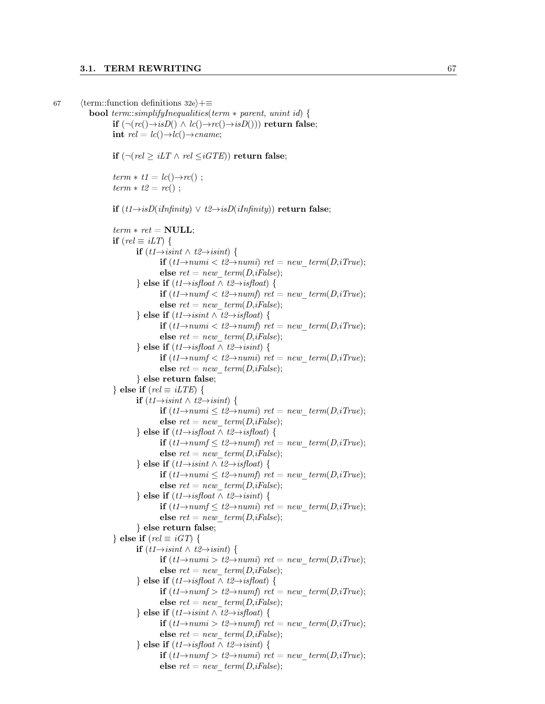67 (term::function definitions 32e)+≡

```
bool term::simplifyInequalities(term ∗ parent, unint id) {
        if (\neg (rc(\neg s)) \land lc(\neg \neg rc(\neg \neg s)) return false;
        int rel = lc() \rightarrow lc() \rightarrow canif (¬(rel \geq iLT \land rel \leq iGTE)) return false;
        term * t1 = lc() \rightarrow rc();
        term * t2 = rc();
        if (t1 \rightarrow isD(iInfinity) \lor t2 \rightarrow isD(iInfinity)) return false;
        term * ret = NULL;if (rel \equiv iLT) {
                if (t1 \rightarrow i\text{sin}t \land t2 \rightarrow i\text{sin}t) {
                         if (t1\rightarrow numi < t2\rightarrow numi) ret = new term(D,iTrue);
                         else ret = new\ term(D,iFalse);} else if (t1 \rightarrow isfloat \land t2 \rightarrow isfloat) {
                        if (t1\rightarrow numf < t2\rightarrow numf) ret = new term(D,iTrue);
                         else ret = new\ term(D,iFalse);} else if (t1 \rightarrow isint \wedge t2 \rightarrow isfloat) {
                         if (t1\rightarrow numi < t2\rightarrow numf) ret = new term(D,iTrue);
                         else ret = new\ term(D,iFalse);} else if (t1 \rightarrow isfloat \land t2 \rightarrow isint) {
                        if (t1\rightarrow numf < t2\rightarrow numi) ret = new_term(D,iTrue);
                        else ret = new\ term(D,iFalse);} else return false;
        } else if (rel \equiv iLTE) {
                if (t1 \rightarrow isint \land t2 \rightarrow isint) {
                        if (t1\rightarrow numi ≤ t2\rightarrow numi) ret = new term(D,iTrue);
                         else ret = new \ term(D,iFalse);} else if (t1 \rightarrow isfloat \land t2 \rightarrow isfloat) {
                        if (t1\rightarrow numf \leq t2\rightarrow numf) ret = new term(D,iTrue);
                         else ret = new\ term(D,iFalse);} else if (t1 \rightarrow isint \wedge t2 \rightarrow isfloat) {
                         if (t1\rightarrow numi ≤ t2\rightarrow numf ret = new term(D,iTrue);
                         else ret = new\ term(D,iFalse);} else if (t1 \rightarrow isfloat \land t2 \rightarrow isint) {
                        if (t1\rightarrow numf \leq t2\rightarrow numi) ret = new term(D,iTrue);
                         else ret = new\ term(D,iFalse);} else return false;
        } else if (\text{rel} \equiv \text{iGT}) {
                if (t1 \rightarrow i \sin t \land t2 \rightarrow i \sin t) {
                        if (t1\rightarrow numi > t2\rightarrow numi) ret = new term(D,iTrue);
                        else ret = new\ term(D,iFalse);} else if (t1 \rightarrow isfloat \land t2 \rightarrow isfloat) {
                        if (t1\rightarrow numf > t2\rightarrow numf) ret = new term(D,iTrue);
                         else ret = new\ term(D,iFalse);} else if (t1 \rightarrow isint \wedge t2 \rightarrow isfloat) {
                         if (t1\rightarrow numi > t2\rightarrow numf) ret = new term(D,iTrue);
                         else ret = new\ term(D,iFalse);} else if (t1 \rightarrow isfloat \land t2 \rightarrow isint) {
                        if (t1\rightarrow numf > t2\rightarrow numi) ret = new term(D,iTrue);
                         else ret = new\ term(D,iFalse);
```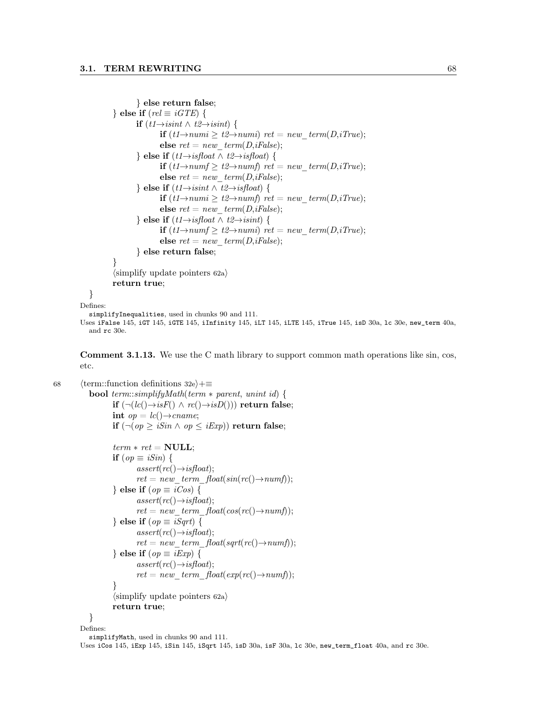```
} else return false;
           } else if (\text{rel} \equiv \text{i} GTE) {
                   if (t1\rightarrow i\text{sin}t \wedge t2\rightarrow i\text{sin}t) {
                            if (t1\rightarrow numi ≥ t2\rightarrow numi) ret = new term(D,iTrue);
                            else ret = new\ term(D,iFalse);} else if (t1 \rightarrow isfloat \land t2 \rightarrow isfloat) {
                            if (t1\rightarrow numf \geq t2\rightarrow numf) ret = new term(D,iTrue);
                            else ret = new\ term(D,iFalse);} else if (t1 \rightarrow isint \wedge t2 \rightarrow isfloat) {
                            if (t1\rightarrow numi ≥ t2\rightarrow numf) ret = new term(D,iTrue);
                            else ret = new\ term(D,iFalse);} else if (t1 \rightarrow isfloat \land t2 \rightarrow isint) {
                            if (t1\rightarrow numf \geq t2\rightarrow numi) ret = new term(D,iTrue);
                            else ret = new \ term(D,iFalse);} else return false;
           }
           \langlesimplify update pointers 62a\ranglereturn true;
   }
Defines:
   simplifyInequalities, used in chunks 90 and 111.
```
Uses iFalse 145, iGT 145, iGTE 145, iInfinity 145, iLT 145, iLTE 145, iTrue 145, isD 30a, lc 30e, new\_term 40a, and rc 30e.

Comment 3.1.13. We use the C math library to support common math operations like sin, cos, etc.

68 (term::function definitions 32e $\rangle+\equiv$ **bool** term::simplifyMath(term  $*$  parent, unint id) { if  $(¬(lc()→isF() ∧ rc()→isD()))$  return false; int  $op = lc() \rightarrow \text{cname};$ if  $(¬(op ≥ iSin ∧ op ≤ iExp))$  return false;  $term * ret = NULL;$ 

```
if (op \equiv iSin) {
        assert(rc() \rightarrow isfloat);ret = new\_term\_float(sin(rc(\rightarrow numf));} else if (op \equiv iCos) {
        assert(rc() \rightarrow isfloat);ret = new \ term \ float(cos(rc(\rightarrow numf));} else if (op \equiv iSqrt) {
        assert(rc() \rightarrow isfloat);ret = new \ term\_float(sqrt(rc(\rightarrow numf));} else if (op \equiv iExp) {
        assert(rc() \rightarrow isfloat);ret = new \ term \ float(exp(rc(\rightarrow numf));}
\langlesimplify update pointers 62a\ranglereturn true;
```
} Defines:

simplifyMath, used in chunks 90 and 111.

Uses iCos 145, iExp 145, iSin 145, iSqrt 145, isD 30a, isF 30a, lc 30e, new\_term\_float 40a, and rc 30e.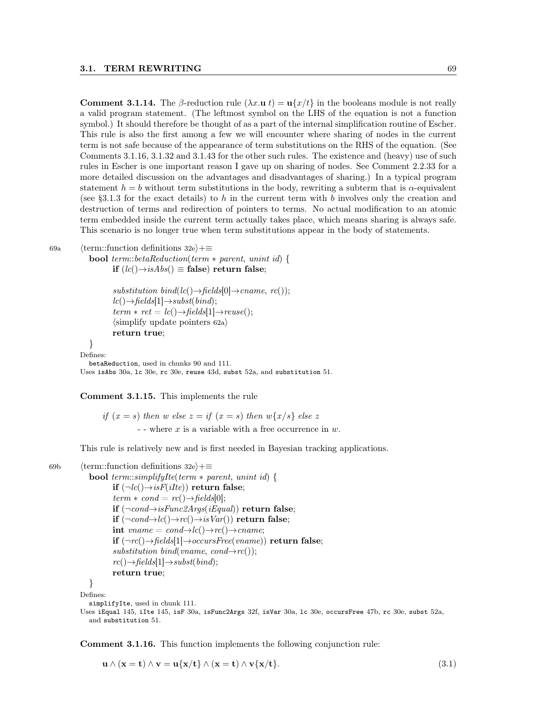Comment 3.1.14. The β-reduction rule  $(\lambda x \cdot u t) = u\{x/t\}$  in the booleans module is not really a valid program statement. (The leftmost symbol on the LHS of the equation is not a function symbol.) It should therefore be thought of as a part of the internal simplification routine of Escher. This rule is also the first among a few we will encounter where sharing of nodes in the current term is not safe because of the appearance of term substitutions on the RHS of the equation. (See Comments 3.1.16, 3.1.32 and 3.1.43 for the other such rules. The existence and (heavy) use of such rules in Escher is one important reason I gave up on sharing of nodes. See Comment 2.2.33 for a more detailed discussion on the advantages and disadvantages of sharing.) In a typical program statement  $h = b$  without term substitutions in the body, rewriting a subterm that is  $\alpha$ -equivalent (see §3.1.3 for the exact details) to h in the current term with b involves only the creation and destruction of terms and redirection of pointers to terms. No actual modification to an atomic term embedded inside the current term actually takes place, which means sharing is always safe. This scenario is no longer true when term substitutions appear in the body of statements.

69a (term::function definitions 32e)+≡

**bool** term::betaReduction(term  $*$  parent, unint id) { if  $(lc() \rightarrow isAbs() \equiv false)$  return false;

> substitution bind(lc() $\rightarrow$ fields[0] $\rightarrow$ cname, rc());  $lc() \rightarrow fields[1] \rightarrow subset(bind);$  $term * ret = lc() \rightarrow fields[1] \rightarrow reuse();$  $\langle$ simplify update pointers 62a $\rangle$ return true;

} Defines:

betaReduction, used in chunks 90 and 111. Uses isAbs 30a, lc 30e, rc 30e, reuse 43d, subst 52a, and substitution 51.

Comment 3.1.15. This implements the rule

if  $(x = s)$  then w else  $z = if$   $(x = s)$  then  $w\{x/s\}$  else z - - where  $x$  is a variable with a free occurrence in  $w$ .

This rule is relatively new and is first needed in Bayesian tracking applications.

```
69b (term::function definitions 32e\rangle+≡
```

```
bool term::simplifyIte(term * parent, unint id) {
        if (\neg lc() \rightarrow isF(ilte)) return false;
        term * cond = rc() \rightarrow fields[0];if (¬cond→isFunc2Args(iEqual)) return false;
        if (\neg cond \rightarrow lc() \rightarrow rc() \rightarrow isVar()) return false;
        int vname = cond\rightarrowlc()\rightarrowrc()\rightarrowcname;
        if (\neg rc() \rightarrow fields[1] \rightarrow occursFree(vanme)) return false;
        substitution bind(vname, cond\rightarrowrc());
        rc() \rightarrow fields[1] \rightarrow subset(bind);return true;
```
}

Defines: simplifyIte, used in chunk 111.

Uses iEqual 145, iIte 145, isF 30a, isFunc2Args 32f, isVar 30a, lc 30e, occursFree 47b, rc 30e, subst 52a, and substitution 51.

Comment 3.1.16. This function implements the following conjunction rule:

$$
\mathbf{u} \wedge (\mathbf{x} = \mathbf{t}) \wedge \mathbf{v} = \mathbf{u}\{\mathbf{x}/\mathbf{t}\} \wedge (\mathbf{x} = \mathbf{t}) \wedge \mathbf{v}\{\mathbf{x}/\mathbf{t}\}.
$$
 (3.1)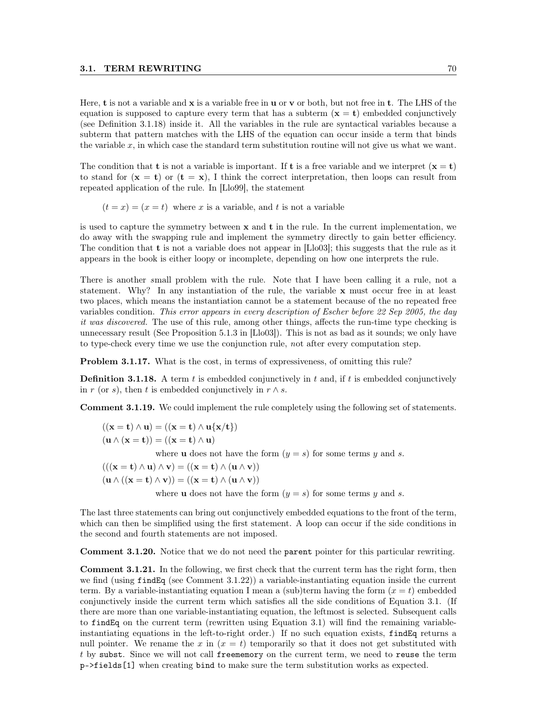Here, **t** is not a variable and  $x$  is a variable free in **u** or **v** or both, but not free in **t**. The LHS of the equation is supposed to capture every term that has a subterm  $(x = t)$  embedded conjunctively (see Definition 3.1.18) inside it. All the variables in the rule are syntactical variables because a subterm that pattern matches with the LHS of the equation can occur inside a term that binds the variable  $x$ , in which case the standard term substitution routine will not give us what we want.

The condition that **t** is not a variable is important. If **t** is a free variable and we interpret  $(x = t)$ to stand for  $(x = t)$  or  $(t = x)$ , I think the correct interpretation, then loops can result from repeated application of the rule. In [Llo99], the statement

 $(t = x) = (x = t)$  where x is a variable, and t is not a variable

is used to capture the symmetry between  $x$  and  $t$  in the rule. In the current implementation, we do away with the swapping rule and implement the symmetry directly to gain better efficiency. The condition that  $t$  is not a variable does not appear in [Llo03]; this suggests that the rule as it appears in the book is either loopy or incomplete, depending on how one interprets the rule.

There is another small problem with the rule. Note that I have been calling it a rule, not a statement. Why? In any instantiation of the rule, the variable x must occur free in at least two places, which means the instantiation cannot be a statement because of the no repeated free variables condition. This error appears in every description of Escher before 22 Sep 2005, the day it was discovered. The use of this rule, among other things, affects the run-time type checking is unnecessary result (See Proposition 5.1.3 in [Llo03]). This is not as bad as it sounds; we only have to type-check every time we use the conjunction rule, not after every computation step.

Problem 3.1.17. What is the cost, in terms of expressiveness, of omitting this rule?

**Definition 3.1.18.** A term t is embedded conjunctively in t and, if t is embedded conjunctively in r (or s), then t is embedded conjunctively in  $r \wedge s$ .

Comment 3.1.19. We could implement the rule completely using the following set of statements.

$$
\begin{aligned} ((\mathbf{x}=\mathbf{t})\wedge\mathbf{u}) &= ((\mathbf{x}=\mathbf{t})\wedge\mathbf{u}\{\mathbf{x}/\mathbf{t}\}) \\ (\mathbf{u}\wedge(\mathbf{x}=\mathbf{t})) &= ((\mathbf{x}=\mathbf{t})\wedge\mathbf{u}) \end{aligned}
$$

where **u** does not have the form  $(y = s)$  for some terms y and s.

$$
(((\mathbf{x} = \mathbf{t}) \land \mathbf{u}) \land \mathbf{v}) = ((\mathbf{x} = \mathbf{t}) \land (\mathbf{u} \land \mathbf{v}))
$$

$$
(\mathbf{u} \land ((\mathbf{x} = \mathbf{t}) \land \mathbf{v})) = ((\mathbf{x} = \mathbf{t}) \land (\mathbf{u} \land \mathbf{v}))
$$

where **u** does not have the form  $(y = s)$  for some terms y and s.

The last three statements can bring out conjunctively embedded equations to the front of the term, which can then be simplified using the first statement. A loop can occur if the side conditions in the second and fourth statements are not imposed.

Comment 3.1.20. Notice that we do not need the parent pointer for this particular rewriting.

Comment 3.1.21. In the following, we first check that the current term has the right form, then we find (using findEq (see Comment 3.1.22)) a variable-instantiating equation inside the current term. By a variable-instantiating equation I mean a (sub)term having the form  $(x = t)$  embedded conjunctively inside the current term which satisfies all the side conditions of Equation 3.1. (If there are more than one variable-instantiating equation, the leftmost is selected. Subsequent calls to findEq on the current term (rewritten using Equation 3.1) will find the remaining variableinstantiating equations in the left-to-right order.) If no such equation exists, findEq returns a null pointer. We rename the x in  $(x = t)$  temporarily so that it does not get substituted with t by subst. Since we will not call freememory on the current term, we need to reuse the term p->fields[1] when creating bind to make sure the term substitution works as expected.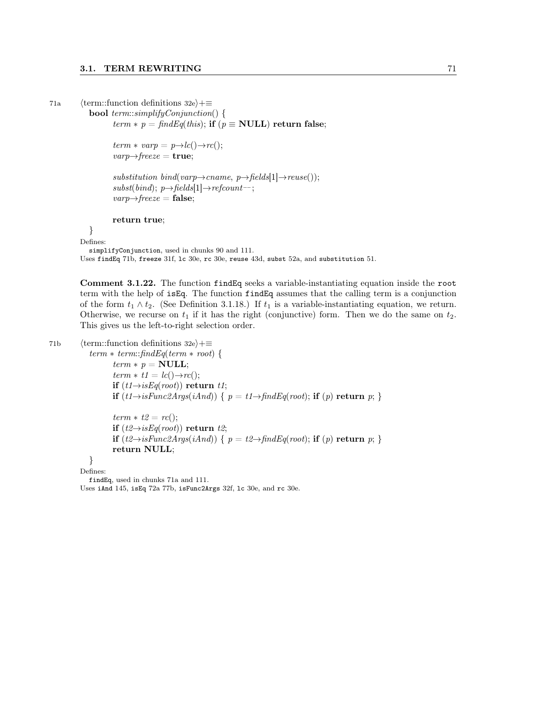```
71a (term::function definitions 32e)+≡
```

```
bool term::simplifyConjunction() {
```
 $term * p = findEq(this);$  if  $(p \equiv NULL)$  return false;

```
term * \text{ varp} = p \rightarrow lc() \rightarrow rc();varp \rightarrow \text{freeze} = \text{true};
```

```
substitution bind(varp\rightarrowcname, p\rightarrowfields[1]\rightarrowreuse());
subst(bind); p \rightarrow fields[1] \rightarrow refcount-;
varp{\rightarrow} \textit{freeze} = \textbf{false};
```
### return true;

}

Defines:

simplifyConjunction, used in chunks 90 and 111.

Uses findEq 71b, freeze 31f, lc 30e, rc 30e, reuse 43d, subst 52a, and substitution 51.

Comment 3.1.22. The function findEq seeks a variable-instantiating equation inside the root term with the help of isEq. The function findEq assumes that the calling term is a conjunction of the form  $t_1 \wedge t_2$ . (See Definition 3.1.18.) If  $t_1$  is a variable-instantiating equation, we return. Otherwise, we recurse on  $t_1$  if it has the right (conjunctive) form. Then we do the same on  $t_2$ . This gives us the left-to-right selection order.

```
71b (term::function definitions 32e)+≡
```
 $term * term::findEq(term * root)$  {  $term * p = NULL;$  $term * t1 = lc() \rightarrow rc();$ if  $(t1 \rightarrow isEq(root))$  return t1; if  $(t1 \rightarrow isFunc2Args(iAnd))$  {  $p = t1 \rightarrow findEq(root)$ ; if  $(p)$  return  $p$ ; }  $term * t2 = rc();$ 

if  $(t2\rightarrow i sEq(root))$  return t2; if  $(t2 \rightarrow isFunc2Args(iAnd))$  {  $p = t2 \rightarrow findEq(root);$  if  $(p)$  return  $p;$  } return NULL;

} Defines:

findEq, used in chunks 71a and 111. Uses iAnd 145, isEq 72a 77b, isFunc2Args 32f, lc 30e, and rc 30e.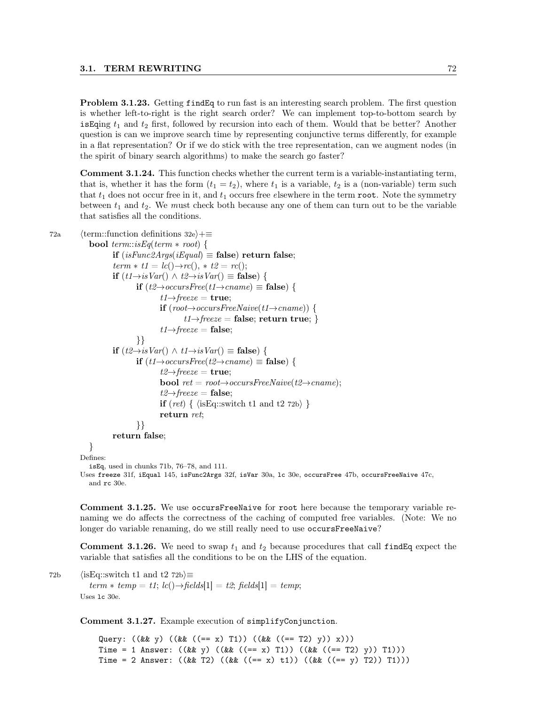Problem 3.1.23. Getting findEq to run fast is an interesting search problem. The first question is whether left-to-right is the right search order? We can implement top-to-bottom search by is Equing  $t_1$  and  $t_2$  first, followed by recursion into each of them. Would that be better? Another question is can we improve search time by representing conjunctive terms differently, for example in a flat representation? Or if we do stick with the tree representation, can we augment nodes (in the spirit of binary search algorithms) to make the search go faster?

Comment 3.1.24. This function checks whether the current term is a variable-instantiating term, that is, whether it has the form  $(t_1 = t_2)$ , where  $t_1$  is a variable,  $t_2$  is a (non-variable) term such that  $t_1$  does not occur free in it, and  $t_1$  occurs free elsewhere in the term root. Note the symmetry between  $t_1$  and  $t_2$ . We must check both because any one of them can turn out to be the variable that satisfies all the conditions.

```
72a (term::function definitions 32e)+≡
              bool term::isEq(term * root) {
                       if (isFunc2Args(iEqual) \equiv false) return false;
                       term * t1 = lc() \rightarrow rc(), * t2 = rc();if (t1\rightarrow isVar() \wedge t2\rightarrow isVar() ≡ false) {
                                if (t2→occursFree(t1→cname) \equiv false) {
                                         t1 \rightarrow \text{freeze} = \text{true};if (root \rightarrow occursFreeNaive(t1 \rightarrow came)) {
                                                  t1 \rightarrow \text{freeze} = \text{false}; \text{return true};t1 \rightarrow \text{freeze} = \text{false};}}
                       if (t2 \rightarrow isVar() \land t1 \rightarrow isVar() ≡ false) {
                                if (t1\rightarrow occursFree(t2\rightarrow caname) ≡ false) {
                                         t2 \rightarrow \text{freeze} = \text{true};bool ret = root \rightarrow occursFreeNaive(t2 \rightarrow change);t2 \rightarrow \text{freeze} = \text{false};if (ret) { \langle isEq::switch t1 and t2 72b\rangle }
                                        return ret;
                                }}
                       return false;
              }
           Defines:
              isEq, used in chunks 71b, 76–78, and 111.
```
Uses freeze 31f, iEqual 145, isFunc2Args 32f, isVar 30a, 1c 30e, occursFree 47b, occursFreeNaive 47c, and rc 30e.

Comment 3.1.25. We use occursFreeNaive for root here because the temporary variable renaming we do affects the correctness of the caching of computed free variables. (Note: We no longer do variable renaming, do we still really need to use occursFreeNaive?

**Comment 3.1.26.** We need to swap  $t_1$  and  $t_2$  because procedures that call findEq expect the variable that satisfies all the conditions to be on the LHS of the equation.

72b (isEq::switch t1 and t2 72b) $\equiv$ term  $*$  temp = t1; lc() $\rightarrow$  fields[1] = t2; fields[1] = temp; Uses lc 30e.

Comment 3.1.27. Example execution of simplifyConjunction.

Query: ((&& y) ((&& ((== x) T1)) ((&& ((== T2) y)) x))) Time = 1 Answer:  $((\&& y) ((\&& (( == x) T1)) ((\&& (( == x) T1)) T1)))$ Time = 2 Answer:  $((\&& T2) ((\&& ((= x) t1)) ((\&& ((== y) T2)) T1)))$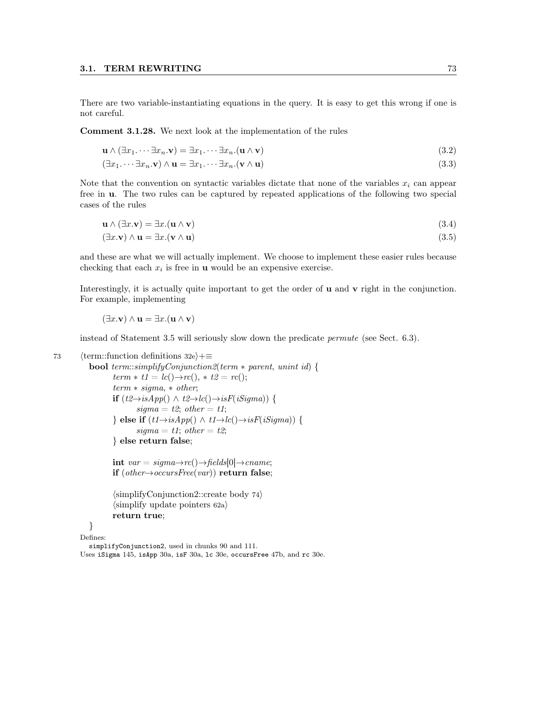There are two variable-instantiating equations in the query. It is easy to get this wrong if one is not careful.

Comment 3.1.28. We next look at the implementation of the rules

$$
\mathbf{u} \wedge (\exists x_1 \cdots \exists x_n \mathbf{.} \mathbf{v}) = \exists x_1 \cdots \exists x_n \mathbf{.} (\mathbf{u} \wedge \mathbf{v})
$$
\n(3.2)

$$
(\exists x_1 \cdots \exists x_n \mathbf{.} \mathbf{v}) \land \mathbf{u} = \exists x_1 \cdots \exists x_n \mathbf{.} (\mathbf{v} \land \mathbf{u})
$$
\n(3.3)

Note that the convention on syntactic variables dictate that none of the variables  $x_i$  can appear free in u. The two rules can be captured by repeated applications of the following two special cases of the rules

$$
\mathbf{u} \wedge (\exists x. \mathbf{v}) = \exists x. (\mathbf{u} \wedge \mathbf{v}) \tag{3.4}
$$

$$
(\exists x. \mathbf{v}) \land \mathbf{u} = \exists x. (\mathbf{v} \land \mathbf{u})
$$
\n(3.5)

and these are what we will actually implement. We choose to implement these easier rules because checking that each  $x_i$  is free in **u** would be an expensive exercise.

Interestingly, it is actually quite important to get the order of **u** and **v** right in the conjunction. For example, implementing

$$
(\exists x.\mathbf{v}) \land \mathbf{u} = \exists x.(\mathbf{u} \land \mathbf{v})
$$

instead of Statement 3.5 will seriously slow down the predicate permute (see Sect. 6.3).

73 (term::function definitions 32e $\rangle+\equiv$ 

```
bool term::simplifyConjunction2(term * parent, unint id) {
        term * t1 = lc() \rightarrow rc(), * t2 = rc();term * sigma, * other;if (t2 \rightarrow isApp() \land t2 \rightarrow lc() \rightarrow isF(iSigma) {
                sigma = t2; other = t1;
        \} else if (t1 \rightarrow isApp() \land t1 \rightarrow lc() \rightarrow isF(iSigma) {
                sigma = t1; other = t2;
        } else return false;
```
int  $var = sigma \rightarrow rc() \rightarrow fields[0] \rightarrow can$ if  $(other→occursFree(var))$  return false;

 $\langle$ simplifyConjunction2::create body 74 $\rangle$  $\langle$ simplify update pointers 62a $\rangle$ return true;

}

Defines:

simplifyConjunction2, used in chunks 90 and 111.

Uses iSigma 145, isApp 30a, isF 30a, lc 30e, occursFree 47b, and rc 30e.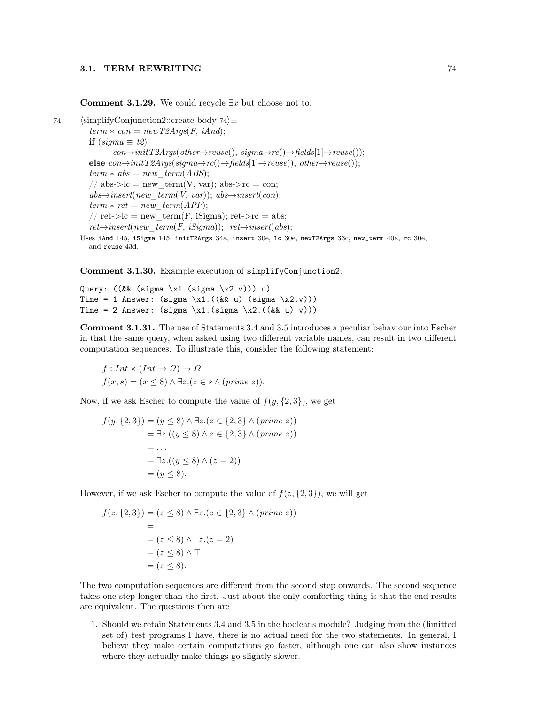Comment 3.1.29. We could recycle  $\exists x$  but choose not to.

74 (simplifyConjunction2::create body 74 $\rangle$ ≡  $term * con = newT2Args (F, iAnd);$ if  $(sigma \equiv t2)$  $con\rightarrow initT2Args(other\rightarrow reuse(), sigma\rightarrow rc)) \rightarrow fields[1] \rightarrow reuse())$ ; else  $con \rightarrow initT2Args(sigma \rightarrow rc() \rightarrow fields[1] \rightarrow reuse(), other \rightarrow reuse());$  $term * abs = new-term(ABS);$ // abs->lc = new term(V, var); abs->rc = con;  $abs \rightarrow insert(new-term(V, var)); abs \rightarrow insert(con);$  $term * ret = new-term(APP);$ // ret->lc = new term(F, iSigma); ret->rc = abs;  $ret{\rightarrow}insert(new-term(F, iSigma))$ ;  $ret{\rightarrow}insert(abs)$ ; Uses iAnd 145, iSigma 145, initT2Args 34a, insert 30e, lc 30e, newT2Args 33c, new\_term 40a, rc 30e, and reuse 43d.

Comment 3.1.30. Example execution of simplifyConjunction2.

```
Query: ((\&\&\ (sigma \x1.(\sigma x)x2.v))) u)Time = 1 Answer: (sigma \x1.((&& u) (sigma \x2.v)))
Time = 2 Answer: (sigma \ x1.(\sigma x x2.((\&& u) v)))
```
Comment 3.1.31. The use of Statements 3.4 and 3.5 introduces a peculiar behaviour into Escher in that the same query, when asked using two different variable names, can result in two different computation sequences. To illustrate this, consider the following statement:

 $f: Int \times (Int \rightarrow \Omega) \rightarrow \Omega$  $f(x, s) = (x \leq 8) \land \exists z.(z \in s \land (prime z)).$ 

Now, if we ask Escher to compute the value of  $f(y, \{2, 3\})$ , we get

$$
f(y, \{2, 3\}) = (y \le 8) \land \exists z. (z \in \{2, 3\} \land (prime \ z))
$$
  
=  $\exists z. ((y \le 8) \land z \in \{2, 3\} \land (prime \ z))$   
= ...  
=  $\exists z. ((y \le 8) \land (z = 2))$   
=  $(y \le 8).$ 

However, if we ask Escher to compute the value of  $f(z, \{2, 3\})$ , we will get

$$
f(z, \{2, 3\}) = (z \le 8) \land \exists z.(z \in \{2, 3\} \land (prime z))
$$
  
= ...  
= (z \le 8) \land \exists z.(z = 2)  
= (z \le 8) \land \top  
= (z \le 8).

The two computation sequences are different from the second step onwards. The second sequence takes one step longer than the first. Just about the only comforting thing is that the end results are equivalent. The questions then are

1. Should we retain Statements 3.4 and 3.5 in the booleans module? Judging from the (limitted set of) test programs I have, there is no actual need for the two statements. In general, I believe they make certain computations go faster, although one can also show instances where they actually make things go slightly slower.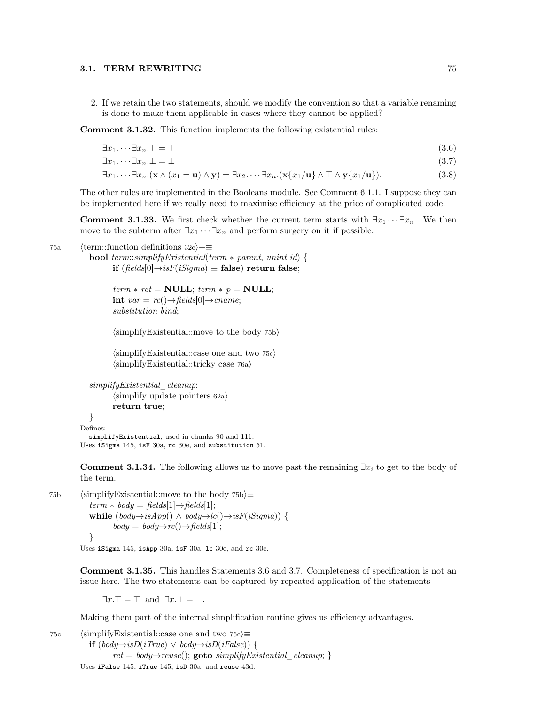2. If we retain the two statements, should we modify the convention so that a variable renaming is done to make them applicable in cases where they cannot be applied?

Comment 3.1.32. This function implements the following existential rules:

$$
\exists x_1 \cdots \exists x_n. \top = \top \tag{3.6}
$$

$$
\exists x_1 \cdots \exists x_n \bot = \bot \tag{3.7}
$$

$$
\exists x_1 \cdots \exists x_n . (\mathbf{x} \wedge (x_1 = \mathbf{u}) \wedge \mathbf{y}) = \exists x_2 \cdots \exists x_n . (\mathbf{x} \{x_1/\mathbf{u}\} \wedge \top \wedge \mathbf{y} \{x_1/\mathbf{u}\}).
$$
\n(3.8)

The other rules are implemented in the Booleans module. See Comment 6.1.1. I suppose they can be implemented here if we really need to maximise efficiency at the price of complicated code.

**Comment 3.1.33.** We first check whether the current term starts with  $\exists x_1 \cdots \exists x_n$ . We then move to the subterm after  $\exists x_1 \cdots \exists x_n$  and perform surgery on it if possible.

75a (term::function definitions 32e)+≡

**bool** term::simplifyExistential(term  $*$  parent, unint id) { if  $(fields[0] \rightarrow isF(iSigma) \equiv false)$  return false;

> $term * ret = NULL; term * p = NULL;$ int  $var = rc() \rightarrow fields[0] \rightarrow can$ substitution bind;

 $\langle$ simplifyExistential::move to the body 75b $\rangle$ 

 $\langle$ simplifyExistential::case one and two 75c $\rangle$  $\langle$ simplifyExistential::tricky case 76a $\rangle$ 

```
simplifyExistential_cleanup:
       \langlesimplify update pointers 62a\ranglereturn true;
}
```
Defines: simplifyExistential, used in chunks 90 and 111. Uses iSigma 145, isF 30a, rc 30e, and substitution 51.

**Comment 3.1.34.** The following allows us to move past the remaining  $\exists x_i$  to get to the body of the term.

75b (simplifyExistential::move to the body 75b $\succeq$  $term * body = fields[1] \rightarrow fields[1];$ while  $(body \rightarrow isApp() \land body \rightarrow lc() \rightarrow isF(iSigma)$ ) {  $body = body \rightarrow rc() \rightarrow fields[1];$ }

Uses iSigma 145, isApp 30a, isF 30a, lc 30e, and rc 30e.

Comment 3.1.35. This handles Statements 3.6 and 3.7. Completeness of specification is not an issue here. The two statements can be captured by repeated application of the statements

 $\exists x \top = \top$  and  $\exists x \top = \top$ .

Making them part of the internal simplification routine gives us efficiency advantages.

75c (simplifyExistential::case one and two 75c) $\equiv$ **if**  $(body\rightarrow isD(iTrue) ∨ body\rightarrow isD(iFalse)$  {  $ret = body \rightarrow reuse();$  goto simplify Existential cleanup; } Uses iFalse 145, iTrue 145, isD 30a, and reuse 43d.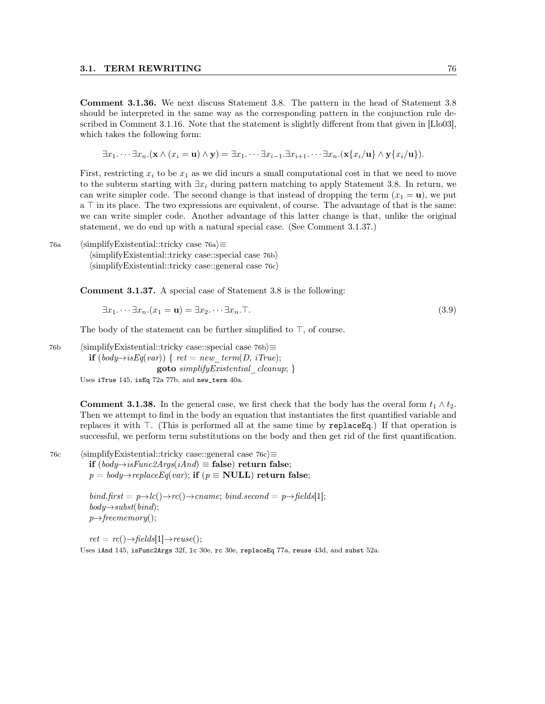Comment 3.1.36. We next discuss Statement 3.8. The pattern in the head of Statement 3.8 should be interpreted in the same way as the corresponding pattern in the conjunction rule described in Comment 3.1.16. Note that the statement is slightly different from that given in [Llo03], which takes the following form:

 $\exists x_1 \cdots \exists x_n . (\mathbf{x} \wedge (x_i = \mathbf{u}) \wedge \mathbf{v}) = \exists x_1 \cdots \exists x_{i-1} . \exists x_{i+1} . \cdots \exists x_n . (\mathbf{x} \{x_i / \mathbf{u}\} \wedge \mathbf{v} \{x_i / \mathbf{u}\}).$ 

First, restricting  $x_i$  to be  $x_1$  as we did incurs a small computational cost in that we need to move to the subterm starting with  $\exists x_i$  during pattern matching to apply Statement 3.8. In return, we can write simpler code. The second change is that instead of dropping the term  $(x_1 = u)$ , we put  $a \top$  in its place. The two expressions are equivalent, of course. The advantage of that is the same: we can write simpler code. Another advantage of this latter change is that, unlike the original statement, we do end up with a natural special case. (See Comment 3.1.37.)

76a (simplifyExistential::tricky case 76a $\rangle \equiv$  $\langle$ simplifyExistential::tricky case::special case 76b $\rangle$  $\langle$ simplifyExistential::tricky case::general case 76c $\rangle$ 

Comment 3.1.37. A special case of Statement 3.8 is the following:

$$
\exists x_1 \cdots \exists x_n . (x_1 = \mathbf{u}) = \exists x_2 \cdots \exists x_n . \top. \tag{3.9}
$$

The body of the statement can be further simplified to  $\top$ , of course.

76b (simplifyExistential::tricky case::special case 76b $\rangle \equiv$ **if**  $(body→isEq(var))$  {  $ret = new-term(D, iTrue);$ goto  $simplifyExistential$  cleanup;  $\}$ 

Uses iTrue 145, isEq 72a 77b, and new\_term 40a.

**Comment 3.1.38.** In the general case, we first check that the body has the overal form  $t_1 \wedge t_2$ . Then we attempt to find in the body an equation that instantiates the first quantified variable and replaces it with  $\top$ . (This is performed all at the same time by replace Eq.) If that operation is successful, we perform term substitutions on the body and then get rid of the first quantification.

76c (simplifyExistential::tricky case::general case 76c $\rangle \equiv$ 

if  $(body\rightarrow isFunc2Arg(s/And) \equiv false)$  return false;  $p = body \rightarrow replaceEq(var);$  if  $(p \equiv \textbf{NULL})$  return false;

bind.first =  $p \rightarrow lc() \rightarrow rc() \rightarrow can$ ene; bind.second =  $p \rightarrow$ fields[1];  $body \rightarrow subst(bind);$  $p \rightarrow \text{freememory}()$ ;

 $ret = rc() \rightarrow fields[1] \rightarrow reuse();$ 

Uses iAnd 145, isFunc2Args 32f, lc 30e, rc 30e, replaceEq 77a, reuse 43d, and subst 52a.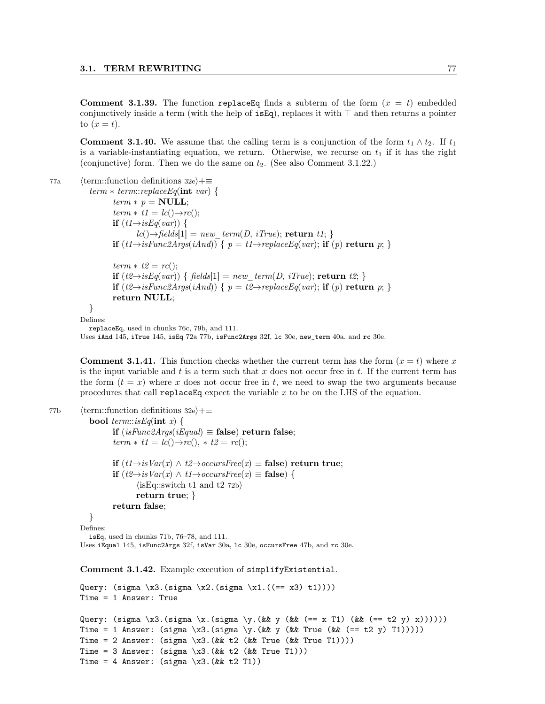**Comment 3.1.39.** The function replace Eq finds a subterm of the form  $(x = t)$  embedded conjunctively inside a term (with the help of  $isEq$ ), replaces it with  $\top$  and then returns a pointer to  $(x = t)$ .

**Comment 3.1.40.** We assume that the calling term is a conjunction of the form  $t_1 \wedge t_2$ . If  $t_1$ is a variable-instantiating equation, we return. Otherwise, we recurse on  $t_1$  if it has the right (conjunctive) form. Then we do the same on  $t_2$ . (See also Comment 3.1.22.)

```
77a (term::function definitions 32e)+≡
           term * term::replaceEq(int var) {
                  term * p = NULL;term * t1 = lc() \rightarrow rc();if (t1 \rightarrow isEq(var)) {
                          lc(\rightarrow) \rightarrow fields[1] = new \ term(D, iTrue); return t1; }
                  if (t1 \rightarrow isFunc2Args(iAnd)) { p = t1 \rightarrow replaceEq(var); if (p) return p; }
                  term * t2 = rc();if (t2 \rightarrow isEq(var)) { fields[1] = new term(D, iTrue); return t2; }
                  if (t2→isFunc2Args(iAnd)) { p = t2→replaceEq(var); if (p) return p; }
                  return NULL;
           }
         Defines:
           replaceEq, used in chunks 76c, 79b, and 111.
         Uses iAnd 145, iTrue 145, isEq 72a 77b, isFunc2Args 32f, lc 30e, new_term 40a, and rc 30e.
```
**Comment 3.1.41.** This function checks whether the current term has the form  $(x = t)$  where x is the input variable and  $t$  is a term such that  $x$  does not occur free in  $t$ . If the current term has the form  $(t = x)$  where x does not occur free in t, we need to swap the two arguments because procedures that call replace Eq expect the variable  $x$  to be on the LHS of the equation.

```
77b (term::function definitions 32e)+≡
            bool term::isEq(int x) {
                    if (isFunc2Args(iEqual) \equiv false) return false;
                    term * t1 = lc() \rightarrow rc(), * t2 = rc();if (t1 \rightarrow isVar(x) ∧ t2 \rightarrow occursFree(x) ≡ false) return true;
                    if (t2 \rightarrow isVar(x) \land t1 \rightarrow occursFree(x) \equiv false) {
                            \langleisEq::switch t1 and t2 72b\ranglereturn true; }
                    return false;
            }
          Defines:
```
isEq, used in chunks 71b, 76–78, and 111. Uses iEqual 145, isFunc2Args 32f, isVar 30a, lc 30e, occursFree 47b, and rc 30e.

Comment 3.1.42. Example execution of simplifyExistential.

```
Query: (sigma \ x3.(sigma \ x2.(sigma \ x1.((== x3) t1))))Time = 1 Answer: True
Query: (sigma \x3.(sigma \x.(sigma \y.(&& y (&& (== x T1) (&& (== t2 y) x))))))
Time = 1 Answer: (sigma \x3.(sigma \y.(&& y (&& True (&& (== t2 y) T1)))))
Time = 2 Answer: (sigma \ \ x3.(\&& t2 \ (\&& True \ (\&& True \ T1))))Time = 3 Answer: (sigma \ \ x3.(\&\ t2 \ (\&\ x True T1)))Time = 4 Answer: (sigma \ x3.(\&\& t2 T1))
```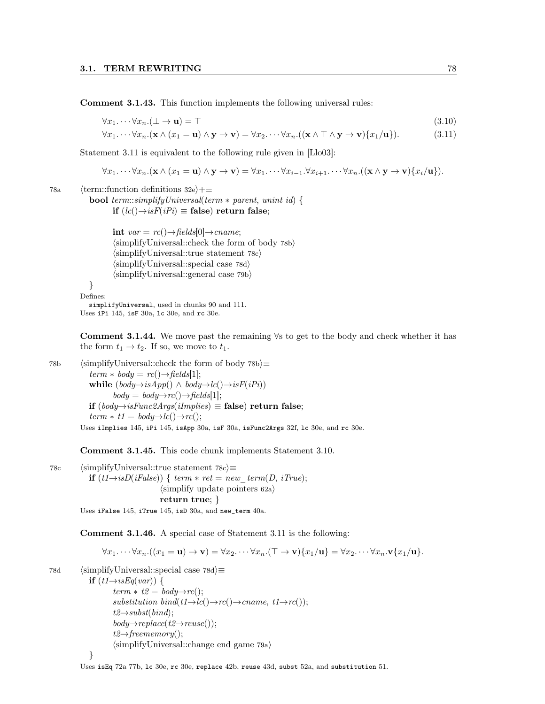Comment 3.1.43. This function implements the following universal rules:

$$
\forall x_1. \cdots \forall x_n. (\bot \to \mathbf{u}) = \top \tag{3.10}
$$

$$
\forall x_1. \cdots \forall x_n. (\mathbf{x} \wedge (x_1 = \mathbf{u}) \wedge \mathbf{y} \rightarrow \mathbf{v}) = \forall x_2. \cdots \forall x_n. ((\mathbf{x} \wedge \top \wedge \mathbf{y} \rightarrow \mathbf{v}) \{x_1/\mathbf{u}\}).
$$
 (3.11)

Statement 3.11 is equivalent to the following rule given in [Llo03]:

$$
\forall x_1 \cdots \forall x_n . (\mathbf{x} \wedge (x_1 = \mathbf{u}) \wedge \mathbf{y} \rightarrow \mathbf{v}) = \forall x_1 \cdots \forall x_{i-1} . \forall x_{i+1} \cdots \forall x_n . ((\mathbf{x} \wedge \mathbf{y} \rightarrow \mathbf{v}) \{x_i / \mathbf{u}\}).
$$

78a (term::function definitions 32e $\rangle+\equiv$ 

**bool** term::simplifyUniversal(term  $*$  parent, unint id) { if  $(lc()\rightarrow isF(iPi)$  ≡ false) return false;

> int  $var = rc() \rightarrow fields[0] \rightarrow can$  $\langle$ simplifyUniversal::check the form of body 78b $\rangle$  $\langle$ simplifyUniversal::true statement 78c $\rangle$  $\langle$ simplifyUniversal::special case 78d $\rangle$  $\langle$ simplifyUniversal::general case 79b $\rangle$

```
}
Defines:
```
simplifyUniversal, used in chunks 90 and 111. Uses iPi 145, isF 30a, lc 30e, and rc 30e.

Comment 3.1.44. We move past the remaining ∀s to get to the body and check whether it has the form  $t_1 \rightarrow t_2$ . If so, we move to  $t_1$ .

78b (simplifyUniversal::check the form of body 78b $\succeq$  $term * body = rc() \rightarrow fields[1];$ while  $(body \rightarrow isApp() \land body \rightarrow lc() \rightarrow isF(iPi)$  $body = body \rightarrow rc() \rightarrow fields[1];$ if  $(body→isFunc2Args(iImplies) \equiv false)$  return false;  $term * t1 = body \rightarrow lc() \rightarrow rc();$ 

Uses iImplies 145, iPi 145, isApp 30a, isF 30a, isFunc2Args 32f, lc 30e, and rc 30e.

Comment 3.1.45. This code chunk implements Statement 3.10.

78c (simplifyUniversal::true statement 78c $\rangle$ ≡ if  $(t1 \rightarrow isD(iFalse))$  { term  $*$  ret = new term(D, iTrue);  $\langle$ simplify update pointers 62a $\rangle$ return true; }

Uses iFalse 145, iTrue 145, isD 30a, and new\_term 40a.

Comment 3.1.46. A special case of Statement 3.11 is the following:

$$
\forall x_1.\cdots \forall x_n. ((x_1 = \mathbf{u}) \to \mathbf{v}) = \forall x_2.\cdots \forall x_n. (\top \to \mathbf{v}) \{x_1/\mathbf{u}\} = \forall x_2.\cdots \forall x_n. \mathbf{v} \{x_1/\mathbf{u}\}.
$$

78d (simplifyUniversal::special case 78d $\rangle$ ≡

```
if (t1 \rightarrow isEq(var)) {
         term * t2 = body \rightarrow rc();
         substitution bind(t1\rightarrowlc()\rightarrowrc()\rightarrowcname, t1\rightarrowrc());
         t2 \rightarrow subst(bind);body \rightarrow replace(t2 \rightarrow reuse());
         t2 \rightarrow \text{freememory}();
         \langlesimplifyUniversal::change end game 79a\rangle}
```
#### Uses isEq 72a 77b, 1c 30e, rc 30e, replace 42b, reuse 43d, subst 52a, and substitution 51.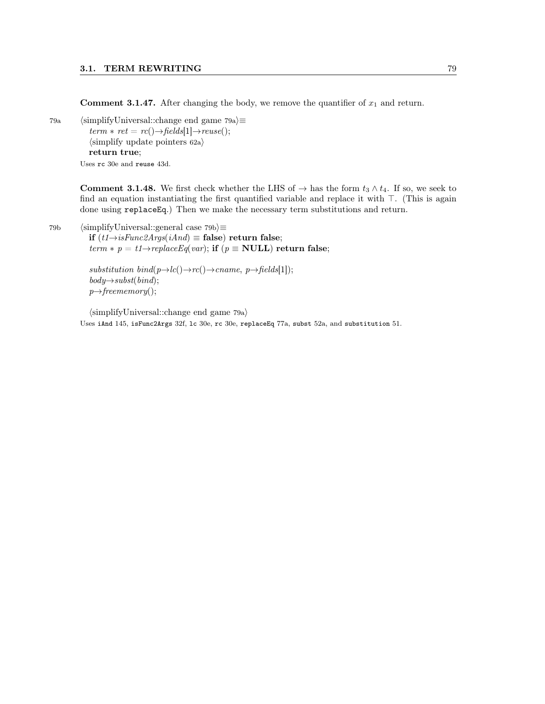**Comment 3.1.47.** After changing the body, we remove the quantifier of  $x_1$  and return.

79a (simplifyUniversal::change end game 79a $\rangle \equiv$  $term * ret = rc() \rightarrow fields[1] \rightarrow reuse();$  $\langle$ simplify update pointers 62a $\rangle$ return true; Uses rc 30e and reuse 43d.

> **Comment 3.1.48.** We first check whether the LHS of  $\rightarrow$  has the form  $t_3 \wedge t_4$ . If so, we seek to find an equation instantiating the first quantified variable and replace it with  $\top$ . (This is again done using replaceEq.) Then we make the necessary term substitutions and return.

79b (simplifyUniversal::general case 79b $\rangle$  $\equiv$ if  $(t1\rightarrow isFunc2Args(iAnd)$  ≡ false) return false; term  $*$  p = t1→replaceEq(var); if (p  $\equiv$  NULL) return false;

> substitution bind $(p \rightarrow lc) \rightarrow rc() \rightarrow canme, p \rightarrow fields[1]);$  $body \rightarrow subst(bind);$  $p \rightarrow \text{freememory}()$ ;

 $\langle$ simplifyUniversal::change end game 79a $\rangle$ Uses iAnd 145, isFunc2Args 32f, lc 30e, rc 30e, replaceEq 77a, subst 52a, and substitution 51.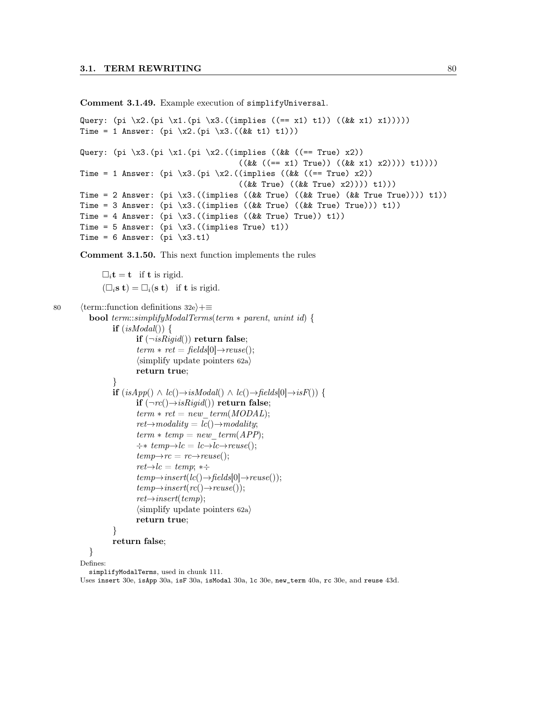Comment 3.1.49. Example execution of simplifyUniversal.

```
Query: (pi \ x2.(pi \ x1.(pi \ x3.((implies ((== x1) t1)) ((& x1) x1))))Time = 1 Answer: (pi \ x2.(pi \ x3.((& t1) t1)))Query: (pi \x3.(pi \x1.(pi \x2.((implies ((&& ((== True) x2))
                                       ((\&\&\ ((== x1) True)) ((\&\& x1) x2)))) t1))Time = 1 Answer: (pi \x3.(pi \x2.((implies ((&& ((== True) x2))
                                       ((&& True) ((&& True) x2)))) t1)))
Time = 2 Answer: pi \ \langle \text{inplies } ((kk \ \text{True}) \ ((kk \ \text{True}) \ (kk \ \text{True}) \ \text{in the True}))) \ \text{t1})Time = 3 Answer: pi \ \times 3. ((implies ((&& True) ((&& True) True))) t1))
Time = 4 Answer: (pi \ x3.((implies ((\&& True) True)) t1))Time = 5 Answer: pi \ \langle x3.((implies True) t1) \rangleTime = 6 Answer: (pi \ x3.t1)
```
Comment 3.1.50. This next function implements the rules

 $\Box_i \mathbf{t} = \mathbf{t}$  if **t** is rigid.  $(\Box_i \mathbf{s} \mathbf{t}) = \Box_i (\mathbf{s} \mathbf{t})$  if **t** is rigid.

```
80 (term::function definitions 32e)+≡
```

```
bool term::simplifyModalTerms(term ∗ parent, unint id) {
        if (isModal() )if (\neg isRigid() return false;
                 term * ret = fields[0] \rightarrow reuse();\langlesimplify update pointers 62a\ranglereturn true;
         }
        if (isApp() \wedge lc() \rightarrow isModal() \wedge lc() \rightarrow fields[0] \rightarrow isF()) {
                 if (\neg rc() \rightarrow isRigid() return false;
                 term * ret = new \ term(MODAL);ret{\rightarrow}modality = lc() {\rightarrow}modality;term * temp = new-term(APP);\div * \text{ temp} \rightarrow lc = \text{ lc} \rightarrow \text{ reuse}();temp \rightarrow rc = rc \rightarrow reuse();ret{\rightarrow}lc = temp; *{\div}temp \rightarrow insert(lc() \rightarrow fields[0] \rightarrow reuse());
                 temp \rightarrow insert(rc() \rightarrow reuse());
                 ret{\rightarrow} inserttemp);\langlesimplify update pointers 62a\ranglereturn true;
        }
        return false;
```

```
}
Defines:
```
simplifyModalTerms, used in chunk 111.

Uses insert 30e, isApp 30a, isF 30a, isModal 30a, lc 30e, new\_term 40a, rc 30e, and reuse 43d.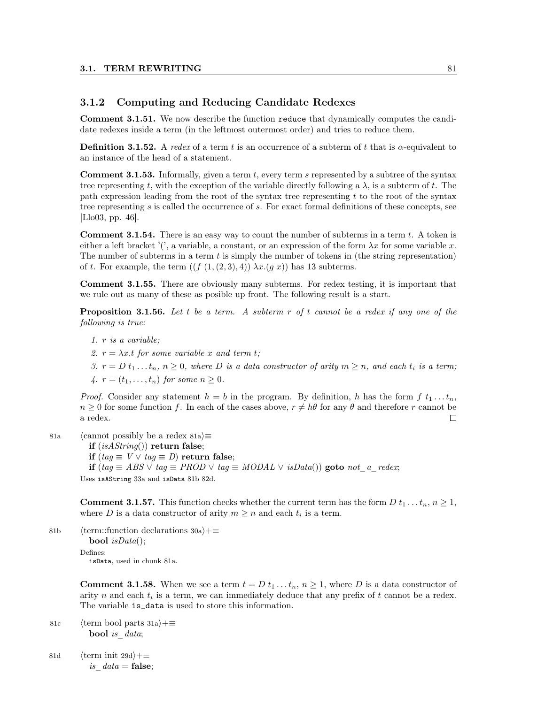# 3.1.2 Computing and Reducing Candidate Redexes

Comment 3.1.51. We now describe the function reduce that dynamically computes the candidate redexes inside a term (in the leftmost outermost order) and tries to reduce them.

**Definition 3.1.52.** A redex of a term t is an occurrence of a subterm of t that is  $\alpha$ -equivalent to an instance of the head of a statement.

**Comment 3.1.53.** Informally, given a term  $t$ , every term s represented by a subtree of the syntax tree representing t, with the exception of the variable directly following a  $\lambda$ , is a subterm of t. The path expression leading from the root of the syntax tree representing  $t$  to the root of the syntax tree representing s is called the occurrence of s. For exact formal definitions of these concepts, see [Llo03, pp. 46].

**Comment 3.1.54.** There is an easy way to count the number of subterms in a term  $t$ . A token is either a left bracket '(', a variable, a constant, or an expression of the form  $\lambda x$  for some variable x. The number of subterms in a term  $t$  is simply the number of tokens in (the string representation) of t. For example, the term  $((f (1, (2, 3), 4)) \lambda x.(g x))$  has 13 subterms.

Comment 3.1.55. There are obviously many subterms. For redex testing, it is important that we rule out as many of these as posible up front. The following result is a start.

**Proposition 3.1.56.** Let t be a term. A subterm r of t cannot be a redex if any one of the following is true:

- 1. r is a variable;
- 2.  $r = \lambda x.t$  for some variable x and term t;
- 3.  $r = D t_1 ... t_n$ ,  $n \ge 0$ , where D is a data constructor of arity  $m \ge n$ , and each  $t_i$  is a term;
- 4.  $r = (t_1, ..., t_n)$  for some  $n > 0$ .

*Proof.* Consider any statement  $h = b$  in the program. By definition, h has the form f  $t_1 \ldots t_n$ ,  $n \geq 0$  for some function f. In each of the cases above,  $r \neq h\theta$  for any  $\theta$  and therefore r cannot be a redex. П

- 81a (cannot possibly be a redex 81a) $\equiv$ 
	- if  $(isAString())$  return false;
	- if  $(taq \equiv V \vee taq \equiv D)$  return false;
	- if (tag  $\equiv ABS \vee tag \equiv PROD \vee tag \equiv MODAL \vee isData()$ ) goto not\_a\_redex;

Uses isAString 33a and isData 81b 82d.

**Comment 3.1.57.** This function checks whether the current term has the form D  $t_1 \nldots t_n, n \geq 1$ , where D is a data constructor of arity  $m \geq n$  and each  $t_i$  is a term.

81b (term::function declarations 30a)+≡ **bool**  $isData$ ; Defines: isData, used in chunk 81a.

> **Comment 3.1.58.** When we see a term  $t = D t_1 \dots t_n$ ,  $n \ge 1$ , where D is a data constructor of arity n and each  $t_i$  is a term, we can immediately deduce that any prefix of t cannot be a redex. The variable is\_data is used to store this information.

- 81c (term bool parts 31a) $+$ ≡ bool is data;
- 81d (term init 29d) $+$ ≡ is  $data = false;$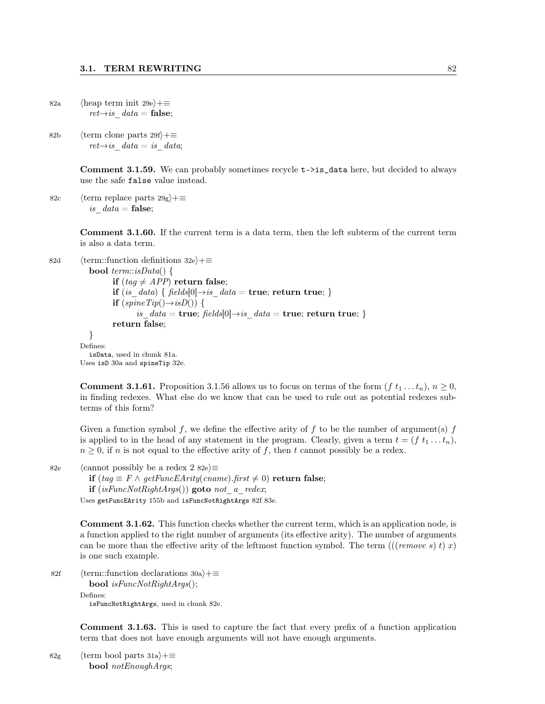- 82a (heap term init 29e)+≡  $ret{\rightarrow} is$  data = false;
- 82b (term clone parts 29f)+≡  $ret \rightarrow is \quad data = is \quad data;$

Comment 3.1.59. We can probably sometimes recycle t->is\_data here, but decided to always use the safe false value instead.

82c (term replace parts  $29g$ )+≡ is  $data = false;$ 

> Comment 3.1.60. If the current term is a data term, then the left subterm of the current term is also a data term.

```
82d (term::function definitions 32e)+≡
            bool term::isData() {
                   if (tag \neq APP) return false;
                   if (is data) { fields[0]\rightarrowis data = true; return true; }
                   if (spineTip() \rightarrow isD()) {
                           is data = \text{true}; \, fields[0] \rightarrow is \, data = \text{true}; \, \text{return true};return false;
            }
         Defines:
            isData, used in chunk 81a.
         Uses isD 30a and spineTip 32e.
```
**Comment 3.1.61.** Proposition 3.1.56 allows us to focus on terms of the form  $(f t_1 ... t_n)$ ,  $n \ge 0$ , in finding redexes. What else do we know that can be used to rule out as potential redexes subterms of this form?

Given a function symbol f, we define the effective arity of f to be the number of argument(s) f is applied to in the head of any statement in the program. Clearly, given a term  $t = (f t_1 ... t_n)$ ,  $n \geq 0$ , if n is not equal to the effective arity of f, then t cannot possibly be a redex.

82e (cannot possibly be a redex 2 82e $\rangle \equiv$ 

**if** (tag  $\equiv$  F ∧ getFuncEArity(cname).first  $\neq$  0) return false;

if  $(isFuncNotRightArgs())$  goto not a redex;

Uses getFuncEArity 155b and isFuncNotRightArgs 82f 83e.

Comment 3.1.62. This function checks whether the current term, which is an application node, is a function applied to the right number of arguments (its effective arity). The number of arguments can be more than the effective arity of the leftmost function symbol. The term  $(((remove s) t) x)$ is one such example.

```
82f (term::function declarations 30a)+≡
```
**bool** isFuncNotRightArgs();

Defines:

isFuncNotRightArgs, used in chunk 82e.

Comment 3.1.63. This is used to capture the fact that every prefix of a function application term that does not have enough arguments will not have enough arguments.

82g (term bool parts 31a)+≡ bool notEnoughArgs;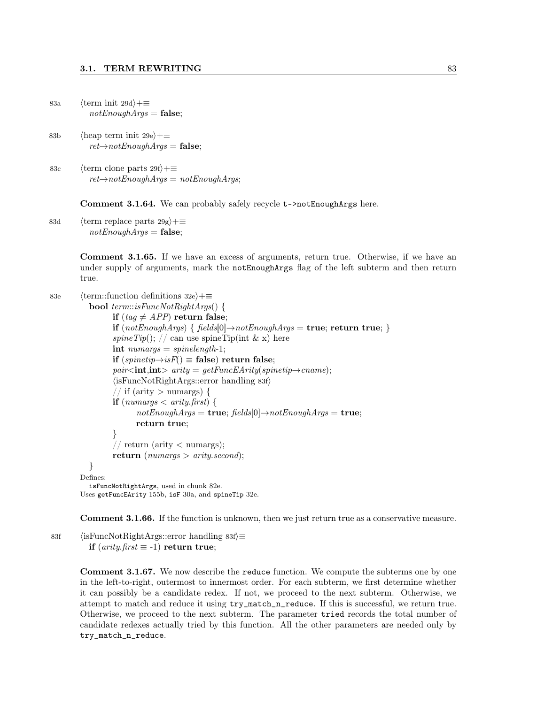```
83a (term init 29d)+≡
        notEnoughArgs = false;
```
- 83b  $\langle$ heap term init 29e $\rangle$ +≡  $ret\rightarrow notEnoughArgs = false;$
- 83c  $\langle \text{term clone parts } 29f \rangle + \equiv$  $ret\rightarrow notEnoughArgs = notEnoughArgs;$

Comment 3.1.64. We can probably safely recycle t->notEnoughArgs here.

83d (term replace parts  $29g$ )+≡  $notEnoughArgs = false;$ 

> Comment 3.1.65. If we have an excess of arguments, return true. Otherwise, if we have an under supply of arguments, mark the notEnoughArgs flag of the left subterm and then return true.

```
83e (term::function definitions 32e)+≡
           bool term::isFuncNotRightArgs() {
                  if (taq \neq APP) return false;
                  if (notEnoughArgs) \{ fields[0] \rightarrow notEnoughArgs = true; return true; \}spine Tip(); // can use spine Tip(int & x) here
                  \text{int} numargs = spinelength-1;
                  if (spinetip\rightarrow isF() ≡ false) return false;
                  pair\langle\text{int},\text{int}\rangle arity = getFuncEArity(spinetip\rightarrowcname);
                  \langleisFuncNotRightArgs::error handling 83f\rangle// if (arity > numargs) {
                  if (numargs \langle arity.first) {
                         notEnoughArgs = true; \, fields[0] \rightarrow notEnoughArgs = true;return true;
                  }
                  // return (arity \langle numargs);
                  return (numargs > arity.second);
           }
         Defines:
           isFuncNotRightArgs, used in chunk 82e.
         Uses getFuncEArity 155b, isF 30a, and spineTip 32e.
```
Comment 3.1.66. If the function is unknown, then we just return true as a conservative measure.

83f (isFuncNotRightArgs::error handling 83f) $\equiv$ if  $(\textit{arity}. \textit{first} \equiv -1)$  return true;

> Comment 3.1.67. We now describe the reduce function. We compute the subterms one by one in the left-to-right, outermost to innermost order. For each subterm, we first determine whether it can possibly be a candidate redex. If not, we proceed to the next subterm. Otherwise, we attempt to match and reduce it using try\_match\_n\_reduce. If this is successful, we return true. Otherwise, we proceed to the next subterm. The parameter tried records the total number of candidate redexes actually tried by this function. All the other parameters are needed only by try\_match\_n\_reduce.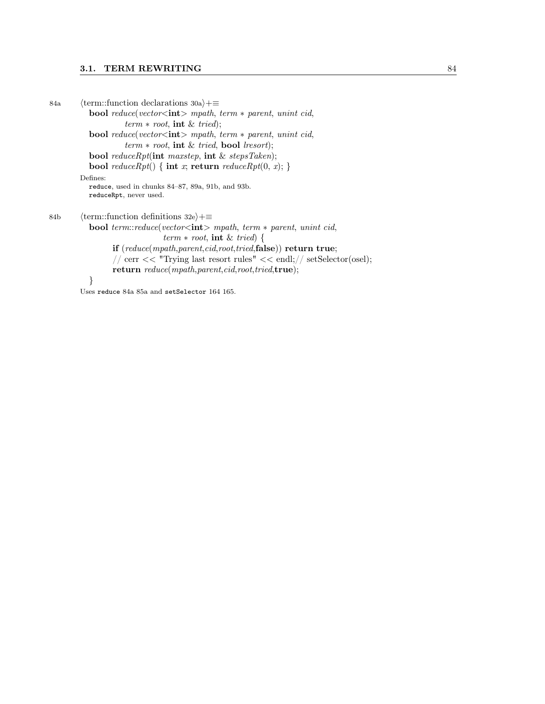### 3.1. TERM REWRITING 84

84a (term::function declarations 30a)+≡ **bool** reduce(vector<int> mpath, term  $*$  parent, unint cid,  $term * root$ , int & tried); **bool** reduce(vector<int> mpath, term  $*$  parent, unint cid,  $term * root$ , int & tried, bool lresort); bool reduceRpt(int maxstep, int & stepsTaken); bool reduceRpt() { int x; return reduceRpt(0, x); } Defines: reduce, used in chunks 84–87, 89a, 91b, and 93b. reduceRpt, never used. 84b (term::function definitions 32e)+≡ bool term::reduce(vector<int> mpath, term ∗ parent, unint cid,  $term * root$ , int & tried) { if (reduce(mpath,parent,cid,root,tried,false)) return true;  $\frac{1}{\sqrt{2}}$  cerr << "Trying last resort rules" << endl;  $\frac{1}{\sqrt{2}}$  set Selector(osel); return reduce(mpath,parent,cid,root,tried,true); } Uses reduce 84a 85a and setSelector 164 165.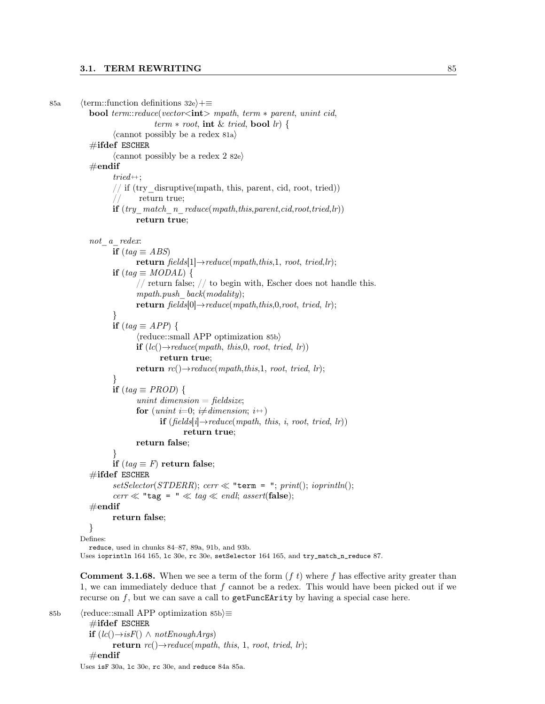```
85a (term::function definitions 32e)+≡
            bool term::reduce(vector<int> mpath, term ∗ parent, unint cid,
                                term * root, int & tried, bool lr) {
                   \langle cannot possibly be a redex 81a\rangle\#ifdef ESCHER
                   \langle cannot possibly be a redex 2 82e\rangle\#endif
                   tried++;// if (try_disruptive(mpath, this, parent, cid, root, tried))
                   // return true;
                   if (try</math> match <i>n</i> reduce(mpath, this, parent,cid, root, tried,lr))return true;
            not a redex:
                   if (tag \equiv ABS)return fields[1] \rightarrow reduce(mpath, this, 1, root, tried, lr);if (tag \equiv MODAL) {
                          // return false; // to begin with, Escher does not handle this.
                          mpath.push \; back(modality);return fields[0] \rightarrow reduce(mpath, this, 0, root, tried, lr);}
                   if (taq \equiv APP) {
                          \langlereduce::small APP optimization 85b\rangleif (lc) \rightarrow reduce(mpath, this, 0, root, tried, lr)return true;
                          return rc() \rightarrow reduce(mpath, this, 1, root, tried, lr);}
                   if (tag \equiv PROD) {
                          unint dimension = fieldsize;
                          for (unint i=0; i\neqdimension; i++)
                                 if (\text{fields}[i] \rightarrow \text{reduce}(\text{mpath}, \text{this}, i, \text{root}, \text{ tried}, \text{lr}))return true;
                          return false;
                   }
                   if (tag \equiv F) return false;
            \#ifdef ESCHER
                   setSelector(STDERR); cerr \ll "term = "; print(); ioprintn();cerr \ll "tag = " \ll tag \ll endl; assert(false);
            \#\textbf{endif}return false;
            }
         Defines:
```
reduce, used in chunks 84–87, 89a, 91b, and 93b. Uses ioprintln 164 165, lc 30e, rc 30e, setSelector 164 165, and try\_match\_n\_reduce 87.

**Comment 3.1.68.** When we see a term of the form  $(f t)$  where f has effective arity greater than 1, we can immediately deduce that  $f$  cannot be a redex. This would have been picked out if we recurse on  $f$ , but we can save a call to  $getFuncEntry$  by having a special case here.

85b  $\langle$  reduce::small APP optimization 85b $\rangle$  $\equiv$  $\#$ ifdef ESCHER **if**  $(lc() \rightarrow isF() \land notEnoughArgs)$ return  $rc() \rightarrow reduce(mpath, this, 1, root, tried, lr);$  $\#$ endif Uses isF 30a, lc 30e, rc 30e, and reduce 84a 85a.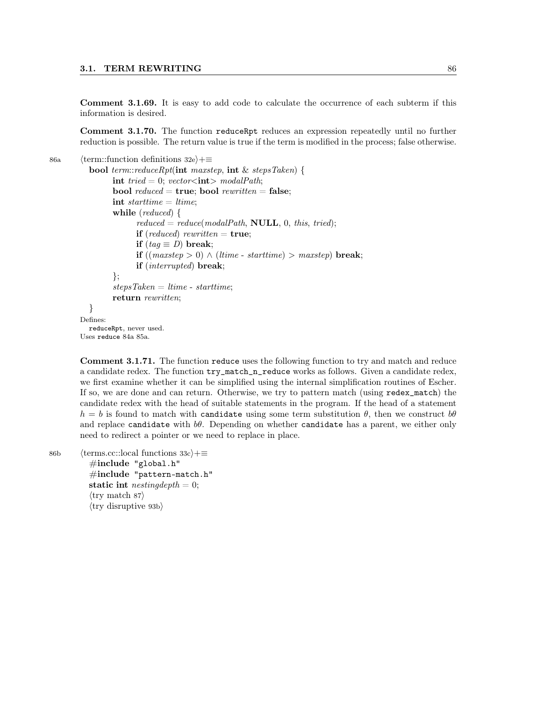Comment 3.1.69. It is easy to add code to calculate the occurrence of each subterm if this information is desired.

Comment 3.1.70. The function reduceRpt reduces an expression repeatedly until no further reduction is possible. The return value is true if the term is modified in the process; false otherwise.

86a (term::function definitions 32e)+≡

```
bool term::reduceRpt(int maxstep, int & stepsTaken) {
         int tried = 0; vector \langle \text{int} \rangle modalPath;
         bool reduced = true; bool rewritten = false;
         int starttime = ltime;
         while (reduced) {
                reduced = reduce(mod a \textit{Path}, \textbf{NULL}, 0, this, tried);if (reduced) rewritten = true;
               if (tag \equiv D) break;
               if ((maxstep > 0) ∧ (ltime - starttime) > maxstep) break;
               if (interrupted) break;
         };
         stepsTaken = <i>ltime - starting;</i>return rewritten;
  }
Defines:
  reduceRpt, never used.
```
Uses reduce 84a 85a.

Comment 3.1.71. The function reduce uses the following function to try and match and reduce a candidate redex. The function try\_match\_n\_reduce works as follows. Given a candidate redex, we first examine whether it can be simplified using the internal simplification routines of Escher. If so, we are done and can return. Otherwise, we try to pattern match (using redex\_match) the candidate redex with the head of suitable statements in the program. If the head of a statement  $h = b$  is found to match with candidate using some term substitution  $\theta$ , then we construct  $b\theta$ and replace candidate with  $b\theta$ . Depending on whether candidate has a parent, we either only need to redirect a pointer or we need to replace in place.

```
86b (terms.cc::local functions 33c)+≡
           #include "global.h"
           #include "pattern-match.h"
          static int nestingdepth = 0;
           \langletry match 87\rangle\langletry disruptive 93b\rangle
```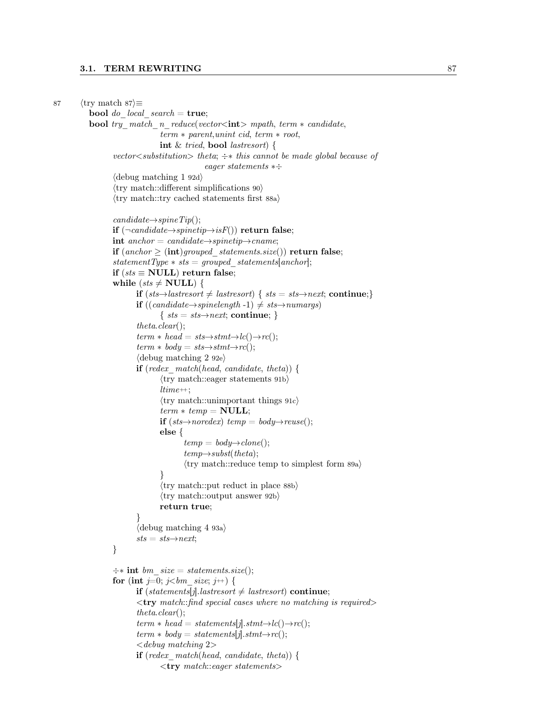```
87 \langle \text{try match } 87 \rangle \equivbool do local search = true;
           bool try match n reduce(vector<int> mpath, term * candidate,
                                  term ∗ parent,unint cid, term ∗ root,
                                  int & tried, bool lastresort) {
                   vector<substitution> theta; \div* this cannot be made global because of
                                                 eager statements ∗÷
                   \langle debug matching 1 92d\rangle\langletry match::different simplifications 90\rangle\langletry match::try cached statements first 88a\ranglecandidate \rightarrow spineTip();if (\neg \text{candidate} \rightarrow \text{spinetip} \rightarrow \text{isF}()) return false;
                   int anchor = candidate\rightarrowspinetip\rightarrowcname;
                   if (anchor \geq (int) grouped \; statements.size()) return false;
                   statementType * sts = grouped\_statements[anchor];if (sts \equiv \textbf{NULL}) return false;
                   while (sts \neq \textbf{NULL}) {
                          if (sts→lastresort \neq lastresort) { sts = sts→next; continue;}
                           if ((candidate \rightarrow spinelength -1) ≠ sts \rightarrow numargs)\{sts = sts \rightarrow next; continue; \}theta.clear();
                           term * head = sts \rightarrow stmt \rightarrow lc() \rightarrow rc();term * body = sts \rightarrow stmt \rightarrow rc();\langle debug matching 2 92e\rangleif (redex match(head, candidate, theta)) {
                                   \langletry match::eager statements 91b\rangleltime++;\langletry match::unimportant things 91c\rangleterm * temp = NULL;if (sts \rightarrow noredex) temp = body\rightarrow reuse;
                                  else {
                                          temp = body \rightarrow clone();temp \rightarrow subset(theta);\langletry match::reduce temp to simplest form 89a\rangle}
                                  \langletry match::put reduct in place 88b\rangle\langletry match::output answer 92b\ranglereturn true;
                           }
                           \langle debug matching 4 93a\ranglests = sts \rightarrow next;}
                   \div* int bm size = statements.size();
                   for (int j=0; j<br/> j is j +) {
                           if (statements[j].lastresort \neq lastresort) continue;
                           \langle \text{try } match:: \text{find } special \text{ cases where no matching is required} \rangletheta.clear();
                           term * head = statements[j].stmt \rightarrow lc() \rightarrow rc();term * body = statements[j].stmt \rightarrow rc();< debug matching 2>
                           if (redex match(head, candidate, theta)) {
                                   \langletry match::eager statements>
```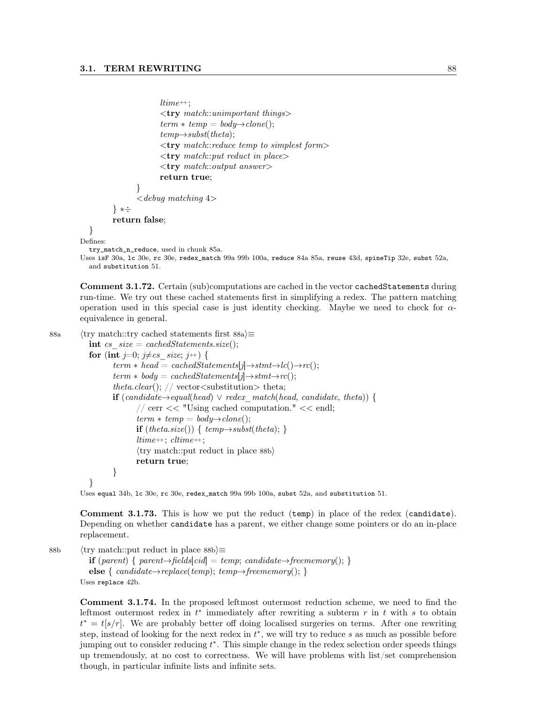```
ltime++;
                \langletry match::unimportant things>term * temp = body \rightarrow clone.
                temp \rightarrow subset(theta);\langle \text{try } match::reduce \ temp \ to \ simplest \ form \rangle\langle \text{try } match::put \text{ reduce} \rangle\langle \text{try } match::output \ answer \ranglereturn true;
        }
        \langle debug matching 4>} ∗÷
return false;
```

```
}
```
Defines:

try\_match\_n\_reduce, used in chunk 85a.

```
Uses isF 30a, lc 30e, rc 30e, redex_match 99a 99b 100a, reduce 84a 85a, reuse 43d, spineTip 32e, subst 52a,
  and substitution 51.
```
Comment 3.1.72. Certain (sub)computations are cached in the vector cachedStatements during run-time. We try out these cached statements first in simplifying a redex. The pattern matching operation used in this special case is just identity checking. Maybe we need to check for  $\alpha$ equivalence in general.

```
88a \langle \text{try match::try cached statements first } 88a \rangle \equivint cs size = cachedStatements.size();for (int j=0; j\neqcs size; j++) {
                    term * head = cachedStatements[j]\rightarrowstmt\rightarrowlc()\rightarrowrc();
                    term * body = cachedStatements[j] \rightarrow stmt \rightarrow rc();theta.clear(); // vector \leqsubstitution> theta;
                    if (candidate \rightarrow equal(head) \vee redex match(head, candidate, theta) {
                            \frac{1}{\sqrt{2}} cerr << "Using cached computation." << endl;
                            term * temp = body \rightarrow clone();if (theta.size()) { temp\rightarrowsubst(theta); }
                            ltime++; \textit{cltime++};\langletry match::put reduct in place 88b\ranglereturn true;
                    }
             }
```
Uses equal 34b, lc 30e, rc 30e, redex\_match 99a 99b 100a, subst 52a, and substitution 51.

Comment 3.1.73. This is how we put the reduct (temp) in place of the redex (candidate). Depending on whether candidate has a parent, we either change some pointers or do an in-place replacement.

88b  $\langle$ try match::put reduct in place 88b $\rangle$  $\equiv$ 

**if** (parent) { parent $\rightarrow$ fields[cid] = temp; candidate $\rightarrow$ freememory(); } else {  $candidate \rightarrow replace(temp); temp \rightarrow free memory();$ } Uses replace 42b.

Comment 3.1.74. In the proposed leftmost outermost reduction scheme, we need to find the leftmost outermost redex in  $t^*$  immediately after rewriting a subterm  $r$  in  $t$  with  $s$  to obtain  $t^* = t[s/r]$ . We are probably better off doing localised surgeries on terms. After one rewriting step, instead of looking for the next redex in  $t^*$ , we will try to reduce s as much as possible before jumping out to consider reducing  $t^*$ . This simple change in the redex selection order speeds things up tremendously, at no cost to correctness. We will have problems with list/set comprehension though, in particular infinite lists and infinite sets.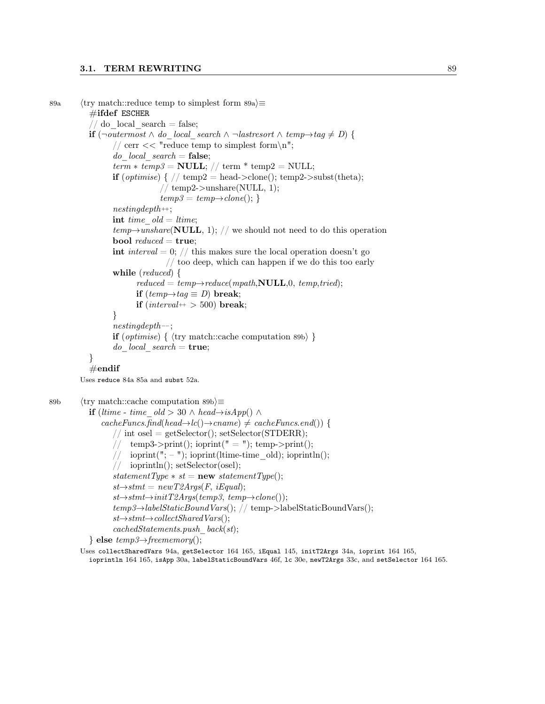### 3.1. TERM REWRITING 89

```
89a \langletry match::reduce temp to simplest form 89a\rangle \equiv\#ifdef ESCHER
            // do local search = false;
           if (\neg outermost \land do\ local\ search \land \neg last resort \land temp\rightarrow tag \neq D) {
                  // cerr << "reduce temp to simplest form\n";
                  do local\_search = false;term * temp3 = NULL; // term * temp2 = NULL;if (optimise) { // temp2 = head->clone(); temp2->subst(theta);
                                // temp2->unshare(NULL, 1);temp3 = temp \rightarrow clone();\mathit{nesting depth}\text{++};int time old = ltime;
                  temp{\rightarrow}unshare(NULL, 1); // we should not need to do this operation
                  bool reduced = true;
                  int interval = 0; // this makes sure the local operation doesn't go
                                  \frac{1}{10} too deep, which can happen if we do this too early
                  while (reduced) {
                         reduced = temp \rightarrow reduce(mpath, NULL, 0, temp, tried);if temp→tag \equiv D) break;
                         if (interval++) 500) break;
                  }
                  nestingdepth−−;
                  if (optimise) { \langle try match::cache computation 89b\rangle }
                  do local\_search = true;}
           \#endif
         Uses reduce 84a 85a and subst 52a.
89b \langletry match::cache computation 89b\rangle≡
           if (ltime - time old > 30 ∧ head→isApp() ∧
               cacheFuncs.find(head\rightarrow lc)) \rightarrow canme) \neq cacheFuncs.end() {
                  // int osel = getSelector(); setSelector(STDERR);
                  // temp3->print(); ioprint(" = "); temp->print();
                       \mathrm{ioprint}(\texttt{"}; - \texttt{"}); \mathrm{ioprint}(\mathrm{ltime-time\_old}); \mathrm{ioprint}(\texttt{l});// ioprintln(); setSelector(osel);
                  statementType * st = new statementType():st \rightarrow stmt = newT2Args(F, iEqual);st \rightarrow stmt \rightarrow initT2Args (temp3, temp\rightarrow clone());
                  temp3 \rightarrow labelStaticBoundVars(); // temp->labelStaticBoundVars();
```

```
st \rightarrow stmt \rightarrow collectSharedVars();
```

```
cachedStatements.push-back(st);
```

```
\} else temp3 \rightarrow free memory();
```
Uses collectSharedVars 94a, getSelector 164 165, iEqual 145, initT2Args 34a, ioprint 164 165,

ioprintln 164 165, isApp 30a, labelStaticBoundVars 46f, lc 30e, newT2Args 33c, and setSelector 164 165.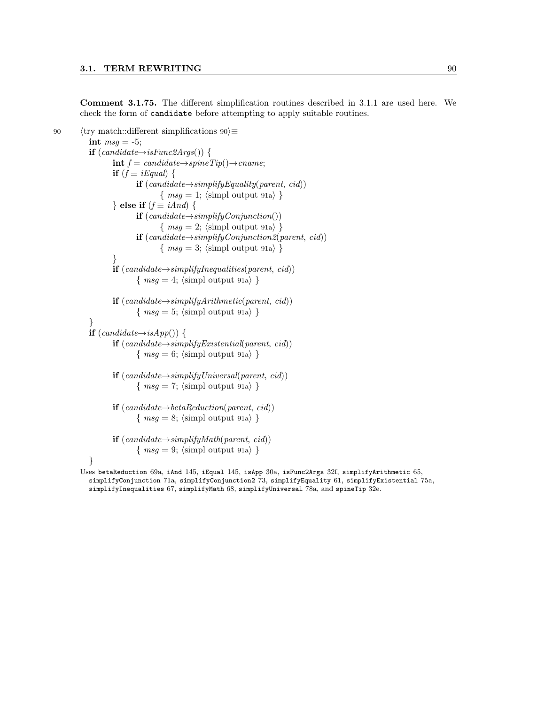Comment 3.1.75. The different simplification routines described in 3.1.1 are used here. We check the form of candidate before attempting to apply suitable routines.

```
90 \langletry match::different simplifications 90\rangle\equivint msg = -5;if (candidate\rightarrow isFunc2Args() {
                     int f = candidate \rightarrow spineTip() \rightarrow rename;if (f \equiv i \pounds \text{qual}) {
                              if (candidate \rightarrow simplifyEquality(parent, cid))\{ msg = 1; \langle \text{simp} \space output \space 91a \rangle \}} else if (f \equiv iAnd) {
                              if (candidate \rightarrow simplifyConjunction())\{ msg = 2; \langle \text{simpl output 91a} \rangle \}if (candidate → simplifyConjunction2(parent, cid))\{ msg = 3; \langle \text{simpl output 91a} \rangle \}}
                     if (candidate \rightarrow simplifyInequalities(parent, cid))\{ msg = 4; \langle \text{simp} \space output \space 91a \rangle \}if (candidate→simplifyArithmetic(parent, cid))\{ msg = 5; \langle \text{simpl output 91a} \rangle \}}
             if (candidate \rightarrow isApp()) {
                     if (candidate → simplifyExistential(parent, cid))\{ msg = 6; \langle simple output 91a \rangle \}if (candidate \rightarrow simplifyUniversal(parent, cid))\{ msg = 7; \langle \text{simpl output 91a} \rangle \}if (candidate \rightarrow betaReduction(parent, cid))\{ msg = 8; \langle \text{simpl output 91a} \rangle \}if (candiate \rightarrow simplifyMath(parent, cid))\{ msg = 9; \langle \text{simp} \space output \space 91a \rangle \}}
```
Uses betaReduction 69a, iAnd 145, iEqual 145, isApp 30a, isFunc2Args 32f, simplifyArithmetic 65, simplifyConjunction 71a, simplifyConjunction2 73, simplifyEquality 61, simplifyExistential 75a, simplifyInequalities 67, simplifyMath 68, simplifyUniversal 78a, and spineTip 32e.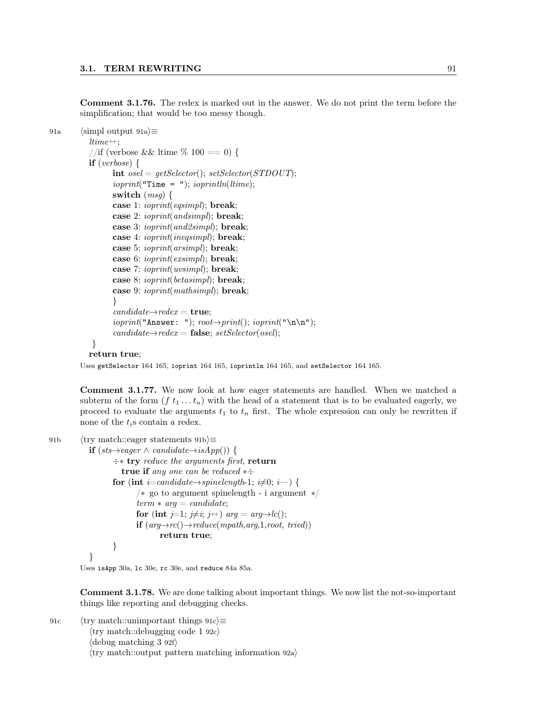Comment 3.1.76. The redex is marked out in the answer. We do not print the term before the simplification; that would be too messy though.

```
91a (simpl output 91a)\equivltime++;//if (verbose && ltime \% 100 == 0) {
          if (verpose)int osel = getSelect(); setSelector(STDOUT);ioprint("Time = "); ioprintIn(ltime);switch (msg) {
                 case 1: ioprint(eqsimpl); break;
                 case 2: ioprint(andsimpl); break;
                 case 3: ioprint(and2simpl); break;
                 case 4: ioprint(ineqsimpl); break;
                 case 5: ioprint(arsimpl); break;
                 case 6: ioprint(exsimpl); break;
                 case 7: ioprint(uvsimpl); break;
                 case 8: ioprint(betasimpl); break;
                 case 9: ioprint(mathsimpl); break;
                 }
                 candidate \rightarrow redex = \textbf{true};ioprint("Answer: "); root \rightarrow print(); ioprint("n\nu");candidate\rightarrowredex = false; setSelector(osel);
           }
```
### return true;

Uses getSelector 164 165, ioprint 164 165, ioprintln 164 165, and setSelector 164 165.

Comment 3.1.77. We now look at how eager statements are handled. When we matched a subterm of the form  $(f t_1 ... t_n)$  with the head of a statement that is to be evaluated eagerly, we proceed to evaluate the arguments  $t_1$  to  $t_n$  first. The whole expression can only be rewritten if none of the  $t_i$ s contain a redex.

```
91b \langletry match::eager statements 91b\rangle\equiv
```

```
if (sts\rightarrow eager \land candidate\rightarrow isApp()) {
       ÷∗ try reduce the arguments first, return
          true if any one can be reduced * \divfor (int i=candidate→spinelength-1; i\neq0; i-−) {
              /∗ go to argument spinelength - i argument ∗/
              term * arg = candidate;for (int j=1; j\neq i; j++) arg = arg\rightarrowlc();
              if (arg \rightarrow rc() \rightarrow reduce(mpath, arg, 1, root, tried))return true;
       }
}
```
Uses isApp 30a, lc 30e, rc 30e, and reduce 84a 85a.

Comment 3.1.78. We are done talking about important things. We now list the not-so-important things like reporting and debugging checks.

91c  $\langle$  try match::unimportant things 91c $\rangle$ ≡  $\langle$ try match::debugging code 1 92c $\rangle$  $\langle$  debug matching 3 92f $\rangle$  $\langle$ try match::output pattern matching information 92a $\rangle$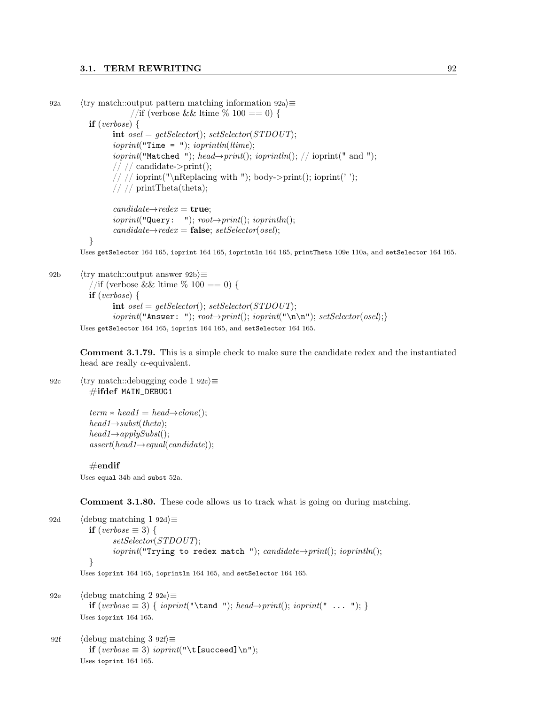```
92a \langle try match::output pattern matching information 92a\rangle\equiv//if (verbose && ltime \% 100 == 0) {
           if (verbose) {
                  int osel = getSelect(); setSelector(STDOUT);ioprint("Time = "); ioprintIn(ltime);ioprint("Matched "); head\rightarrowprint(); ioprintln(); // ioprint(" and ");
                  // // candidate>print();// // ioprint("\nReplacing with "); body->print(); ioprint('');
                  // // printTheta(theta);
                  candidate \rightarrow redex = \textbf{true};ioprint("Query: "); root \rightarrow print(); ioprint(n);candidate\rightarrowredex = false; setSelector(osel);
           }
        Uses getSelector 164 165, ioprint 164 165, ioprintln 164 165, printTheta 109e 110a, and setSelector 164 165.
```

```
92b \langletry match::output answer 92b\rangle\equiv//if (verbose && ltime \% 100 == 0) {
           if (verbose) \{int osel = getSelect(); setSelector(STDOUT);ioprint("Answer: "); root{\rightarrow}print(); ioprint("\n\n"); setSelector(osel);}
        Uses getSelector 164 165, ioprint 164 165, and setSelector 164 165.
```
Comment 3.1.79. This is a simple check to make sure the candidate redex and the instantiated head are really  $\alpha$ -equivalent.

92c  $\langle$  try match::debugging code 1 92c $\rangle$ ≡ #ifdef MAIN\_DEBUG1

> $term * head1 = head \rightarrow clone();$  $head1 \rightarrow subset(theta);$  $head1 \rightarrow applySubst()$ ;  $assert(head1 \rightarrow equal(candidate));$

#### $\#\mathrm{endif}$

Uses equal 34b and subst 52a.

Comment 3.1.80. These code allows us to track what is going on during matching.

92d (debug matching 1 92d) $\equiv$ if (verbose  $\equiv$  3) { setSelector(STDOUT);  $ioprint("Trying to redex match "); candidate \rightarrow print();$   $ioprint(n);$ } Uses ioprint 164 165, ioprintln 164 165, and setSelector 164 165.

92e  $\langle$  debug matching 2 92e $\rangle \equiv$ **if** (verbose  $\equiv$  3) { ioprint("\tand "); head→print(); ioprint(" ... "); } Uses ioprint 164 165.

```
92f \langle debug matching 3 92f\rangle\equivif (verbose \equiv 3) ioprint("\t[succeed]\n");
         Uses ioprint 164 165.
```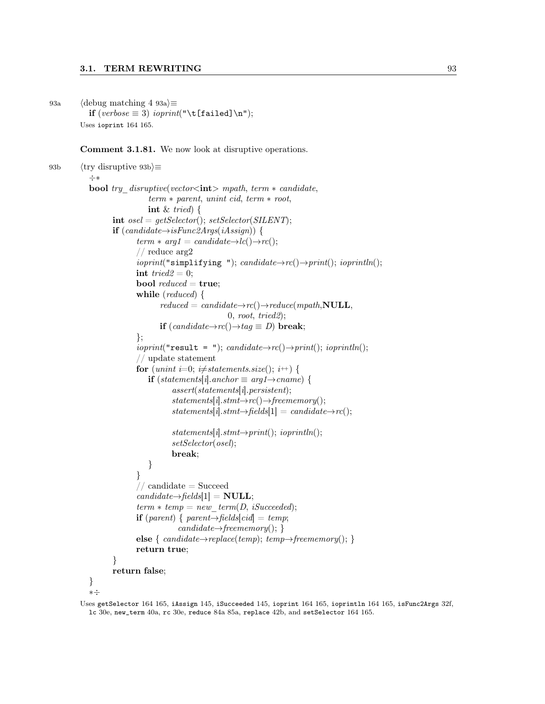## 3.1. TERM REWRITING 93

93a (debug matching 4 93a) $\equiv$ if  $(verbose \equiv 3)$  ioprint("\t[failed]\n"); Uses ioprint 164 165.

Comment 3.1.81. We now look at disruptive operations.

```
93b \langletry disruptive 93b\rangle≡
            ÷∗
            bool try disruptive(vector<int> mpath, term * candidate,
                               term ∗ parent, unint cid, term ∗ root,
                              int \& tried) {
                   int osel = getSelect(); setSelector(SILENT);if (candidate \rightarrow isFunc2Args(iAssign)) {
                           term * arg1 = candidate \rightarrow lc() \rightarrow rc;
                           // reduce arg2
                           ioprint("simplifying "); candidate \rightarrow rc() \rightarrow print(); ioprint(n);int tried2 = 0;
                           bool reduced = true;
                           while (reduced) {
                                  reduced = candidate \rightarrow rc() \rightarrow reduce(mpath, NULL,0, root, tried2);if (candidate \rightarrow rc() \rightarrow tag \equiv D) break;
                           };
                           ioprint("result = "); candidate \rightarrow rc() \rightarrow print(); ioprintn();// update statement
                           for (unint i=0; i\neqstatements.size(); i++) {
                              if (statements[i].anchor \equiv arg1 \rightarrow change) {
                                      assert(statements[i].{} persistent);statements[i].stmt\rightarrow rc() \rightarrow free memory();states[i].stmt \rightarrow fields[1] = candidate \rightarrow rc();statements[i].stmt \rightarrow print();ioprint[n();setSelector(osel);
                                      break;
                               }
                           }
                           // candidate = Succeed
                           candidate \rightarrow fields[1] = NULL;term * temp = new\_term(D, iSucceeded);if (parent) { parent→fields[cid] = temp;
                                        candidate \rightarrow free memory();else { candidate \rightarrow replace(temp); temp \rightarrow free memory(); }
                           return true;
                   }
                   return false;
            }
```
∗÷

Uses getSelector 164 165, iAssign 145, iSucceeded 145, ioprint 164 165, ioprintln 164 165, isFunc2Args 32f, lc 30e, new\_term 40a, rc 30e, reduce 84a 85a, replace 42b, and setSelector 164 165.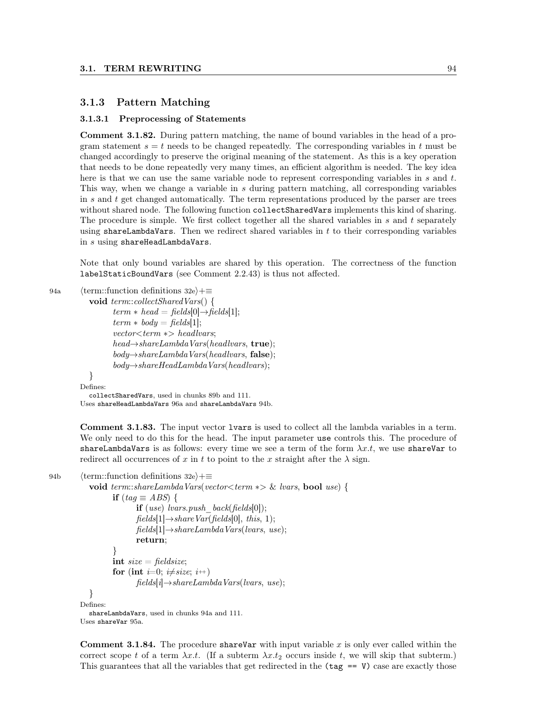### 3.1.3 Pattern Matching

#### 3.1.3.1 Preprocessing of Statements

Comment 3.1.82. During pattern matching, the name of bound variables in the head of a program statement  $s = t$  needs to be changed repeatedly. The corresponding variables in t must be changed accordingly to preserve the original meaning of the statement. As this is a key operation that needs to be done repeatedly very many times, an efficient algorithm is needed. The key idea here is that we can use the same variable node to represent corresponding variables in s and t. This way, when we change a variable in s during pattern matching, all corresponding variables in s and t get changed automatically. The term representations produced by the parser are trees without shared node. The following function collectSharedVars implements this kind of sharing. The procedure is simple. We first collect together all the shared variables in  $s$  and  $t$  separately using shareLambdaVars. Then we redirect shared variables in  $t$  to their corresponding variables in s using shareHeadLambdaVars.

Note that only bound variables are shared by this operation. The correctness of the function labelStaticBoundVars (see Comment 2.2.43) is thus not affected.

```
94a (term::function definitions 32e)+≡
```

```
void term::collectSharedVars() {
         term * head = fields[0] \rightarrow fields[1];term * body = fields[1];vector < term \gg headlvars;head \rightarrow shareLambda\nWars(headlyars, true);
         body \rightarrow shareLambda Wars(headvars, false);body \rightarrow shareHeadLambdaVars(headlvars);}
Defines:
  collectSharedVars, used in chunks 89b and 111.
```
Uses shareHeadLambdaVars 96a and shareLambdaVars 94b.

Comment 3.1.83. The input vector lvars is used to collect all the lambda variables in a term. We only need to do this for the head. The input parameter use controls this. The procedure of shareLambdaVars is as follows: every time we see a term of the form  $\lambda x.t$ , we use shareVar to redirect all occurrences of x in t to point to the x straight after the  $\lambda$  sign.

```
94b \langle term::function definitions 32e\rangle+\equivvoid term::shareLambdaVars(vector<term ∗> & lvars, bool use) {
                   if (tag \equiv ABS) {
                          if (use) lvars.push back(fields[0]);
                          fields[1] \rightarrow shareVar fields[0], this, 1);fields[1] \rightarrow shareLambdaVarsl \, vars(lvars, use);return;
                   }
                   int size = fieldsize;for (int i=0; i\neqsize; i++)
                          fields[i] \rightarrow shareLambdaVars(lvars, use);}
         Defines:
            shareLambdaVars, used in chunks 94a and 111.
         Uses shareVar 95a.
```
**Comment 3.1.84.** The procedure share Var with input variable x is only ever called within the correct scope t of a term  $\lambda x.t.$  (If a subterm  $\lambda x.t_2$  occurs inside t, we will skip that subterm.) This guarantees that all the variables that get redirected in the  $(\text{tag} == V)$  case are exactly those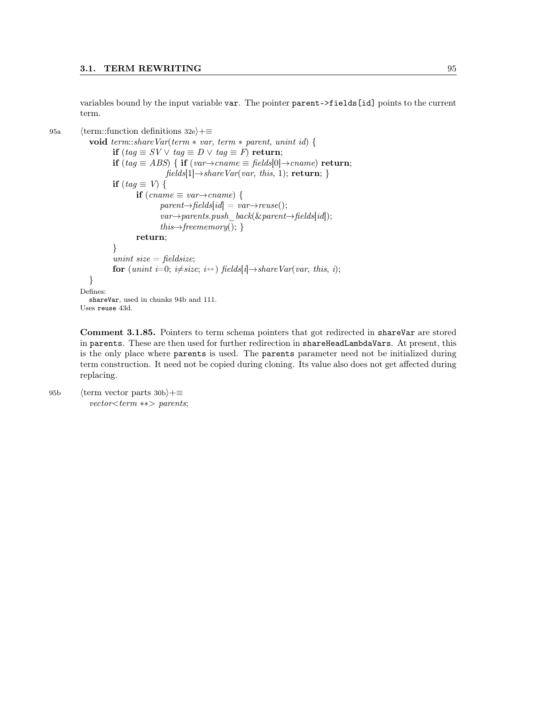variables bound by the input variable var. The pointer parent->fields[id] points to the current term.

95a (term::function definitions 32e $\rangle+\equiv$ 

```
void term::shareVar(term ∗ var, term ∗ parent, unint id) {
          if (taq \equiv SV \vee taq \equiv D \vee taq \equiv F) return;
          if (tag \equiv ABS) { if (var→cname \equiv fields[0]→cname) return;
                           fields[1] \rightarrow shareVar(var, this, 1); return; }
          if (tag \equiv V) {
                 if (cname \equiv var \rightarrow cname) {
                         parent \rightarrow fields [id] = var \rightarrow reuse();var \rightarrow parents. push-back(&xparent \rightarrow fields_id);this→freememory(); }
                 return;
          }
          unint size = fieldsize;
          for (unint i=0; i\neqsize; i++) fields[i]→shareVar(var, this, i);
  }
Defines:
  shareVar, used in chunks 94b and 111.
Uses reuse 43d.
```
Comment 3.1.85. Pointers to term schema pointers that got redirected in shareVar are stored in parents. These are then used for further redirection in shareHeadLambdaVars. At present, this is the only place where parents is used. The parents parameter need not be initialized during term construction. It need not be copied during cloning. Its value also does not get affected during replacing.

95b (term vector parts 30b) $+\equiv$ vector<term ∗∗> parents;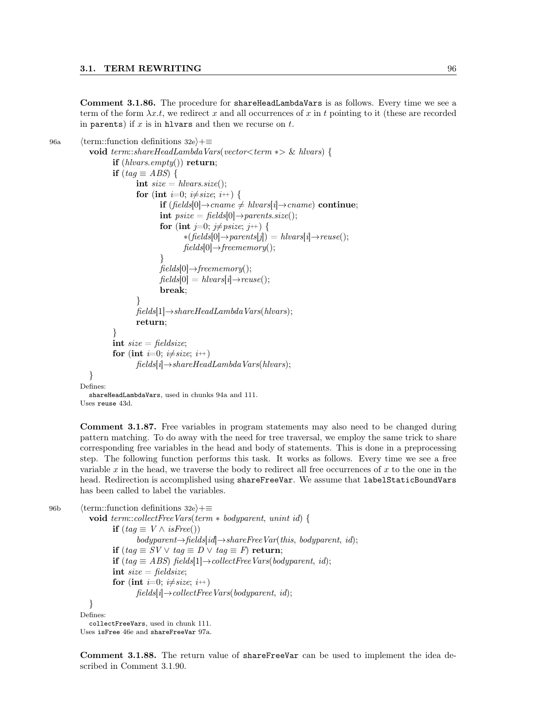Comment 3.1.86. The procedure for shareHeadLambdaVars is as follows. Every time we see a term of the form  $\lambda x.t$ , we redirect x and all occurrences of x in t pointing to it (these are recorded in parents) if  $x$  is in hlvars and then we recurse on  $t$ .

```
96a (term::function definitions 32e)+≡
             void term::shareHeadLambdaVars(vector<term ∗> & hlvars) {
                     if (hlvars.empty()) return;
                     if (taq \equiv ABS) {
                             int size = \textit{hlvars}.\textit{size}.
                             for (int i=0; i\neqsize; i<sup>++</sup>) {
                                     if (fields[0]→cname \neq hlvars[i]→cname) continue;
                                     int psize = fields[0] \rightarrow parents.size();for (int j=0; j\neqpsize; j++) {
                                             *(\text{fields}[0] \rightarrow \text{parents}[j]) = \text{hlyars}[i] \rightarrow \text{reuse}();fields[0] \rightarrow free memory();}
                                     fields[0] \rightarrow free memory();fields[0] = \text{hlyars}[i] \rightarrow \text{reuse}(;
                                     break;
                             }
                             fields[1] \rightarrow shareHeadLambdaVars(hlvars);return;
                     }
                     int size = fieldsize;for (int i=0; i\neqsize; i<sup>++</sup>)
                             fields[i] \rightarrow shareHeadLambdaVars(hlvars);}
          Defines:
             shareHeadLambdaVars, used in chunks 94a and 111.
```
Uses reuse 43d.

Comment 3.1.87. Free variables in program statements may also need to be changed during pattern matching. To do away with the need for tree traversal, we employ the same trick to share corresponding free variables in the head and body of statements. This is done in a preprocessing step. The following function performs this task. It works as follows. Every time we see a free variable x in the head, we traverse the body to redirect all free occurrences of x to the one in the head. Redirection is accomplished using shareFreeVar. We assume that labelStaticBoundVars has been called to label the variables.

96b (term::function definitions 32e)+≡

void term::collectFreeVars(term ∗ bodyparent, unint id) { if  $(taq \equiv V \wedge isFree))$  $body parent \rightarrow fields [id] \rightarrow shareFreeVar(this, bodyparent, id);$ if  $(tag \equiv SV \vee tag \equiv D \vee tag \equiv F)$  return; **if** (tag  $\equiv$  ABS) fields[1]→collectFreeVars(bodyparent, id); int  $size = fieldsize;$ for (int *i*=0; *i* $\neq$ *size*; *i*++)  $fields[i] \rightarrow collectFreeVars(bodyparent, id);$ } Defines: collectFreeVars, used in chunk 111. Uses isFree 46e and shareFreeVar 97a.

Comment 3.1.88. The return value of shareFreeVar can be used to implement the idea described in Comment 3.1.90.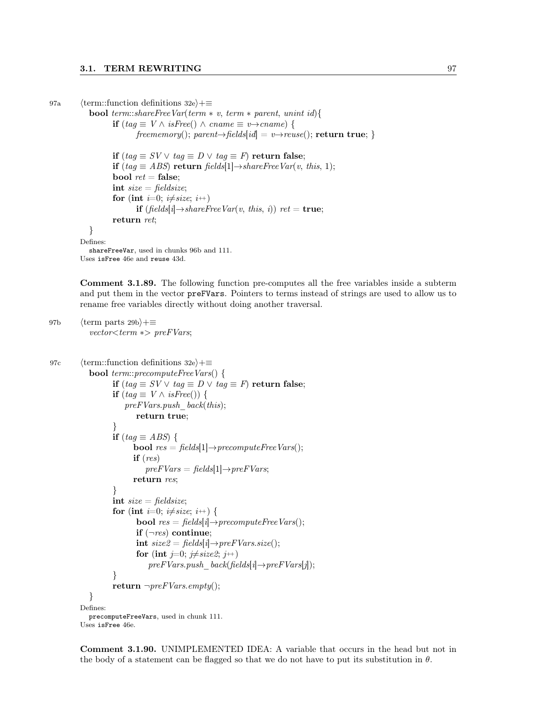```
97a (term::function definitions 32e)+≡
```

```
bool term::shareFreeVar(term * v, term * parent, unint id){
       if (tag \equiv V \land isFree() \land cname \equiv v→cname) {
              freememory(); parent \rightarrow fields[id] = v \rightarrow reuse(); return true; }
```

```
if (tag \equiv SV ∨ tag ≡ D ∨ tag ≡ F) return false;
         if (tag \equiv ABS) return fields[1]\rightarrowshareFreeVar(v, this, 1);
         bool ret = false;int size = fieldsize;for (int i=0; i\neqsize; i<sup>++</sup>)
                 if (fields[i] \rightarrow shareFreeVar(v, this, i)) ret = true;
         return ret;
  }
Defines:
  shareFreeVar, used in chunks 96b and 111.
Uses isFree 46e and reuse 43d.
```
Comment 3.1.89. The following function pre-computes all the free variables inside a subterm and put them in the vector preFVars. Pointers to terms instead of strings are used to allow us to rename free variables directly without doing another traversal.

```
97b \langle \text{term parts } 29b \rangle + \equivvector<term ∗> preFVars;
```

```
97c (term::function definitions 32e)+≡
            bool term::precomputeFreeVars() {
                    if (tag \equiv SV \vee tag \equiv D \vee tag \equiv F) return false;
                    if (tag \equiv V \wedge isFree()) {
                        preFVars.push \ back(this);return true;
                    }
                    if (tag \equiv ABS) {
                          bool res = fields[1] \rightarrow precomputeFreeVars;
                          if (res)\text{preFVars} = \text{fields}[1] \rightarrow \text{preFVars};return res;
                    }
                    int size = fieldsize;for (int i=0; i\neqsize; i<sup>++</sup>) {
                           bool res = fields[i] \rightarrow precomputeFreeVars();if (\neg \text{res}) continue;
                           int size2 = fields[i] \rightarrow preFVars.size();for (int j=0; j\neq size2; j+1)
                               \text{preFVars}.push_back(fields[i] \rightarrow preFVars[j]);
                    }
                    return \neg preFVars. empty();}
          Defines:
            precomputeFreeVars, used in chunk 111.
          Uses isFree 46e.
```
Comment 3.1.90. UNIMPLEMENTED IDEA: A variable that occurs in the head but not in the body of a statement can be flagged so that we do not have to put its substitution in  $\theta$ .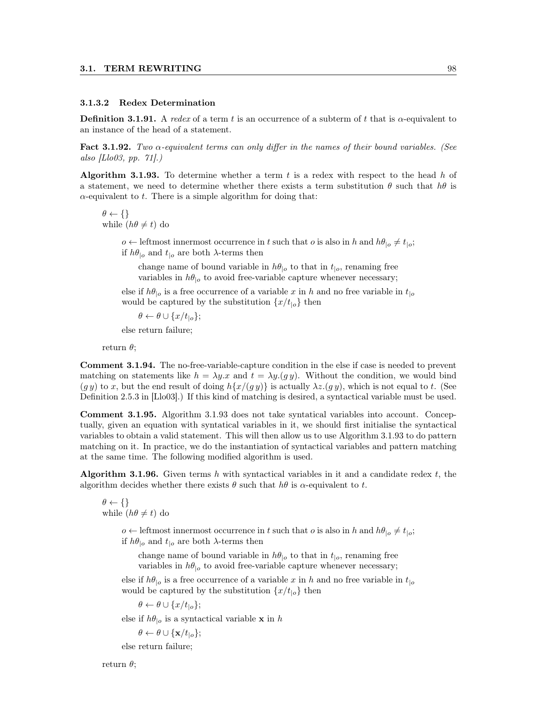#### 3.1.3.2 Redex Determination

**Definition 3.1.91.** A redex of a term t is an occurrence of a subterm of t that is  $\alpha$ -equivalent to an instance of the head of a statement.

Fact 3.1.92. Two  $\alpha$ -equivalent terms can only differ in the names of their bound variables. (See also [Llo03, pp. 71].)

Algorithm 3.1.93. To determine whether a term  $t$  is a redex with respect to the head  $h$  of a statement, we need to determine whether there exists a term substitution  $\theta$  such that  $h\theta$  is  $\alpha$ -equivalent to t. There is a simple algorithm for doing that:

 $\theta \leftarrow \{\}$ while  $(h\theta \neq t)$  do

> $o \leftarrow$  leftmost innermost occurrence in t such that o is also in h and  $h\theta_{|o} \neq t_{|o}$ ; if  $h\theta_{|o}$  and  $t_{|o}$  are both  $\lambda$ -terms then

change name of bound variable in  $h\theta_{|o}$  to that in  $t_{|o}$ , renaming free variables in  $h\theta_{|o}$  to avoid free-variable capture whenever necessary;

else if  $h\theta_{|o}$  is a free occurrence of a variable x in h and no free variable in  $t_{|o}$ would be captured by the substitution  $\{x/t_{\parallel o}\}\$ then

 $\theta \leftarrow \theta \cup \{x/t_{\text{lo}}\};$ 

else return failure;

return  $\theta$ :

Comment 3.1.94. The no-free-variable-capture condition in the else if case is needed to prevent matching on statements like  $h = \lambda y \cdot x$  and  $t = \lambda y \cdot (gy)$ . Without the condition, we would bind  $(g y)$  to x, but the end result of doing  $h\{x/(gy)\}\$ is actually  $\lambda z.(gy)$ , which is not equal to t. (See Definition 2.5.3 in [Llo03].) If this kind of matching is desired, a syntactical variable must be used.

Comment 3.1.95. Algorithm 3.1.93 does not take syntatical variables into account. Conceptually, given an equation with syntatical variables in it, we should first initialise the syntactical variables to obtain a valid statement. This will then allow us to use Algorithm 3.1.93 to do pattern matching on it. In practice, we do the instantiation of syntactical variables and pattern matching at the same time. The following modified algorithm is used.

Algorithm 3.1.96. Given terms h with syntactical variables in it and a candidate redex  $t$ , the algorithm decides whether there exists  $\theta$  such that  $h\theta$  is  $\alpha$ -equivalent to t.

 $\theta \leftarrow \{\}$ while  $(h\theta \neq t)$  do

> $o \leftarrow$  leftmost innermost occurrence in t such that o is also in h and  $h\theta_{|o} \neq t_{|o}$ ; if  $h\theta_{|o}$  and  $t_{|o}$  are both  $\lambda$ -terms then

change name of bound variable in  $h\theta_{|o}$  to that in  $t_{|o}$ , renaming free variables in  $h\theta_{|o}$  to avoid free-variable capture whenever necessary;

else if  $h\theta_{|o}$  is a free occurrence of a variable x in h and no free variable in  $t_{|o}$ would be captured by the substitution  $\{x/t_{|o}\}\)$  then

 $\theta \leftarrow \theta \cup \{x/t_{|o}\};$ 

else if  $h\theta_{|o}$  is a syntactical variable **x** in h

$$
\theta \leftarrow \theta \cup \{\mathbf{x}/t_{|o}\};
$$

else return failure;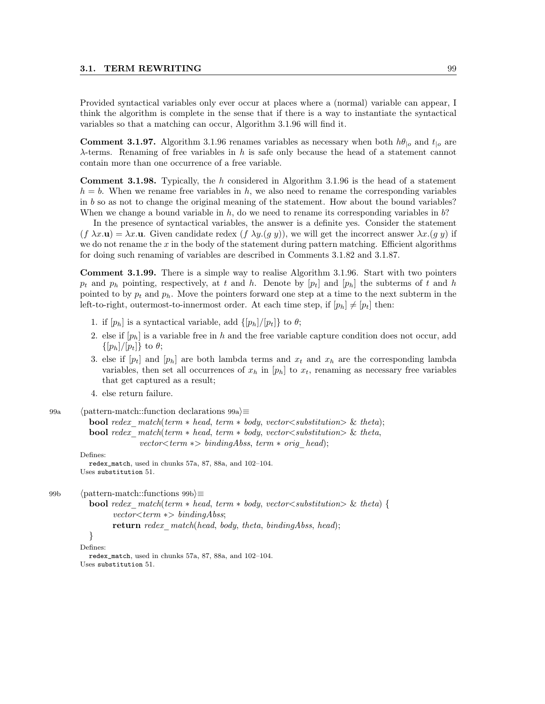Provided syntactical variables only ever occur at places where a (normal) variable can appear, I think the algorithm is complete in the sense that if there is a way to instantiate the syntactical variables so that a matching can occur, Algorithm 3.1.96 will find it.

**Comment 3.1.97.** Algorithm 3.1.96 renames variables as necessary when both  $h\theta_{|o}$  and  $t_{|o}$  are  $\lambda$ -terms. Renaming of free variables in h is safe only because the head of a statement cannot contain more than one occurrence of a free variable.

Comment 3.1.98. Typically, the h considered in Algorithm 3.1.96 is the head of a statement  $h = b$ . When we rename free variables in h, we also need to rename the corresponding variables in  $b$  so as not to change the original meaning of the statement. How about the bound variables? When we change a bound variable in  $h$ , do we need to rename its corresponding variables in  $b$ ?

In the presence of syntactical variables, the answer is a definite yes. Consider the statement  $(f \lambda x.\mathbf{u}) = \lambda x.\mathbf{u}$ . Given candidate redex  $(f \lambda y.(g y))$ , we will get the incorrect answer  $\lambda x.(g y)$  if we do not rename the  $x$  in the body of the statement during pattern matching. Efficient algorithms for doing such renaming of variables are described in Comments 3.1.82 and 3.1.87.

Comment 3.1.99. There is a simple way to realise Algorithm 3.1.96. Start with two pointers  $p_t$  and  $p_h$  pointing, respectively, at t and h. Denote by  $[p_t]$  and  $[p_h]$  the subterms of t and h pointed to by  $p_t$  and  $p_h$ . Move the pointers forward one step at a time to the next subterm in the left-to-right, outermost-to-innermost order. At each time step, if  $[p_h] \neq [p_t]$  then:

- 1. if  $[p_h]$  is a syntactical variable, add  $\{[p_h]/[p_t]\}$  to  $\theta$ ;
- 2. else if  $[p_h]$  is a variable free in h and the free variable capture condition does not occur, add  $\{[p_h]/[p_t]\}\)$  to  $\theta$ ;
- 3. else if  $[p_t]$  and  $[p_h]$  are both lambda terms and  $x_t$  and  $x_h$  are the corresponding lambda variables, then set all occurrences of  $x_h$  in  $[p_h]$  to  $x_t$ , renaming as necessary free variables that get captured as a result;
- 4. else return failure.

```
99a (pattern-match::function declarations 99a)\equiv
```

```
bool redex match(term * head, term * body, vector\ltsubstitution\gt \& theta);
bool redex match(term * head, term * body, vector \lt substitution \gt \& theta,
             vector < term \gg bindingAbs, term * orig head);
```
Defines:

```
redex_match, used in chunks 57a, 87, 88a, and 102–104.
Uses substitution 51.
```

```
99b (pattern-match::functions 99b\rangle≡
```

```
bool redex match(term * head, term * body, vector <sub>substitution</sub>) \& theta)vector < term \gg bindingAbs;
```
return redex match(head, body, theta, bindingAbss, head);

```
}
```

```
Defines:
```

```
redex_match, used in chunks 57a, 87, 88a, and 102–104.
Uses substitution 51.
```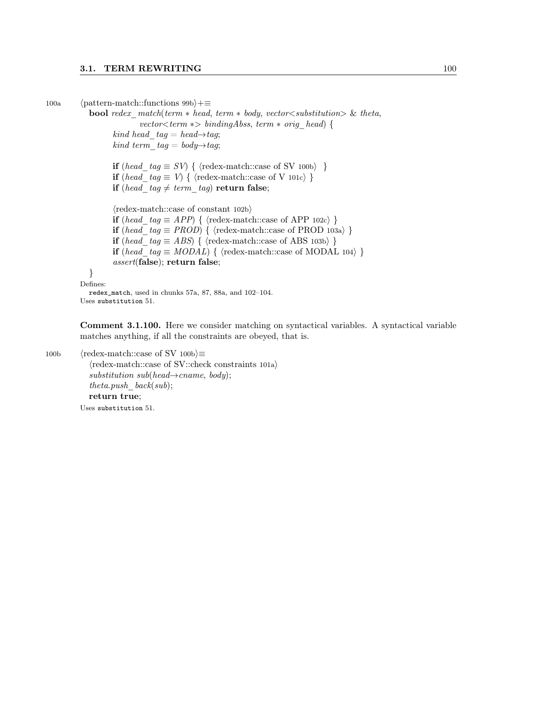100a (pattern-match::functions 99b $\rangle+\equiv$ 

**bool** redex  $match(term * head, term * body, vector <sub>substitution</sub>)$  & theta,

```
vector \textless term } \text{*} > bindingAbs, term * orig head) {
```
kind head  $tag = head \rightarrow tag;$ kind term  $tag = body \rightarrow tag;$ 

if (head\_tag  $\equiv SV$ ) { \tredex-match::case of SV 100b\rdot }

if (head tag  $\equiv V$ ) { \tredex-match::case of V 101c\ }

if (head\_tag  $\neq$  term\_tag) return false;

 $\langle$ redex-match::case of constant 102b $\rangle$ 

**if** (head tag ≡ APP) {  $\langle$  redex-match::case of APP 102c $\rangle$  }

if (head  $tag \equiv PROD$ ) { \tredex-match::case of PROD 103a) }

**if** (head tag ≡ ABS) { \tedex-match::case of ABS 103b} }

if (head\_tag ≡ MODAL) { \tredex-match::case of MODAL 104\} }

assert(false); return false;

```
}
```
Defines:

redex\_match, used in chunks 57a, 87, 88a, and 102–104. Uses substitution 51.

Comment 3.1.100. Here we consider matching on syntactical variables. A syntactical variable matches anything, if all the constraints are obeyed, that is.

```
100b \langle redex-match::case of SV 100b\rangle \equiv\langleredex-match::case of SV::check constraints 101a\ranglesubstitution \; sub(head \rightarrow{} canme, \; body);theta.push\_back(sub);return true;
           Uses substitution 51.
```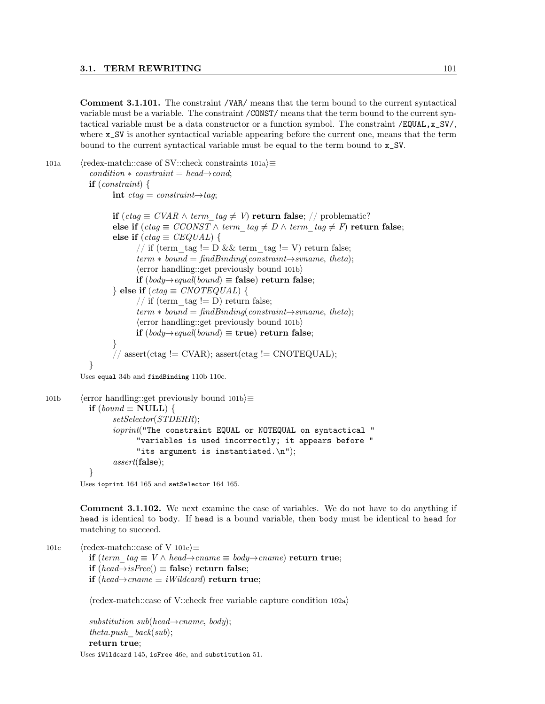Comment 3.1.101. The constraint /VAR/ means that the term bound to the current syntactical variable must be a variable. The constraint /CONST/ means that the term bound to the current syntactical variable must be a data constructor or a function symbol. The constraint  $/$ EQUAL, $x$ <sub>-</sub>SV $/$ , where x\_SV is another syntactical variable appearing before the current one, means that the term bound to the current syntactical variable must be equal to the term bound to x\_SV.

101a (redex-match::case of SV::check constraints  $101a$ ) $\equiv$  $condition * constraint = head \rightarrow cond;$  $if (constraint)$  { int  $ctag = constraint \rightarrow tag;$ if (ctag  $\equiv$  CVAR ∧ term tag  $\neq$  V) return false; // problematic? else if  $(ctag \equiv CCONST \wedge term \tag{the} tag \neq D \wedge term \tag{the} tag \neq F$  return false; else if  $(ctag \equiv CEQUAL)$  { // if (term tag != D && term tag != V) return false;  $term * bound = find Binding(constraint \rightarrow svname, theta);$  $\langle$ error handling::get previously bound 101b $\rangle$ if (body→equal(bound)  $\equiv$  false) return false; } else if  $(ctaq \equiv CNOTEQUAL)$  { // if (term  $tag != D)$  return false;  $term * bound = find Binding(constraint \rightarrow svname, theta);$  $\langle$ error handling::get previously bound 101b $\rangle$ if  $(body\rightarrow equal(bound)$  ≡ true) return false; } // assert(ctag != CVAR); assert(ctag != CNOTEQUAL); } Uses equal 34b and findBinding 110b 110c. 101b (error handling::get previously bound 101b) $\equiv$ if  $(bound \equiv NULL)$  { setSelector(STDERR);

```
ioprint("The constraint EQUAL or NOTEQUAL on syntactical "
              "variables is used incorrectly; it appears before "
             "its argument is instantiated.\n \n \begin{bmatrix}\n n' \\
 n''\n \end{bmatrix};
      assert(false);
}
```
Uses ioprint 164 165 and setSelector 164 165.

Comment 3.1.102. We next examine the case of variables. We do not have to do anything if head is identical to body. If head is a bound variable, then body must be identical to head for matching to succeed.

101c  $\langle$  redex-match::case of V 101c $\rangle \equiv$ 

if (term tag  $\equiv$  V ∧ head→cname  $\equiv$  body→cname) return true;

if (head→isFree()  $\equiv$  false) return false;

**if** (head→cname  $\equiv$  *iWildcard*) return true;

 $\langle$ redex-match::case of V::check free variable capture condition 102a $\rangle$ 

 $substitution \, sub(head \rightarrow{} canme, \, body);$ theta.push  $back(sub)$ ; return true;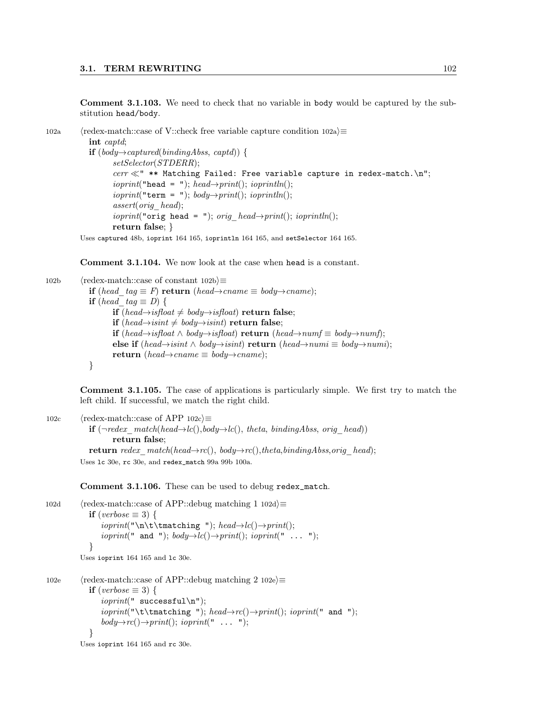Comment 3.1.103. We need to check that no variable in body would be captured by the substitution head/body.

```
102a hredex-match::case of V::check free variable capture condition 102aint captd;
           if (body→captured(bindingAbss, captd)) {
                 setSelector(STDERR);
                 cerr \ll" ** Matching Failed: Free variable capture in redex-match.\n";
                 ioprint("head = "); head \rightarrow print(); ioprint(n);ioprint("term = "); body \rightarrow print(); ioprint(n);assert(orig_head);
                 ioprint("orig head = "); orig head\rightarrowprint(); ioprintln();
                 return false; }
         Uses captured 48b, ioprint 164 165, ioprintln 164 165, and setSelector 164 165.
```
Comment 3.1.104. We now look at the case when head is a constant.

102b  $\langle$  redex-match::case of constant 102b $\rangle$ ≡ if (head  $tag ≡ F$ ) return (head→cname  $\equiv$  body→cname); if (head tag  $\equiv D$ ) { if (head→isfloat  $\neq$  body→isfloat) return false; if (head→isint  $\neq$  body→isint) return false; **if** (head→isfloat  $\land$  body→isfloat) **return** (head→numf  $\equiv$  body→numf); else if (head→isint  $\land$  body→isint) return (head→numi  $\equiv$  body→numi); return (head $\rightarrow$ cname  $\equiv$  body $\rightarrow$ cname); }

Comment 3.1.105. The case of applications is particularly simple. We first try to match the left child. If successful, we match the right child.

102c  $\langle$  redex-match::case of APP 102c $\rangle \equiv$ **if**  $(\neg redex match(head \rightarrow lc(), body \rightarrow lc(), theta, bindingAbs, orighead)$ return false; return redex match(head→rc(), body→rc(),theta,bindingAbss,orig\_head); Uses lc 30e, rc 30e, and redex\_match 99a 99b 100a.

Comment 3.1.106. These can be used to debug redex\_match.

```
102d (redex-match::case of APP::debug matching 1 102d)≡
             if (verbose \equiv 3) {
                ioprint("\\n\tt\thatching "); head \rightarrow lc() \rightarrow print();ioprint(" and "); body \rightarrow lc() \rightarrow print(; ioprint(" ... ");
             }
          Uses ioprint 164 165 and lc 30e.
102e \langleredex-match::case of APP::debug matching 2 102e\rangle \equiv
```

```
if (verbose \equiv 3) {
      \text{is} ioprint(" successful\n");
       ioprint("\\t\tnatching "); head \rightarrow rc() \rightarrow print(); ioprint(" and ");
      body \rightarrow rc() \rightarrow print(); ioprint(" ... ");
  }
Uses ioprint 164 165 and rc 30e.
```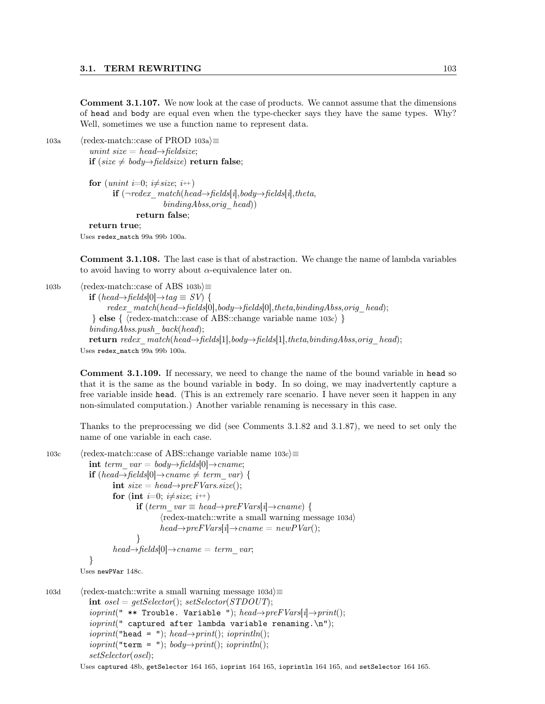Comment 3.1.107. We now look at the case of products. We cannot assume that the dimensions of head and body are equal even when the type-checker says they have the same types. Why? Well, sometimes we use a function name to represent data.

103a (redex-match::case of PROD 103a) $\equiv$ unint size = head $\rightarrow$ fieldsize;

if (size  $≠$  body→fieldsize) return false;

```
for (unint i=0; i\neq size; i+)
      if (¬redex match(head→fields[i], body→fields[i],theta[i],theta,bindingAbss,orig head))
             return false;
return true;
```
Uses redex\_match 99a 99b 100a.

Comment 3.1.108. The last case is that of abstraction. We change the name of lambda variables to avoid having to worry about  $\alpha$ -equivalence later on.

103b  $\langle$  redex-match::case of ABS 103b $\rangle \equiv$ 

**if** (head→fields[0]→tag  $\equiv$  SV) {  $redex$   $match(head \rightarrow fields[0], body \rightarrow fields[0], theta, bindingAbss, orig$   $head);$ } else {  $\langle$  redex-match::case of ABS::change variable name 103c $\rangle$  }  $bindingAbss.push$  back(head); return redex  $match(head\rightarrow fields[1], body\rightarrow fields[1],theta, bindingAbs, orig\ head);$ Uses redex\_match 99a 99b 100a.

Comment 3.1.109. If necessary, we need to change the name of the bound variable in head so that it is the same as the bound variable in body. In so doing, we may inadvertently capture a free variable inside head. (This is an extremely rare scenario. I have never seen it happen in any non-simulated computation.) Another variable renaming is necessary in this case.

Thanks to the preprocessing we did (see Comments 3.1.82 and 3.1.87), we need to set only the name of one variable in each case.

```
103c \langle redex-match::case of ABS::change variable name 103c\rangle \equivint term var = body \rightarrow fields[0] \rightarrow caneng;
             if (head→fields[0]→cname \neq term var) {
                    \text{int } size = head \rightarrow preFVars.size();for (int i=0; i\neqsize; i<sup>++</sup>)
                            if (term var \equiv head→preFVars[i]→cname) {
                                   \langleredex-match::write a small warning message 103d\ranglehead \rightarrow preFVars[i] \rightarrow canane = newPVar();}
                    head \rightarrow fields[0] \rightarrow canene = term_var;
             }
          Uses newPVar 148c.
103d (redex-match::write a small warning message 103d)\equivint osel = getSelect(); setSelector(STDOUT);ioprint(" ** Trouble. Variable "); head \rightarrow preFVars[i] \rightarrow print():ioprint(" captured after lambda variable renaming.\n\cdot n");
```
 $ioprint("head = "); head \rightarrow print();$   $ioprint(n);$  $ioprint("term = "); body \rightarrow print();ioprint(n);$ 

```
setSelector(osel);
```
Uses captured 48b, getSelector 164 165, ioprint 164 165, ioprintln 164 165, and setSelector 164 165.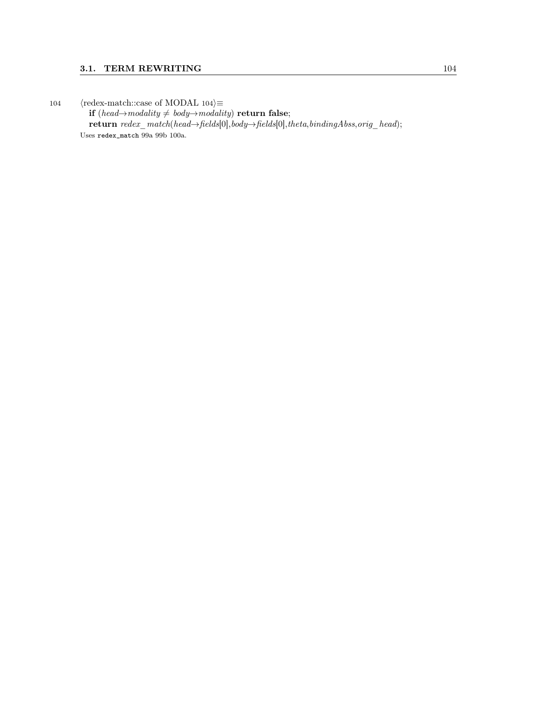104  $\langle$  redex-match::case of MODAL 104 $\rangle \equiv$ if (head→modality  $\neq$  body→modality) return false; return redex\_match(head→fields[0],body→fields[0],theta,bindingAbss,orig\_head); Uses redex\_match 99a 99b 100a.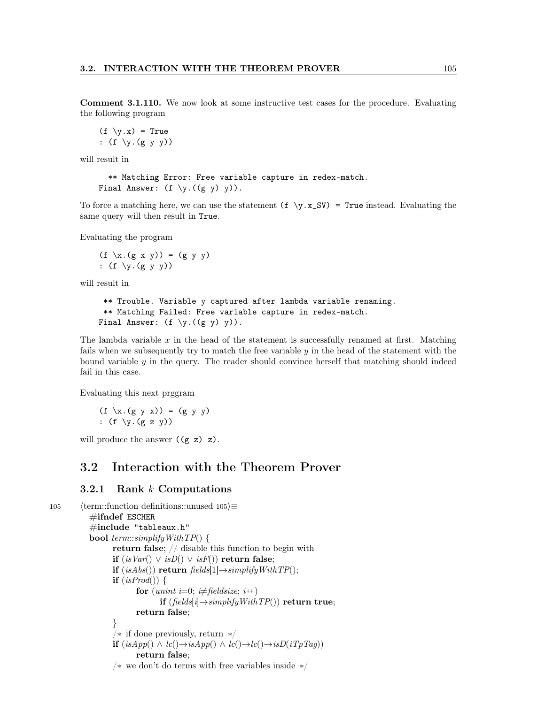Comment 3.1.110. We now look at some instructive test cases for the procedure. Evaluating the following program

```
(f \ y.x) = True: (f \ y.(g y y))
```
will result in

```
** Matching Error: Free variable capture in redex-match.
Final Answer: (f \ y.((g y) y)).
```
To force a matching here, we can use the statement  $(f \ y.x_S V) = True$  instead. Evaluating the same query will then result in True.

Evaluating the program

 $(f \ x.(g x y)) = (g y y)$ :  $(f \ y.(g y y))$ 

will result in

```
** Trouble. Variable y captured after lambda variable renaming.
 ** Matching Failed: Free variable capture in redex-match.
Final Answer: (f \ y.((g y) y)).
```
The lambda variable x in the head of the statement is successfully renamed at first. Matching fails when we subsequently try to match the free variable y in the head of the statement with the bound variable  $y$  in the query. The reader should convince herself that matching should indeed fail in this case.

Evaluating this next prggram

 $(f \ x.(g y x)) = (g y y)$ :  $(f \ y.(g z y))$ 

will produce the answer  $((g z) z)$ .

# 3.2 Interaction with the Theorem Prover

## 3.2.1 Rank k Computations

```
105 \langle term::function definitions::unused 105\rangle≡
           \#ifndef ESCHER
           \#include "tableaux.h"
           bool term::simplifyWithTP() {
                 return false; // disable this function to begin with
                 if (isVar() \vee isD() \vee isF()) return false;
                 if (isAbs()) return fields[1]\rightarrowsimplifyWithTP();
                 if (isProd()) {
                        for (unint i=0; i\neq fieldsize; i++)
                              if (fields[i] \rightarrow simplifyWithTP() return true;
                       return false;
                 }
                 /∗ if done previously, return ∗/
                 if (isApp() ∧ lc() → isApp() ∧ lc() → lc() → isD(iTpTag)return false;
                 /∗ we don't do terms with free variables inside ∗/
```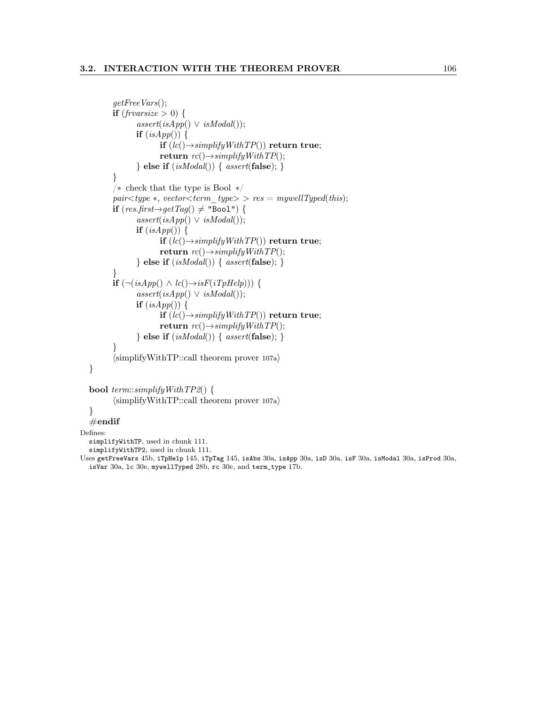```
getFreeVars();
       if (fruarsize > 0) {
              assert(isApp() \vee isModal());if (isApp()) {
                     if (lc() \rightarrow simplifyWithTP() return true;
                     return rc() \rightarrow simplifyWithTP();\} else if (isModal()) \{ assert({\bf false});\}}
       /∗ check that the type is Bool ∗/
       pair < type ∗, vector<term_type> > res = mywellTyped(this);
       if (res.first \rightarrow getTag() ≠ "Bool") {
              assert(isApp() \vee isModal());if (isApp()) {
                     if (lc() \rightarrow simplifyWithTP() return true;
                     return rc() \rightarrow simplifyWithTP();\} else if (isModal()) \{ assert({\bf false});\}}
       if (\neg(isApp() \land lc() \rightarrow isF(iTpHelp))) {
              assert(isApp() \vee isModal());if (isApp()) {
                     if (lc() \rightarrow simplifyWithTP() return true;
                     return rc() \rightarrow simplifyWith TP(;
              \} else if (isModal()) { assert(false); }
       }
       \langlesimplifyWithTP::call theorem prover 107a\rangle}
```

```
bool term::simplifyWithTP2() {
      \langlesimplifyWithTP::call theorem prover 107a\rangle
```

```
}
\#\text{endif}
```
Defines:

simplifyWithTP, used in chunk 111.

simplifyWithTP2, used in chunk 111.

```
Uses getFreeVars 45b, iTpHelp 145, iTpTag 145, isAbs 30a, isApp 30a, isD 30a, isF 30a, isModal 30a, isProd 30a,
  isVar 30a, lc 30e, mywellTyped 28b, rc 30e, and term_type 17b.
```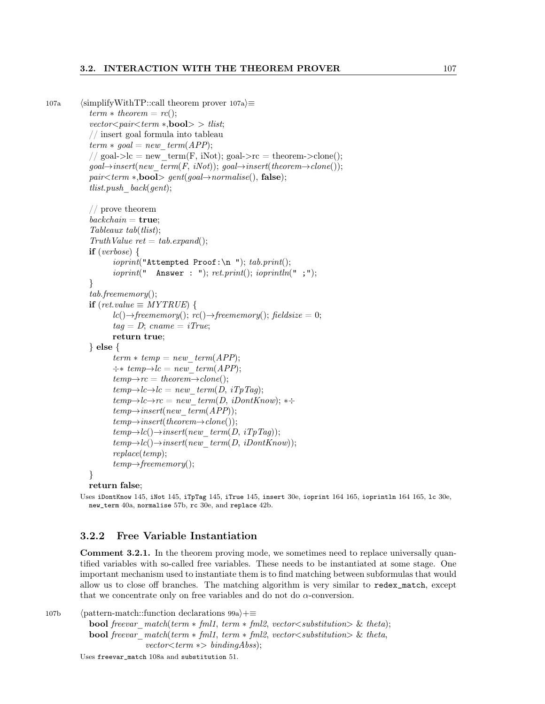## 3.2. INTERACTION WITH THE THEOREM PROVER 107

```
107a (simplifyWithTP::call theorem prover 107a)\equivterm * theorem = rc();
             vector < pair < term *, bool> tlist;
             // insert goal formula into tableau
             term * goal = new-term(APP);// goal->lc = new term(F, iNot); goal->rc = theorem->clone();
             goal \rightarrow insert(new-term(F, iNot)); goal \rightarrow insert(theorem \rightarrow clone());
             pair < term * , \textbf{bool} > \text{gent}(goal \rightarrow normalise), \text{ false};tlist.push back(qent);// prove theorem
             backchain = true;Tableaux tab(tlist);
             Truth Value ret = tab. expand();if (verbose) {
                     ioprint("Attempted Proof:\n  "); tab.print();ioprint(" Answer : "); ret.print(); ioprintln(";");
             }
             tab.freememory();
             if (\text{ret.value} \equiv \text{MYTRUE}) {
                     lc() \rightarrow free memory(); rc() \rightarrow free memory(); field size = 0;taq = D; \text{ } \textit{cname} = i \textit{True};return true;
             } else {
                     term * temp = new-term(APP);\div * \text{ temp} \rightarrow lc = \text{ new} \text{ term}(APP);temp \rightarrow rc = theorem \rightarrow clone();temp\rightarrow lc\rightarrow lc = new_term(D, iTpTag);
                     temp\rightarrow lc\rightarrow rc = new \ term(D, iDontKnow); * \divtemp \rightarrow insert(new-term(APP));temp \rightarrow insert(theorem \rightarrow clone());temp\rightarrow lc() \rightarrow insert(new-term(D, iTpTag));temp\rightarrow lc() \rightarrow insert(new-term(D, iDontKnow));replace(temp);
                     temp \rightarrow free memory();}
             return false;
```

```
Uses iDontKnow 145, iNot 145, iTpTag 145, iTrue 145, insert 30e, ioprint 164 165, ioprintln 164 165, lc 30e,
  new_term 40a, normalise 57b, rc 30e, and replace 42b.
```
## 3.2.2 Free Variable Instantiation

Comment 3.2.1. In the theorem proving mode, we sometimes need to replace universally quantified variables with so-called free variables. These needs to be instantiated at some stage. One important mechanism used to instantiate them is to find matching between subformulas that would allow us to close off branches. The matching algorithm is very similar to redex\_match, except that we concentrate only on free variables and do not do  $\alpha$ -conversion.

107b (pattern-match::function declarations  $99a$ )+≡ bool freevar\_match(term ∗ fml1, term ∗ fml2, vector<substitution> & theta); **bool** freevar\_match(term  $*$  fml1, term  $*$  fml2, vector  $\lt$  substitution  $\gt \&$  theta,  $vector \textless term}$  ∗> bindingAbss);

Uses freevar\_match 108a and substitution 51.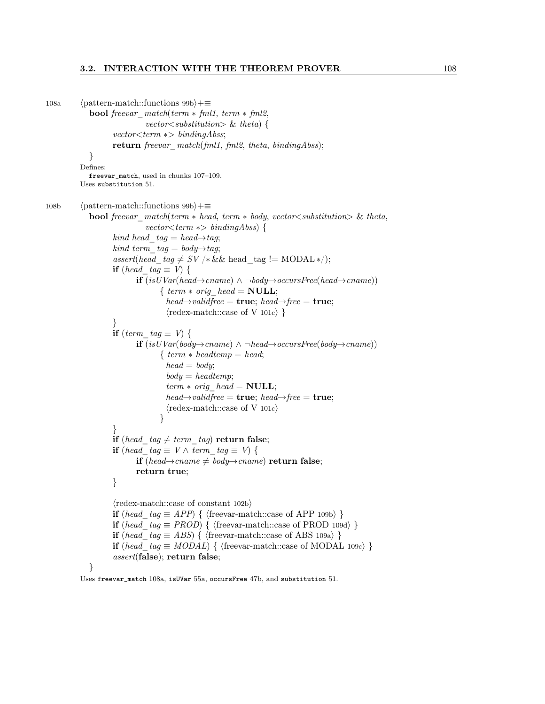## 3.2. INTERACTION WITH THE THEOREM PROVER 108

```
108a (pattern-match::functions 99b)+≡
            bool freevar match(term * fml1, term * fml2,vector \leq substitution \geq \& theta {
                    vector<term ∗> bindingAbss;
                    return freevar_match(fml1, fml2, theta, bindingAbss);
             }
          Defines:
            freevar_match, used in chunks 107–109.
          Uses substitution 51.
108b (pattern-match::functions 99b)+≡
            bool freevar match(term * head, term * body, vector <sub>substitution</sub>) & theta,
                              vector \textless term} ∗> bindingAbss) {
                    kind head tag = head \rightarrow tag;kind term tag = body \rightarrow tag;assert(head tag \neq SV /\&& head tag != MODAL */);
                    if (head tag \equiv V) {
                           if (isUVar(head\rightarrow cname) ∧ \neg body\rightarrow occursFree(head\rightarrow cname))\{ \text{ term} * \text{ orig} \text{ head} = \text{NULL};head \rightarrow \text{validfree} = \text{true}; \text{head} \rightarrow \text{free} = \text{true};\langleredex-match::case of V 101c\rangle}
                    }
                    if (term tag \equiv V) {
                           if (isUVar(body→cname) ∧ ¬head→occursFree(body→cname))\{ \ term * headermp = head;head = body;body = headtemp;term * orig head = NULL;
                                    head \rightarrow \text{validfree} = \text{true}; \text{head} \rightarrow \text{free} = \text{true};\langleredex-match::case of V 101c\rangle}
                    }
                   if (head_tag \neq term_tag) return false;
                    if (head tag \equiv V \wedge term tag \equiv V) {
                           if (head→cname \neq body→cname) return false;
                           return true;
                    }
                    \langleredex-match::case of constant 102b\rangleif (head tag \equiv APP) \{ {freevar-match::case of APP 109b} }
                    if (head tag \equiv PROD) { (freevar-match::case of PROD 109d) }
                    if (head tag ≡ ABS) { \terevar-match::case of ABS 109a) }
                    if (head tag \equiv MODAL) { (freevar-match::case of MODAL 109c) }
                    assert(false); return false;
```
}

Uses freevar\_match 108a, isUVar 55a, occursFree 47b, and substitution 51.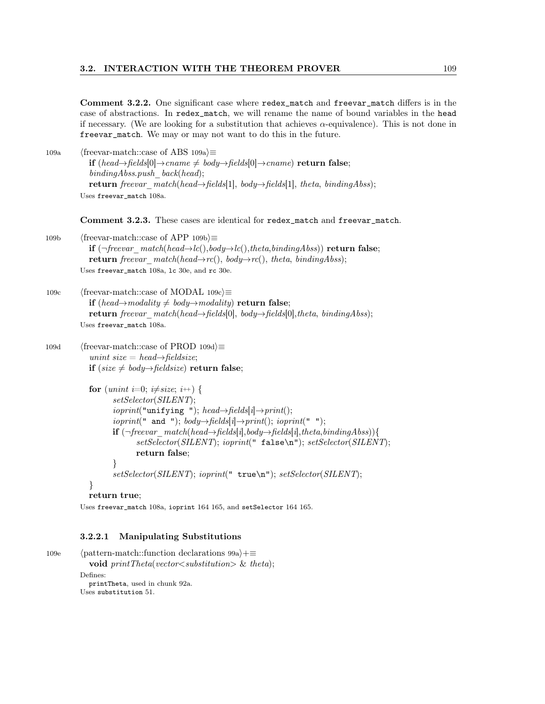Comment 3.2.2. One significant case where redex\_match and freevar\_match differs is in the case of abstractions. In redex\_match, we will rename the name of bound variables in the head if necessary. (We are looking for a substitution that achieves  $\alpha$ -equivalence). This is not done in freevar\_match. We may or may not want to do this in the future.

109a (freevar-match::case of ABS 109a) $\equiv$ if (head→fields[0]→cname  $\neq$  body→fields[0]→cname) return false;  $bindingAbss.push$  back(head); return freevar  $match(head\rightarrow fields[1], body\rightarrow fields[1], theta, bindingAbs);$ Uses freevar\_match 108a.

Comment 3.2.3. These cases are identical for redex\_match and freevar\_match.

109b (freevar-match::case of APP 109b $\rangle \equiv$ if  $(\neg \text{freevar} \text{match}(\text{head} \rightarrow \text{lc})), \text{body} \rightarrow \text{lc}(\text{)}\text{,} \text{theta}, \text{binding} \text{A} \text{bss})$  return false; return freevar\_match(head→rc(), body→rc(), theta, bindingAbss); Uses freevar\_match 108a, lc 30e, and rc 30e.

109c (freevar-match::case of MODAL 109c) $\equiv$ **if** (head→modality  $\neq$  body→modality) return false; return freevar\_match(head→fields[0], body→fields[0],theta, bindingAbss); Uses freevar\_match 108a.

```
109d (freevar-match::case of PROD 109d)\equivunint size = head\rightarrowfieldsize;
            if (size \neq body→fieldsize) return false;
```

```
for (unint i=0; i\neqsize; i++) {
       setSelector(SILENT);
       ioprint("unitying "); head \rightarrow fields[i] \rightarrow print();ioprint(" and "); body \rightarrow fields[i] \rightarrow print(); ioprint(" ");
       if (\neg \text{freevar} \text{match}(head \rightarrow \text{fields}[i], body \rightarrow \text{fields}[i], theta, bindingAbs)){
               setSelector(SILENT); ioprint(" false\n"); setSelector(SILENT);
               return false;
       }
       setSelector(SILENT); ioprint(" true\n"); setSelector(SILENT);
```

```
}
return true;
```
Uses freevar\_match 108a, ioprint 164 165, and setSelector 164 165.

#### 3.2.2.1 Manipulating Substitutions

```
109e (pattern-match::function declarations 99a)+≡
           void printTheta(vector|<sub>substitution</sub>) & theta);
         Defines:
           printTheta, used in chunk 92a.
         Uses substitution 51.
```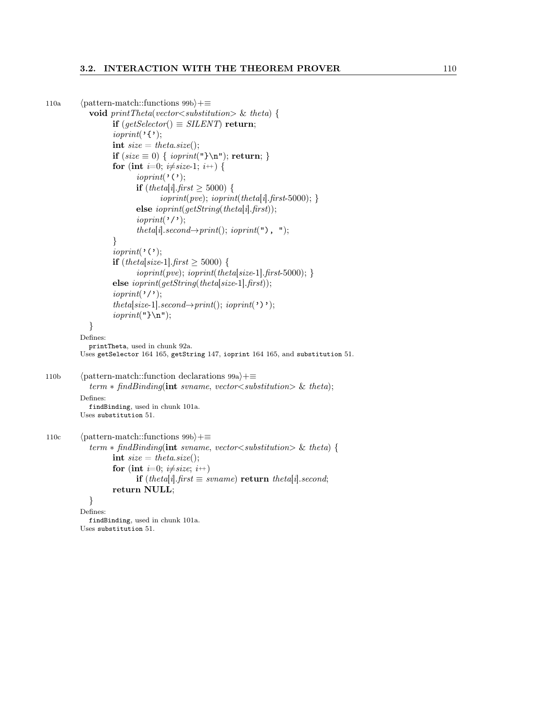## 3.2. INTERACTION WITH THE THEOREM PROVER 110

```
110a (pattern-match::functions 99b)+≡
             void printTheta(vector|<sub>substitution</sub>) & theta) {
                    if (qetSelector) \equiv SILENT return;
                    ioprint('\{\cdot\};int size = theta.size();if (size \equiv 0) \{ <i>ioprint</i>(") \mid return; \}for (int i=0; i\neqsize-1; i++) {
                           ioprint('(');
                           if (theta[i].first \geq 5000) {
                                  ioprint(pve); ioprint(theta[i].first-5000); }
                           else \text{ioprint}(\text{getString}(\text{theta}[i].\text{first}));ioprint('');
                           theta[i].second\rightarrow print(); ioprint("), ");
                    }
                    ioprint('(');
                    if (theta[size-1].first \geq 5000) {
                           ioprint(pve); ioprint(theta[size-1].first-5000);else ioprint(getString(theta[size-1].first));ioprint('');
                    theta[size-1].second\rightarrowprint(); ioprint(')');
                    ioprint("}\n");
             }
          Defines:
            printTheta, used in chunk 92a.
          Uses getSelector 164 165, getString 147, ioprint 164 165, and substitution 51.
110b (pattern-match::function declarations 99a)+≡
             term * find Binding(int \; svname, \; vector \langle substitution \rangle \; \& \; theta);Defines:
            findBinding, used in chunk 101a.
          Uses substitution 51.
110c (pattern-match::functions 99b)+≡
             term * find Binding(int \; svname, \; vector \langle substitution \rangle \; \& \; theta)int size = theta.size();for (int i=0; i\neqsize; i++)
                           if (theta[i].first \equiv svname) return theta[i].second;
                    return NULL;
             }
          Defines:
             findBinding, used in chunk 101a.
          Uses substitution 51.
```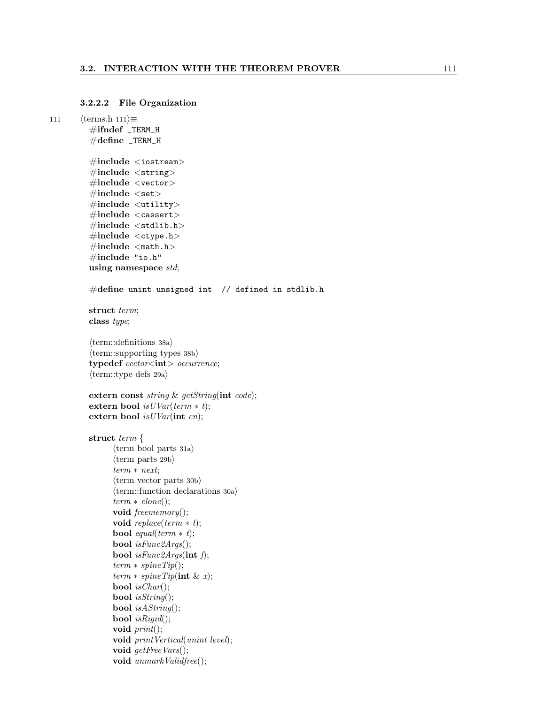## 3.2.2.2 File Organization

```
111 \langle \text{terms.h 111} \rangle \equiv\#ifndef _TERM_H
           #define _TERM_H
           \#\text{include} < \text{isstream} >\#include \ltstring>
           \#\text{include} < \text{vector}\#include\#include \leq \text{utility}\#include \langlecassert\rangle\#include \ltstdlib.h>
           \#include \ltctype.h>
           \#include \leq math.h>
           #include "io.h"
           using namespace std;
           #define unint unsigned int // defined in stdlib.h
           struct term;
           class type;
           \langleterm::definitions 38a\rangle\langleterm::supporting types 38b\rangletypedef vector<int> occurrence;
           \langle \text{term::type defs 29a} \rangleextern const string & getString(int code);
           extern bool isUVar(term * t);extern bool isUVar(int cn);struct term {
                  \langle \text{term } \text{bool parts } 31a \rangle\langle \text{term parts } 29b \rangleterm ∗ next;
                  \langle \text{term vector parts } 30b \rangle\langleterm::function declarations 30a\rangleterm * clone();void freememory();
                  void replace(term * t);bool equal(term * t);
                  bool isFunc2Args();
                  bool isFunc2Args(int f);
                  term * spineTip();term * spineTip(int \& x);bool is Char();
                  bool isString();
                  bool isAString();
                  bool isRigid();
                  void print();
                  void printVertical(unint level);
                  void getFreeVars();
                  void unmarkValidfree();
```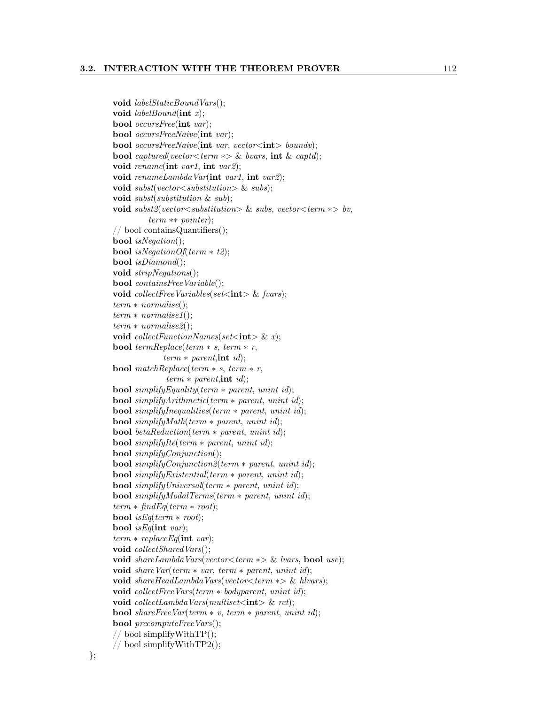## 3.2. INTERACTION WITH THE THEOREM PROVER 112

```
void labelStaticBoundVars();
void labelBound(int x);bool occursFree(int var);
bool occursFreeNaive(int var);
bool occursFreeNaive(\text{int} var, vector\lt\text{int} boundv);
bool captured(vector<term \ast> & bvars, int & captd);
void rename(int var1, int var2);
void renameLambdaVar(int var1, int var2);
void subst(vector \lt substitution \gt \& subs);
void \mathit{subst}(\mathit{substitution} \ \& \ \mathit{sub});void subst2(vector<substitution> & subs, vector<term \ast> bv,
         term ∗∗ pointer);
// bool containsQuantifiers();
bool isNegation();
bool isNegationOf(term * t2);
bool isDiamond();
void stripNegations);
bool containsFreeVariable();
void collectFreeVariables(set\langle \text{int} \rangle & fvars);
term
∗ normalise();
term
∗ normalise1();
term
∗ normalise2();
void collectFunctionNames(set\langle \text{int} \rangle \& x);
bool termReplace(term * s, term * r,
              term * parent, int id);bool matchReplace(term * s, term * r,
              term * parent, int id);bool simplify Equality (term * parent, unint id);
bool simplifyArithmetic(term ∗ parent, unint id);
bool simplifyInequalities(term ∗ parent, unint id);
bool simplifyMath(term ∗ parent, unint id);
bool betaReduction(term ∗ parent, unint id);
bool simplifyIte(term * parent, unint id);
bool simplifyConjunction();
bool simplifyConjunction2(term ∗ parent, unint id);
bool simplifyExistential(term ∗ parent, unint id);
bool simplifyUniversal(term ∗ parent, unint id);
bool simplifyModalTerms(term ∗ parent, unint id);
term * findEq(term * root);bool is Eq(term * root);bool is Eq(int \ var);term * replace Eq(int var);void collectSharedVars();
void shareLambdaVars(vector<term \ast> & lvars, bool use);
void shareVar(term * var, term * parent, unint id);
void shareHeadLambdaVars(vector<term \ast> & hlvars);
void collectFreeVars(term * bodyparent, unint id);
\text{void} \; collectLambda\text{Vars}(multiset < \text{int} > \&\; ret);bool shareFreeVar(term * v, term * parent, unint id);
bool precomputeFreeVars();
// bool simplifyWithTP();
// bool simplifyWithTP2();
```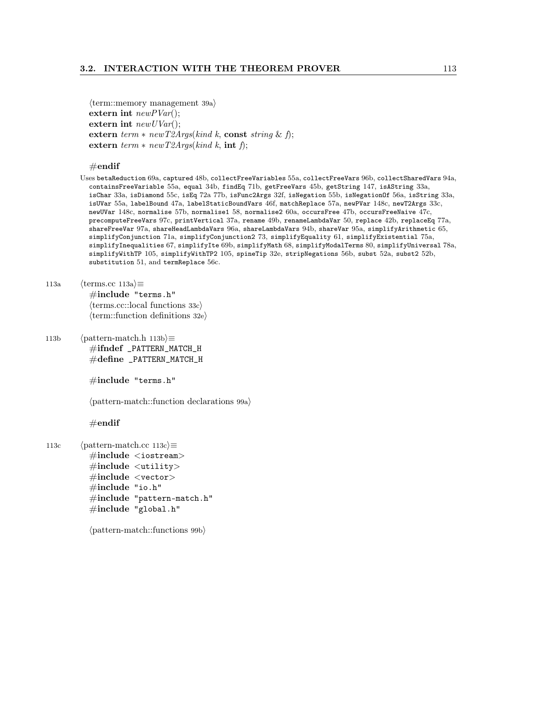$\langle$ term::memory management 39a $\rangle$ extern int  $newPVar$ ; extern int  $newUVar$ ; extern  $term * newT2Args (kind k, const string & f);$ extern  $term * newT2Args (kind k, int f);$ 

## $\#$ endif

- Uses betaReduction 69a, captured 48b, collectFreeVariables 55a, collectFreeVars 96b, collectSharedVars 94a, containsFreeVariable 55a, equal 34b, findEq 71b, getFreeVars 45b, getString 147, isAString 33a, isChar 33a, isDiamond 55c, isEq 72a 77b, isFunc2Args 32f, isNegation 55b, isNegationOf 56a, isString 33a, isUVar 55a, labelBound 47a, labelStaticBoundVars 46f, matchReplace 57a, newPVar 148c, newT2Args 33c, newUVar 148c, normalise 57b, normalise1 58, normalise2 60a, occursFree 47b, occursFreeNaive 47c, precomputeFreeVars 97c, printVertical 37a, rename 49b, renameLambdaVar 50, replace 42b, replaceEq 77a, shareFreeVar 97a, shareHeadLambdaVars 96a, shareLambdaVars 94b, shareVar 95a, simplifyArithmetic 65, simplifyConjunction 71a, simplifyConjunction2 73, simplifyEquality 61, simplifyExistential 75a, simplifyInequalities 67, simplifyIte 69b, simplifyMath 68, simplifyModalTerms 80, simplifyUniversal 78a, simplifyWithTP 105, simplifyWithTP2 105, spineTip 32e, stripNegations 56b, subst 52a, subst2 52b, substitution 51, and termReplace 56c.
- 113a  $\langle \text{terms.cc } 113a \rangle \equiv$ #include "terms.h"  $\langle \text{terms.cc::local functions } 33c \rangle$  $\langle \text{term::function definitions 32e} \rangle$
- 113b  $\langle$  pattern-match.h 113b $\rangle$  $\equiv$ #ifndef \_PATTERN\_MATCH\_H #define \_PATTERN\_MATCH\_H

#include "terms.h"

 $\langle$  pattern-match::function declarations 99a $\rangle$ 

## $\#\textbf{endif}$

113c  $\langle$  pattern-match.cc 113c $\rangle \equiv$  $\#\text{include} <$ iostream>  $\#\text{include } <$ utility>  $\#\text{include } < \text{vector}>$  $\#\text{include "io.h"}$  $\#\text{include }$  "pattern-match.h"  $\#$ include "global.h"

 $\langle$  pattern-match::functions 99b $\rangle$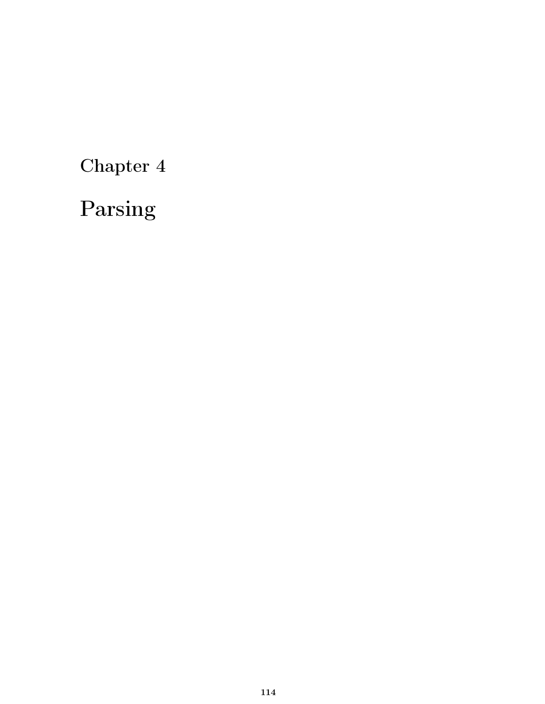Chapter 4

Parsing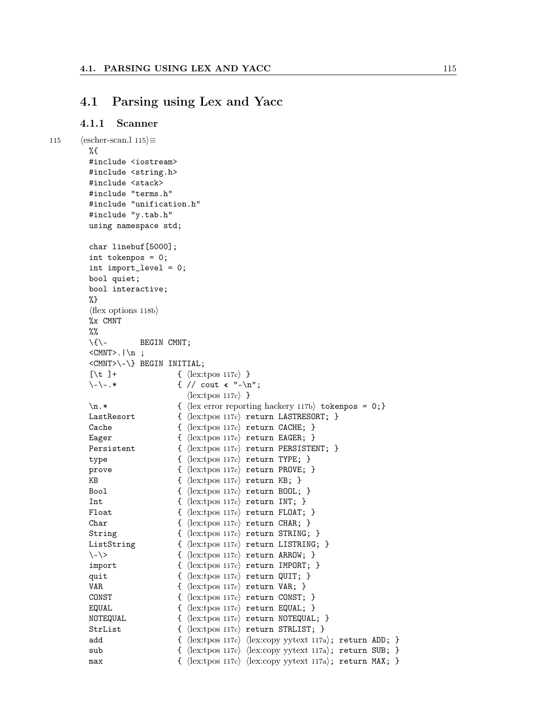## 4.1 Parsing using Lex and Yacc

## 4.1.1 Scanner

```
115 \langle \text{escher-scan.} \rangle 115 \rangle \equiv%{
           #include <iostream>
           #include <string.h>
           #include <stack>
           #include "terms.h"
           #include "unification.h"
           #include "y.tab.h"
           using namespace std;
           char linebuf[5000];
           int tokenpos = 0;
           int import_level = 0;
           bool quiet;
           bool interactive;
           %}
           \langleflex options 118b\rangle%x CMNT
          %%
           \setminus{\setminus- BEGIN CMNT;
           <CMNT>. |\n\anglen ;
           <CMNT>\-\} BEGIN INITIAL;
           [\begin{array}{cc} \end{array}] + { \langle lex:tpos 117c\ }
           \setminus - \setminus -.* { // cout « "-\setminus n";
                                      \langlelex:tpos 117c\rangle}
           \ln.* { \{\text{lex error reporting hackery 117b}\} tokenpos = 0;}
           LastResort { \langle lex:tpos 117c} return LASTRESORT; }
           Cache \{ \langle lex:tpos 117c\rangle return CACHE; }
           Eager \{ \langle lex:tpos 117c\rangle return EAGER; }
           Persistent { \langle | ex:tpos 117c} return PERSISTENT; }
           type \{\ \langle \text{lex:tpos 117c} \rangle \ \text{return TYPE}; \ \}prove \{\ \langle \text{lex:tpos 117c} \rangle \ \text{return } \text{PROVE}; \ \}KB \{ \{ \{ \{ \} \{ \} \{ \} \{ \} \{ \} \{ \} \{ \} \{ \} \{ \} \{ \} \{ \} \{ \} \{ \} \{ \} \{ \} \{ \} \{ \} \{ \} \{ \} \{ \} \{Bool \{\ \langle \text{lex:tpos 117c} \rangle \ \text{return B00L}; \ \}Int \{ \langle lex:tpos 117c\rangle return INT; \}Float \{ \{ \{  \{  \{  \{ \} \{ \} \{ \} \{ \{ \} \{ \} \{ \} \{ \{ \} \{ \} \{ \} \{ \{ \} \{ \} \{ \} \{ \{ \} \{ \} \{ \} \{ \{Char \{ \langle lex:tpos 117c\rangle return CHAR; \}String { \langle lex:tpos 117c} return STRING; }
           ListString \{ (lex:tpos 117c) return LISTRING; }
           \langle - \rangle { \langle ex:tpos 117c} return ARROW; }
           import { \langle lex:tpos 117c} return IMPORT; }
           quit \{\langle \text{lex:tpos 117c} \rangle \text{ return QUIT}; \}VAR \{ \langle lex:tpos 117c\rangle return VAR; }
           CONST \{ \langle lex:tpos 117c\rangle return CONST; }
           EQUAL \{ \{ \{ \} \{ \} \{ \} \{ \} \{ \} \{ \} \{ \} \{ \} \{ \} \{ \} \{ \} \{ \} \{ \} \{ \} \{ \} \{ \} \{ \} \{ \} \{ \} \{ \} \{ 
           NOTEQUAL \{ \langle lex:tpos 117c\rangle return NOTEQUAL; }
           StrList { \{ (lex:tpos 117c) return STRLIST; }
           add \{\uex:tpos 117c) \langlelex:copy yytext 117a\rangle; return ADD; }
           sub { \langle hex:tpos 117c} \langle hex:copy yytext 117a}; return SUB; }
          max \{ {lex:tpos 117c} {lex:copy yytext 117a}; return MAX; }
```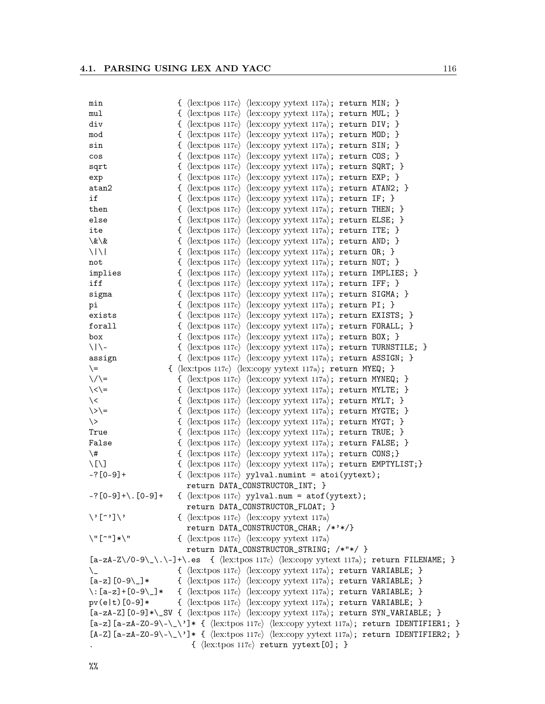| min                                                                                                                              | { $\langle$ lex:tpos 117c $\rangle$ $\langle$ lex:copy yytext 117a $\rangle$ ; return MIN; }                              |
|----------------------------------------------------------------------------------------------------------------------------------|---------------------------------------------------------------------------------------------------------------------------|
| mul                                                                                                                              | { $\langle$ lex:tpos 117c $\rangle$ $\langle$ lex:copy yytext 117a $\rangle$ ; return MUL; }                              |
| div                                                                                                                              | { $\langle$ lex:tpos 117c \ $\langle$ lex:copy yytext 117a \; return DIV; }                                               |
| mod                                                                                                                              | { $\langle$ lex:tpos 117c \ $\langle$ lex:copy yytext 117a \; return MOD; }                                               |
| sin                                                                                                                              | { $\langle$ lex:tpos 117c} $\langle$ lex:copy yytext 117a}; return SIN; }                                                 |
| cos                                                                                                                              | { $\langle$ lex:tpos 117c $\rangle$ $\langle$ lex:copy yytext 117a $\rangle$ ; return COS; }                              |
| sqrt                                                                                                                             | { $\langle$ lex:tpos 117c} $\langle$ lex:copy yytext 117a $\rangle$ ; return SQRT; }                                      |
| exp                                                                                                                              | { $\langle$ lex:tpos 117c \ $\langle$ lex:copy yytext 117a \; return EXP; }                                               |
| atan2                                                                                                                            | { $\langle$ lex:tpos 117c \/ $\langle$ lex:copy yytext 117a \; return ATAN2; }                                            |
| if                                                                                                                               | { $\langle$ lex:tpos 117c $\rangle$ $\langle$ lex:copy yytext 117a $\rangle$ ; return IF; }                               |
| then                                                                                                                             | { $\langle$ lex:tpos 117c $\rangle$ $\langle$ lex:copy yytext 117a $\rangle$ ; return THEN; }                             |
| else                                                                                                                             | { $\langle$ lex:tpos 117c \ $\langle$ lex:copy yytext 117a \; return ELSE; }                                              |
| ite                                                                                                                              | { $\langle$ lex:tpos 117c} $\langle$ lex:copy yytext 117a}; return ITE; }                                                 |
| \&\&                                                                                                                             | { $\langle$ lex:tpos 117c $\rangle$ $\langle$ lex:copy yytext 117a $\rangle$ ; return AND; }                              |
| $\frac{1}{2}$                                                                                                                    | { $\langle$ lex:tpos 117c $\rangle$ $\langle$ lex:copy yytext 117a $\rangle$ ; return OR; }                               |
| not                                                                                                                              | { $\langle$ lex:tpos 117c $\rangle$ $\langle$ lex:copy yytext 117a $\rangle$ ; return NOT; }                              |
| implies                                                                                                                          | { $\langle$ lex:tpos 117c \ $\langle$ lex:copy yytext 117a \; return IMPLIES; }                                           |
| iff                                                                                                                              | { $\langle$ lex:tpos 117c $\rangle$ $\langle$ lex:copy yytext 117a $\rangle$ ; return IFF; }                              |
| sigma                                                                                                                            | { $\langle$ lex:tpos 117c \ $\langle$ lex:copy yytext 117a \; return SIGMA; }                                             |
| pi                                                                                                                               | { $\langle$ lex:tpos 117c $\rangle$ $\langle$ lex:copy yytext 117a $\rangle$ ; return PI; }                               |
| exists                                                                                                                           | { $\langle$ lex:tpos 117c \div:copy yytext 117a \; return EXISTS; }                                                       |
| forall                                                                                                                           | { $\langle$ lex:tpos 117c $\rangle$ $\langle$ lex:copy yytext 117a $\rangle$ ; return FORALL; }                           |
| box                                                                                                                              | { $\langle$ lex:tpos 117c \div \div \lex:copy yytext 117a \; return BOX; }                                                |
| $\setminus$   $\setminus$                                                                                                        | { $\langle$ lex:tpos 117c \ $\langle$ lex:copy yytext 117a \; return TURNSTILE; }                                         |
| assign                                                                                                                           | { $\langle$ lex:tpos 117c \ $\langle$ lex:copy yytext 117a \; return ASSIGN; }                                            |
| $=$                                                                                                                              | { $\langle$ lex:tpos 117c $\rangle$ $\langle$ lex:copy yytext 117a $\rangle$ ; return MYEQ; }                             |
| $\setminus / \setminus$                                                                                                          | { $\langle$ lex:tpos 117c $\rangle$ $\langle$ lex:copy yytext 117a $\rangle$ ; return MYNEQ; }                            |
| $\langle \langle \rangle =$                                                                                                      | { $\langle$ lex:tpos 117c \ $\langle$ lex:copy yytext 117a \; return MYLTE; }                                             |
| $\backslash$                                                                                                                     | { $\langle$ lex:tpos 117c $\rangle$ $\langle$ lex:copy yytext 117a $\rangle$ ; return MYLT; }                             |
| $\angle$ / =                                                                                                                     | { $\langle$ lex:tpos 117c $\rangle$ $\langle$ lex:copy yytext 117a $\rangle$ ; return MYGTE; }                            |
| $\backslash$                                                                                                                     | { $\langle$ lex:tpos 117c $\rangle$ $\langle$ lex:copy yytext 117a $\rangle$ ; return MYGT; }                             |
| True                                                                                                                             | { $\langle$ lex:tpos 117c $\rangle$ $\langle$ lex:copy yytext 117a $\rangle$ ; return TRUE; }                             |
| False                                                                                                                            | { $\langle$ lex:tpos 117c $\rangle$ $\langle$ lex:copy yytext 117a $\rangle$ ; return FALSE; }                            |
| $\backslash$ #                                                                                                                   | { $\langle$ lex:tpos 117c \ $\langle$ lex:copy yytext 117a \; return CONS; }                                              |
| $\setminus$ [ $\setminus$ ]                                                                                                      | $\{ \langle lex:tpos 117c \rangle \langle lex:copy yytext 117a \rangle; return EMPTYLIST; \}$                             |
| $-? [0-9]+$                                                                                                                      | { $\langle$ lex:tpos 117c \, yylval.numint = atoi(yytext);                                                                |
|                                                                                                                                  | return DATA_CONSTRUCTOR_INT; }                                                                                            |
| $-?$ [0-9] +\. [0-9] +                                                                                                           | { $\langle$ [ex:tpos 117c $\rangle$ yylval.num = atof(yytext);                                                            |
|                                                                                                                                  | return DATA_CONSTRUCTOR_FLOAT; }                                                                                          |
| $\setminus$ '[ $\cdot$ '] $\setminus$ '                                                                                          | $\{\ \langle \text{lex:tpos 117c} \rangle \ \langle \text{lex:copy yytext 117a} \rangle\$                                 |
|                                                                                                                                  | return DATA_CONSTRUCTOR_CHAR; /*'*/}                                                                                      |
| $\vee$ " $[$ $\sim$ " $]$ * $\vee$ "                                                                                             | $\{\ \langle \text{lex:tpos 117c} \rangle \ \langle \text{lex:copy yytext 117a} \rangle\$                                 |
|                                                                                                                                  | return DATA_CONSTRUCTOR_STRING; /*"*/ }                                                                                   |
| $[a-zA-Z\/0-9\,\.\.\-.]$ +\.es { $\langle$ lex:tpos 117c $\rangle$ $\langle$ lex:copy yytext 117a $\rangle$ ; return FILENAME; } |                                                                                                                           |
|                                                                                                                                  | { $\langle$ lex:tpos 117c \ $\langle$ lex:copy yytext 117a \; return VARIABLE; }                                          |
| $[a-z]$ $[0-9\{\_]\}*$                                                                                                           | { $\langle$ lex:tpos 117c \div / lex:copy yytext 117a \; return VARIABLE; }                                               |
|                                                                                                                                  | \: $[a-z]+[0-9\]$ * { $\langle$ [ex:tpos 117c $\rangle$ $\langle$ [ex:copy yytext 117a $\rangle$ ; return VARIABLE; }     |
| $pv(e t)$ [0-9]*                                                                                                                 | { $\langle$ lex:tpos 117c \div / lex:copy yytext 117a \; return VARIABLE; }                                               |
|                                                                                                                                  | $[a-zA-Z]$ $[0-9]*\$ $\{ \langle lex:topos 117c \rangle \langle lex:copy yytext 117a \rangle \}$ ; return SYN_VARIABLE; } |
| [a-z] $[a-zA-Z0-9\-\\\']*$ { $\langle lex:topy \rangle \langle lex:copy$ yytext 117a}; return IDENTIFIER1; }                     |                                                                                                                           |
|                                                                                                                                  | [A-Z] [a-zA-ZO-9\-\_\']* { $\langle$ [ex:tpos 117c} $\langle$ [ex:copy yytext 117a}; return IDENTIFIER2; }                |
|                                                                                                                                  | { $\langle$ lex:tpos 117c $\rangle$ return yytext [0]; }                                                                  |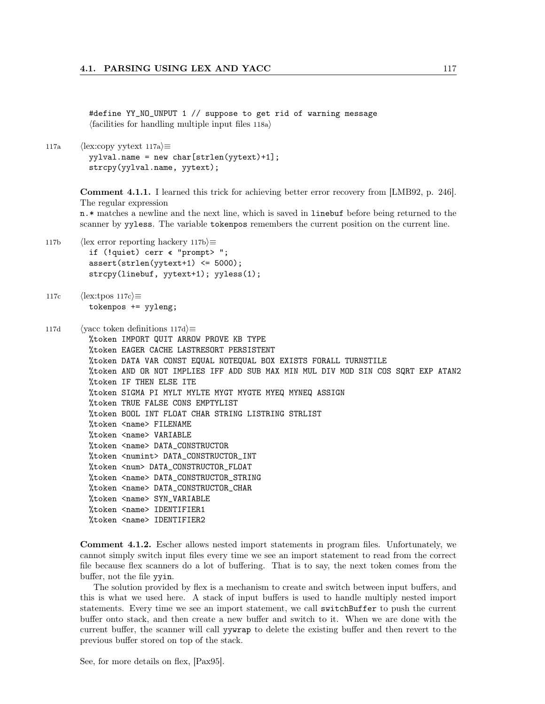#define YY\_NO\_UNPUT 1 // suppose to get rid of warning message  $\langle$  facilities for handling multiple input files 118a $\rangle$ 

117a (lex:copy yytext 117a) $\equiv$ yylval.name = new char[strlen(yytext)+1]; strcpy(yylval.name, yytext);

> Comment 4.1.1. I learned this trick for achieving better error recovery from [LMB92, p. 246]. The regular expression

> n.\* matches a newline and the next line, which is saved in linebuf before being returned to the scanner by yyless. The variable tokenpos remembers the current position on the current line.

117b (lex error reporting hackery 117b) $\equiv$ if (!quiet) cerr « "prompt> "; assert(strlen(yytext+1) <= 5000); strcpy(linebuf, yytext+1); yyless(1);

```
117c \langle \text{lex:tpos 117c} \rangle \equivtokenpos += yyleng;
```

```
117d (yacc token definitions 117d)\equiv%token IMPORT QUIT ARROW PROVE KB TYPE
         %token EAGER CACHE LASTRESORT PERSISTENT
         %token DATA VAR CONST EQUAL NOTEQUAL BOX EXISTS FORALL TURNSTILE
         %token AND OR NOT IMPLIES IFF ADD SUB MAX MIN MUL DIV MOD SIN COS SQRT EXP ATAN2
         %token IF THEN ELSE ITE
         %token SIGMA PI MYLT MYLTE MYGT MYGTE MYEQ MYNEQ ASSIGN
         %token TRUE FALSE CONS EMPTYLIST
         %token BOOL INT FLOAT CHAR STRING LISTRING STRLIST
         %token <name> FILENAME
         %token <name> VARIABLE
         %token <name> DATA_CONSTRUCTOR
         %token <numint> DATA_CONSTRUCTOR_INT
         %token <num> DATA_CONSTRUCTOR_FLOAT
         %token <name> DATA_CONSTRUCTOR_STRING
         %token <name> DATA_CONSTRUCTOR_CHAR
         %token <name> SYN_VARIABLE
         %token <name> IDENTIFIER1
         %token <name> IDENTIFIER2
```
Comment 4.1.2. Escher allows nested import statements in program files. Unfortunately, we cannot simply switch input files every time we see an import statement to read from the correct file because flex scanners do a lot of buffering. That is to say, the next token comes from the buffer, not the file yyin.

The solution provided by flex is a mechanism to create and switch between input buffers, and this is what we used here. A stack of input buffers is used to handle multiply nested import statements. Every time we see an import statement, we call switchBuffer to push the current buffer onto stack, and then create a new buffer and switch to it. When we are done with the current buffer, the scanner will call yywrap to delete the existing buffer and then revert to the previous buffer stored on top of the stack.

See, for more details on flex, [Pax95].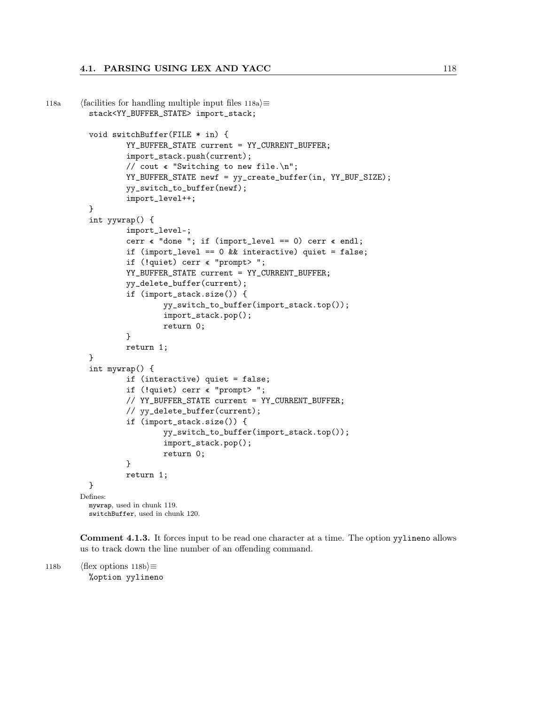```
118a (facilities for handling multiple input files 118a\rangle\equivstack<YY_BUFFER_STATE> import_stack;
         void switchBuffer(FILE * in) {
                  YY_BUFFER_STATE current = YY_CURRENT_BUFFER;
                  import_stack.push(current);
                  // cout « "Switching to new file.\n";
                  YY_BUFFER_STATE newf = yy_create_buffer(in, YY_BUF_SIZE);
                  yy_switch_to_buffer(newf);
                  import_level++;
         }
         int yywrap() {
                  import_level–;
                  cerr « "done "; if (import_level == 0) cerr « endl;
                  if (import_level == 0 && interactive) quiet = false;
                  if (!quiet) cerr « "prompt> ";
                  YY_BUFFER_STATE current = YY_CURRENT_BUFFER;
                  yy_delete_buffer(current);
                  if (import_stack.size()) {
                          yy_switch_to_buffer(import_stack.top());
                          import_stack.pop();
                          return 0;
                  }
                  return 1;
         }
         int mywrap() {
                  if (interactive) quiet = false;
                  if (!quiet) cerr « "prompt> ";
                  // YY_BUFFER_STATE current = YY_CURRENT_BUFFER;
                  // yy_delete_buffer(current);
                  if (import_stack.size()) {
                          yy_switch_to_buffer(import_stack.top());
                          import_stack.pop();
                          return 0;
                  }
                  return 1;
         }
       Defines:
         mywrap, used in chunk 119.
         switchBuffer, used in chunk 120.
```
Comment 4.1.3. It forces input to be read one character at a time. The option yylineno allows us to track down the line number of an offending command.

```
118b (flex options 118b)\equiv%option yylineno
```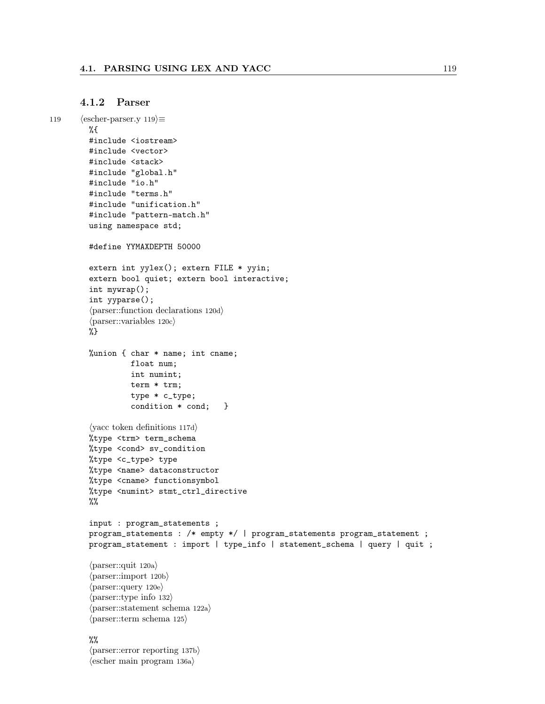## 4.1.2 Parser

```
119 \langle \text{escher-parser.y 119} \rangle \equiv%{
          #include <iostream>
          #include <vector>
          #include <stack>
          #include "global.h"
          #include "io.h"
          #include "terms.h"
          #include "unification.h"
          #include "pattern-match.h"
          using namespace std;
          #define YYMAXDEPTH 50000
          extern int yylex(); extern FILE * yyin;
          extern bool quiet; extern bool interactive;
          int mywrap();
          int yyparse();
          \langle parser::function declarations 120d\rangle\langle parser::variables 120c\rangle%}
          %union { char * name; int cname;
                     float num;
                     int numint;
                     term * trm;
                     type * c_type;
                     condition * cond; }
          \langleyacc token definitions 117d\rangle%type <trm> term_schema
          %type <cond> sv_condition
          %type <c_type> type
          %type <name> dataconstructor
          %type <cname> functionsymbol
          %type <numint> stmt_ctrl_directive
          %%
          input : program_statements ;
          program_statements : /* empty */ | program_statements program_statement ;
          program_statement : import | type_info | statement_schema | query | quit ;
          \langle parser::quit 120a\rangle\langleparser::import 120b\rangle\langleparser::query 120e\rangle\langle parser::type info 132\rangle\langle parser::statement schema 122a\rangle\langle parser::term schema 125\rangle\%\langle parser::error reporting 137b\rangle\langleescher main program 136a\rangle
```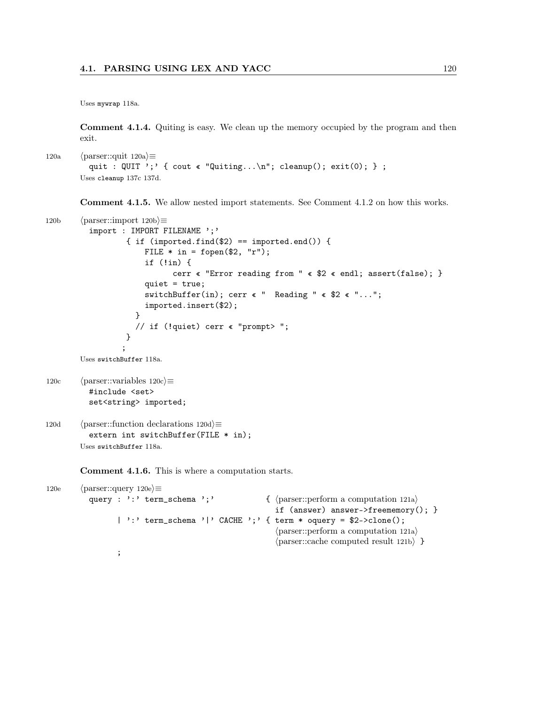Uses mywrap 118a.

Comment 4.1.4. Quiting is easy. We clean up the memory occupied by the program and then exit.

```
120a (parser::quit 120a)\equivquit : QUIT ';' { cout « "Quiting...\n"; cleanup(); exit(0); } ;
        Uses cleanup 137c 137d.
```
Comment 4.1.5. We allow nested import statements. See Comment 4.1.2 on how this works.

```
120b \langle parser::import 120b\rangle\equivimport : IMPORT FILENAME ';'
                    { if (imported.find($2) == imported.end()) {
                        FILE * in = fopen($2, "r");
                        if (!in) {
                               cerr « "Error reading from " « $2 « endl; assert(false); }
                        quiet = true;
                        switchBuffer(in); cerr « " Reading " « $2 « "...";
                        imported.insert($2);
                      }
                      // if (!quiet) cerr « "prompt> ";
                    }
                   ;
        Uses switchBuffer 118a.
120c \langle \text{parser::variables } 120c \rangle \equiv#include <set>
          set<string> imported;
120d (parser::function declarations 120d\rangle\equivextern int switchBuffer(FILE * in);
        Uses switchBuffer 118a.
        Comment 4.1.6. This is where a computation starts.
```

```
120e \langle \text{parser::query 120e} \rangle \equivquery : ':' term_schema ';' \{ \tansser::perform a computation 121a)
                                                               if (answer) answer->freememory(); }
                   | ':' term_schema '|' CACHE ';' { term * oquery = $2->clone();
                                                               \langle parser::perform a computation 121a\rangle\langle \text{parser::cache computed result 121b} \rangle }
                   ;
```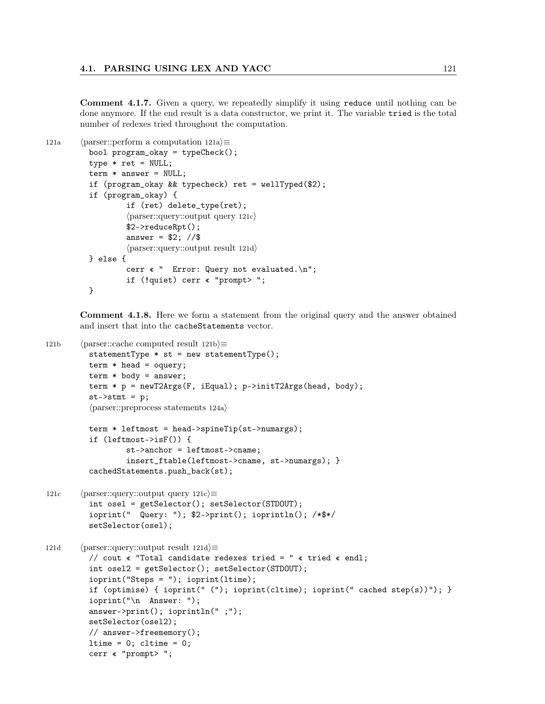Comment 4.1.7. Given a query, we repeatedly simplify it using reduce until nothing can be done anymore. If the end result is a data constructor, we print it. The variable tried is the total number of redexes tried throughout the computation.

```
121a (parser::perform a computation 121a)\equivbool program_okay = typeCheck();
          type * ret = NULL;
          term * answer = NULL;if (program_okay && typecheck) ret = wellTyped($2);
          if (program_okay) {
                   if (ret) delete_type(ret);
                   \langle parser::query::output query 121c\rangle$2->reduceRpt();
                   answer = $2; //$
                   \langle parser::query::output result 121d\rangle} else {
                   cerr « " Error: Query not evaluated.\n";
                   if (!quiet) cerr « "prompt> ";
          }
```
Comment 4.1.8. Here we form a statement from the original query and the answer obtained and insert that into the cacheStatements vector.

```
121b (parser::cache computed result 121b\rangle≡
         statementType * st = new statementType();
         term * head = oquery;
         term * body = answer;
         term * p = newT2Args(F, iEqual); p->initT2Args(head, body);
          st->stmt = p;
          \langle parser::preprocess statements 124a\rangleterm * leftmost = head->spineTip(st->numargs);if (leftmost->isF()) {
                  st->anchor = leftmost->cname;
                  insert_ftable(leftmost->cname, st->numargs); }
          cachedStatements.push_back(st);
121c (parser::query::output query 121c)\equivint osel = getSelector(); setSelector(STDOUT);
          ioprint(" Query: "); $2->print(); ioprintln(); /*$*/
          setSelector(osel);
121d (parser::query::output result 121d)\equiv// cout « "Total candidate redexes tried = " « tried « endl;
         int osel2 = getSelector(); setSelector(STDOUT);
          ioprint("Steps = "); ioprint(ltime);
          if (optimise) { ioprint(" ("); ioprint(cltime); ioprint(" cached step(s))"); }
          ioprint("\n Answer: ");
         answer->print(); ioprintln(" ;");
         setSelector(osel2);
         // answer->freememory();
         ltime = 0; cltime = 0;
         cerr « "prompt> ";
```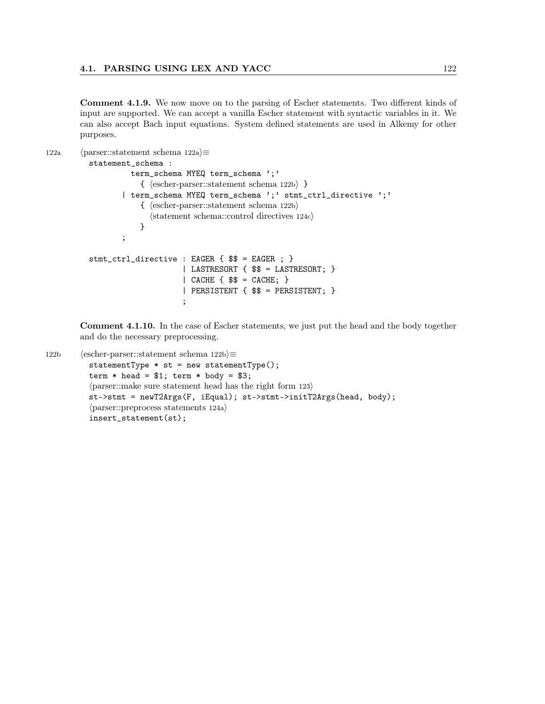Comment 4.1.9. We now move on to the parsing of Escher statements. Two different kinds of input are supported. We can accept a vanilla Escher statement with syntactic variables in it. We can also accept Bach input equations. System defined statements are used in Alkemy for other purposes.

```
122a (parser::statement schema 122a\rangle \equivstatement_schema :
                    term_schema MYEQ term_schema ';'
                       \{ (escher-parser::statement schema 122b) }
                  | term_schema MYEQ term_schema ';' stmt_ctrl_directive ';'
                       \{ (escher-parser::statement schema 122b)
                         \langlestatement schema::control directives 124c\rangle}
                  ;
          stmt_ctrl_directive : EAGER { $$ = EAGER ; }
                                 | LASTRESORT { $$ = LASTRESORT; }
                                 | CACHE \{ $$ = CACHE; \}| PERSISTENT { $$ = PERSISTENT; }
                                 ;
```
Comment 4.1.10. In the case of Escher statements, we just put the head and the body together and do the necessary preprocessing.

```
122b (escher-parser::statement schema 122b)≡
          statementType * st = new statementType();
          term * head = $1; term * body = $3;\langle parser::make sure statement head has the right form 123\ranglest->stmt = newT2Args(F, iEqual); st->stmt->initT2Args(head, body);
          \langle parser::preprocess statements 124a\rangleinsert_statement(st);
```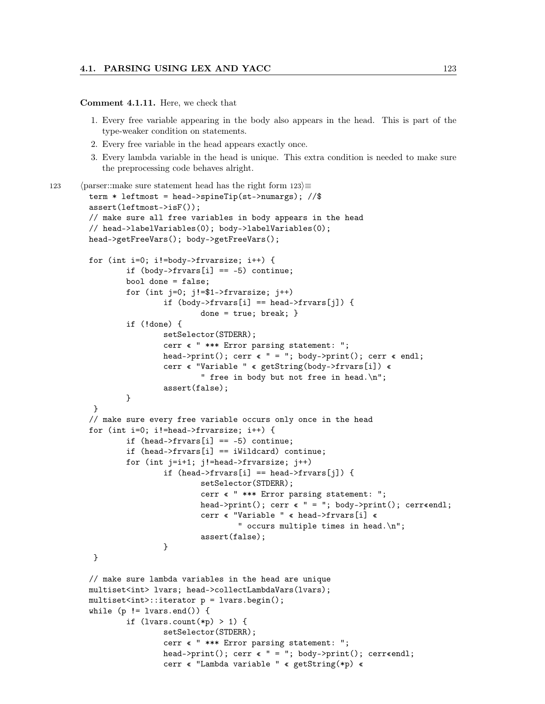## Comment 4.1.11. Here, we check that

- 1. Every free variable appearing in the body also appears in the head. This is part of the type-weaker condition on statements.
- 2. Every free variable in the head appears exactly once.
- 3. Every lambda variable in the head is unique. This extra condition is needed to make sure the preprocessing code behaves alright.

```
123 (parser::make sure statement head has the right form 123 \equivterm * leftmost = head->spineTip(st->numargs); //$
        assert(leftmost->isF());
        // make sure all free variables in body appears in the head
        // head->labelVariables(0); body->labelVariables(0);
        head->getFreeVars(); body->getFreeVars();
        for (int i=0; i!=body->frvarsize; i++) {
                if (body->frvars[i] == -5) continue;
                bool done = false;
                for (int j=0; j!=\$1-\gt frvarsize; j++)if (body->frvars[i] == head->frvars[j]) {
                                 done = true; break; }
                if (!done) {
                         setSelector(STDERR);
                         cerr « " *** Error parsing statement: ";
                         head->print(); cerr « " = "; body->print(); cerr « endl;
                         cerr « "Variable " « getString(body->frvars[i]) «
                                 " free in body but not free in head.\n";
                         assert(false);
                }
         }
        // make sure every free variable occurs only once in the head
        for (int i=0; i!=head->frvarsize; i++) {
                if (head->frvars[i] == -5) continue;
                if (head->frvars[i] == iWildcard) continue;
                for (int j=i+1; j!=head->frvarsize; j++)
                         if (head->frvars[i] == head->frvars[j]) {
                                 setSelector(STDERR);
                                 cerr « " *** Error parsing statement: ";
                                 head->print(); cerr « " = "; body->print(); cerr«endl;
                                 cerr « "Variable " « head->frvars[i] «
                                         " occurs multiple times in head.\n";
                                 assert(false);
                         }
         }
        // make sure lambda variables in the head are unique
        multiset<int> lvars; head->collectLambdaVars(lvars);
        multiset<int>::iterator p = lvars.begin();
        while (p := lvars.end()) {
                if (lvars.count(*p) > 1) {
                         setSelector(STDERR);
                         cerr « " *** Error parsing statement: ";
                         head->print(); cerr « " = "; body->print(); cerr«endl;
                         cerr « "Lambda variable " « getString(*p) «
```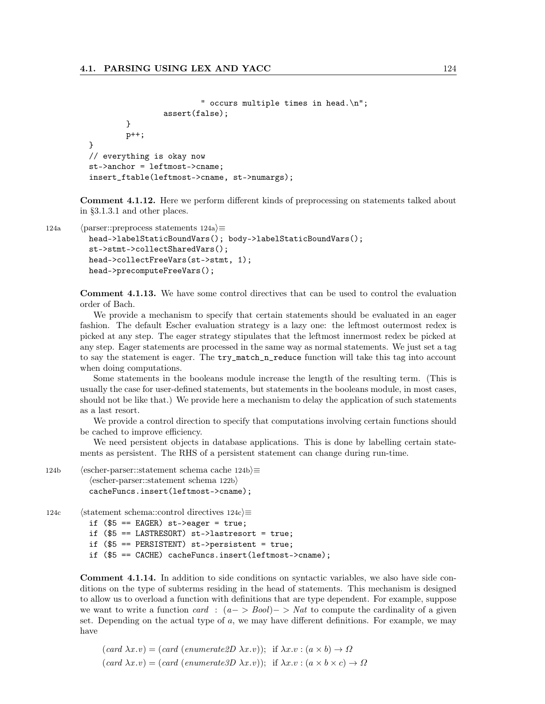```
" occurs multiple times in head.\n";
                assert(false);
        }
        p++;
// everything is okay now
st->anchor = leftmost->cname;
insert_ftable(leftmost->cname, st->numargs);
```
Comment 4.1.12. Here we perform different kinds of preprocessing on statements talked about in §3.1.3.1 and other places.

}

```
124a (parser::preprocess statements 124a)\equivhead->labelStaticBoundVars(); body->labelStaticBoundVars();
         st->stmt->collectSharedVars();
         head->collectFreeVars(st->stmt, 1);
         head->precomputeFreeVars();
```
Comment 4.1.13. We have some control directives that can be used to control the evaluation order of Bach.

We provide a mechanism to specify that certain statements should be evaluated in an eager fashion. The default Escher evaluation strategy is a lazy one: the leftmost outermost redex is picked at any step. The eager strategy stipulates that the leftmost innermost redex be picked at any step. Eager statements are processed in the same way as normal statements. We just set a tag to say the statement is eager. The  $try\_match\_n\_reduce$  function will take this tag into account when doing computations.

Some statements in the booleans module increase the length of the resulting term. (This is usually the case for user-defined statements, but statements in the booleans module, in most cases, should not be like that.) We provide here a mechanism to delay the application of such statements as a last resort.

We provide a control direction to specify that computations involving certain functions should be cached to improve efficiency.

We need persistent objects in database applications. This is done by labelling certain statements as persistent. The RHS of a persistent statement can change during run-time.

```
124b (escher-parser::statement schema cache 124b)≡
           \langleescher-parser::statement schema 122b\ranglecacheFuncs.insert(leftmost->cname);
```

```
124c 		\langlestatement schema::control directives 124c\rangle \equiv
```

```
if ($5 == EAGER) st->eager = true;
```
if (\$5 == LASTRESORT) st->lastresort = true;

if (\$5 == PERSISTENT) st->persistent = true;

```
if ($5 == CACHE) cacheFuncs.insert(leftmost->cname);
```
Comment 4.1.14. In addition to side conditions on syntactic variables, we also have side conditions on the type of subterms residing in the head of statements. This mechanism is designed to allow us to overload a function with definitions that are type dependent. For example, suppose we want to write a function card :  $(a->Bool)$  > Nat to compute the cardinality of a given set. Depending on the actual type of  $a$ , we may have different definitions. For example, we may have

 $(card \lambda x.v) = (card (enumerate2D \lambda x.v));$  if  $\lambda x.v : (a \times b) \rightarrow \Omega$  $(card \lambda x.v) = (card (enumerate3D \lambda x.v));$  if  $\lambda x.v : (a \times b \times c) \rightarrow \Omega$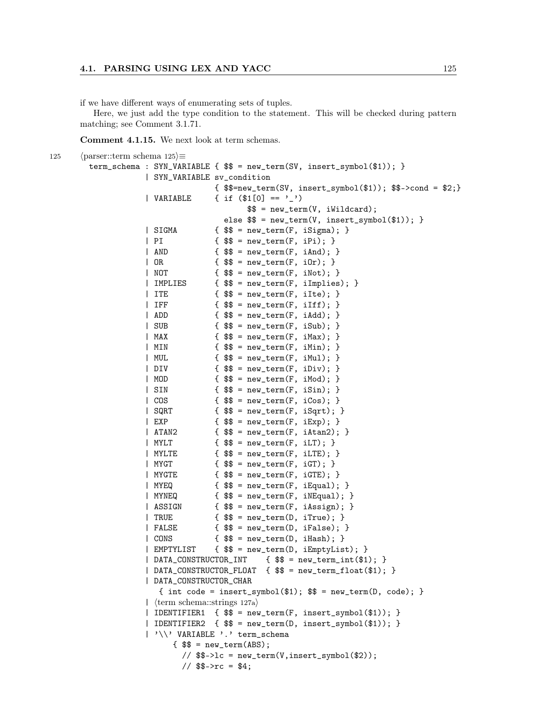if we have different ways of enumerating sets of tuples.

Here, we just add the type condition to the statement. This will be checked during pattern matching; see Comment 3.1.71.

Comment 4.1.15. We next look at term schemas.

```
125 \langle parser::term schema 125\rangle \equivterm_schema : SYN_VARIABLE { $$ = new_term(SV, insert_symbol($1)); }
                    | SYN_VARIABLE sv_condition
                                  \{ $$=new_term(SV, insert_symbol($1)); $$->cond = $2;}
                    | VARIABLE \{ if (\$1[0] == '') \}$ = new_term(V, iWildcard);
                                    else $$ = new_term(V, insert_symbol($1)); }
                    | SIGMA { $$ = new_term(F, iSigma); }
                    | PI { $$ = new_term(F, iPi); }
                    | AND {  $$ = new_term(F, iAnd); }
                    | \text{ OR } { \text{$\$}\ = new_term(F, iOr); }
                    | NOT {  $$ = new_term(F, iNot); }
                    | IMPLIES { $$ = new_term(F, iImplies); }
                    | ITE \{ \$\$ = new\_term(F, ilte); \}| IFF { $$ = new_term(F, iIff); }
                    \{ \$\ = new\_term(F, iAdd); \}\{ \$\ = new\_term(F, iSub); \}| MAX { $$ = new_term(F, iMax); }
                    | MIN {  $$ = new_term(F, iMin); }
                    | MUL { $$ = new_term(F, iMul); }
                    \{ \ \ \} = new_term(F, iDiv); \}| MOD { $$ = new_term(F, iMod); }
                    | SIN { $$ = new_term(F, iSin); }
                    | COS { $$ = new_term(F, iCos); }
                    | SQRT \{ \$\} = new\_term(F, isqrt);| EXP \t{ $${\$${$ = new_tterm(F, iExp)$; }}| ATAN2 { $$ = new_term(F, iAtan2); }
                    | MYLT \{ $  \{     \{             \{          \{      \{     \{     \{    \{    \{ \} \{ \} \{ \{ | MYLTE { $$ = new_term(F, iLTE); }
                    | MYGT { $$ = new_term(F, iGT); }
                    | MYGTE { $$ = new_term(F, iGTE); }
                    | MYEQ { $$ = new_term(F, iEqual); }
                    | MYNEQ { $$ = new_term(F, iNEqual); }
                    | ASSIGN \{ $$ = new_term(F, iAssign); \}| TRUE \{\ \ = new_term(D, iTrue); }
                    \left\{\frac{\$}{\$}\right\} = \text{new\_term}(D, \text{ if} \text{false});| CONS { $$ = new_term(D, iHash); }
                    | EMPTYLIST { $$ = new_term(D, iEmptyList); }
                    | DATA_CONSTRUCTOR_INT { $$ = new_term_int($1); }
                    | DATA_CONSTRUCTOR_FLOAT { $$ = new_term_float($1); }
                    | DATA_CONSTRUCTOR_CHAR
                      { int code = insert_symbol($1); $$ = new_term(D, code); }
                    | (term schema::strings 127a)
                    | IDENTIFIER1 { $$ = new_term(F, insert_symbol($1)); }
                    | IDENTIFIER2 { $$ = new_term(D, insert_symbol($1)); }
                    | '\\' VARIABLE '.' term_schema
                         { $$ = new_term(ABS);
                           \frac{1}{8} $$->lc = new_term(V,insert_symbol($2));
                           1/ $$->rc = $4;
```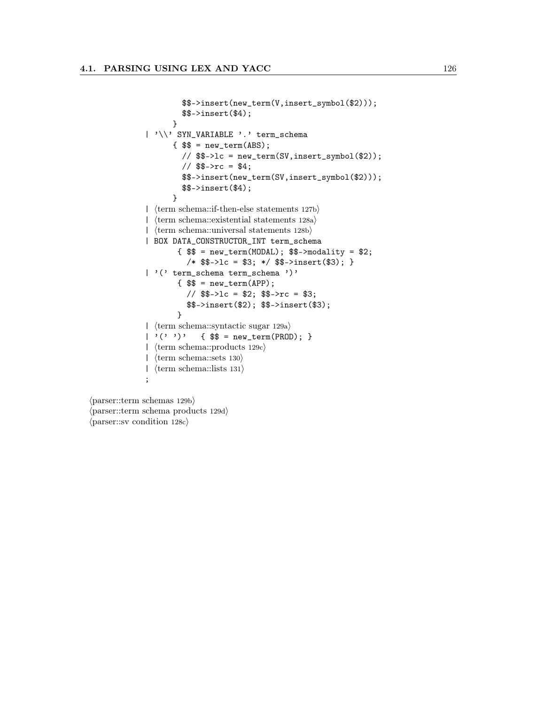```
$$->insert(new_term(V,insert_symbol($2)));
         $$->insert($4);
      }
| '\\' SYN_VARIABLE '.' term_schema
       { $$ = new_term(ABS);
         // $$->lc = new_term(SV,insert_symbol($2));
         // $$->rc = $4;
         $$->insert(new_term(SV,insert_symbol($2)));
         $$->insert($4);
       }
| \langle term schema::if-then-else statements 127b\rangle| \langle term schema::existential statements 128a\rangle| \langle \text{term schema::universal statements 128b} \rangle| BOX DATA_CONSTRUCTOR_INT term_schema
        { $$ = new_term(MODAL); $$->modality = $2;
          /* $$->lc = $3; */ $$->insert($3); }
| '(' term_schema term_schema ')'
        { $$ = new_term(APP);
          // $$->lc = $2; $$->rc = $3;
          $$->insert($2); $$->insert($3);
        }
| (term schema::syntactic sugar 129a)
| '('')' {  $$ = new_term(PROD); }
| \langle \text{term schema::products } 129c \rangle| \langle \text{term schemas:}sets 130\rangle| \langle \text{term schema::lists 131} \rangle;
```
 $\langle$  parser::term schemas 129b $\rangle$  $\langle$  parser::term schema products 129d $\rangle$  $\langle$  parser::sv condition 128c $\rangle$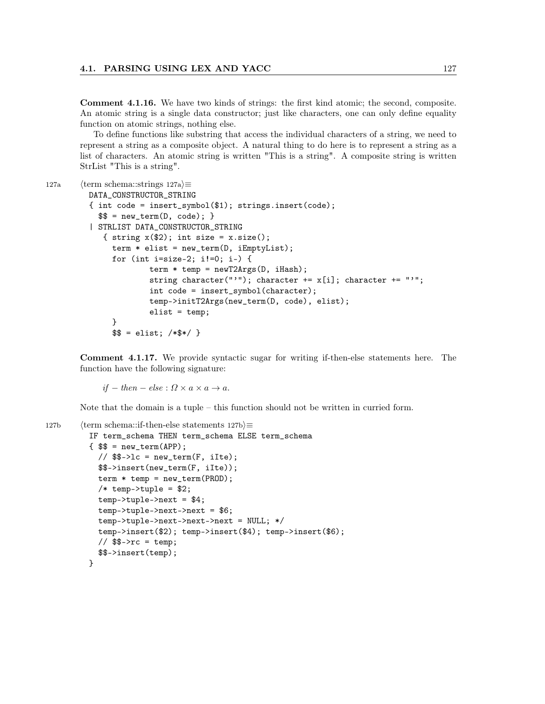Comment 4.1.16. We have two kinds of strings: the first kind atomic; the second, composite. An atomic string is a single data constructor; just like characters, one can only define equality function on atomic strings, nothing else.

To define functions like substring that access the individual characters of a string, we need to represent a string as a composite object. A natural thing to do here is to represent a string as a list of characters. An atomic string is written "This is a string". A composite string is written StrList "This is a string".

```
127a (term schema::strings 127a\rangle \equiv
```

```
DATA_CONSTRUCTOR_STRING
{ int code = insert_symbol($1); strings.insert(code);
   \ = new_term(D, code); \}| STRLIST DATA_CONSTRUCTOR_STRING
   { string x(\$2); int size = x.size();
     term * elist = new_tterm(D, iEmptyList);for (int i=size-2; i!=0; i–) {
             term * temp = newT2Args(D, iHash);string character("'"); character += x[i]; character += "'";
             int code = insert_symbol(character);
             temp->initT2Args(new_term(D, code), elist);
             elist = temp;
     }
     $ $ =  elist; /* $*/ }
```
Comment 4.1.17. We provide syntactic sugar for writing if-then-else statements here. The function have the following signature:

 $if - then - else : \Omega \times a \times a \rightarrow a.$ 

Note that the domain is a tuple – this function should not be written in curried form.

```
127b (term schema::if-then-else statements 127b)\equivIF term_schema THEN term_schema ELSE term_schema
         { $$ = new_term(APP);
            \frac{1}{2} $$->lc = new_term(F, iIte);
           $$->insert(new_term(F, iIte));
           term * temp = new_term(PROD);
            /* temp->tuple = $2;
           temp->tuple->next = $4;
           temp->tuple->next->next = $6;
           temp->tuple->next->next->next = NULL; */
           temp->insert($2); temp->insert($4); temp->insert($6);
            // $$->rc = temp;
            $$->insert(temp);
```
}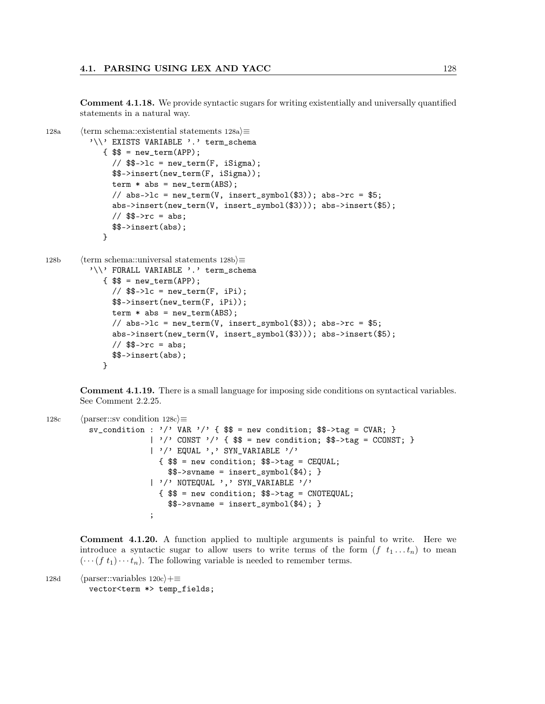Comment 4.1.18. We provide syntactic sugars for writing existentially and universally quantified statements in a natural way.

```
128a (term schema::existential statements 128a)\equiv'\\' EXISTS VARIABLE '.' term_schema
            { $$ = new_term(APP);
               // $$->lc = new_term(F, iSigma);
               $$->insert(new_term(F, iSigma));
              term * abs = new_tterm(ABS);// abs->lc = new_term(V, insert_symbol($3)); abs->rc = $5;
              abs->insert(new_term(V, insert_symbol($3))); abs->insert($5);
               // $$->rc = abs;
               $$->insert(abs);
            }
128b (term schema::universal statements 128b)≡
          '\\' FORALL VARIABLE '.' term_schema
             \{ $$ = new_term(\text{APP});
               //       > 1c = new_term(F, iPi);
              $$->insert(new_term(F, iPi));
              term * abs = new_tterm(ABS);// abs->lc = new_term(V, insert_symbol($3)); abs->rc = $5;
              abs->insert(new_term(V, insert_symbol($3))); abs->insert($5);
               // $$->rc = abs;
               $$->insert(abs);
            }
```
Comment 4.1.19. There is a small language for imposing side conditions on syntactical variables. See Comment 2.2.25.

```
128c (parser::sv condition 128c)\equivsv_condition : \prime/' VAR \prime/' { $$ = new condition; $$->tag = CVAR; }
                       | '/' CONST '/' { $$ = new condition; $$->tag = CCONST; }
                       | '/' EQUAL ',' SYN_VARIABLE '/'
                         \{ $$ = new condition; $$->tag = CEQUAL;
                           $--symame = insert_symbol($4);| '/' NOTEQUAL ',' SYN_VARIABLE '/'
                         { $$ = new condition; $$->tag = CNOTEQUAL;
                           $$->svname = insert_symbol($4); }
                       ;
```
Comment 4.1.20. A function applied to multiple arguments is painful to write. Here we introduce a syntactic sugar to allow users to write terms of the form  $(f t_1 ... t_n)$  to mean  $(\cdots (f t_1)\cdots t_n)$ . The following variable is needed to remember terms.

128d (parser::variables  $120c$ )+≡ vector<term \*> temp\_fields;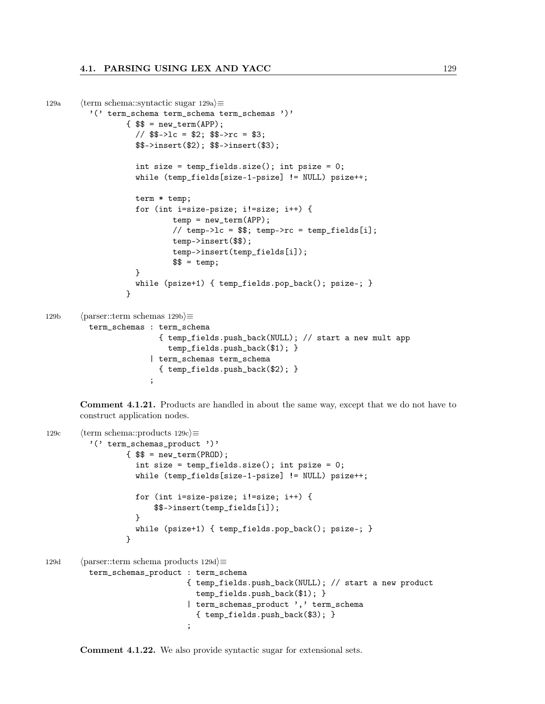```
129a (term schema::syntactic sugar 129a)\equiv'(' term_schema term_schema term_schemas ')'
                  \{ $$ = new_term(APP);
                    // $$->lc = $2; $$->rc = $3;
                    $$->insert($2); $$->insert($3);
                    int size = temp_fields.size(); int psize = 0;
                    while (temp_fields[size-1-psize] != NULL) psize++;
                    term * temp;
                    for (int i=size-psize; i!=size; i++) {
                            temp = new_term(APP);
                            // temp->lc = $$; temp->rc = temp_fields[i];
                            temp->insert($$);
                            temp->insert(temp_fields[i]);
                            $ \frac{1}{2} = temp;
                    }
                    while (psize+1) { temp_fields.pop_back(); psize–; }
                  }
129b (parser::term schemas 129b\rangle≡
         term_schemas : term_schema
                         { temp_fields.push_back(NULL); // start a new mult app
                           temp_fields.push_back($1); }
                       | term_schemas term_schema
                         { temp_fields.push_back($2); }
                       ;
```
Comment 4.1.21. Products are handled in about the same way, except that we do not have to construct application nodes.

```
129c (term schema::products 129c)\equiv'(' term_schemas_product ')'
                  { $$ = new_term(PROD);
                    int size = temp_fields.size(); int psize = 0;
                    while (temp_fields[size-1-psize] != NULL) psize++;
                    for (int i=size-psize; i!=size; i++) {
                        $$->insert(temp_fields[i]);
                    }
                    while (psize+1) { temp_fields.pop_back(); psize–; }
                  }
129d (parser::term schema products 129d)\equivterm_schemas_product : term_schema
                               { temp_fields.push_back(NULL); // start a new product
                                 temp_fields.push_back($1); }
                               | term_schemas_product ',' term_schema
                                  { temp_fields.push_back($3); }
                                ;
```
Comment 4.1.22. We also provide syntactic sugar for extensional sets.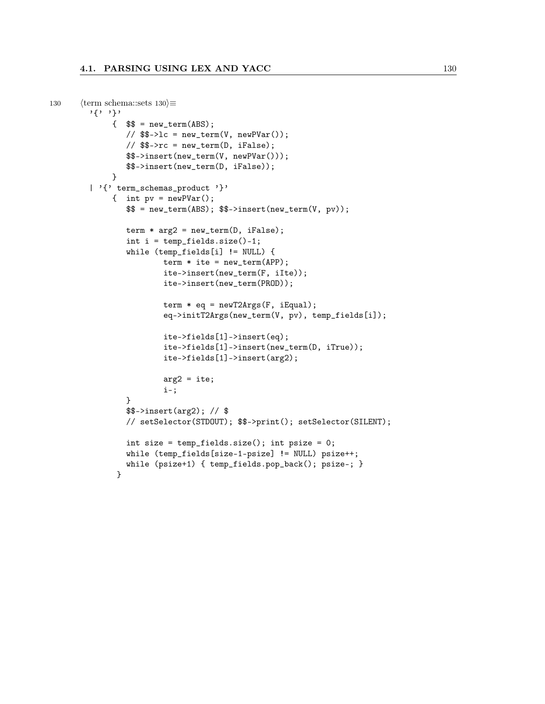```
130 \langle \text{term schemas:sets } 130 \rangle \equiv'{' '}'
              \{\ \ \ = new_term(ABS);
                 \frac{1}{8} $$->lc = new_term(V, newPVar());
                 // $$->rc = new_term(D, iFalse);
                 $$->insert(new_term(V, newPVar()));
                 $$->insert(new_term(D, iFalse));
              }
         | '{' term_schemas_product '}'
              { int pv = newPVar();
                  \ = new_term(ABS); \ \ ->insert(new_term(V, pv));
                 term * arg2 = new_tterm(D, ifFalse);int i = temp_fields.size() - 1;while (temp_fields[i] != NULL) {
                         term * ite = new_tterm(APP);ite->insert(new_term(F, iIte));
                         ite->insert(new_term(PROD));
                         term * eq = newT2Args(F, iEqual);
                         eq->initT2Args(new_term(V, pv), temp_fields[i]);
                          ite->fields[1]->insert(eq);
                          ite->fields[1]->insert(new_term(D, iTrue));
                         ite->fields[1]->insert(arg2);
                         arg2 = ite;i–;
                 }
                 $$->insert(arg2); // $
                 // setSelector(STDOUT); $$->print(); setSelector(SILENT);
                 int size = temp_fields.size(); int psize = 0;
                 while (temp_fields[size-1-psize] != NULL) psize++;
                 while (psize+1) { temp_fields.pop_back(); psize–; }
               }
```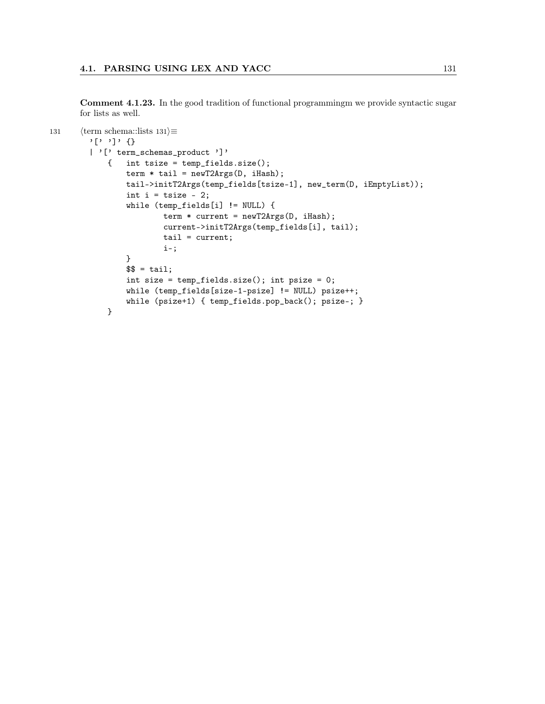Comment 4.1.23. In the good tradition of functional programmingm we provide syntactic sugar for lists as well.

```
131 \langle \text{term schema::lists } 131 \rangle \equiv'[' ']' {}
        | '[' term_schemas_product ']'
             { int tsize = temp_fields.size();
                 term * tail = newT2Args(D, iHash);tail->initT2Args(temp_fields[tsize-1], new_term(D, iEmptyList));
                 int i = tsize - 2;
                 while (temp_fields[i] != NULL) {
                         term * current = newT2Args(D, iHash);
                         current->initT2Args(temp_fields[i], tail);
                         tail = current;i–;
                 }
                 $ = tail;
                 int size = temp_fields.size(); int psize = 0;
                 while (temp_fields[size-1-psize] != NULL) psize++;
                 while (psize+1) { temp_fields.pop_back(); psize–; }
             }
```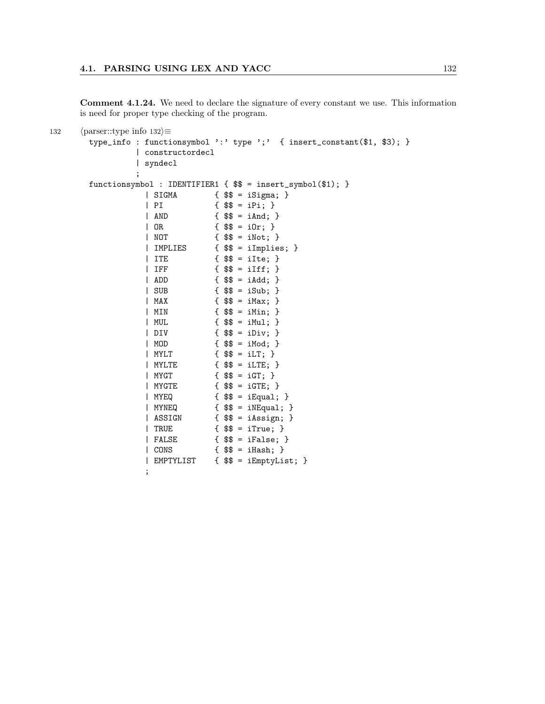Comment 4.1.24. We need to declare the signature of every constant we use. This information is need for proper type checking of the program.

```
132 \langle parser::type info 132\rangle \equivtype_info : functionsymbol ':' type ';' { insert_constant($1, $3); }
               | constructordecl
               | syndecl
               ;
       functionsymbol : IDENTIFIER1 { $$ = insert_symbol($1); }
                 | SIGMA { $$ = iSigma; }
                 | PI {  $$ = iPi; }
                 | AND \{ $ \{ $ \} = iAnd; \}| OR { $$ = iOr; }
                 | NOT { $$ = iNot; }
                 | IMPLIES { $$ = iImplies; }
                 | ITE \{ $\$ = \text{ilte}; \}| IFF \{ \$\$ = iIff; \}| ADD { $$ = iAdd; }
                 | SUB { $$ = iSub; }
                 | MAX { $$ = iMax; }
                 | MIN { $$ = iMin; }
                 | MUL { $$ = iMul; }
                 | DIV { $$ = iDiv; }
                 | MOD { $$ = iMod; }
                 | MYLT { $$ = iLT; }
                 | MYLTE { $ $$ = iLTE; }
                 | MYGT { $$ = iGT; }
                 | MYGTE { $ $ = iGTE; }
                 | MYEQ { $$ = iEqual; }
                 | MYNEQ \{ $\$ = iNEqual; \}| ASSIGN { $$ = iAssign; }
                 | TRUE { $$ = iTrue; }
                 | FALSE { $$ = iFalse; }
                 | CONS { $$ = iHash; }
                 | EMPTYLIST { $$ = iEmptyList; }
                 ;
```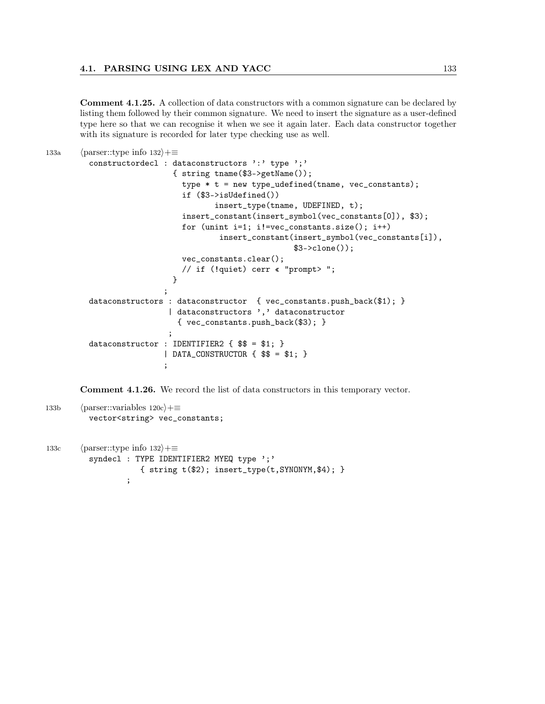Comment 4.1.25. A collection of data constructors with a common signature can be declared by listing them followed by their common signature. We need to insert the signature as a user-defined type here so that we can recognise it when we see it again later. Each data constructor together with its signature is recorded for later type checking use as well.

```
133a (parser::type info 132\rangle+≡
         constructordecl : dataconstructors ':' type ';'
                            { string tname($3->getName());
                              type * t = new type_udefined(tname, vec_constants);
                              if ($3->isUdefined())
                                      insert_type(tname, UDEFINED, t);
                              insert_constant(insert_symbol(vec_constants[0]), $3);
                              for (unint i=1; i!=vec_constants.size(); i++)
                                       insert_constant(insert_symbol(vec_constants[i]),
                                                       $3->clone());
                              vec_constants.clear();
                              // if (!quiet) cerr « "prompt> ";
                            }
                          ;
         dataconstructors : dataconstructor { vec_constants.push_back($1); }
                           | dataconstructors ',' dataconstructor
                             { vec_constants.push_back($3); }
                           ;
         dataconstructor : IDENTIFIER2 \{ $             \}| DATA_CONSTRUCTOR \{ $$ = $1; \};
```
Comment 4.1.26. We record the list of data constructors in this temporary vector.

```
133b (parser::variables 120c)+≡
         vector<string> vec_constants;
```

```
133c (parser::type info 132\rangle+≡
          syndecl : TYPE IDENTIFIER2 MYEQ type ';'
                     { string t($2); insert_type(t,SYNONYM,$4); }
                   ;
```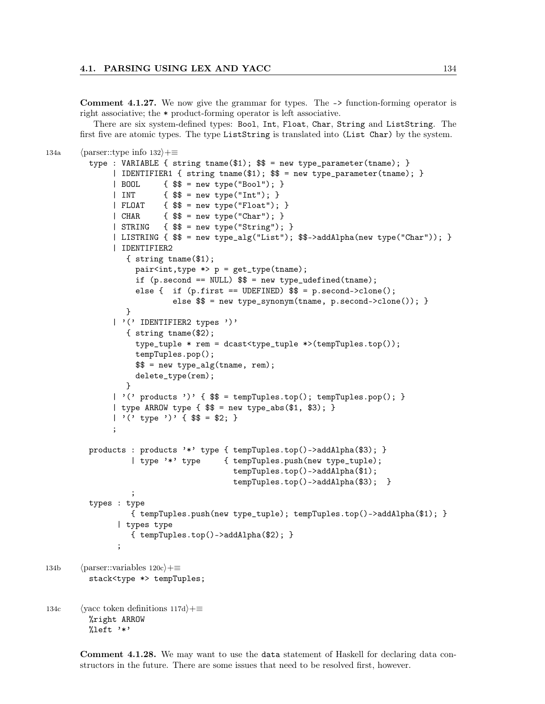Comment 4.1.27. We now give the grammar for types. The -> function-forming operator is right associative; the \* product-forming operator is left associative.

There are six system-defined types: Bool, Int, Float, Char, String and ListString. The first five are atomic types. The type ListString is translated into (List Char) by the system.

```
134a (parser::type info 132\rangle+≡
         type : VARIABLE { string tname($1); $$ = new type_parameter(tname); }
              | IDENTIFIER1 { string tname($1); $$ = new type_parameter(tname); }
              | BOOL { $$ = new type("Bool"); }
              | INT \{ $ $$ = new type("Int"); }
              | FLOAT { $$ = new type("Float"); }
              | CHAR \{ \$\$ = new type("Char"); }| STRING \{ $ \ \} = new type("String"); \}| LISTRING { $$ = new type_alg("List"); $$->addAlpha(new type("Char")); }
              | IDENTIFIER2
                 { string tname($1);
                   pair<int,type *> p = get_type(tname);if (p.\,second == NULL)  \ = new type\_udefined(tname);
                   else { if (p.first == UDEFINED)  \ = p.second->clone();
                           else $$ = new type_synonym(tname, p.second->clone()); }
                 }
              | '(' IDENTIFIER2 types ')'
                 { string tname($2);
                   type_tuple * rem = dcast<type_tuple *>(tempTuples.top());
                   tempTuples.pop();
                   $$ = new type_alg(tname, rem);
                   delete_type(rem);
                 }
              | '(' products ')' { $$ = tempTuples.top(); tempTuples.pop(); }
              | type ARROW type \{ $$ = new type_abs($1, $3); }
              | '( type ')' { $$ = $2; }
              ;
         products : products '*' type { tempTuples.top()->addAlpha($3); }
                  | type '*' type { tempTuples.push(new type_tuple);
                                         tempTuples.top()->addAlpha($1);
                                         tempTuples.top()->addAlpha($3); }
                  ;
         types : type
                  { tempTuples.push(new type_tuple); tempTuples.top()->addAlpha($1); }
               | types type
                  { tempTuples.top()->addAlpha($2); }
               ;
134b (parser::variables 120c)+≡
         stack<type *> tempTuples;
134c (yacc token definitions 117d)+≡
         %right ARROW
         %left '*'
```
Comment 4.1.28. We may want to use the data statement of Haskell for declaring data constructors in the future. There are some issues that need to be resolved first, however.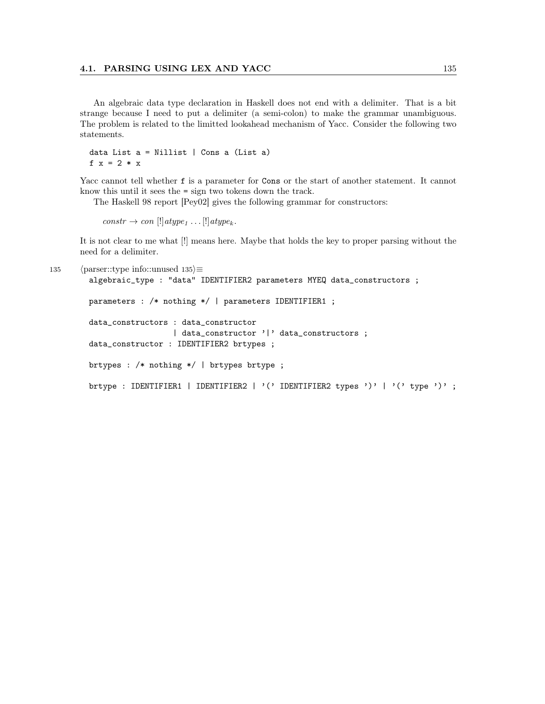### 4.1. PARSING USING LEX AND YACC 135

An algebraic data type declaration in Haskell does not end with a delimiter. That is a bit strange because I need to put a delimiter (a semi-colon) to make the grammar unambiguous. The problem is related to the limitted lookahead mechanism of Yacc. Consider the following two statements.

data List  $a =$  Nillist | Cons a (List a) f  $x = 2 \cdot x$ 

Yacc cannot tell whether f is a parameter for Cons or the start of another statement. It cannot know this until it sees the = sign two tokens down the track.

The Haskell 98 report [Pey02] gives the following grammar for constructors:

 $constr \rightarrow con$   $[!] atype_1 ... [!] atype_k.$ 

It is not clear to me what [!] means here. Maybe that holds the key to proper parsing without the need for a delimiter.

```
135 \langle parser::type info::unused 135\rangle \equivalgebraic_type : "data" IDENTIFIER2 parameters MYEQ data_constructors ;
        parameters : /* nothing */ | parameters IDENTIFIER1 ;
        data_constructors : data_constructor
                            | data_constructor '|' data_constructors ;
        data_constructor : IDENTIFIER2 brtypes ;
        brtypes : /* nothing */ | brtypes brtype ;
        brtype : IDENTIFIER1 | IDENTIFIER2 | '(' IDENTIFIER2 types ')' | '(' type ')' ;
```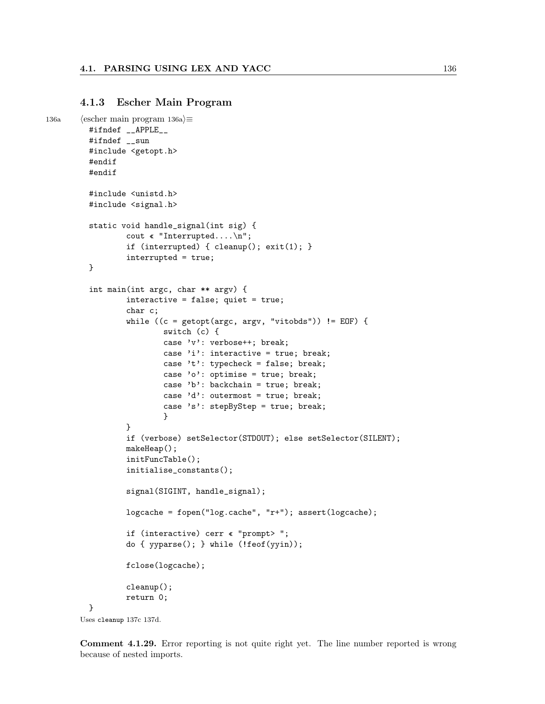## 4.1.3 Escher Main Program

```
136a (escher main program 136a)\equiv#ifndef __APPLE__
         #ifndef __sun
         #include <getopt.h>
         #endif
         #endif
         #include <unistd.h>
         #include <signal.h>
         static void handle_signal(int sig) {
                 cout « "Interrupted....\n";
                 if (interrupted) { cleanup(); exit(1); }
                 interrupted = true;
         }
         int main(int argc, char ** argv) {
                 interactive = false; quiet = true;
                 char c;
                 while ((c = getopt(argc, argv, "vitobds")) := EOF) {
                          switch (c) {
                          case 'v': verbose++; break;
                          case 'i': interactive = true; break;
                          case 't': typecheck = false; break;
                          case 'o': optimise = true; break;
                          case 'b': backchain = true; break;
                          case 'd': outermost = true; break;
                          case 's': stepByStep = true; break;
                          }
                 }
                 if (verbose) setSelector(STDOUT); else setSelector(SILENT);
                 makeHeap();
                 initFuncTable();
                 initialise_constants();
                 signal(SIGINT, handle_signal);
                 logcache = fopen("log.cache", "r+"); assert(logcache);
                 if (interactive) cerr « "prompt> ";
                 do { yyparse(); } while (!feof(yyin));
                 fclose(logcache);
                 cleanup();
                 return 0;
         }
       Uses cleanup 137c 137d.
```
Comment 4.1.29. Error reporting is not quite right yet. The line number reported is wrong because of nested imports.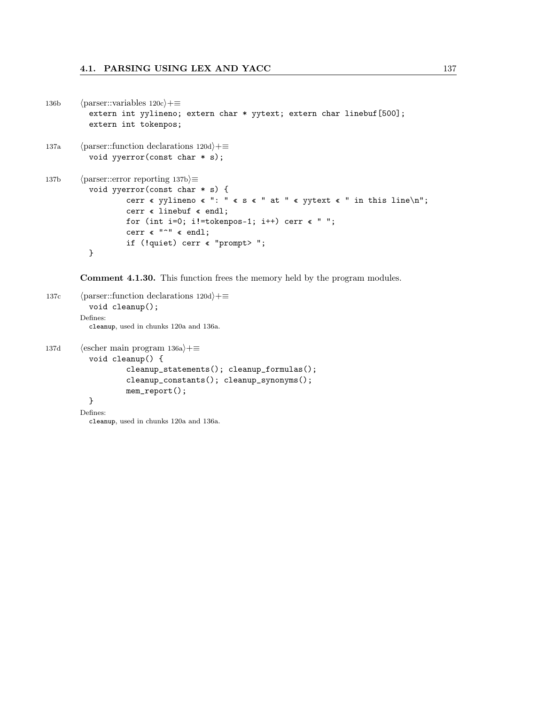```
136b (parser::variables 120c}+≡
          extern int yylineno; extern char * yytext; extern char linebuf[500];
          extern int tokenpos;
137a (parser::function declarations 120d)+≡
          void yyerror(const char * s);
137b \langle parser::error reporting 137b\rangle \equivvoid yyerror(const char * s) {
                  cerr « yylineno « ": " « s « " at " « yytext « " in this line\n";
                  cerr « linebuf « endl;
                  for (int i=0; i!=tokenpos-1; i++) cerr \langle " ";
                  cerr « "^" « endl;
                  if (!quiet) cerr « "prompt> ";
          }
```
Comment 4.1.30. This function frees the memory held by the program modules.

```
137c (parser::function declarations 120d)+≡
          void cleanup();
        Defines:
          cleanup, used in chunks 120a and 136a.
137d (escher main program 136a)+≡
          void cleanup() {
                   cleanup_statements(); cleanup_formulas();
                   cleanup_constants(); cleanup_synonyms();
                  mem_report();
          }
        Defines:
```
cleanup, used in chunks 120a and 136a.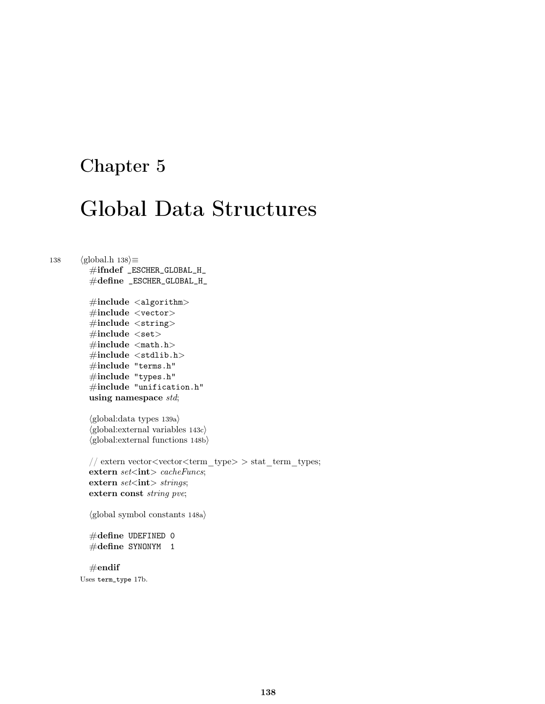## Chapter 5

# Global Data Structures

138  $\langle \text{global.h } 138 \rangle \equiv$ 

#ifndef \_ESCHER\_GLOBAL\_H\_ #define \_ESCHER\_GLOBAL\_H\_

 $\#$ include  $\langle$ algorithm $\rangle$  $\#$ include <vector>  $\#$ include <string>  $\#include$  $\#include$   $\leq$  math.h>  $\#include$  < stdlib.h>  $\#\text{include }$  "terms.h" #include "types.h"  $\#$ include "unification.h" using namespace std;

 $\langle$ global:data types 139a $\rangle$  $\langle\text{global:external variables 143c}\rangle$  $\langle$ global: external functions 148b $\rangle$ 

```
// extern vector<vector<term_type> > stat_term_types;
extern set<int> cacheFuncs;
extern set<int> strings;
extern const string pve;
```
 $\langle$ global symbol constants 148a $\rangle$ 

```
#define UDEFINED 0
\#\text{define } SYNONYM 1
```
 $#$ endif Uses term\_type 17b.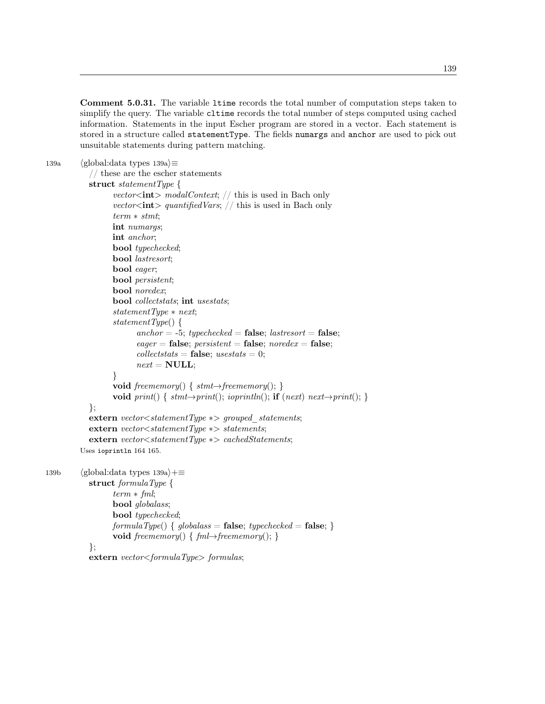Comment 5.0.31. The variable ltime records the total number of computation steps taken to simplify the query. The variable cltime records the total number of steps computed using cached information. Statements in the input Escher program are stored in a vector. Each statement is stored in a structure called statementType. The fields numargs and anchor are used to pick out unsuitable statements during pattern matching.

```
139a (global:data types 139a)\equiv
```

```
// these are the escher statements
  struct statementType {
        vector<int> modalContext; // this is used in Bach only
        vector<int> quantifiedVars; // this is used in Bach only
        term ∗ stmt;
        int numargs;
        int anchor;
        bool typechecked;
        bool lastresort;
        bool eager;
        bool persistent;
        bool noredex;
        bool collectstats; int usestats;
        statementType * next;
        statementType() {
               anchor = -5; typechecked = false; lastresort = false;
               eager = false; persistent = false; noredex = false;collectstats = false; <i>usestats = 0;</i>next = NULL;}
        void freememory() { stmt \rightarrow free memory(); }
        void print() { stmt \rightarrow print(); ioprintln(); if (next) next\rightarrow print(); }
  };
  extern vector<statementType \ast> grouped statements;
  extern vector<statementType ∗> statements;
  extern vector<statementType ∗> cachedStatements;
Uses ioprintln 164 165.
```
139b (global:data types 139a)+≡ struct formulaType { term ∗ fml; bool globalass; bool typechecked;  $formulaType() \{ globalass = false; typechecked = false; \}$ void freememory() {  $fml \rightarrow free memory();$  } };

```
extern vector<formulaType> formulas;
```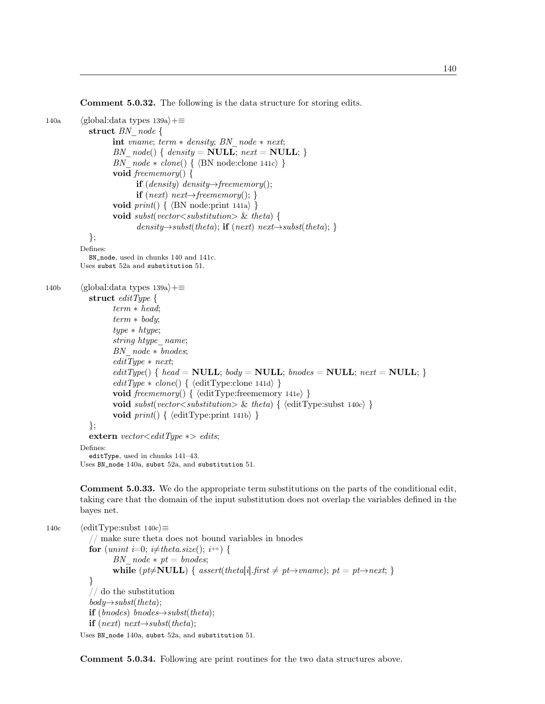Comment 5.0.32. The following is the data structure for storing edits.

```
140a (global:data types 139a)+≡
            struct BN node {
                   int vname; term ∗ density; BN_node ∗ next;
                   BN node() \{ density = NULL; next = NULL; }BN node * clone() { \nS\ N node: clone 141c} }void freememory() {
                         if (density) density\rightarrowfreememory();
                         if (next) next→freememory(); }
                   void print() \{ \langle BN \text{ node:print 141a} \rangle \}void subst(vector \lt substitution \gt \& theta) {
                          density \rightarrow subset(theta); if (next) next\rightarrow subset(theta);};
          Defines:
            BN_node, used in chunks 140 and 141c.
          Uses subst 52a and substitution 51.
140b (global:data types 139a)+≡
            struct editType {
                   term ∗ head;
                   term * body;type ∗ htype;
                   string htype name;
                   BN\ \ node * \ bnodes;editType * next;editType() \{ head = NULL; body = NULL; bonds = NULL; next = NULL; \}editType * clone() { \langle editType:clone 141d \rangle }void freememory() { \{ {editType:freememory 141e} }
                   void subst(vector \langle substitution \rangle \& theta) { \langle editType:subst 140c\rangle }
                   void print() \{ \langle \text{editType:print 141b} \rangle \}};
            extern vector<editType \ast> edits;
          Defines:
            editType, used in chunks 141–43.
```
Uses BN\_node 140a, subst 52a, and substitution 51.

Comment 5.0.33. We do the appropriate term substitutions on the parts of the conditional edit, taking care that the domain of the input substitution does not overlap the variables defined in the bayes net.

140c  $\langle$ editType:subst 140c $\rangle \equiv$ // make sure theta does not bound variables in bnodes for (unint i=0; i $\neq$ theta.size(); i++) { BN  $node * pt = bnodes;$ while (pt $\neq$ NULL) { assert(theta[i].first  $\neq$  pt $\rightarrow$ vname); pt = pt $\rightarrow$ next; } } // do the substitution  $body \rightarrow subset(theta);$ if  $(bnodes)$  bnodes $\rightarrow$ subst(theta); **if** (next) next $\rightarrow$ subst(theta); Uses BN\_node 140a, subst 52a, and substitution 51.

Comment 5.0.34. Following are print routines for the two data structures above.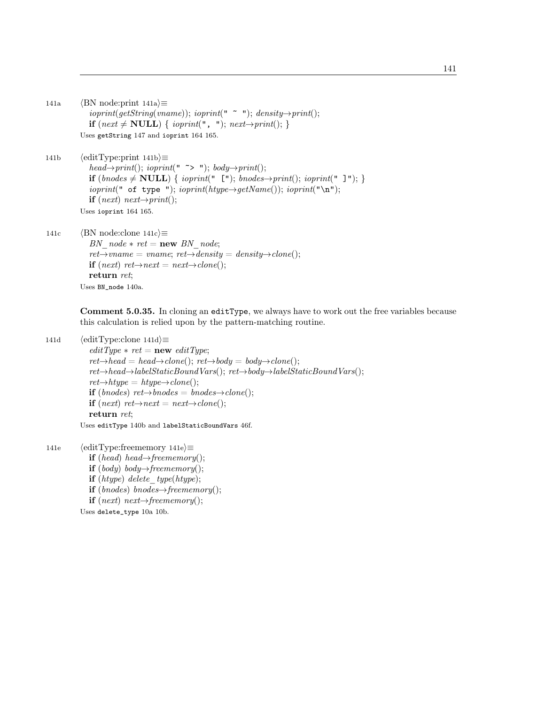```
141a (BN node:print 141a)\equivioprint(getString(triangle)); ioprint(" " "); density\rightarrow print(;
             if (next ≠ NULL) { ioprint(", "); next→print(); }
          Uses getString 147 and ioprint 164 165.
141b (editType:print 141b)\equivhead\rightarrowprint(); ioprint(" ~> "); body\rightarrowprint();
             if (bnodes \neq NULL) { ioprint(" ["); bnodes→print(); ioprint(" ]"); }
             ioprint(" of type "); ioprint(htype \rightarrow getName()); ioprint("n");
             if (next) next\rightarrow print();
          Uses ioprint 164 165.
141c \langle BN \text{ node:clone } 141c \rangle \equivBN_node * ret = new BN_node;
             ret{\rightarrow}vname = vname; ret{\rightarrow}density = density{\rightarrow}clone();if (next) ret\rightarrownext = next\rightarrowclone();
             return ret;
          Uses BN_node 140a.
```
Comment 5.0.35. In cloning an editType, we always have to work out the free variables because this calculation is relied upon by the pattern-matching routine.

```
141d (editType:clone 141d)\equiv
```

```
editType * ret = new editType;ret{\rightarrow}head = head{\rightarrow}clone(); ret{\rightarrow}body = body{\rightarrow}clone();ret→head→labelStaticBoundVars(); ret→body→labelStaticBoundVars();
ret{\rightarrow}htype = \frac{htype{\rightarrow}clone();if (bnodes) ret→bnodes = bnodes→clone();
if (next) ret\rightarrow next = next \rightarrow clone;
return ret;
```
Uses editType 140b and labelStaticBoundVars 46f.

```
141e \langleeditType:freememory 141e\rangle ≡if (head) head\rightarrowfreememory();
            if (body) body→freememory();
            if (htype) delete_type(htype);
            if (bnodes) bnodes\rightarrowfreememory();
            if (next) next\rightarrowfreememory();
          Uses delete_type 10a 10b.
```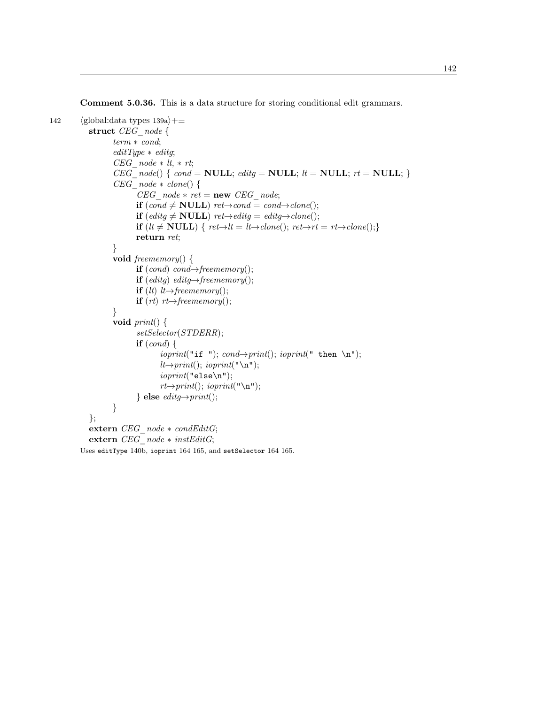Comment 5.0.36. This is a data structure for storing conditional edit grammars.

```
142 (global:data types 139a)+≡
          struct CEG_node {
                 term ∗ cond;
                 editType * editq;CEG\ \ node * lt, * rt;CEG\_node() \{ cond = NULL; editg = NULL; lt = NULL; rt = NULL;CEG\ \ node * \ clone() {
                        CEG\_node * ret = new \; CEG\_node;if (cond ≠ NULL) ret→cond = cond→clone();if (editg \neq NULL) ret→editg = editg→clone();
                        if (lt \neq \textbf{NULL}) { ret→lt = lt→clone(); ret→rt = rt→clone();}
                        return ret;
                 }
                 void freememory() {
                        if (cond) cond\rightarrow free memory();if (edity) edity \rightarrow freememory();if (lt) lt→freememory();
                        if (rt) rt\rightarrowfreememory();
                 }
                 void print() {
                        setSelector(STDERR);
                        if (cond) {
                              ioprint("if "); cond \rightarrow print(); ioprint(" then \n");
                              lt \rightarrow print(); ioprint("\n");
                              \text{ioprint}("else\verb+\n"');
                              rt \rightarrow print(); ioprint("\n");
                        \} else editq \rightarrow print();
                 }
          };
          extern CEG_node ∗ condEditG;
          extern CEG_node ∗ instEditG;
        Uses editType 140b, ioprint 164 165, and setSelector 164 165.
```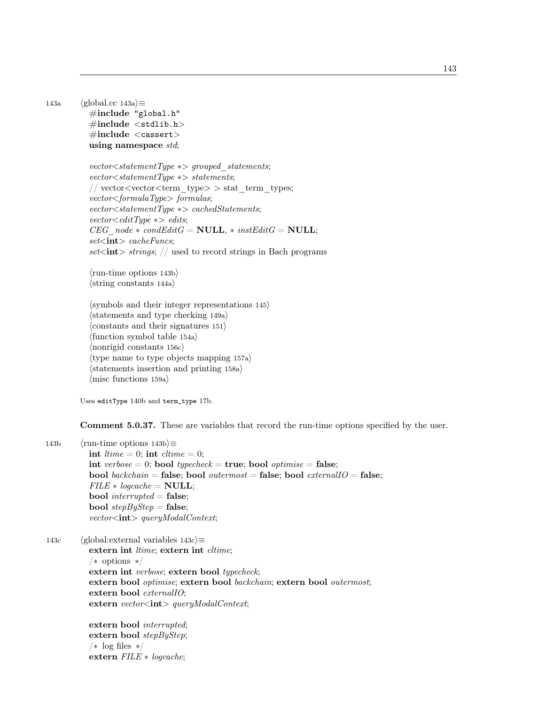143a (global.cc 143a) $\equiv$  $\#$ include "global.h"  $\#include$  < stdlib.h>  $\#$ include  $\langle \text{casser} \rangle$ using namespace std;

> vector<statementType ∗> grouped statements; vector<statementType ∗> statements; // vector<vector<term\_type $\gt$  > stat\_term\_types; vector<formulaType> formulas; vector<statementType ∗> cachedStatements;  $vector <$ editType  $\ast$ > edits;  $CEG\ \ node * condEditG = \textbf{NULL}; * instEditG = \textbf{NULL};$  $set$ int $> \textit{cacheFuncs}$ ;  $set<$ **int** $>$  strings; // used to record strings in Bach programs

 $\langle$ run-time options 143b $\rangle$  $\langle$ string constants 144a $\rangle$ 

 $\langle$ symbols and their integer representations 145 $\rangle$  $\langle$ statements and type checking 149a $\rangle$  $\langle \text{constants} \rangle$  and their signatures 151  $\langle$  function symbol table 154a $\rangle$  $\langle$  nonrigid constants 156c $\rangle$  $\langle$ type name to type objects mapping 157a $\rangle$  $\langle$ statements insertion and printing 158a $\rangle$  $\langle$ misc functions 159a $\rangle$ 

Uses editType 140b and term\_type 17b.

Comment 5.0.37. These are variables that record the run-time options specified by the user.

143b  $\langle$ run-time options 143b $\rangle$ ≡

int *ltime* = 0; int *cltime* = 0; int verbose = 0; bool typecheck = true; bool optimise = false; bool backchain = false; bool outermost = false; bool externalIO = false;  $FILE * logcache = NULL;$ **bool** interrupted = **false**; **bool** stepByStep = **false**;  $vector<$ int $>$ queryModalContext;

143c (global:external variables  $143c \equiv$ extern int ltime; extern int cltime; /∗ options ∗/ extern int verbose; extern bool typecheck; extern bool optimise; extern bool backchain; extern bool outermost; extern bool *externalIO*; extern  $vector < \text{int} > queryModalContext;$ 

> extern bool interrupted; extern bool stepByStep; /∗ log files ∗/ extern FILE ∗ logcache;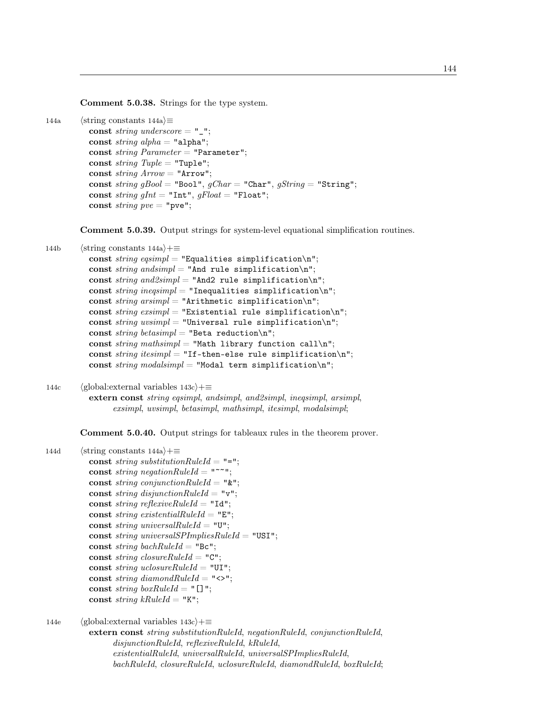Comment 5.0.38. Strings for the type system.

```
144a \langlestring constants 144a\rangle \equiv
```

```
const string underscore = "\_";
const string alpha = "alpha";const string Parameter = "Parameter";const string Tuple = "Tuple";const string Arrow = "Arrow";const string gBool = "Bool", gChar = "Char", gString = "String";
const string gInt = "Int", gFloat = "Float";
const string pve = "pve";
```
Comment 5.0.39. Output strings for system-level equational simplification routines.

```
144b \langlestring constants 144a\rangle+≡
          const string eqsimpl = "Equalities simplification\n";
          const string and simple = "And rule simplification\n";
          const string and 2simpl = "And2 rule simplification\n";
          const string ineqsimpl = "Inequalities simplification\n";
          const string arsimpl = "Arithmetic simplification\n";
          const string exsimpl = "Existential rule simplification\n";
          const string uvsimpl = "Universal rule simplification\n";
          const string betasimpl = "Beta reduction\n";
          const string mathsimpl = "Math library function call\n";
          const string itesimpl = "If-then-else rule simplification\n";
          const string modalsimpl = "Modal term simplification\n";
```
144c (global:external variables  $143c$ ) +≡ extern const string eqsimpl, andsimpl, and2simpl, ineqsimpl, arsimpl, exsimpl, uvsimpl, betasimpl, mathsimpl, itesimpl, modalsimpl;

Comment 5.0.40. Output strings for tableaux rules in the theorem prover.

```
144d (string constants 144a)+≡
          const string substitution RuleId = "=";
          const string negationRuleId = "const string conjunctionRuleId = "\";
          const string disjunctionRuleId = "v";
          const string reflexiveRuleId = "Id";
          const string existentialRuleId = "E";
          const string universalRuleId = "U";
          const string universalSPImpliesRuleId = "USI";
          const string bachRuleId = "Bc";
           const string closureRuleId = "C";
           const string uclosureRuleId = "UI";
           const string diamondRuleId = "\langle \rangle";
          const string boxRuleId = "[]";
          const string kRuleId = "K";
```

```
144e (global:external variables 143c)+≡
          extern const string substitutionRuleId, negationRuleId, conjunctionRuleId,
                disjunctionRuleId, reflexiveRuleId, kRuleId,
                existentialRuleId, universalRuleId, universalSPImpliesRuleId,
                bachRuleId, closureRuleId, uclosureRuleId, diamondRuleId, boxRuleId;
```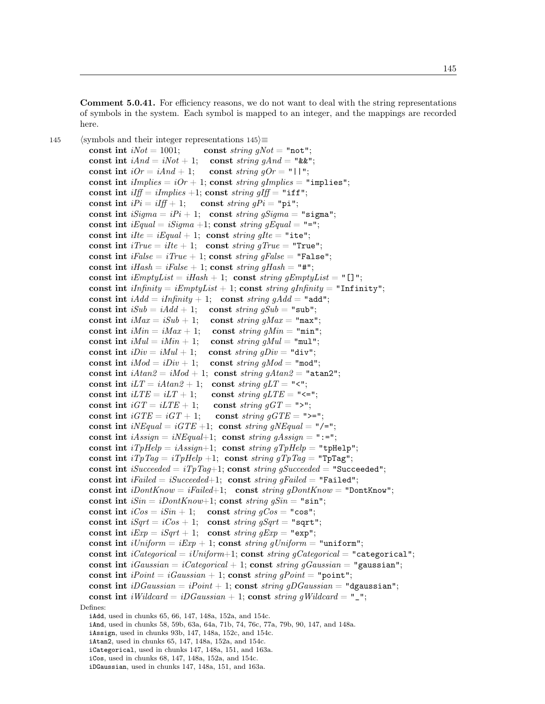Comment 5.0.41. For efficiency reasons, we do not want to deal with the string representations of symbols in the system. Each symbol is mapped to an integer, and the mappings are recorded here.

145 (symbols and their integer representations  $145$ )≡ const int  $iNot = 1001$ ; const string gNot = "not"; const int  $iAnd = iNot + 1$ ; const string  $gAnd = "&"$ ; const int  $iOr = iAnd + 1$ ; const string  $gOr = "1"$ ; const int  $implies = iOr + 1$ ; const string gImplies = "implies"; const int  $\text{iff} = \text{ilmplies} + 1$ ; const string  $\text{aff} = "iff";$ const int  $iPi = iIff + 1$ ; const string  $qPi = "pi";$ const int  $iSigma = iPi + 1$ ; const string gSigma = "sigma"; const int  $iEqual = iSigma + 1$ ; const string gEqual = "="; const int  $ilte = iEqual + 1$ ; const string gIte = "ite"; const int  $iTrue = ilte + 1$ ; const string gTrue = "True"; const int  $iFalse = iTrue + 1$ ; const string gFalse = "False"; const int  $iHash = iFalse + 1$ ; const string gHash = "#"; const int  $iEmptyList = iHash + 1$ ; const string  $gEmptyList = "[]";$ const int  $iInfinite = iEmptyList + 1$ ; const string  $qInfinite$  "Infinity"; const int  $iAdd = iInfinity + 1$ ; const string  $qAdd = "add";$ const int  $iSub = iAdd + 1$ ; const string  $gSub = "sub";$ const int  $iMax = iSub + 1$ ; const string gMax = "max"; const int  $iMin = iMax + 1$ ; const string gMin = "min"; const int  $iMul = iMin + 1$ ; const string gMul = "mul"; const int  $iDiv = iMul + 1$ ; const string  $gDiv = "div";$ const int  $iMod = iDiv + 1$ ; const string gMod = "mod"; const int  $iA \tan 2 = iMod + 1$ ; const string  $qA \tan 2 =$  "atan2"; const int  $iLT = iAtan2 + 1$ ; const string  $qLT = "1"$ ; const int  $iLTE = iLT + 1$ ; const string  $qLTE = "<=";$ const int  $iGT = iLTE + 1$ ; const string  $gGT = "\rightarrow"$ ; const int  $iGTE = iGT + 1$ ; const string  $gGTE =$  ">="; const int  $iNEqual = iGTE +1$ ; const string  $qNEqual = "/-";$ const int  $iAs sign = iNEqual+1$ ; const string gAssign = ":="; const int  $iTpHelp = iAssign+1$ ; const  $string qTpHelp = "tpHelp";$ const int  $iTpTag = iTpHelp +1$ ; const  $string gTpTag = "TpTag";$ const int  $iSucceeded = iTpTag+1$ ; const string gSucceeded = "Succeeded"; const int iFailed = iSucceeded+1; const string gFailed = "Failed"; const int  $iDontKnow = iFailed+1$ ; const string  $qDontKnow = "DontKnow";$ const int  $iSin = iDontKnow+1$ ; const string  $gSin = "sin";$ const int  $iCos = iSin + 1$ ; const string  $gCos = "cos";$ const int  $iSqrt = iCos + 1$ ; const string gSqrt = "sqrt"; const int  $iExp = iSqrt + 1$ ; const  $string \ gExp = "exp";$ const int  $iUniform = iExp + 1$ ; const string gUniform = "uniform"; const int  $iCategorical = iUniform+1$ ; const string gCategorical = "categorical"; const int  $iGaussian = iCategorical + 1$ ; const string gGaussian = "gaussian"; const int  $iPoint = iGaussian + 1$ ; const string gPoint = "point"; const int  $iDGaussian = iPoint + 1$ ; const string gDGaussian = "dgaussian"; const int iWildcard = iDGaussian + 1; const string gWildcard = "\_"; Defines: iAdd, used in chunks 65, 66, 147, 148a, 152a, and 154c. iAnd, used in chunks 58, 59b, 63a, 64a, 71b, 74, 76c, 77a, 79b, 90, 147, and 148a. iAssign, used in chunks 93b, 147, 148a, 152c, and 154c. iAtan2, used in chunks 65, 147, 148a, 152a, and 154c. iCategorical, used in chunks 147, 148a, 151, and 163a.

iDGaussian, used in chunks 147, 148a, 151, and 163a.

iCos, used in chunks 68, 147, 148a, 152a, and 154c.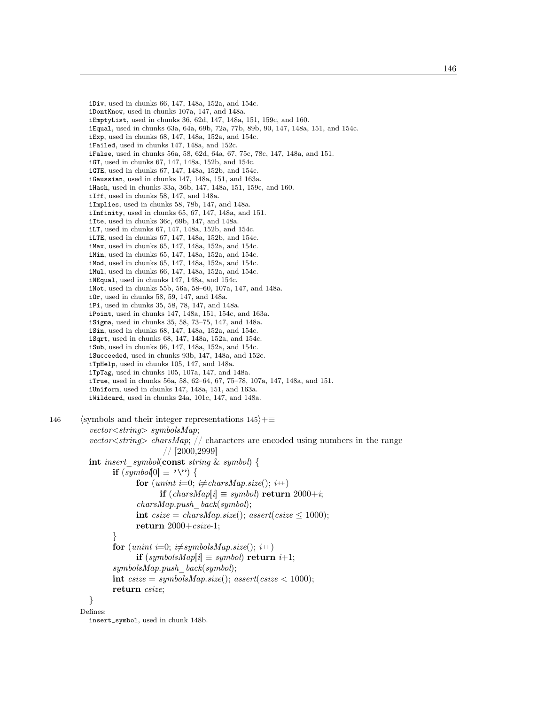iDiv, used in chunks 66, 147, 148a, 152a, and 154c. iDontKnow, used in chunks 107a, 147, and 148a. iEmptyList, used in chunks 36, 62d, 147, 148a, 151, 159c, and 160. iEqual, used in chunks 63a, 64a, 69b, 72a, 77b, 89b, 90, 147, 148a, 151, and 154c. iExp, used in chunks 68, 147, 148a, 152a, and 154c. iFailed, used in chunks 147, 148a, and 152c. iFalse, used in chunks 56a, 58, 62d, 64a, 67, 75c, 78c, 147, 148a, and 151. iGT, used in chunks 67, 147, 148a, 152b, and 154c. iGTE, used in chunks 67, 147, 148a, 152b, and 154c. iGaussian, used in chunks 147, 148a, 151, and 163a. iHash, used in chunks 33a, 36b, 147, 148a, 151, 159c, and 160. iIff, used in chunks 58, 147, and 148a. iImplies, used in chunks 58, 78b, 147, and 148a. iInfinity, used in chunks 65, 67, 147, 148a, and 151. iIte, used in chunks 36c, 69b, 147, and 148a. iLT, used in chunks 67, 147, 148a, 152b, and 154c. iLTE, used in chunks 67, 147, 148a, 152b, and 154c. iMax, used in chunks 65, 147, 148a, 152a, and 154c. iMin, used in chunks 65, 147, 148a, 152a, and 154c. iMod, used in chunks 65, 147, 148a, 152a, and 154c. iMul, used in chunks 66, 147, 148a, 152a, and 154c. iNEqual, used in chunks 147, 148a, and 154c. iNot, used in chunks 55b, 56a, 58–60, 107a, 147, and 148a. iOr, used in chunks 58, 59, 147, and 148a. iPi, used in chunks 35, 58, 78, 147, and 148a. iPoint, used in chunks 147, 148a, 151, 154c, and 163a. iSigma, used in chunks 35, 58, 73–75, 147, and 148a. iSin, used in chunks 68, 147, 148a, 152a, and 154c. iSqrt, used in chunks 68, 147, 148a, 152a, and 154c. iSub, used in chunks 66, 147, 148a, 152a, and 154c. iSucceeded, used in chunks 93b, 147, 148a, and 152c. iTpHelp, used in chunks 105, 147, and 148a. iTpTag, used in chunks 105, 107a, 147, and 148a. iTrue, used in chunks 56a, 58, 62–64, 67, 75–78, 107a, 147, 148a, and 151. iUniform, used in chunks 147, 148a, 151, and 163a. iWildcard, used in chunks 24a, 101c, 147, and 148a. 146 (symbols and their integer representations  $145\rangle+\equiv$  $vector \leq string$  symbolsMap; vector  $\langle \text{string} \rangle$  charsMap; // characters are encoded using numbers in the range // [2000,2999] int insert symbol(const string  $\&$  symbol) { if  $(symbol[0] ≡ '\\'')$  { for (unint i=0;  $i \neq charsMap.size(); i++)$ if  $(charsMap[i] \equiv symbol)$  return 2000+*i*;  $charsMap.push \; back(symbol);$ int  $\text{c}size = \text{charsMap.size}$ ;  $\text{assert}(\text{c}size \leq 1000)$ ; return  $2000+csize-1$ ; }

for (unint i=0;  $i\neq$ symbolsMap.size();  $i+$ ) if  $(symbolsMap[i] \equiv symbol)$  return  $i+1$ ; symbolsMap.push\_back(symbol); int  $\text{c}size = \text{symbols}Map.size()$ ;  $\text{assert}( \text{c}size < 1000)$ ; return csize;

} Defines:

insert\_symbol, used in chunk 148b.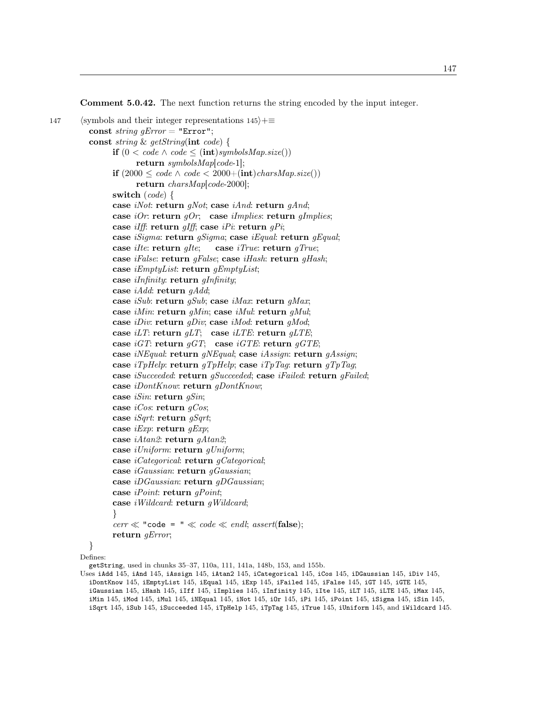Comment 5.0.42. The next function returns the string encoded by the input integer.

```
147 (symbols and their integer representations 145\rangle+\equivconst string qError = "Error";const string & getString(int code) {
               if (0 < code \land code < (int) symbolsMap.size())return symbolsMap[code-1];
               if (2000 ≤ code ∧ code < 2000+(int)charsMap.size())return charsMap[code-2000];
               switch (code) {
               case iNot: return gNot; case iAnd: return gAnd;
               case iOr: return gOr; case iImplies: return gImplies;
               case iIff: return gIff; case iPi: return gPi;
               case iSigma: return gSigma; case iEqual: return gEqual;
               case ilte: return alte; case iTrue: return aTrue;
               case iFalse: return gFalse; case iHash: return gHash;
               case iEmptyList: return gEmptyList;
               case iInfinity: return gInfinity;
               case iAdd: return gAdd;
               case iSub: return gSub; case iMax: return gMax;
               case iMin: return qMin; case iMul: return qMul;
               case iDiv: return gDiv; case iMod: return gMod;
               case iLT: return gLT; case iLTE: return gLTE;
               case iGT: return gGT; case iGTE: return gGTE;
               case iNEqual: return gNEqual; case iAssign: return gAssign;
               case iTpHelp: return gTpHelp; case iTpTag: return gTpTag;
               case iSucceeded: return gSucceeded; case iFailed: return gFailed;
               case iDontKnow: return gDontKnow;
               case iSin: return gSin;
               case iCos: return qCos;
               case iSqrt: return gSqrt;
               case iExp: return qExp;
               case iAtan2: return gAtan2;
               case iUniform: return gUniform;
               case iCategorical: return gCategorical;
               case iGaussian: return gGaussian;
               case iDGaussian: return gDGaussian;
               case iPoint: return gPoint;
               case iWildcard: return gWildcard;
               }
               cerr \ll "code = " \ll code \ll end; assert(\mathbf{false});return gError;
         }
```
Defines:

getString, used in chunks 35–37, 110a, 111, 141a, 148b, 153, and 155b.

Uses iAdd 145, iAnd 145, iAssign 145, iAtan2 145, iCategorical 145, iCos 145, iDGaussian 145, iDiv 145, iDontKnow 145, iEmptyList 145, iEqual 145, iExp 145, iFailed 145, iFalse 145, iGT 145, iGTE 145, iGaussian 145, iHash 145, iIff 145, iImplies 145, iInfinity 145, iIte 145, iLT 145, iLTE 145, iMax 145, iMin 145, iMod 145, iMul 145, iNEqual 145, iNot 145, iOr 145, iPi 145, iPoint 145, iSigma 145, iSin 145, iSqrt 145, iSub 145, iSucceeded 145, iTpHelp 145, iTpTag 145, iTrue 145, iUniform 145, and iWildcard 145.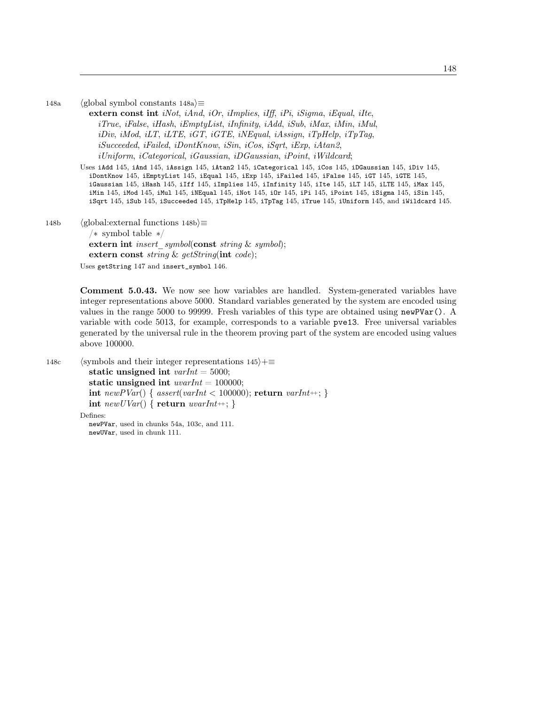148a (global symbol constants 148a) $\equiv$ 

extern const int *iNot, iAnd, iOr, iImplies, iIff, iPi, iSigma, iEqual, iIte,* iTrue, iFalse, iHash, iEmptyList, iInfinity, iAdd, iSub, iMax, iMin, iMul, iDiv, iMod, iLT, iLTE, iGT, iGTE, iNEqual, iAssign, iTpHelp, iTpTag, iSucceeded, iFailed, iDontKnow, iSin, iCos, iSqrt, iExp, iAtan2, iUniform, iCategorical, iGaussian, iDGaussian, iPoint, iWildcard;

Uses iAdd 145, iAnd 145, iAssign 145, iAtan2 145, iCategorical 145, iCos 145, iDGaussian 145, iDiv 145, iDontKnow 145, iEmptyList 145, iEqual 145, iExp 145, iFailed 145, iFalse 145, iGT 145, iGTE 145, iGaussian 145, iHash 145, iIff 145, iImplies 145, iInfinity 145, iIte 145, iLT 145, iLTE 145, iMax 145, iMin 145, iMod 145, iMul 145, iNEqual 145, iNot 145, iOr 145, iPi 145, iPoint 145, iSigma 145, iSin 145, iSqrt 145, iSub 145, iSucceeded 145, iTpHelp 145, iTpTag 145, iTrue 145, iUniform 145, and iWildcard 145.

148b (global: external functions 148b $\rangle$ ≡ /∗ symbol table ∗/ extern int *insert* symbol(const string  $\&$  symbol); extern const string & getString(int code); Uses getString 147 and insert\_symbol 146.

> Comment 5.0.43. We now see how variables are handled. System-generated variables have integer representations above 5000. Standard variables generated by the system are encoded using values in the range 5000 to 99999. Fresh variables of this type are obtained using newPVar(). A variable with code 5013, for example, corresponds to a variable pve13. Free universal variables generated by the universal rule in the theorem proving part of the system are encoded using values above 100000.

148c (symbols and their integer representations  $145\rangle+\equiv$ static unsigned int  $varInt = 5000$ ; static unsigned int  $uvarInt = 100000;$ int newPVar() {  $assert(varInt < 100000)$ ; return varInt++; } int  $newUVar() \{ return \; warInt +; \}$ Defines:

newPVar, used in chunks 54a, 103c, and 111. newUVar, used in chunk 111.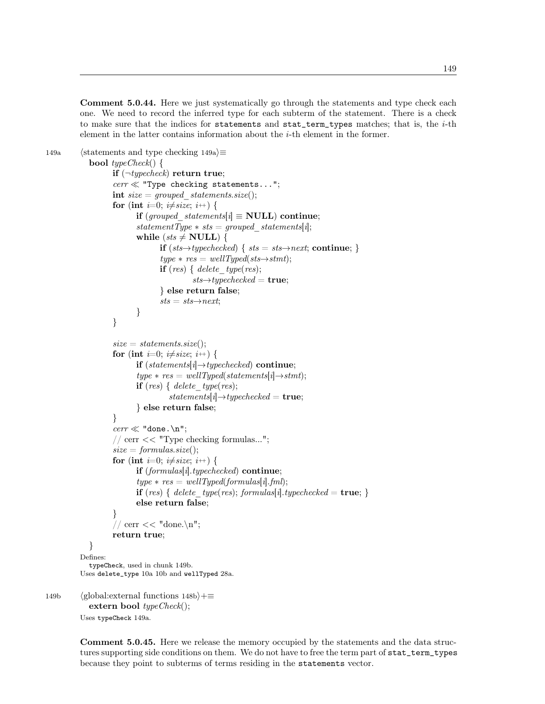Comment 5.0.44. Here we just systematically go through the statements and type check each one. We need to record the inferred type for each subterm of the statement. There is a check to make sure that the indices for statements and stat\_term\_types matches; that is, the  $i$ -th element in the latter contains information about the  $i$ -th element in the former.

```
149a (statements and type checking 149a)\equivbool typeCheck() {
                   if (\neg \textit{typecheck}) return true;
                   cerr \ll "Type checking statements...";
                   int size = grouped statements.size();
                   for (int i=0; i\neqsize; i<sup>++</sup>) {
                          if (grouped statements[i] \equiv NULL) continue;
                          statementType * sts = grouped\_statements[i];while (sts \neq NULL) {
                                 if (sts→typechecked) { sts = sts→next; continue; }
                                 type * res = wellTyped(sts \rightarrow stmt);if (res) { delete type(res);
                                          sts \rightarrow type checked = true;} else return false;
                                 sts = sts \rightarrow next;}
                   }
                   size = statements.size();for (int i=0; i\neqsize; i\leftrightarrow) {
                          if (statements[i]\rightarrowtypechecked) continue;
                          type * res = wellTyped(statements[i] \rightarrow stmt);if (res) { delete type(res);
                                    statements[i]\rightarrow type checked = \textbf{true};} else return false;
                   }
                   \text{corr} \ll \text{"done.\n} n";// cerr << "Type checking formulas...";
                   size = formulas.size();for (int i=0; i\neqsize; i<sup>++</sup>) {
                          if (formulas[i].typechecked) continue;
                          type * res = wellTyped(fromulas[i].fml);if (res) { delete type(res); formulas[i].typechecked = true; }
                          else return false;
                   }
                   // cerr << "done.\n";
                   return true;
            }
         Defines:
            typeCheck, used in chunk 149b.
         Uses delete_type 10a 10b and wellTyped 28a.
149b (global:external functions 148b)+≡
            extern bool typeCheck();
```

```
Uses typeCheck 149a.
```
Comment 5.0.45. Here we release the memory occupied by the statements and the data structures supporting side conditions on them. We do not have to free the term part of stat\_term\_types because they point to subterms of terms residing in the statements vector.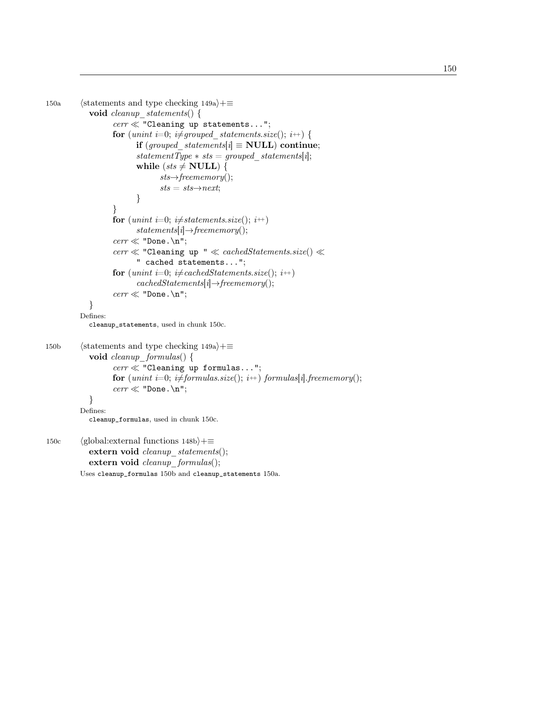```
150a (statements and type checking 149a)+≡
            void cleanup statements() {
                  cerr \ll "Cleaning up statements...";
                  for (unint i=0; i\neqgrouped statements.size(); i++) {
                         if (grouped\_statements[i] \equiv NULL) continue;
                         statementType * sts = grouped\_statements[i];while (sts \neq NULL) {
                               sts \rightarrow free memory();sts = sts \rightarrow next;}
                  }
                  for (unint i=0; i\neqstatements.size(); i++)
                         statements[i] \rightarrow free memory();cerr \ll "Done. \n";
                  cerr \ll "Cleaning up " \ll cachedStatements.size() \ll" cached statements...";
                  for (unint i=0; i\neq cachedStatements.size(); i^{++})
                         cachedStatements[i] \rightarrow free memory();\text{corr} \ll \text{"Done.\n} \ln";}
         Defines:
            cleanup_statements, used in chunk 150c.
150b (statements and type checking 149a)+≡
            void cleanup formulas() {
                  cerr \ll "Cleaning up formulas...";
                  for (unint i=0; i\neq formulas.size(); i++) formulas[i].freememory();
                  \text{corr} \ll \text{"Done.\n} \ln";}
         Defines:
            cleanup_formulas, used in chunk 150c.
150c (global:external functions 148b)+≡
            extern void cleanup statements();
            extern void cleanup_formulas();
```
Uses cleanup\_formulas 150b and cleanup\_statements 150a.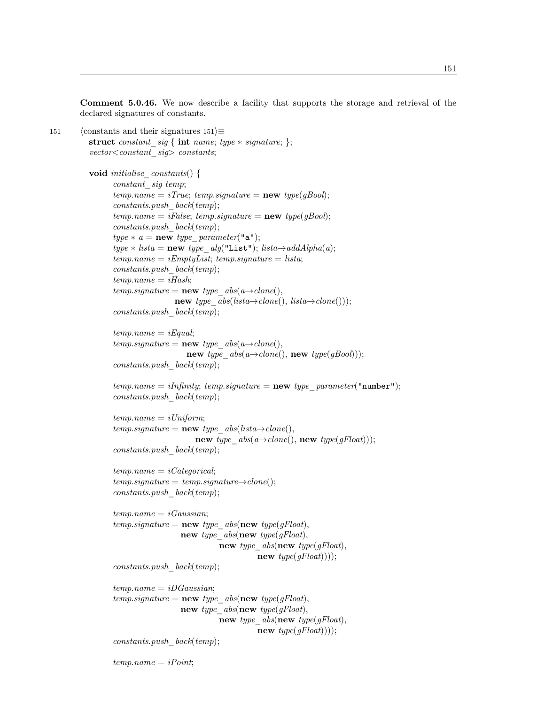Comment 5.0.46. We now describe a facility that supports the storage and retrieval of the declared signatures of constants.

```
151 (constants and their signatures 151)\equivstruct constant_sig { int name; type ∗ signature; };
           vector \textless constant sig> constants;
```

```
void initialise constants() {
       constant sig temp;
       temp.name = iTrue; temp.size nature = new type(gBool);constants.push \; back(temp);temp.name = iFalse; temp.\nsquare = new\ type(gBool);constants.push \; back(temp);type * a = new type parameter("a");type * lista = new type\_alg("List");\textit{lista}\rightarrow addAlpha(a);temp.name = iEmptyList; temp.signature = lista;constants.push \; back(temp);temp.name = iHash;temp.\mathit{signature} = \mathbf{new} \; \mathit{type} \; \; \mathit{abs}(a \rightarrow clone(),new type abs(lista \rightarrow clone(), lista \rightarrow clone());
       constants.push_back(temp);
       temp.name = iEqual;temp.\mathit{signature} = \mathbf{new} \; \mathit{type} \; \; \mathit{abs}(a \rightarrow \text{clone}(),new type abs(a \rightarrow clone(), new type(gBool));constants.push_back(temp);
       temp.name = iInfinity; temp.size nature = new type\_parameter("number");
```

```
temp.name = iUniform;temp.\mathit{signature} = \mathbf{new} \; \mathit{type} \; \; \mathit{abs}( \mathit{lista} \rightarrow \mathit{clone}(),new type_abs(a\rightarrowclone(), new type(gFloat)));
constants.push \; back(temp);
```

```
temp.name = iCategorical;temp.\mathit{signature} = temp.\mathit{signature} \rightarrow clone();constants.push \; back(temp);
```

```
temp.name = iGaussian;temp.\mathit{signature} = \mathbf{new} \; \mathit{type} \; \; \mathit{abs}(\mathbf{new} \; \mathit{type}(\mathit{gFloat}),new type abs(new type(gFloat),new type abs(new type(gFloat),new type(gFloat));
```
 $constants.push \; back(temp);$ 

 $constants.push \; back(temp);$ 

```
temp.name = iDGaussian;temp.\mathit{signature} = \mathbf{new} \; \mathit{type} \; \; \mathit{abs}(\mathbf{new} \; \mathit{type}(\mathit{qFloat}),new type abs(new type(gFloat),new type_abs(new type(gFloat),
                                                 new type(gFloat));
```
 $constants.push \; back(temp);$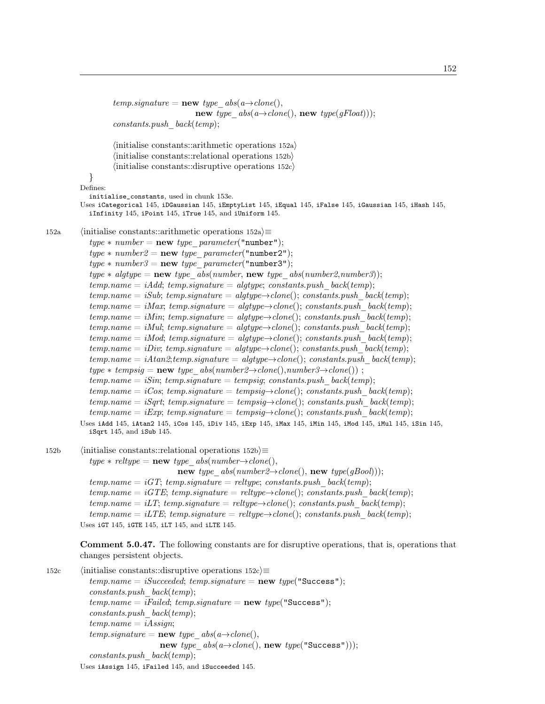```
temp.\mathit{signature} = \mathbf{new} \; \mathit{type} \; \; \mathit{abs}(a \rightarrow clone(),new type abs(a \rightarrow clone(), new type(gFloat));
                  constants.push \; back(temp);\langle initialise constants::arithmetic operations 152a\rangle\langleinitialise constants::relational operations 152b\rangle\langle initialise constants::disruptive operations 152c\rangle}
         Defines:
            initialise_constants, used in chunk 153e.
         Uses iCategorical 145, iDGaussian 145, iEmptyList 145, iEqual 145, iFalse 145, iGaussian 145, iHash 145,
            iInfinity 145, iPoint 145, iTrue 145, and iUniform 145.
152a (initialise constants::arithmetic operations 152a)≡
            type * number = new type parameter("number");type * number2 = new type parameter("number2");type * number3 = new type\_parameter("number3");type * algtype = new type\_abs(number, new type\_abs(number2,number3));temp.name = iAdd; temp.\nsignature = algtype; constants. push-backtemp);temp.name = iSub; temp.\nsquare = algtype \rightarrow clone();\nconstants. push-backtemp);temp.name = iMax; temp.\dot{signature} = algtype \rightarrow clone(); constants.push\_back(temp);temp.name = iMin; temp.signature = algtype\rightarrowclone(); constants.push back(temp);
            temp.name = iMul; temp.\nsigmaature = algtype \rightarrow clone();\nconstants.push-backtemp);temp.name = iMod; temp.size = algtype \rightarrow clone(); constants.push-backtemp);temp.name = iDiv; temp.sizeq nature = algtype \rightarrow clone(); constants.push-back(temp);temp.name = iAtan2; temp. signature = algtype \rightarrow clone(); constants.push-back(temp);type * tempsig = new type\_abs(number2 \rightarrow clone(),number3 \rightarrow clone());
            temp.name = iSin; temp.size t = temp.size; constants.push\_back(temp);
            temp.name = iCos; temp.signature = tempsig \rightarrow clone(); constants.push-backtemp);temp.name = iSqrt; temp.signature = tempsig\rightarrowclone(); constants.push back(temp);
            temp.name = iExp; temp.size temp.size = temp.\dot{t} = temp \rightarrow clone(); constants. push back(temp);
         Uses iAdd 145, iAtan2 145, iCos 145, iDiv 145, iExp 145, iMax 145, iMin 145, iMod 145, iMul 145, iSin 145,
            iSqrt 145, and iSub 145.
152b (initialise constants::relational operations 152b)≡
            type * reltype = new type abs(number\rightarrow clone(),new type_abs(number2\rightarrowclone(), new type(gBool)));
            temp.name = iGT; temp.\dot{signature} = reltype; constants.push_back(temp);
            temp.name = iGTE; temp.signature = reltype\rightarrowclone(); constants.push back(temp);
            temp.name = iLT; temp.\dot{signature} = reltype \rightarrow clone(); constants.push_back(temp);
            temp.name = iLTE; temp.size = reltype \rightarrow clone(); constants.push backtemp);
         Uses iGT 145, iGTE 145, iLT 145, and iLTE 145.
         Comment 5.0.47. The following constants are for disruptive operations, that is, operations that
         changes persistent objects.
```

```
152c (initialise constants::disruptive operations 152c)≡
            temp.name = iSucceeded; temp.\nsignature = new\ type("Success");constants.push_back(temp);
            temp.name = ifA; temp.\nsiq nature = new type("Success");constants.push \; back(temp);temp.name = iAssign;temp.\mathit{signature} = \mathbf{new} \; \mathit{type} \; \; \mathit{abs}(a \rightarrow \text{clone}(),new type abs(a \rightarrow clone(), new type("Success")));constants.push \; back(temp);Uses iAssign 145, iFailed 145, and iSucceeded 145.
```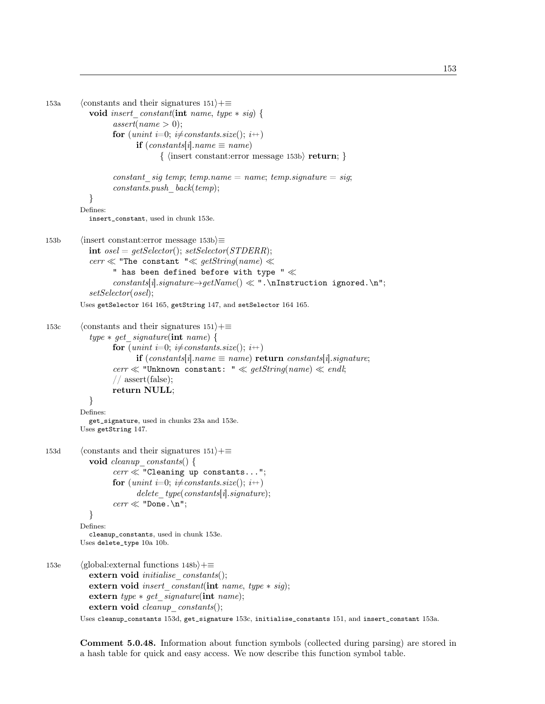```
153a (constants and their signatures 151\rangle+\equivvoid insert constant(int name, type * sig) {
                  assert(name > 0);for (unint i=0; i\neqconstants.size(); i++)
                         if (constants[i].name \equiv name)\{ \langle \text{insert constant:error message 153b} \rangle \textbf{return; } \}constant sig temp; temp.name = name; temp.signature = sig;
                  constants.push \; back(temp);}
         Defines:
            insert_constant, used in chunk 153e.
153b (insert constant:error message 153b)≡
            int osel = getSelect(); setSelect(); setSelect(); setSet()cerr \ll "The constant "\ll getString(name) \ll" has been defined before with type "\ll\emph{constants}[\emph{i}].\emph{signature} \rightarrow \emph{getName}()\ll\text{"}. \emph{nInstruction ignored. \emph{n''};setSelector(osel);
         Uses getSelector 164 165, getString 147, and setSelector 164 165.
153c (constants and their signatures 151)+≡
            type * get\_signature(int name) {
                  for (unint i=0; i\neqconstants.size(); i++)
                         if (constants[i].name \equiv name) return constants[i].signature;
                  cerr \ll "Unknown constant: " \ll getString(name) \ll endl;
                  // assert(false);
                  return NULL;
            }
         Defines:
            get_signature, used in chunks 23a and 153e.
         Uses getString 147.
153d (constants and their signatures 151)+≡
            void cleanup constants() {
                  cerr \ll "Cleaning up constants...";
                  for (unint i=0; i\neqconstants.size(); i++)
                         delete\_type(constants[i].signature);\text{corr} \ll \text{"Done.\n} \ln";}
         Defines:
            cleanup_constants, used in chunk 153e.
         Uses delete_type 10a 10b.
153e (global:external functions 148b)+≡
            extern void initialise constants( :
            extern void insert constant(int name, type ∗ sig);
            extern type ∗ get_signature(int name);
            extern void cleanup constants();
         Uses cleanup_constants 153d, get_signature 153c, initialise_constants 151, and insert_constant 153a.
```
Comment 5.0.48. Information about function symbols (collected during parsing) are stored in a hash table for quick and easy access. We now describe this function symbol table.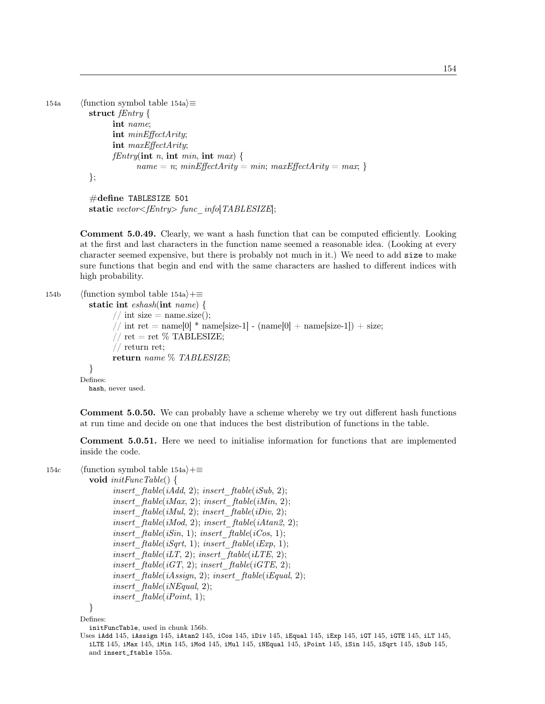```
154a (function symbol table 154a)\equivstruct fEntry {
                int name;
                int minEffectArity;
                int maxEffectArity;
                fEntry(int n, int min, int max) {
                      name = n; minEffectarity = min; maxEffectarity = max;
```

```
};
```

```
\#define TABLESIZE 501
static vector \leq fEntry func info[TABLESIZE];
```
Comment 5.0.49. Clearly, we want a hash function that can be computed efficiently. Looking at the first and last characters in the function name seemed a reasonable idea. (Looking at every character seemed expensive, but there is probably not much in it.) We need to add size to make sure functions that begin and end with the same characters are hashed to different indices with high probability.

```
154b (function symbol table 154a)+≡
          static int eshash(int name) {
                // int size = name.size();
                // int ret = name[0] * name[size-1] - (name[0] + name[size-1]) + size;
                // ret = ret % TABLESIZE;
                // return ret;
                return name % TABLESIZE;
          }
        Defines:
          hash, never used.
```
Comment 5.0.50. We can probably have a scheme whereby we try out different hash functions at run time and decide on one that induces the best distribution of functions in the table.

Comment 5.0.51. Here we need to initialise information for functions that are implemented inside the code.

```
154c (function symbol table 154a)+≡
```

```
void initFuncTable() {
      insert ftable(iAdd, 2); insert ftable(iSub, 2);
      insert ftable(iMax, 2); insert ftable(iMin, 2);insert ftable(iMul, 2); insert ftable(iDiv, 2);
      insert ftable(iMod, 2); insert ftable(iAtan2, 2);
      insert ftable(iSin, 1); insert ftable(iCos, 1);
      insert ftable(iSqrt, 1); insert\_ftable(iExp, 1);insert ftable(iLT, 2); insert ftable(iLTE, 2);
      insert ftable(iGT, 2); insert ftable(iGTE, 2);
      insert ftable(iAssign, 2); insert\_ftable(iEqual, 2);insert ftable(iNEqual, 2);insert ftable(iPoint, 1);
```

```
}
```
Defines:

initFuncTable, used in chunk 156b.

Uses iAdd 145, iAssign 145, iAtan2 145, iCos 145, iDiv 145, iEqual 145, iExp 145, iGT 145, iGTE 145, iLT 145, iLTE 145, iMax 145, iMin 145, iMod 145, iMul 145, iNEqual 145, iPoint 145, iSin 145, iSqrt 145, iSub 145, and insert\_ftable 155a.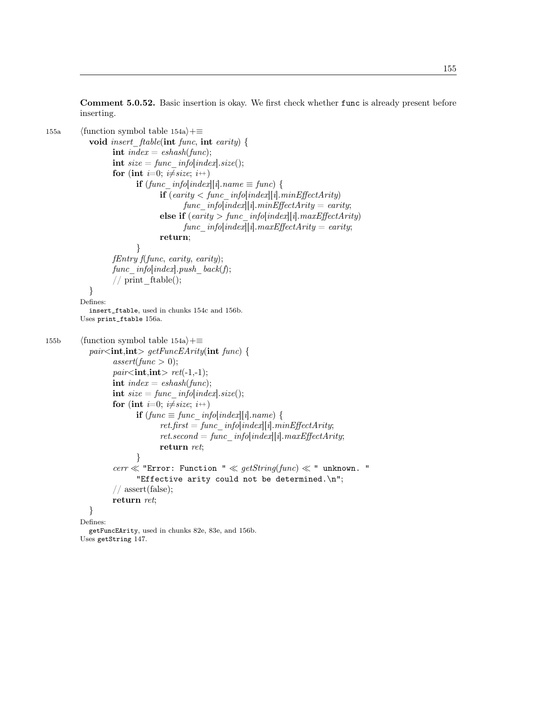Comment 5.0.52. Basic insertion is okay. We first check whether func is already present before inserting.

```
155a (function symbol table 154a)+≡
            void insert_ftable(int func, int earity) {
                  int index = eshash(func);
                  int size = func info[index].size();
                  for (int i=0; i\neqsize; i++)
                         if (func~info[index][i].name \equiv func) {
                                if \text{if}(earity < func\_info[index][i].minEffectarity)func info[index][i].minEffectarity = earity;
                                else if (earity > func_info[index][i].maxEffectArity)
                                      func info[index][i].maxEffectArity = earity;
                                return;
                         }
                  fEntry f(func, earity, earity);
                  func info[index].push back(f);
                  // print ftable;
            }
         Defines:
            insert_ftable, used in chunks 154c and 156b.
         Uses print_ftable 156a.
155b (function symbol table 154a)+≡
            pair <int,int> getFuncEArity(int func) {
                  assert(func > 0);pair<int,int>ret(-1,-1);
                  int index = \epsilonshash(func);
                  int size = func info[index].size();
                  for (int i=0; i\neqsize; i++)
                         if (func \equiv func \; infolindex][i].name)ret.first = func~~info[index][i].minEffectarity;ret.second = func~~info[index][i].maxEffectarity;return ret;
                         }
                  cerr \ll "Error: Function " \ll getString(func) \ll " unknown. "
                         "Effective arity could not be determined.\n \n \begin{bmatrix}\n n \\
 n\n \end{bmatrix}// assert(false);
                  return ret;
            }
         Defines:
            getFuncEArity, used in chunks 82e, 83e, and 156b.
         Uses getString 147.
```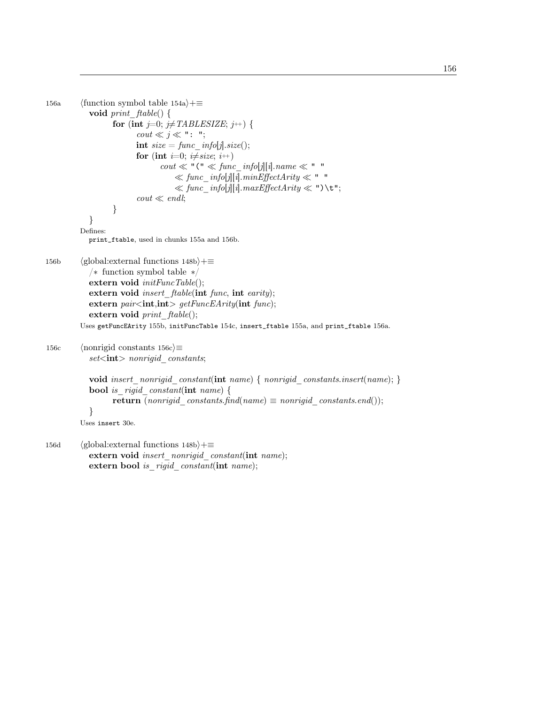```
156a (function symbol table 154a)+≡
           void print ftable() {
                  for (int j=0; j\neqTABLESIZE; j++) {
                         \textit{cout} \ll j \ll ": ";
                        int size = func\_info[j].size();for (int i=0; i \neq size; i++)
                               \textit{cout} \ll "\mathsf{``} \ll \textit{func\_info[j][i].name} \ll "\mathsf{''}\ll func info[j][i].minEffectArity \ll "
                                   \ll func info[j][i].maxEffectArity \ll ")\t";
                         \text{cout} \ll \text{endl};}
            }
         Defines:
           print_ftable, used in chunks 155a and 156b.
156b (global:external functions 148b)+≡
            /∗ function symbol table ∗/
           extern void initFuncTable();extern void insert ftable(int func, int earity);
           extern pair<int,int> getFuncEArity(int func);extern void print\_ftable();Uses getFuncEArity 155b, initFuncTable 154c, insert_ftable 155a, and print_ftable 156a.
156c (nonrigid constants 156c)\equivsetint> nonrigid constants;
           void insert nonrigid constant(int name) { nonrigid constants.insert(name); }
           bool is rigid constant(int name) {
                  return (nonrigid constants.find(name) \equiv nonrigid constants.end());
           }
         Uses insert 30e.
156d (global:external functions 148b)+≡
           extern void insert nonrigid constant(int name);
```

```
extern bool is rigid constant(int name);
```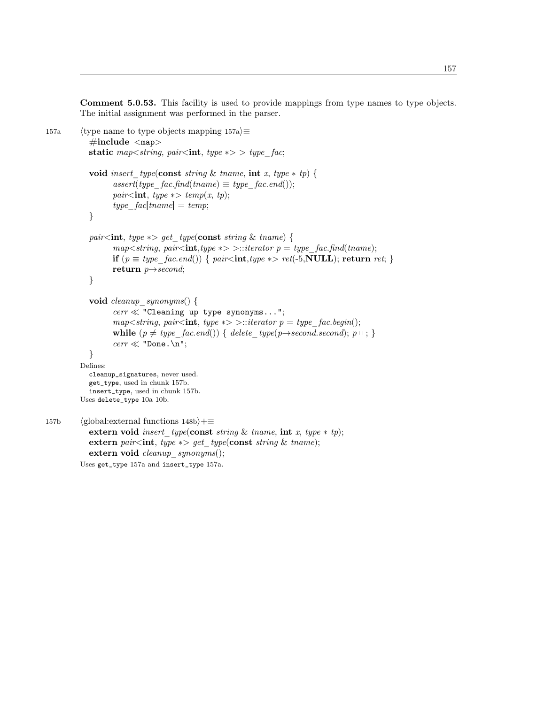Comment 5.0.53. This facility is used to provide mappings from type names to type objects. The initial assignment was performed in the parser.

```
157a (type name to type objects mapping 157a)\equiv\#\text{include } <\text{map}>static map\ltstring, pair\ltint, type \gg type fac;
            void insert type(const string & tname, int x, type * tp) {
                  assert(type\quadfac.find(tname) \equiv type\quad fac.end());pair<int, type \ast > temp(x, tp);
                  type fac[tname] = temp;}
            pair<int, type \ast> get_type(const string & tname) {
                  map \leq string, pair \leq int, type \gg \geq: iterator \ p = type \ fac, find(tname);if (p \equiv type\_fac.end()) { pair<int,type *> ret(-5,NULL); return ret; }
                  return p \rightarrow second;}
            void cleanup_synonyms() {
                  \textit{cerr} \ll "Cleaning up type synonyms...";
                  map<string, pair<int, type *> >::iterator p = type fac.begin();
                  while (p \neq type\quadfac.end()) { delete type(p\rightarrow second.second); p++; }
                  \text{corr} \ll \text{"Done.\n} \ln";}
         Defines:
            cleanup_signatures, never used.
            get_type, used in chunk 157b.
            insert_type, used in chunk 157b.
         Uses delete_type 10a 10b.
157b (global:external functions 148b)+≡
            extern void insert type(const string & tname, int x, type * tp);
            extern pair<int, type \ast> get type(const string & tname);
            extern void cleanup_synonyms();
         Uses get_type 157a and insert_type 157a.
```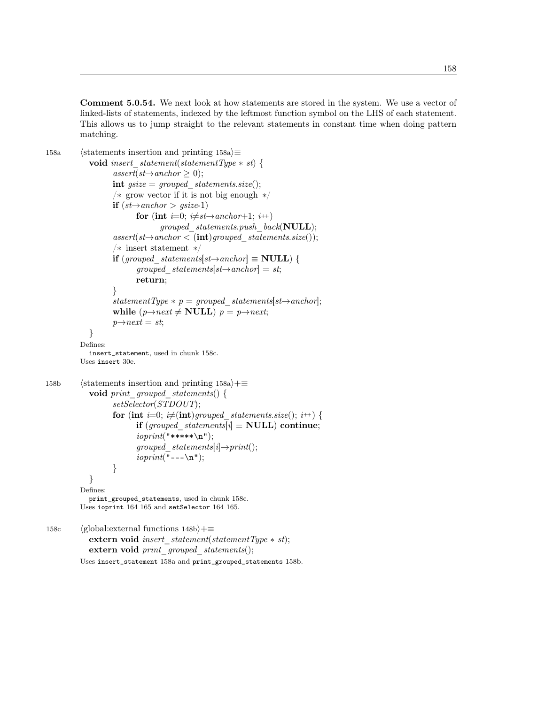Comment 5.0.54. We next look at how statements are stored in the system. We use a vector of linked-lists of statements, indexed by the leftmost function symbol on the LHS of each statement. This allows us to jump straight to the relevant statements in constant time when doing pattern matching.

```
158a (statements insertion and printing 158a)\equivvoid insert statement(statementType * st) {
                   assert(st \rightarrow anchor \geq 0);int gsize = grouped statements.size();
                   /∗ grow vector if it is not big enough ∗/
                   if (st \rightarrow anchor > gsize-1)for (int i=0; i\neq st\rightarrow anchor+1; i++)grouped statements.push back(NULL);
                   assert(st \rightarrow anchor < (int) grouped \; statements.size());/∗ insert statement ∗/
                   if (grouped statements[st\rightarrowanchor] \equiv NULL) {
                          grouped statements[st \rightarrow anchor] = st;return;
                   }
                   statementType * p = grouped statements[st\rightarrowanchor];
                   while (p \rightarrow next \neq \textbf{NULL}) p = p \rightarrow next;p \rightarrow next = st;}
          Defines:
            insert_statement, used in chunk 158c.
          Uses insert 30e.
158b (statements insertion and printing 158a)+≡
            void print grouped statements() {
                   setSelector(STDOUT);
                   for (int i=0; i\neq(int)grouped statements.size(); i++) {
                          if (grouped statements[i] \equiv NULL) continue;
                          ioprint("*****\n\chi n");grouped statements[i]→print();
                          ioprint("---\n\cdot n");
```
}

}

Defines: print\_grouped\_statements, used in chunk 158c. Uses ioprint 164 165 and setSelector 164 165.

158c (global:external functions  $148b$ )+≡ extern void insert statement(statementType  $*$  st); extern void print\_grouped\_statements(); Uses insert\_statement 158a and print\_grouped\_statements 158b.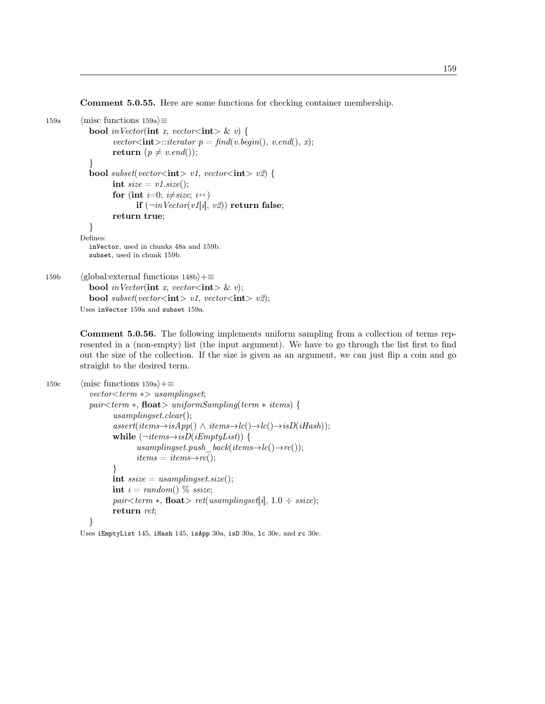Comment 5.0.55. Here are some functions for checking container membership.

```
159a \langle misc functions 159a\rangle\equivbool in Vector(int x, vector<int> & v) {
                  vector\text{<int}\text{>}::iterator p = find(v.begin(), v.end(), x);return (p \neq v.end());
            }
           bool subset(vector<int> v1, vector<int> v2) {
                  int size = v1.size();for (int i=0; i\neqsize; i++)
                         if (\neg inVector(v1[i], v2)) return false;
                  return true;
            }
         Defines:
           inVector, used in chunks 48a and 159b.
           subset, used in chunk 159b.
159b (global:external functions 148b)+≡
           bool in Vector(int x, vector<int> & v);
           bool subset(vector<int> v1, vector<int> v2);
```
Uses inVector 159a and subset 159a.

Comment 5.0.56. The following implements uniform sampling from a collection of terms represented in a (non-empty) list (the input argument). We have to go through the list first to find out the size of the collection. If the size is given as an argument, we can just flip a coin and go straight to the desired term.

```
159c \langle misc functions 159a\rangle+≡
              vector < term \gg usamplingset;
             pair < term ∗, float > uniformSampling(term * items) {
                     usamplingset.clear();
                     assert(items \rightarrow isApp() \land items \rightarrow lc() \rightarrow lc() \rightarrow isD(iHash));while (\neg items \rightarrow isD(iEmptyList)) {
                             usamplingset.push_back(items\rightarrowlc()\rightarrowrc());
                             items = items \rightarrow rc();}
                     int ssize = usampling set.size();int i = random() % ssize;
                     pair < term \ast, float > ret(usamplingset[i], 1.0 \div ssize);
                     return ret;
              }
```
Uses iEmptyList 145, iHash 145, isApp 30a, isD 30a, lc 30e, and rc 30e.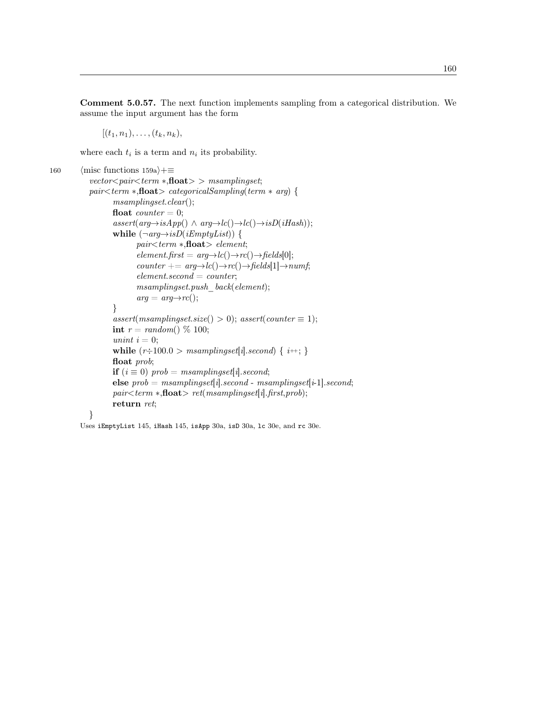Comment 5.0.57. The next function implements sampling from a categorical distribution. We assume the input argument has the form

 $[(t_1, n_1), \ldots, (t_k, n_k)]$ 

where each  $t_i$  is a term and  $n_i$  its probability.

```
160 \langle misc functions 159a\rangle+≡
            vector <i>pair</i> <i>term</i> *,<b>float</b>> > <i>msamplingset</i>;pair < term ∗, float > categorical Sampling (term * arg) {
                    msamplingset.clear();
                    float counter = 0;
                    assert(arg\rightarrow isApp() \land arg\rightarrow lc() \rightarrow lc() \rightarrow isD(iHash));while (\neg arg \rightarrow isD(iEmptyList)) {
                            pair<term ∗,float> element;
                            element.first = arg \rightarrow lc() \rightarrow rc() \rightarrow fields[0];counter += arg \rightarrow lc() \rightarrow rc() \rightarrow fields[1] \rightarrow numf;element. second = counter;msampling set.push \; back(element);arg = arg \rightarrow rc();}
                    assert(msamplingset.size() > 0); assert(counter \equiv 1);int r = \text{random}() \% 100;unint i = 0;
                    while (r\div 100.0 > msamplingset[i].second) \{ i++; \}float prob;
                    if (i \equiv 0) prob = msamplingset[i].second;
                    else prob = msamplingset[i].second - msamplingset[i-1].second;pair < term ∗, float > ret(msamplingset[i].first, prob);return ret;
            }
```
Uses iEmptyList 145, iHash 145, isApp 30a, isD 30a, lc 30e, and rc 30e.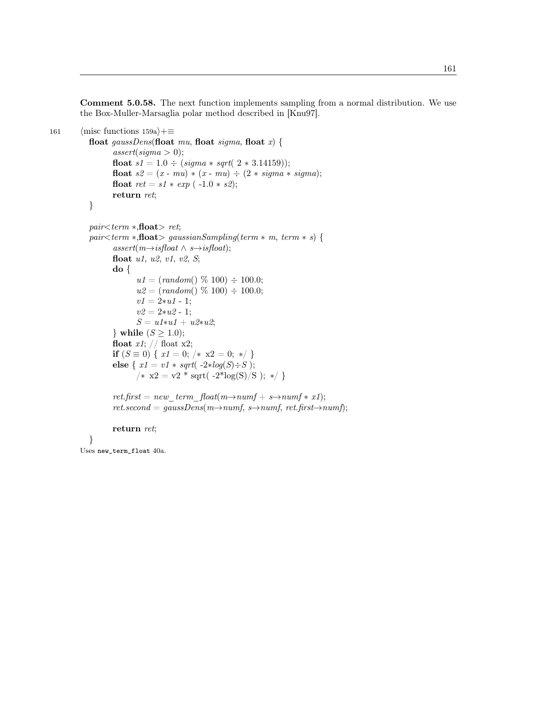Comment 5.0.58. The next function implements sampling from a normal distribution. We use the Box-Muller-Marsaglia polar method described in [Knu97].

```
161 \langle misc functions 159a\rangle+≡
           float gaussDens(float mu, float sigma, float x) {
                  assert(sigma > 0);float s1 = 1.0 \div (sigma * sqrt(2 * 3.14159));float s2 = (x - mu) * (x - mu) \div (2 * sigma * sigma);float ret = s1 * exp(-1.0 * s2);return ret;
           }
           pair < term ∗, float > ret;
           pair < term ∗,float> gaussianSampling(term * m, term * s) {
                  assert(m \rightarrow isfloat \land s \rightarrow isfloat);float u1, u2, v1, v2, S;
                  do {
                         u1 = (random() \% 100) \div 100.0;u2 = (random() \% 100) \div 100.0;v1 = 2*u1 - 1;v2 = 2*u2 - 1;S = u1*u1 + u2*u2;} while (S \geq 1.0);
                  float x1; // float x2;
                  if (S \equiv 0) \{ x1 = 0; \forall x \ge 0; * \rangle \}else { x1 = v1 * sqrt(-2 * log(S) \div S);
                         /* x2 = v2 * sqrt(-2 * log(S)/S); */ret.first = new term float(m \rightarrow numf + s \rightarrow numf * x1);ret. second = gaussDens(m \rightarrow numf, s \rightarrow numf, ret. first \rightarrow numf);return ret;
```

```
}
```
Uses new\_term\_float 40a.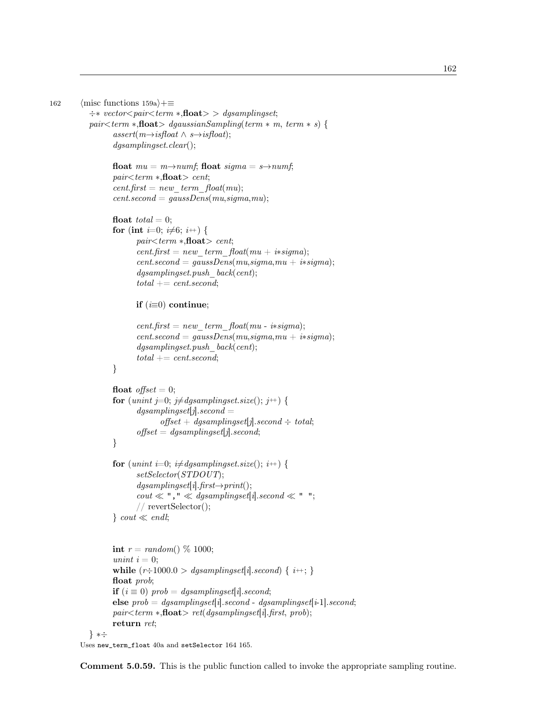```
162
```

```
162 \langle misc functions 159a\rangle+≡
            \div* vector \ltight \textit{pair} \ltight \textit{term} * \textit{float} \gt \gt \textit{dgsamplingset};pair \leq term * fhoat> dgaussianSampling(term * m, term * s) {
                   assert(m \rightarrow isfloat \land s \rightarrow isfloat);dgsamplingset.clear();
                   float mu = m \rightarrow numf; float sigma = s \rightarrow numf;
                   pair < term ∗, float > cent;
                   cent.first = new \ term \ float(mu);\mathit{cent}.\mathit{second}=\mathit{gaussDens}(\mathit{mu},\mathit{sigma},\mathit{mu});float total = 0;
                   for (int i=0; i\neq6; i++) {
                           pair < term ∗, float > cent;
                           cent.first = new \ term \ float(mu + i*sigma);cent.second = gaussDens(mu, sigma, mu + i*sigma);dgsamplingset.push-back(cent);total += cent second;if (i\equiv 0) continue;
                           cent.first = new \ term \ float(mu - i * sigma);cent.second = gaussDens(mu, sigma, mu + i*sigma);dgsampling set.push-back(cent);total += cent second;}
                   float offset = 0;for (unint j=0; j\neqdgsamplingset.size(); j++) {
                           dgsampling set[j].second =offset + dgsampling set[j].second \div total;offset = \text{dgsamplingset}[j].second;}
                   for (unint i=0; i\neq dgsamplingset.size(); i++) {
                           setSelector(STDOUT);
                           dgsampling set[i].first \rightarrow print():\textit{cout} \ll "\text{''} \ll \textit{dgsamplingset}[i].\textit{second} \ll "\text{''};// revertSelector();
                   \} cout \ll endl;
                   int r = random() \% 1000;unint i = 0;
                   while (r\div 1000.0 > dgsamplingset[i]. second) \{i+\frac{1}{2}\}float prob;
                   if (i \equiv 0) prob = dgsamplingset[i].second;
                   else prob = dgsamplingset[i].second - dgsamplingset[i-1].second;pair < term ∗,float> ret(dgsampling set[i].first, prob);return ret;
            } ∗÷
```
Uses new\_term\_float 40a and setSelector 164 165.

Comment 5.0.59. This is the public function called to invoke the appropriate sampling routine.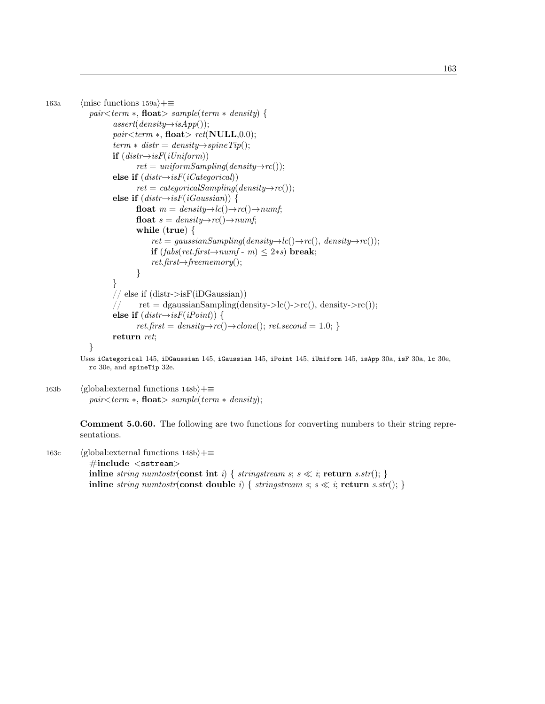```
163a \langlemisc functions 159a\rangle+≡
              pair < term ∗, float > sample(term * density) {
                      assert(density \rightarrow isApp());
                      pair < term ∗, float> ret(NULL,0.0);term * distr = density \rightarrow spineTip();if (distr \rightarrow isF(iUniform))ret = uniformSampling(density \rightarrow rc());
                      else if (distr \rightarrow isF(iCategorical))ret = categoricalSampling(density \rightarrow rc());
                      else if (distr \rightarrow isF(iGaussian)) {
                              float m = density \rightarrow lc() \rightarrow rc() \rightarrow numf;float s = density \rightarrow rc() \rightarrow numf;while (true) {
                                   ret = gaussianSampling(density \rightarrow lc() \rightarrow rc(), density \rightarrow rc)).if (fabs(ret.first \rightarrow numf - m) ≤ 2*s) break;
                                   ret.first \rightarrow free memory();}
                      }
                      // else if (distr->isF(iDGaussian))ret = dgaussianSampling(density->lc().>rc(), density->rc());else if (distr \rightarrow isF(iPoint)) {
                              ret.first = density \rightarrow rc() \rightarrow clone(); ret. second = 1.0;return ret;
              }
```
Uses iCategorical 145, iDGaussian 145, iGaussian 145, iPoint 145, iUniform 145, isApp 30a, isF 30a, lc 30e, rc 30e, and spineTip 32e.

163b (global:external functions  $148b$ )+≡  $pair < term$  ∗, float> sample(term ∗ density);

> Comment 5.0.60. The following are two functions for converting numbers to their string representations.

163c (global:external functions  $148b$ )+≡

 $\#\text{include}$  <sstream>

inline string numtostr(const int i) { stringstream s;  $s \ll i$ ; return s.str(); } inline string numtostr(const double i) { stringstream s;  $s \ll i$ ; return s.str(); }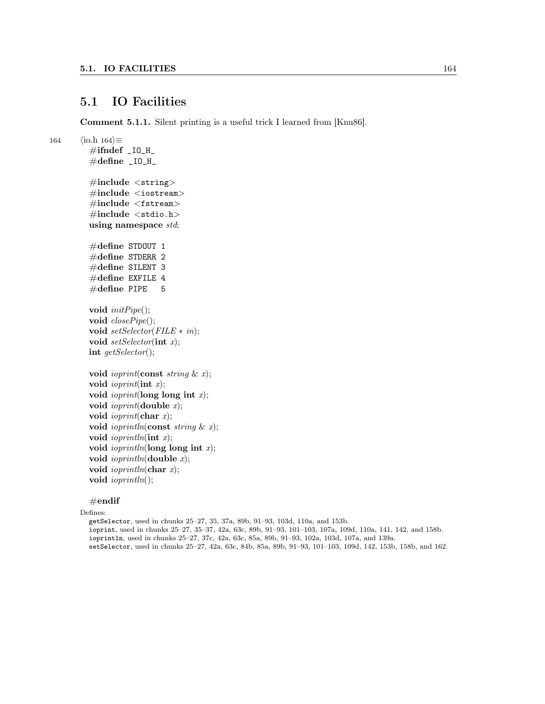#### 5.1 IO Facilities

Comment 5.1.1. Silent printing is a useful trick I learned from [Knu86].

```
164 \qquad \langle \text{io.h } 164 \rangle \equiv\#ifndef _IO_H_
           \#define _IO_H_
           \#include \ltstring>
           \#\text{include} < \text{isstream} >\#\text{include } < \text{fstream}>\#include <stdio.h>
          using namespace std;
           #define STDOUT 1
           \#define STDERR 2
           \#define SILENT 3
           #define EXFILE 4
           \#define PIPE 5
          void initPipe<sup>()</sup>;
          void closePipe<sub>()</sub>;
          void setSelector(FILE ∗ in);
          void setSelector(int x);int getSelector();
          void ioprint(const string \& x);
          void ioprint(int x);
          void ioprint(long long int x);
          void ioprint(double x);
          void ioprint(char x);
          void ioprintln(const string \& x);
          void ioprintln(int x);
          void ioprintln(long long int x);
          void ioprintln(double x);
          void ioprintln(char x);
          void ioprintln();
```
 $#$ endif

Defines:

getSelector, used in chunks 25–27, 35, 37a, 89b, 91–93, 103d, 110a, and 153b. ioprint, used in chunks 25–27, 35–37, 42a, 63c, 89b, 91–93, 101–103, 107a, 109d, 110a, 141, 142, and 158b. ioprintln, used in chunks 25–27, 37c, 42a, 63c, 85a, 89b, 91–93, 102a, 103d, 107a, and 139a. setSelector, used in chunks 25–27, 42a, 63c, 84b, 85a, 89b, 91–93, 101–103, 109d, 142, 153b, 158b, and 162.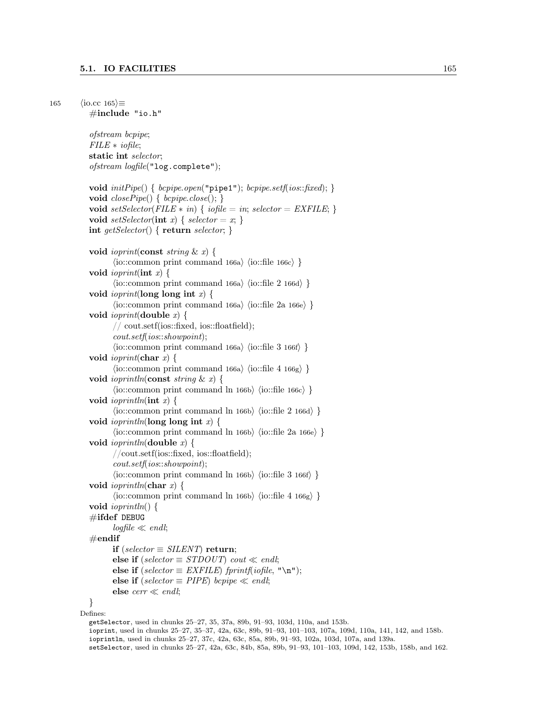```
165 \langleio.cc 165\rangle \equiv#include "io.h"
            ofstream bcpipe;
            FILE ∗ iofile;
            static int selector;
            ofstream logfile("log.complete");
            void initPipe() \{ \text{bcpipe.open("pipe1");} \text{bcpipe.setf}(ios::fixed); \}void closePipe() \{ \text{bcpipe.close}(); \}void setSelector(FILE * in) { iofile = in; selector = EXFILE; }
            void setSelector(int x) { selector = x; }
            int getSelector() { return selector; }
            void ioprint(const string & x) {
                    \langleio::common print command 166a\rangle \langleio::file 166c\rangle }
            void ioprint(int x) {
                    \langleio::common print command 166a\rangle \langleio::file 2 166d\rangle }
            void ioprint(long long int x) {
                    \langleio::common print command 166a\rangle \langleio::file 2a 166e\rangle }
            void ioprint(double x) {
                    // cout.setf(ios::fixed, ios::floatfield);
                    cout.setf(ios::showpoint);
                    \langleio::common print command 166a\rangle \langleio::file 3 166f\rangle }
            void ioprint(char x) {
                    \langleio::common print command 166a\rangle \langleio::file 4 166g\rangle }
            void ioprintln(const string & x) {
                    \langleio::common print command ln 166b\rangle \langleio::file 166c\rangle }
            void ioprintln(int x) {
                    \langleio::common print command ln 166b\rangle \langleio::file 2 166d\rangle }
            void ioprintln(long long int x) {
                    \langleio::common print command ln 166b\rangle \langleio::file 2a 166e\rangle }
            void ioprintln(double x) {
                    //cout.setf(ios::fixed, ios::floatfield);
                    cout.setf(ios::showpoint);
                    \langleio::common print command ln 166b\rangle \langleio::file 3 166f\rangle }
            void ioprintln(char x) {
                    \langleio::common print command ln 166b\rangle \langleio::file 4 166g\rangle }
            void ioprintln() {
            \#ifdef DEBUG
                    logfile \ll end!;
            \#\textbf{endif}if (selector \equiv SILENT) return;
                    else if (selector \equiv STDOUT) cout \ll endl;
                    else if (self \in EXFILE) fprintf(iofile, "\n");
                    else if (selector \equiv PIPE) bcpipe \ll endl;
                    else \text{cerr} \ll \text{endl};}
         Defines:
            getSelector, used in chunks 25–27, 35, 37a, 89b, 91–93, 103d, 110a, and 153b.
```
ioprint, used in chunks 25–27, 35–37, 42a, 63c, 89b, 91–93, 101–103, 107a, 109d, 110a, 141, 142, and 158b. ioprintln, used in chunks 25–27, 37c, 42a, 63c, 85a, 89b, 91–93, 102a, 103d, 107a, and 139a. setSelector, used in chunks 25–27, 42a, 63c, 84b, 85a, 89b, 91–93, 101–103, 109d, 142, 153b, 158b, and 162.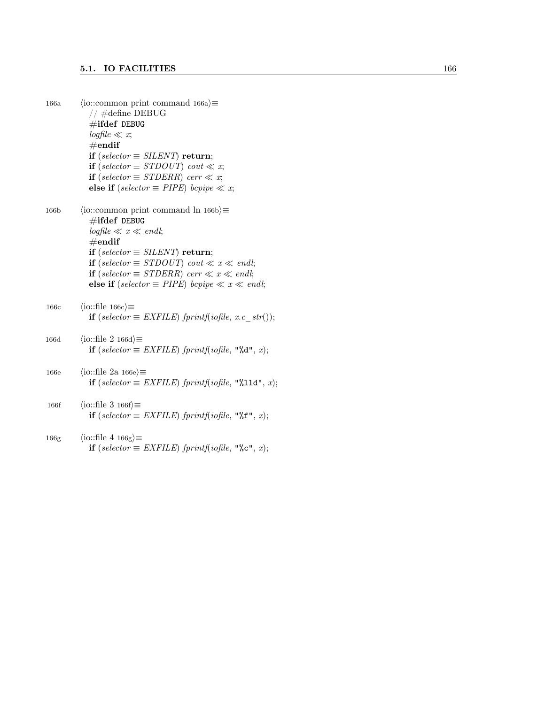| 166a             | $\langle$ io::common print command 166a $\rangle \equiv$<br>$//$ #define DEBUG<br>$\#$ ifdef DEBUG<br>$logfile \ll x;$<br>$\#\textbf{endif}$<br>if (selector $\equiv$ SILENT) return;<br>if (selector $\equiv$ STDOUT) cout $\ll x$ ;<br>if (selector $\equiv$ STDERR) cerr $\ll x$ ;<br>else if (selector $\equiv$ PIPE) bcpipe $\ll x$ ;              |
|------------------|---------------------------------------------------------------------------------------------------------------------------------------------------------------------------------------------------------------------------------------------------------------------------------------------------------------------------------------------------------|
| 166 <sub>b</sub> | $\langle$ io::common print command ln 166b $\rangle \equiv$<br>$\#$ ifdef DEBUG<br>$logfile \ll x \ll end!$<br>$\#\mathrm{endif}$<br>if (selector $\equiv$ SILENT) return;<br>if (selector $\equiv$ STDOUT) cout $\ll x \ll$ endl;<br>if (selector $\equiv$ STDERR) cerr $\ll x \ll$ endl;<br>else if (selector $\equiv$ PIPE) bcpipe $\ll x \ll$ endl; |
| 166c             | $\langle$ io::file 166c $\rangle \equiv$<br><b>if</b> (selector $\equiv$ EXFILE) fprintf(iofile, x.c str());                                                                                                                                                                                                                                            |
| 166d             | $\langle$ io::file 2 166d $\rangle \equiv$<br><b>if</b> (selector $\equiv$ EXFILE) fprintf(iofile, "%d", x);                                                                                                                                                                                                                                            |
| 166e             | $\langle$ io::file 2a 166e $\rangle \equiv$<br>if (selector $\equiv$ EXFILE) fprintf(iofile, "%11d", x);                                                                                                                                                                                                                                                |
| 166f             | $\langle$ io::file 3 166f $\rangle \equiv$<br><b>if</b> (selector $\equiv$ EXFILE) fprintf(iofile, "% $f$ ", x);                                                                                                                                                                                                                                        |
| 166 <sub>g</sub> | $\langle$ io::file 4 166g $\rangle \equiv$<br>if (selector $\equiv$ EXFILE) fprintf(iofile, "%c", x);                                                                                                                                                                                                                                                   |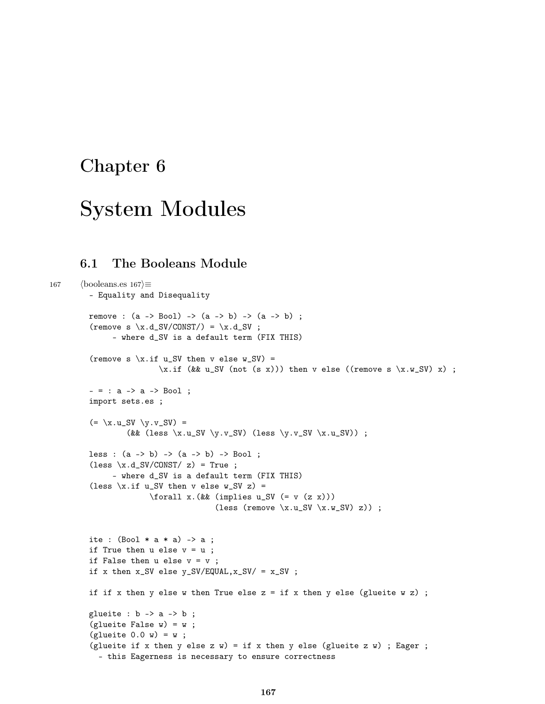# Chapter 6

# System Modules

## 6.1 The Booleans Module

```
167 \langlebooleans.es 167\rangle\equiv– Equality and Disequality
         remove : (a \rightarrow Bool) \rightarrow (a \rightarrow b) \rightarrow (a \rightarrow b);
         (remove s \ x.d_SV/CONST/ ) = \x.d_SV ;– where d_SV is a default term (FIX THIS)
         (remove s \xi.if u_SV then v else w_SV) =
                          \x_if (&& u_SV (not (s x))) then v else ((remove s \x.y_y x) ;
         - = : a -> a -> Boo1 ;import sets.es ;
         (=\ x.u_SV \ y.v_SV) =(&& (less \x.u_SV \y.v_SV) (less \y.v_SV \x.u_SV)) ;
         less : (a \rightarrow b) \rightarrow (a \rightarrow b) \rightarrow Bool;
         (\text{less } x.d\_SV/CONST / z) = True ;– where d_SV is a default term (FIX THIS)
         (less \xi.if u_SV then v else w_SV z) =
                        \forallforall x.(&& (implies u_SV (= v (z x)))
                                        (less (remove \x.u_SV \x.w_SV) z));
         ite : (Bool * a * a) \rightarrow a;
         if True then u else v = u;
         if False then u else v = v;
         if x then x_SV else y_SV/EQUAL, x_SV/ = x_SV;
         if if x then y else w then True else z = if x then y else (glueite w z) ;
         glueite : b \rightarrow a \rightarrow b;
         (glueite False w) = w;
         (glueite 0.0 w) = w;(glueite if x then y else z w) = if x then y else (glueite z w) ; Eager ;
            – this Eagerness is necessary to ensure correctness
```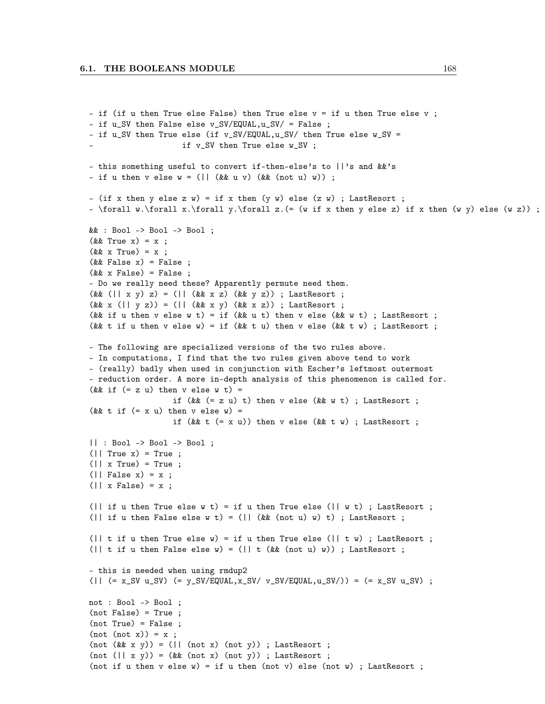```
- if (if u then True else False) then True else v = if u then True else v;
- if u_SV then False else v_SV/EQUAL,u_SV/ = False ;
- if u_SV then True else (if v_SV/EQUAL,u_SV/ then True else w_SV =
                     if v_SV then True else w_SV ;
– this something useful to convert if-then-else's to ||'s and &&'s
- if u then v else w = (|| (kk u v) (kk (not u) w)) ;- (if x then y else z w) = if x then (y w) else (z w) ; LastResort ;
- \forall w.\forall x.\forall y.\forall z.(= (w if x then y else z) if x then (w y) else (w z)) ;&& : Bool -> Bool -> Bool ;
(k\& True x) = x;
(kk \times True) = x;
(kk False x) = False ;
(kk x False) = False;– Do we really need these? Apparently permute need them.
(kk (|| x y) z) = (|| (kk x z) (kk y z)); LastResort;
(kk x (|| y z)) = (|| (kk x y) (kk x z)); LastResort;
(&& if u then v else w t) = if (&& u t) then v else (&& w t) ; LastResort ;
(&& t if u then v else w) = if (&& t u) then v else (&& t w) ; LastResort ;
– The following are specialized versions of the two rules above.
– In computations, I find that the two rules given above tend to work
– (really) badly when used in conjunction with Escher's leftmost outermost
– reduction order. A more in-depth analysis of this phenomenon is called for.
(&& if (= z u) then v else w t) =
                  if (&& (= z u) t) then v else (&& w t) ; LastResort ;
(&& t if (= x u) then v else w) =
                  if (kk t (= x u)) then v else (kk t w); LastResort;
|| : Bool -> Bool -> Bool ;
(|| True x) = True ;
(|| x True) = True ;
(|| False x) = x ;
(| \cdot \times \text{False}| = x ;
(\vert if u then True else w t) = if u then True else (\vert \vert w t) ; LastResort ;
(\vert if u then False else w t) = (\vert (&& (not u) w) t) ; LastResort ;
(\vert \vert t if u then True else w) = if u then True else (\vert \vert t w) ; LastResort ;
(|| t if u then False else w) = (|| t (&& (not u) w)) ; LastResort ;
– this is needed when using rmdup2
(| (= x_SV u_SV) (= y_SV/EQUAL,x_SV/ v_SV/EQUAL,u_SV/)) = (= x_SV u_SV) ;
not : Bool -> Bool ;
(not False) = True ;
(not True) = False;
(not (not x)) = x ;(not (kk x y)) = (|| (not x) (not y)); LastResort;
(not (|| x y)) = (kk (not x) (not y)); LastResort;
(not if u then v else w) = if u then (not v) else (not w); LastResort;
```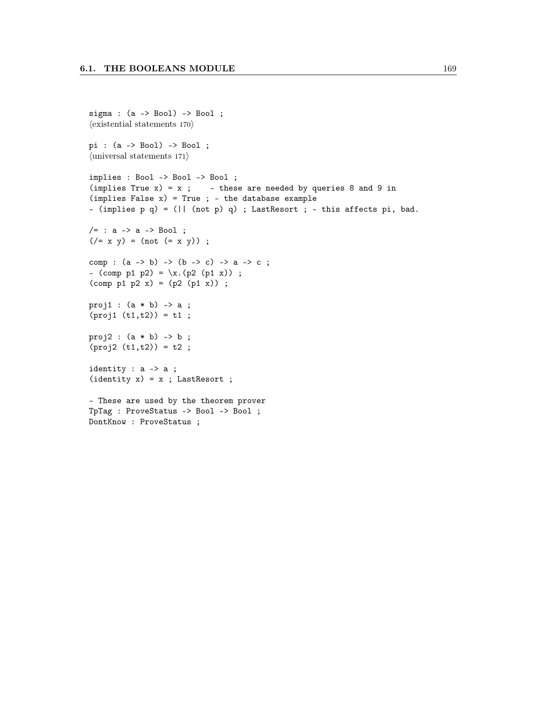```
sigma : (a \rightarrow Bool) \rightarrow Bool;
\langle existential statements 170\ranglepi : (a -> Bool) -> Bool ;
\langleuniversal statements 171\rangleimplies : Bool -> Bool -> Bool ;
(implies True x) = x; - these are needed by queries 8 and 9 in
(implies False x) = True ; - the database example– (implies p q) = (|| (not p) q) ; LastResort ; – this affects pi, bad.
/ = : a \rightarrow a \rightarrow Bool ;(\frac{1}{x} \times y) = (n \cdot (x + y));
comp : (a \rightarrow b) \rightarrow (b \rightarrow c) \rightarrow a \rightarrow c;
– (comp p1 p2) = \x.(p2 (p1 x)) ;
(\text{comp } p1 p2 x) = (p2 (p1 x)) ;proj1 : (a * b) -> a;
(proj1 (t1,t2)) = t1;proj2 : (a * b) \rightarrow b ;(proj2 (t1,t2)) = t2 ;identity : a -> a ;
(identity x) = x ; LastResort ;– These are used by the theorem prover
TpTag : ProveStatus -> Bool -> Bool ;
DontKnow : ProveStatus ;
```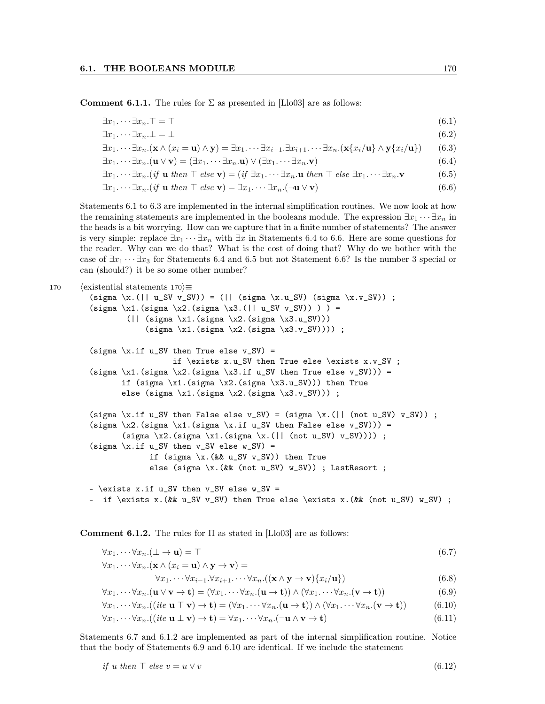**Comment 6.1.1.** The rules for  $\Sigma$  as presented in [Llo03] are as follows:

$$
\exists x_1 \cdots \exists x_n. \top = \top \tag{6.1}
$$

$$
\exists x_1 \cdots \exists x_n \bot = \bot \tag{6.2}
$$

$$
\exists x_1 \cdots \exists x_n . (\mathbf{x} \wedge (x_i = \mathbf{u}) \wedge \mathbf{y}) = \exists x_1 \cdots \exists x_{i-1} . \exists x_{i+1} . \cdots \exists x_n . (\mathbf{x} \{x_i/\mathbf{u}\} \wedge \mathbf{y} \{x_i/\mathbf{u}\})
$$
(6.3)

 $\exists x_1 \cdots \exists x_n . (\mathbf{u} \vee \mathbf{v}) = (\exists x_1 \cdots \exists x_n . \mathbf{u}) \vee (\exists x_1 \cdots \exists x_n . \mathbf{v})$  (6.4)

$$
\exists x_1.\cdots \exists x_n. (if \mathbf{u} \text{ then } \top \text{ else } \mathbf{v}) = (if \exists x_1.\cdots \exists x_n.\mathbf{u} \text{ then } \top \text{ else } \exists x_1.\cdots \exists x_n.\mathbf{v}) \tag{6.5}
$$

$$
\exists x_1 \cdots \exists x_n . (if \mathbf{u} \ then \top \ else \mathbf{v}) = \exists x_1 \cdots \exists x_n . (\neg \mathbf{u} \lor \mathbf{v})
$$
(6.6)

Statements 6.1 to 6.3 are implemented in the internal simplification routines. We now look at how the remaining statements are implemented in the booleans module. The expression  $\exists x_1 \cdots \exists x_n$  in the heads is a bit worrying. How can we capture that in a finite number of statements? The answer is very simple: replace  $\exists x_1 \cdots \exists x_n$  with  $\exists x$  in Statements 6.4 to 6.6. Here are some questions for the reader. Why can we do that? What is the cost of doing that? Why do we bother with the case of  $\exists x_1 \cdots \exists x_3$  for Statements 6.4 and 6.5 but not Statement 6.6? Is the number 3 special or can (should?) it be so some other number?

```
170 (existential statements 170)\equiv
```

```
(sigma \ x.(l \mid u_S V v_S V)) = (l \cdot (sigma \ x.u_S V) (sigma \ x.v_S V));
(sigma \x1.(sigma \x2.(sigma \x3.(|| u_SV v_SV)) ) ) =
        (|| (sigma \x1.(sigma \x2.(sigma \x3.u_SV)))
            (sigma \ x1.(\text{sigma } x2.(\text{sigma } x3. v_S V)))) ;
(sigma \xi.if u_SV then True else v_SV) =
                   if \exists x.u_SV then True else \exists x.v_SV ;
(sigma \xi1.(sigma \xi2.(sigma \xi3.if u_SV then True else v_SV))) =
       if (sigma \xi1.(sigma \xi2.(sigma \xi3.u_SV))) then True
       else (sigma \xi1.(sigma \xi2.(sigma \xi3.v_SV))) ;
(sigma \x.if u_SV then False else v_SV) = (sigma \x.(|| (not u_SV) v_SV)) ;
(sigma \x2.(sigma \xi1.(sigma \xi.if u_SV then False else v_SV))) =
       (sigma \ x2. (sigma \ x1. (sigma \ x. (l \ (not u_SV) v_SW)))) ;
(sigma \xi.if u_SV then v_SV else w_SV) =
             if (sigma \x. (&& u_SV v_SV)) then True
             else (sigma \x.(&& (not u_SV) w_SV)) ; LastResort ;
- \exists x.if u_SV then v_SV else w_SV =
```

```
- if \exists x.(kk u_S V v_S V) then True else \exists x.(kk (not u_S V) w_S V);
```
Comment 6.1.2. The rules for  $\Pi$  as stated in [Llo03] are as follows:

$$
\forall x_1. \cdots \forall x_n. (\bot \to \mathbf{u}) = \top \tag{6.7}
$$

$$
\forall x_1.\cdots\forall x_n.(\mathbf{x}\wedge(x_i=\mathbf{u})\wedge\mathbf{y}\rightarrow\mathbf{v})=
$$

$$
\forall x_1 \dots \forall x_{i-1} \forall x_{i+1} \dots \forall x_n . ((\mathbf{x} \land \mathbf{y} \to \mathbf{v}) \{x_i / \mathbf{u}\})
$$
(6.8)

$$
\forall x_1. \cdots \forall x_n. (\mathbf{u} \vee \mathbf{v} \to \mathbf{t}) = (\forall x_1. \cdots \forall x_n. (\mathbf{u} \to \mathbf{t})) \wedge (\forall x_1. \cdots \forall x_n. (\mathbf{v} \to \mathbf{t}))
$$
(6.9)

$$
\forall x_1 \cdots \forall x_n ((ite \mathbf{u} \top \mathbf{v}) \to \mathbf{t}) = (\forall x_1 \cdots \forall x_n . (\mathbf{u} \to \mathbf{t})) \land (\forall x_1 \cdots \forall x_n . (\mathbf{v} \to \mathbf{t}))
$$
(6.10)

$$
\forall x_1. \cdots \forall x_n. ((ite \mathbf{u} \perp \mathbf{v}) \to \mathbf{t}) = \forall x_1. \cdots \forall x_n. (\neg \mathbf{u} \wedge \mathbf{v} \to \mathbf{t})
$$
\n(6.11)

Statements 6.7 and 6.1.2 are implemented as part of the internal simplification routine. Notice that the body of Statements 6.9 and 6.10 are identical. If we include the statement

if *u* then 
$$
\top
$$
 else  $v = u \vee v$  (6.12)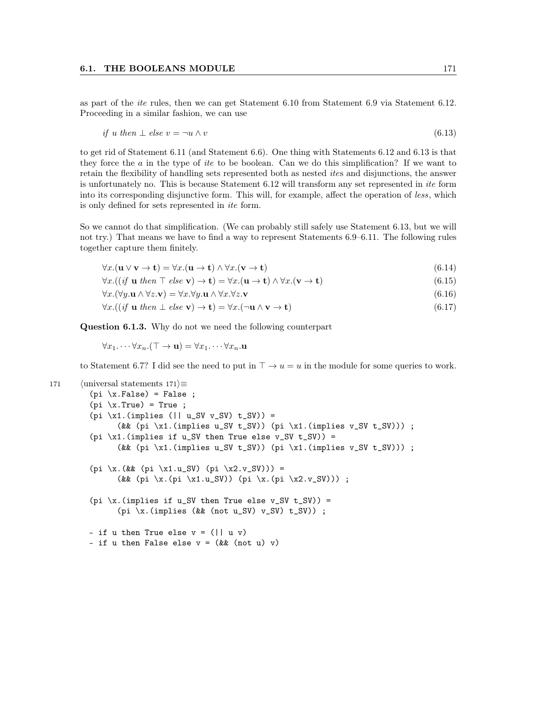as part of the *ite* rules, then we can get Statement 6.10 from Statement 6.9 via Statement 6.12. Proceeding in a similar fashion, we can use

if *u* then 
$$
\perp
$$
 else  $v = \neg u \wedge v$  (6.13)

to get rid of Statement 6.11 (and Statement 6.6). One thing with Statements 6.12 and 6.13 is that they force the  $a$  in the type of *ite* to be boolean. Can we do this simplification? If we want to retain the flexibility of handling sets represented both as nested ites and disjunctions, the answer is unfortunately no. This is because Statement 6.12 will transform any set represented in ite form into its corresponding disjunctive form. This will, for example, affect the operation of less, which is only defined for sets represented in ite form.

So we cannot do that simplification. (We can probably still safely use Statement 6.13, but we will not try.) That means we have to find a way to represent Statements 6.9–6.11. The following rules together capture them finitely.

$$
\forall x. (\mathbf{u} \vee \mathbf{v} \to \mathbf{t}) = \forall x. (\mathbf{u} \to \mathbf{t}) \wedge \forall x. (\mathbf{v} \to \mathbf{t})
$$
\n(6.14)

 $\forall x. ((if \mathbf{u} \ then \top \ else \mathbf{v}) \rightarrow \mathbf{t}) = \forall x. (\mathbf{u} \rightarrow \mathbf{t}) \land \forall x. (\mathbf{v} \rightarrow \mathbf{t})$  (6.15)

$$
\forall x. (\forall y. \mathbf{u} \land \forall z. \mathbf{v}) = \forall x. \forall y. \mathbf{u} \land \forall x. \forall z. \mathbf{v}
$$
\n
$$
(6.16)
$$

$$
\forall x. ((if \mathbf{u} \ then \perp else \mathbf{v}) \to \mathbf{t}) = \forall x. (\neg \mathbf{u} \land \mathbf{v} \to \mathbf{t})
$$
\n(6.17)

Question 6.1.3. Why do not we need the following counterpart

 $\forall x_1 \ldots \forall x_n. (\top \to \mathbf{u}) = \forall x_1 \ldots \forall x_n. \mathbf{u}$ 

to Statement 6.7? I did see the need to put in  $\top \rightarrow u = u$  in the module for some queries to work.

```
171 (universal statements 171\rangle≡
```

```
(pi \ x.False) = False ;(pi \ x.True) = True ;(pi \ x1.(\text{implies } (|| u_S V v_S V) t_S V)) =(&& (pi \x1.(implies u_SV t_SV)) (pi \x1.(implies v_SV t_SV))) ;
(pi \x1.(implies if u_SV then True else v_S V t_S V)) =
      (&& (pi \x1.(implies u_SV t_SV)) (pi \x1.(implies v_SV t_SV))) ;
(pi \x.(&& (pi \x1.u_SV) (pi \x2.v_SV))) =
      (&& (pi \x.(pi \x1.u_SV)) (pi \x.(pi \x2.v_SV))) ;
(pi \x.(implies if u_SV then True else v_SV t_SV)) =
      (pi \{x. (implies (&& (not u_SV) v\_SV) t\_SV) ;
- if u then True else v = (|| u v)- if u then False else v = (kk (not u) v)
```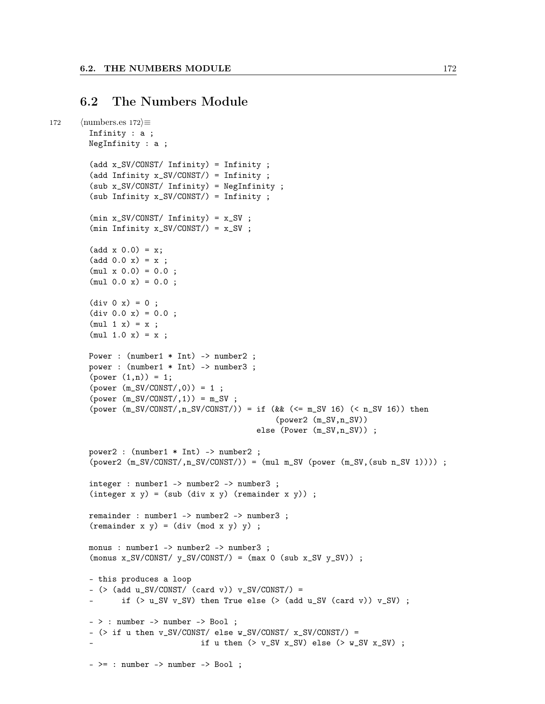#### 6.2 The Numbers Module

```
172 \langle \text{numbers.}es 172\rangle \equivInfinity : a ;
        NegInfinity : a ;
         (add x_SV/CONST/ Infinity) = Infinity ;
         (add Infinity x_SV/CONST/) = Infinity ;
         (sub x_SV/CONST/ Infinity) = NegInfinity ;
         (sub Infinity x_SV/CONST/) = Infinity ;
         (min x_SV/CONST/Infinity) = x_SV ;(min Infinity x_SV/CONST/)= x_SV;
         (add x 0.0) = x;(add 0.0 x) = x ;(mul x 0.0) = 0.0;
         (mul 0.0 x) = 0.0 ;div 0 x = 0 ;div 0.0 x = 0.0 ;(mul 1 x) = x ;(mul 1.0 x) = x ;Power : (number1 * Int) -> number2 ;
        power : (number1 * Int) -> number3 ;
         (power (1, n)) = 1;(power (m_SV/CONST/,0)) = 1 ;
         (power (m_SV/CONST/1)) = m_SV;
         (power (m_S V/CONST/ n_S V/CONST/ ) = if (kk (<math>= m_S V 16</math>) (<math> n_S V 16</math>)) then(power2 (m_SV,n_SV))
                                              else (Power (m_SV,n_SV)) ;
        power2 : (number1 * Int) -> number2 ;
         (power2 (m_SV/CONST/ n_SV/CONST/)) = (mul m_SV (power (m_SV, (sub n_SV 1))));
        integer : number1 -> number2 -> number3 ;
         (integer x y) = (sub (div x y) (remainder x y));
        remainder : number1 -> number2 -> number3 ;
        (remainder x y) = (div (mod x y) y);
        monus : number1 -> number2 -> number3 ;
        (monus x_SV/CONST/ y_SV/CONST/ ) = (max 0 (sub x_SV y_SV));
        – this produces a loop
         - (>(a d d u_S V/CONST / (card v)) v_S V/CONST / ) =if (> u_S V v_S V) then True else (> (add u_S V (card v)) v_S V);
         – > : number -> number -> Bool ;
         - ( if u then v_SV/CONST/ else w_SV/CONST/ x_SV/CONST/) =
                                  if u then (> v_S V x_S V) else (> w_S V x_S V);
         - >= : number -> number -> Bool ;
```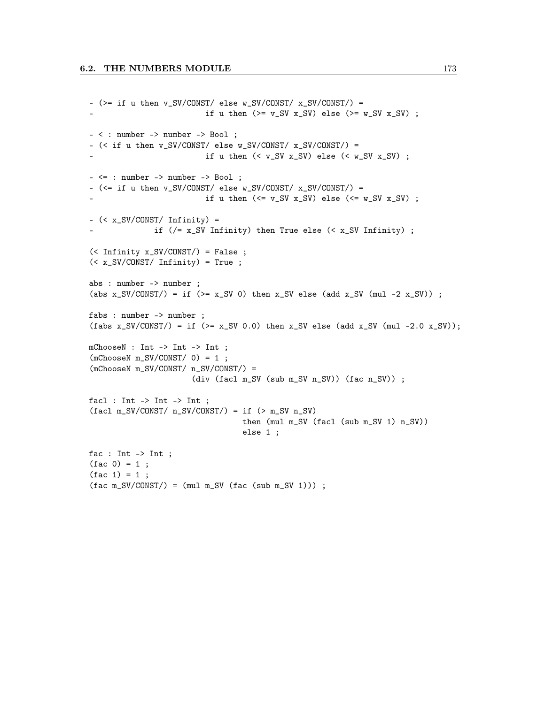```
- (>= if u then v_SV/CONST/ else w_SV/CONST/ x_SV/CONST/) =
                         if u then (>= v_S V x_S V) else (>= w_S V x_S V);
– < : number -> number -> Bool ;
- (< if u then v_SV/CONST/ else w_SV/CONST/ x_SV/CONST/) =
                         if u then (<math>v_S V x_S V) else (<math>w_S V x_S V) ;
– <= : number -> number -> Bool ;
- (\le if u then v_SV/CONST/ else w_SV/CONST/ x_SV/CONST/) =
                         if u then (\le v_S V x_S V) else (\le w_S V x_S V);
– (< x_SV/CONST/ Infinity) =
              if (/= x_SV Infinity) then True else (< x_SV Infinity) ;
(< Infinity x_SV/CONST/) = False ;
(< x_SV/CONST/ Infinity) = True ;
abs : number -> number ;
(abs x_SV/CONST/) = if (>= x_SV 0) then x_SV else (add x_SV (mul -2 x_SV)) ;
fabs : number -> number ;
(fabs x_SV/CONST/) = if (>= x_SV 0.0) then x_SV else (add x_SV (mul -2.0 x_SV));
mChooseN : Int -> Int -> Int ;
(mChooseN m_SV/CONST/ 0) = 1;
(mChooseN m_SV/CONST/ n_SV/CONST/) =
                       (div (facl m_SV (sub m_SV n_SV)) (fac n_SV)) ;
facl : Int -> Int -> Int ;
(fac1 m_SV/CONST/ n_SV/CONST/ ) = if (> m_SV n_SV)then (mul m_SV (facl (sub m_SV 1) n_SV))
                                  else 1 ;
fac : Int -> Int ;
(fac 0) = 1;(fac 1) = 1;(fac m_SV/CONST/ ) = (mul m_SV (fac (sub m_SV 1)));
```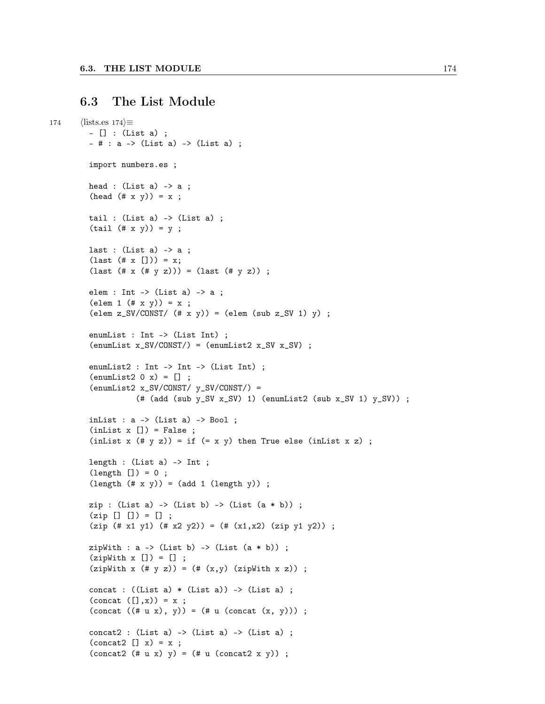### 6.3 The List Module

```
174 \langle\text{lists.es } 174\rangle \equiv– [] : (List a) ;
         - # : a - (List a) - (List a) ;
         import numbers.es ;
         head : (List a) -> a ;
         (head (# x y)) = x ;tail : (List a) -> (List a);
         (tail (# x y)) = y;last : (List a) \rightarrow a ;
         (\text{last } (* x [])) = x;(last (\# x (\# y z))) = (last (\# y z));
         elem : Int -> (List a) -> a ;
         (\text{elem 1 } (# x y)) = x ;\text{(elem z_SV/CONST/ } (\# \times y)) = \text{(elem (sub z_SV 1) y)};
         enumList : Int -> (List Int) ;
         (\text{enumList } x_SV/CONST/ ) = (\text{enumList2 } x_SV x_SV );
         enumList2 : Int -> Int -> (List Int) ;
         (\text{enumList2 0 x}) = [];
         (\text{enumList2 x_SV/CONST}/ y_SV/CONST/ ) =
                    (\# (add (sub y_SV x_SV) 1) (enumList2 (sub x_SV 1) y_SV)) ;
         inList : a \rightarrow (List a) \rightarrow Bool ;
         (intlist x [] ) = False ;(inList x (# y z)) = if (= x y) then True else (inList x z) ;length : (List a) -> Int ;
         (length []) = 0;
         (length (# x y)) = (add 1 (length y)) ;zip : (List a) -> (List b) -> (List (a * b)) ;
         (zip [ ] [ ] ) = [ ] ;(zip (# x1 y1) (# x2 y2)) = (# (x1,x2) (zip y1 y2)) ;zipWith : a -> (List b) -> (List (a * b));
         (zipWith x [] = [] ;(zipWith x (# y z)) = (# (x,y) (zipWith x z)) ;concat : ((List a) * (List a)) -> (List a);
         (concat ([], x)) = x ;(concat ((# u x), y)) = (# u (concat (x, y)));
         concat2 : (List a) -> (List a) -> (List a) ;
         (concat2 [] x) = x ;(concat2 (\# u x) y) = (\# u (concat2 x y));
```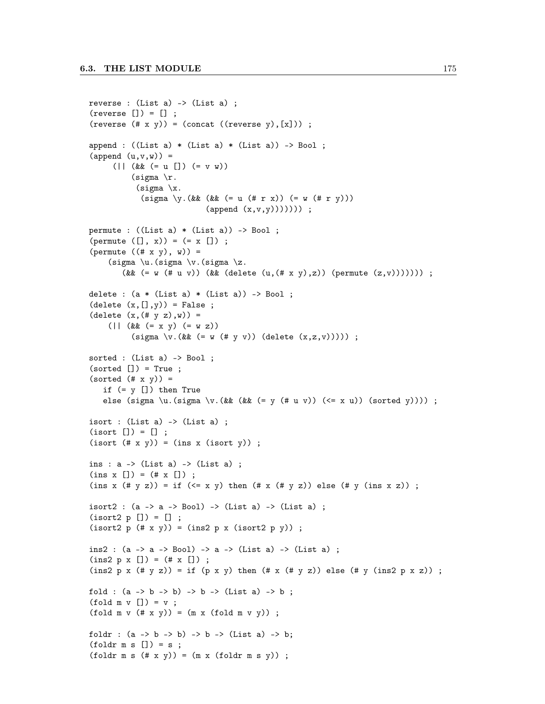```
reverse : (List a) -> (List a);
(reverse [] = [];
(reverse (\# \times \gamma)) = (concat ((reverse \gamma), [x])) ;
append : ((List a) * (List a) * (List a)) -> Boo1 ;(\text{append } (u, v, w)) =(|| (&& (= u []) (= v w))
           (sigma \rceilr.
            (sigma \ \ x.(sigma \ \ y.(\&\&\ (k\&\ (= u (# r x)) (= w (# r y)))(\text{append } (x, v, y))))));
permute : ((List a) * (List a)) \rightarrow Bool;(permute ([], x)) = (= x [];
(permute ((# x y), w)) =(sigma \u.(sigma \vee.(sigma \angle z.
         (&& (= w (# u v)) (&& (delete (u, (# x y), z)) (permute (z, v)))))));
delete : (a * (List a) * (List a)) \rightarrow Bool;
(detete (x, [] , v)) = False;
(detete (x, (* y z), w)) =(\left| \begin{array}{c} (x + 1) & (x + 1) \\ (x + 1) & (x + 2) \end{array} \right|(sigma \v.(&& (= w (# y v)) (delete (x, z, v))))) ;
sorted : (List a) -> Bool;
(sorted [] = True ;
(sorted (# x y)) =if (= y [] then True
   else (sigma \u.(sigma \v.(&& (&& (= y (# u v)) (<= x u)) (sorted y)))) ;
isort : (List a) -> (List a);
(isort [] = [] ;(isort (# x y)) = (ins x (isort y)) ;ins : a \rightarrow (List a) -> (List a) ;
(\text{ins } x [] ) = (\# x [] ) ;(ins x (\# \vee z)) = if (\leq x \vee y) then (\# x (\# y z)) else (\# \vee (ins x z));
isort2 : (a \rightarrow a \rightarrow Bool) \rightarrow (List a) \rightarrow (List a);
(isort2 p [] = [] ;(isort2 p (+ x y)) = (ins2 p x (isort2 p y)) ;ins2 : (a -> a -> Bool) -> a -> (List a) -> (List a) ;
(ins2 p x [] ) = (+ x [] ) ;(ins2 p x (\# y z)) = if (p x y) then (\# x (\# y z)) else (# y (ins2 p x z)) ;
fold : (a \rightarrow b \rightarrow b) \rightarrow b \rightarrow (List a) \rightarrow b;
(fold m v [] = v ;(fold m v (# x y)) = (m x (fold m v y));
foldr : (a \rightarrow b \rightarrow b) \rightarrow b \rightarrow (List a) \rightarrow b;(foldr \text{ m s} [] = s ;(foldr \text{ m s } (\# \text{ x y})) = (m \text{ x } (foldr \text{ m s y})) ;
```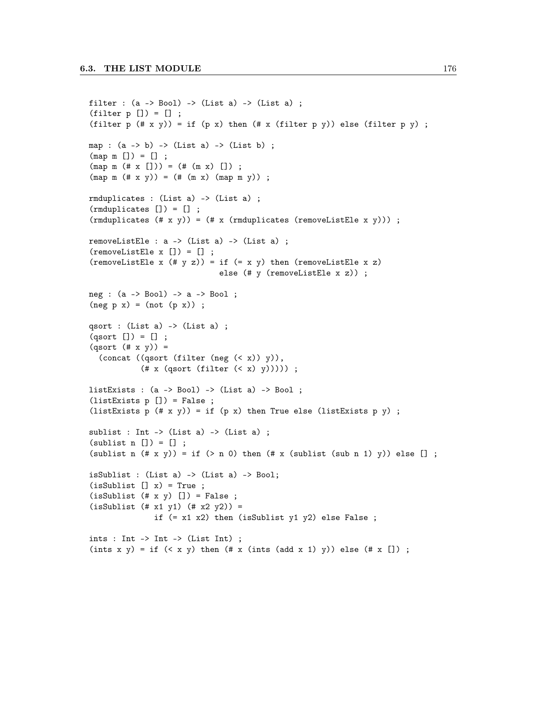```
filter : (a \rightarrow Bool) \rightarrow (List a) \rightarrow (List a);
(filter p []) = [];
(filter p (# x y)) = if (p x) then (# x (filter p y)) else (filter p y) ;
map : (a \rightarrow b) \rightarrow (List a) \rightarrow (List b);
(\text{map } m [] ) = [] ;(\text{map } m \ (\# \ x \ [])) = (\# \ (m \ x) \ []) ;(\text{map } m \ (\# \ x \ y)) = (\# \ (m \ x) \ (\text{map } m \ y));
rmduplicates : (List a) -> (List a) ;
(rmduplicates []) = [] ;
(rmduplicates (# x y)) = (# x (rmduplicates (removeListEle x y)));
removeListEle : a \rightarrow (List a) \rightarrow (List a) ;
(removeListEle x []) = [] ;
(removeListEle x (# y z)) = if (= x y) then (removeListEle x z)
                                else (# y (removeListEle x z)) ;
neg : (a -> Bool) -> a -> Bool ;
(neg p x) = (not (p x));
qsort : (List a) -> (List a) ;
(qsort []) = [] ;(qsort (# x y)) =(concat ((qsort (filter (neg (< x)) y)),
             (\# x (qsort (filter (< x) y))));
listExists : (a \rightarrow Bool) \rightarrow (List a) \rightarrow Bool;(listExists p []) = False ;
(listExists p (# x y)) = if (p x) then True else (listExists p y) ;
sublist : Int -> (List a) -> (List a) ;
(sublist n [] = [];
(sublist n (\# \times \ y)) = \text{if } (\gt n \ 0) \text{ then } (\# \times \ ( \text{sublist } (\text{sub n } 1) \ y)) \text{ else } [];
isSublist : (List a) -> (List a) -> Bool;
(isSublist [] x) = True ;(isSublist (# x y) [] ) = False ;(isSublist (# x1 y1) (# x2 y2)) =if (= x1 x2) then (isSublist y1 y2) else False ;
ints : Int -> Int -> (List Int) ;
(ints x y) = if (x x y) then (\# x (ints (add x 1) y)) else (\# x []);
```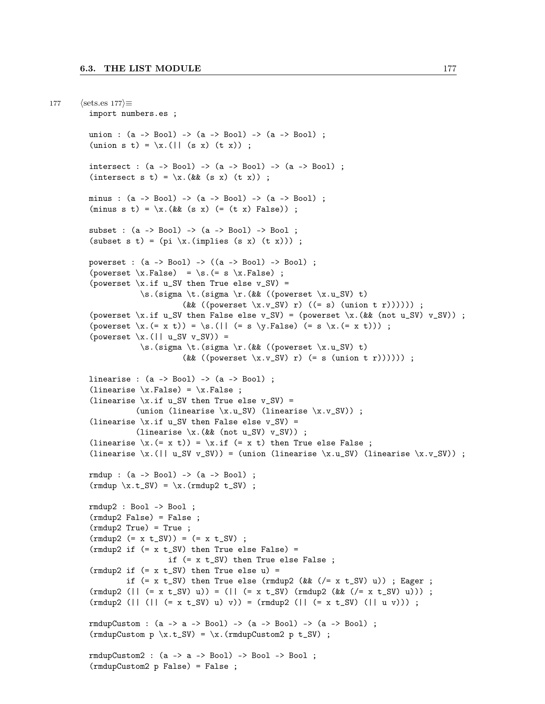```
177 \langle \text{sets.es } 177 \rangle \equivimport numbers.es ;
         union : (a -> Bool) -> (a -> Bool) -> (a -> Bool) ;
         (\text{union } s \ t) = \x. (|| (s x) (t x)) ;intersect : (a \rightarrow Bool) \rightarrow (a \rightarrow Bool) \rightarrow (a \rightarrow Bool);
         (intersect s t) = \x. (&& (s x) (t x)) ;
        minus : (a -> Bool) -> (a -> Bool) -> (a -> Bool) ;
         (minus s t) = \x. (&& (s x) (= (t x) False)) ;
         subset : (a -> Bool) -> (a -> Bool) -> Bool ;
         (subset s t) = pi \ \langle x.(\text{implies} (s x) (t x)) \rangle;
         powerset : (a -> Bool) -> ((a -> Bool) -> Bool) ;
         (powerset \xFalse) = \sFalse);
         (powerset \xi.if u_SV then True else v_SV) =
                    \s.(sigma \t.(sigma \r.(&& ((powerset \x.u_SV) t)
                              (kk ((powerset \x.y_SV) r)((= s) (union t r))));
         (powerset \x.if u_SV then False else v_SV) = (powerset \x.(\& (not u_SV) v_SV)) ;
         (powerset \x.(= x t)) = \s.(|| (= s \y.False) (= s \x.(= x t))) ;
         (powerset \ x. (|| u_SV v_SV)) =\s.(sigma \t.(sigma \r.(&& ((powerset \x.u_SV) t)
                              (&& ((powerset \x.v_SV) r) (= s (union t r)))))) ;
         linearise : (a -> Bool) -> (a -> Bool) ;
         (linearise \xFalse) = \xFalse;
         (linearise \xi.if u_SV then True else v_SV) =
                   (union (linearise \x.u_SV) (linearise \x.v_SV)) ;
         (linearise \x.if u_SV then False else v_SV) =
                   (linearise \x. (&& (not u_SV) v_SV)) ;
         (linearise \langle x. (= x t) \rangle = \langle x.if (= x t) then True else False ;(linearise \x.(|| u_SV v_SV)) = (union (linearise \x.u_SV) (linearise \x.v_SV)) ;
         rmdup : (a -> Bool) -> (a -> Bool) ;
         (rmdup \ x.t_SV) = \x.(rmdup2 t_SV);
         rmdup2 : Bool -> Bool ;
         (rmdup2 False) = False ;
         (rmdup2 True) = True ;
         (rmdup2 (= x t_SV)) = (= x t_SV) ;(rmdup2 if (= x t_SV) then True else False) =if (= x t_SV) then True else False ;
         (rmdup2 if (= x t_SV) then True else u) =if (= x t_S V) then True else (rmdup2 (&& ( / = x t_S V) u)) ; Eager ;
         (rmdup2 (|| (= x t_SV) u)) = (|| (= x t_SV) (rmdup2 (& (z x t_SV) u))) ;(rmdup2 (|| (|| (= x t_S V) u) v)) = (rmdup2 (|| (= x t_S V) (|| u v))) ;rmdupCustom : (a -> a -> Bool) -> (a -> Bool) -> (a -> Bool) ;
         (rmdupCustom p \ x.t_SV) = \x.(rmdupCustom2 p t_SV);
        rmdupCustom2 : (a -> a -> Bool) -> Bool -> Bool ;
         (rmdupCustom2 p False) = False ;
```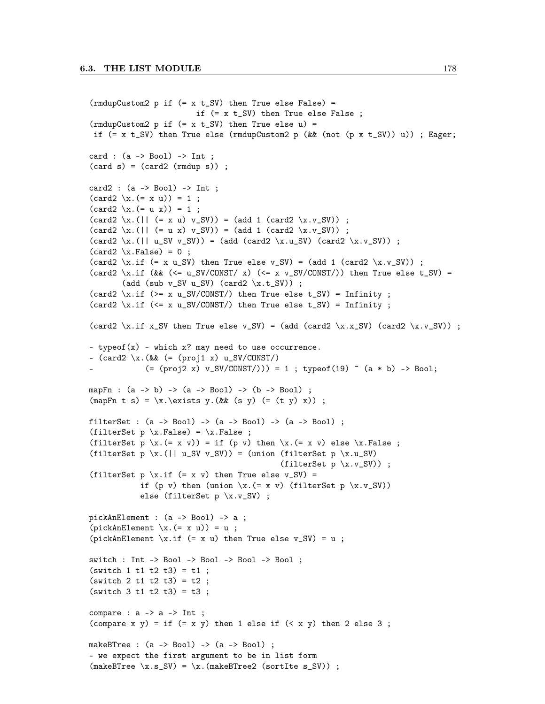```
(rmdupCustom2 p if (= x t_SV) then True else False) =
                         if (= x t_SV) then True else False ;
(rmdupCustom2 p if (= x t_SV) then True else u) =if (= x t_S V) then True else (rmdupCustom2 p (&& (not (p x t_SV)) u)); Eager;
card : (a \rightarrow Bool) \rightarrow Int;
(card s) = (card2 (rmdup s));
card2 : (a -> Bool) -> Int ;
(card2 \ x. (= x u)) = 1;(card2 \ x. (= u x)) = 1;
(\text{card2 } x.((| (x + x w) v_S V)) = (\text{add 1 } (\text{card2 } x.v_S V)) ;(card2 \ x. (|| (= u x) v_S V)) = (add 1 (card2 \ x.v_S V)) ;(card2 \ x. (|| u_SV v_SV)) = (add (card2 \ x.u_SV) (card2 \ x.v_SV));
(card2 \ x.False) = 0;
(card2 \x.if (= x u_SV) then True else v_SV) = (add 1 (card2 \x.v_SV)) ;
(card2 \x.if (&& (<= u_SV/CONST/ x) (<= x v_SV/CONST/)) then True else t_SV) =
       (add (sub v_SV u_SV) (card2 \x.t_SV)) ;
(card2 \x.if (>= x u_SV/CONST/) then True else t_SV) = Infinity ;
(card2 \x.if (<= x u_SV/CONST/) then True else t_SV) = Infinity ;
(card2 \x.if x_SV then True else v_SV) = (add (card2 \x.x_SV) (card2 \x.v_SV)) ;
– typeof(x) - which x? may need to use occurrence.
– \text{card2 } x.(\&\&\ (= \text{proj1 } x) u_S V/ \text{const}(=(\text{proj2 x}) v_S V/(\text{CNN}) = 1 ; \text{typeof}(19) (a * b) -> Bool;
mapFn : (a -> b) -> (a -> Bool) -> (b -> Bool) ;
(\text{mapFn } t s) = \x.\text{exists } y. (&& (s y) (= (t y) x)) ;
filterSet : (a \rightarrow Bool) \rightarrow (a \rightarrow Bool) \rightarrow (a \rightarrow Bool);
(filterSet p \ x.False) = x.False;
(filterSet p \x.(= x v)) = if (p v) then \x.(= x v) else \x.False ;
(filterSet p \x.(|| u_SV v_SV)) = (union (filterSet p \x.u_SV)
                                             (filterSet p \ x.v_S V)) ;
(filterSet p \ x.if (= x v) then True else v_SV) =if (p v) then (union \x. (= x v) (filterSet p \x. v_S V))
            else (filterSet p \ x.y_SV) ;
pickAnElement : (a -> Bool) -> a ;
(pickAnElement \ x. (= x u)) = u ;(pickAnElement \x.if (= x u) then True else v_SV) = u ;
switch : Int -> Bool -> Bool -> Bool -> Bool ;
(switch 1 t1 t2 t3) = t1 ;(switch 2 t1 t2 t3) = t2 ;(switch 3 t1 t2 t3) = t3 ;compare : a \rightarrow a \rightarrow Int;
(compare x y) = if (= x y) then 1 else if (< x y) then 2 else 3;
makeBTree : (a \rightarrow Bool) \rightarrow (a \rightarrow Bool);
– we expect the first argument to be in list form
(makeBTree \ x.s_SV) = \x.(makeBTree2 (sortIte s_SV));
```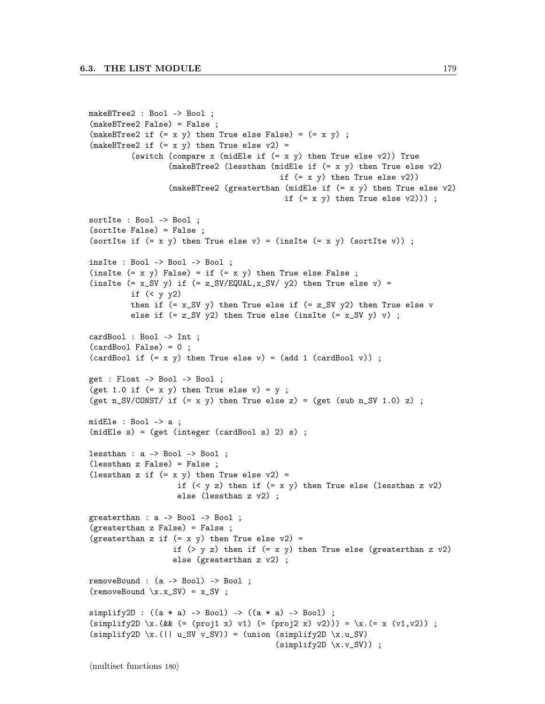```
makeBTree2 : Bool -> Bool ;
(makeBTree2 False) = False ;
(makeBTree2 if (= x y) then True else False) = (= x y);
(makeBTree2 if (= x y) then True else v2) =(switch (compare x (midEle if (= x, y) then True else v2)) True
                  (makeBTree2 (lessthan (midEle if (= x y) then True else v2)
                                          if (= x y) then True else v2))
                  (makeBTree2 (greaterthan (midEle if (= x y) then True else v2)
                                           if (= x, y) then True else v(2)));
sortIte : Bool -> Bool ;
(sortIte False) = False ;
(sortIte if (= x, y) then True else v) = (insIte (= x, y) (sortIte v));
insIte : Bool -> Bool -> Bool ;
(insIte (= x y) False) = if (= x y) then True else False;
(insIte (= x_S V y) if (= z_S V / EQUAL, x_S V / y^2) then True else v) =
         if (< y y2)then if (= x_S V y) then True else if (= z_S V y_2) then True else v
         else if (= z_S V y2) then True else (insIte (= x_S V y) v);
cardBool : Bool -> Int ;
(cardBool False) = 0 ;
(cardBool if (= x, y) then True else v) = (add 1 (cardBool v));
get : Float -> Bool -> Bool ;
(get 1.0 if (= x y) then True else v) = y ;
(get n_SV/CONST/ if (= x y) then True else z) = (get (sub n_SV 1.0) z) ;
midEle : Bool -> a ;
(midEle s) = (get (integer (cardBool s) 2) s) ;
lessthan : a -> Bool -> Bool ;
(lessthan z False) = False ;
(lessthan z if (= x y) then True else v2) =
                   if (< y z) then if (= x y) then True else (lessthan z v2)
                   else (lessthan z v2) ;
greaterthan : a -> Bool -> Bool ;
(greaterthan z False) = False ;
(greaterthan z if (= x y) then True else v2) =
                  if ( y z) then if ( = x y) then True else (greaterthan z v2)
                  else (greaterthan z v2) ;
removeBound : (a -> Bool) -> Bool ;
(removeBound \x.x_SV = x_SV ;
simplify2D : ((a * a) -> Bool) -> ((a * a) -> Bool);
(\text{simplify2D }\x.(\&\&\ (= (\text{proj1 x}) \ v1) (= (\text{proj2 x}) \ v2))) = \x. (= x (v1,v2)) ;(simplify2D \ x. (|| u_SV v_SV)) = (union (simplify2D \ x.u_SV)(simplify2D \ x.v_SV) ;
```
 $\langle$  multiset functions 180 $\rangle$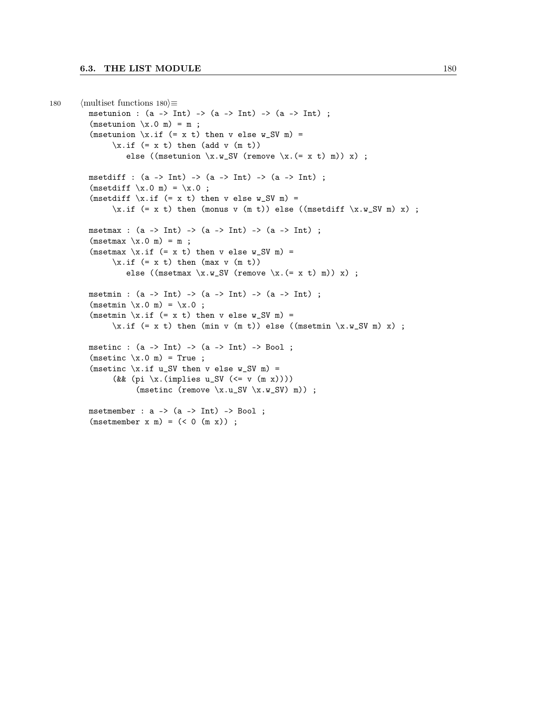```
180 \langle multiset functions 180\rangle≡
          msetunion : (a \rightarrow Int) \rightarrow (a \rightarrow Int) \rightarrow (a \rightarrow Int);
          (msetunion \x.0 m) = m;
          (msetunion \xi.if (= x t) then v else w_SV m) =
                 \xi.if (= x t) then (add v (m t))
                     else ((msetunion \x.w_SV (remove \x.(= x t) m)) x) ;
          msetdiff : (a \rightarrow Int) \rightarrow (a \rightarrow Int) \rightarrow (a \rightarrow Int);
          (msetdiff \ x.0 m) = \x.0 ;(msetdiff \x.if (= x t) then v else w_SV m) =\xinf (= x t) then (monus v (m t)) else ((msetdiff \x w_S W m) x) ;
          msetmax : (a \rightarrow Int) \rightarrow (a \rightarrow Int) \rightarrow (a \rightarrow Int);
          (msetmax \ x.0 m) = m;
          (msetmax \xleftarrow{x} if (= x t) then v else w_SV m) =
                 \chi.if (= x t) then (max v (m t))
                    else ((msetmax \x.w_SV (remove \x.(= x t) m)) x) ;
          msetmin : (a \rightarrow Int) \rightarrow (a \rightarrow Int) \rightarrow (a \rightarrow Int);
          (msetmin \ x.0 m) = \x.0 ;(msetmin \xleftarrow{x} if (= x t) then v else w_SV m) =
                 \x_if (= x t) then (min v (m t)) else ((msetmin \x.w_SW m) x) ;msetinc : (a \rightarrow Int) \rightarrow (a \rightarrow Int) \rightarrow Bool;
          (msetinc \ x.0 m) = True ;(msetinc \x.if u_SV then v else w_SV m) =
                 (&& (pi \x.(implies u_SV (<= v (m x)))
                       (msetinc (remove \x.u_SV \x.w_SV) m)) ;
          msetmember : a \rightarrow (a \rightarrow Int) \rightarrow Bool;
          (msetmember x m) = (< 0 (m x));
```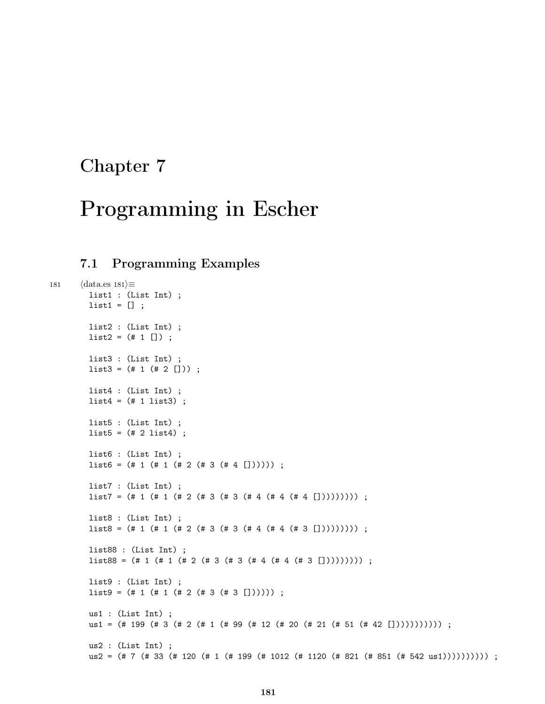### Chapter 7

# Programming in Escher

#### 7.1 Programming Examples

```
181 \langle \text{data.es 181} \rangle \equivlist1 : (List Int) ;
        list1 = [];
        list2 : (List Int) ;
        list2 = (+ 1 [] );
        list3 : (List Int) ;
        list3 = (+ 1 (+ 2 []));
        list4 : (List Int) ;
        list4 = (+ 1 list3);list5 : (List Int) ;
        list5 = (# 2 list4);
        list6 : (List Int) ;
        list6 = (+ 1 (+ 1 (+ 2 (+ 3 (+ 4 []))))) ;list7 : (List Int) ;
        list7 = (\# 1 (\# 1 (\# 2 (\# 3 (# 3 (# 4 (# 4 (# 4 [1)))))))));
        list8 : (List Int) ;
        list8 = (\# 1 (\# 1 (\# 2 (\# 3 (# 3 (# 4 (# 4 (# 3 [1))))))));
        list88 : (List Int) ;
        list88 = (\# 1 (\# 1 (\# 2 (\# 3 (# 3 (# 4 (# 4 (# 3 [1)))))))));
        list9 : (List Int) ;
        list9 = (H 1 (H 1 (H 2 (H 3 (H 3 [1))));
        us1 : (List Int) ;
        us1 = (# 199 (# 3 (# 2 (# 1 (# 99 (# 12 (# 20 (# 21 (# 51 (# 42 [])))))))))) ;
        us2 : (List Int) ;
        us2 = (# 7 (# 33 (# 120 (# 1 (# 199 (# 1012 (# 1120 (# 821 (# 851 (# 542 us1)))))))))) ;
```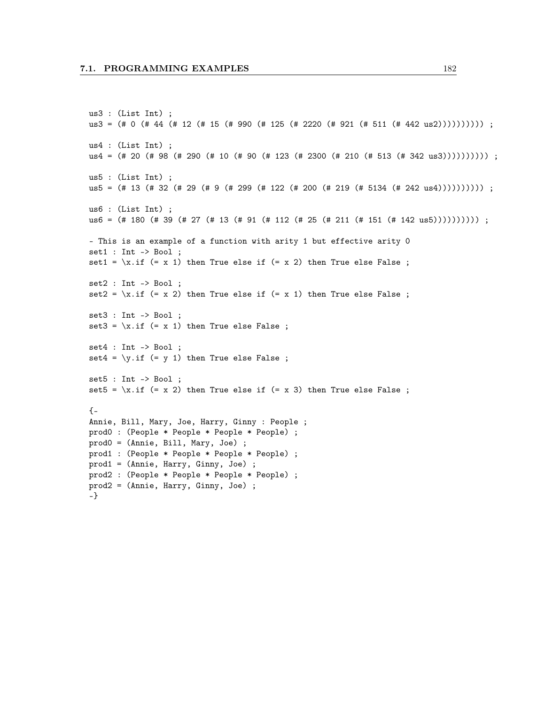```
us3 : (List Int) ;
us3 = (\# 0 (\# 44 (\# 12 (\# 15 (\# 990 (\# 125 (\# 2220 (\# 921 (\# 511 (\# 442 \text{ us}2))))))));
us4 : (List Int) ;
us4 = (# 20 (# 98 (# 290 (# 10 (# 90 (# 123 (# 2300 (# 210 (# 513 (# 342 us3)))))))))) ;
us5 : (List Int) ;
us5 = (# 13 (# 32 (# 29 (# 9 (# 299 (# 122 (# 200 (# 219 (# 5134 (# 242 us4)))))))))) ;
us6 : (List Int) ;
us6 = (# 180 (# 39 (# 27 (# 13 (# 91 (# 112 (# 25 (# 211 (# 151 (# 142 us5)))))))))) ;
– This is an example of a function with arity 1 but effective arity 0
set1 : Int -> Bool ;
set1 = \xi.if (= x 1) then True else if (= x 2) then True else False;
set2 : Int -> Bool ;
set2 = \xi x.if (= x 2) then True else if (= x 1) then True else False;
set3 : Int -> Bool ;
set3 = \xi.if (= x 1) then True else False;
set4 : Int -> Bool ;
set4 = \y{.if (= y 1) then True else False ;set5 : Int -> Bool ;
set5 = \xi.if (= x 2) then True else if (= x 3) then True else False;
{-
Annie, Bill, Mary, Joe, Harry, Ginny : People ;
prod0 : (People * People * People * People) ;
prod0 = (Annie, Bill, Mary, Joe) ;
prod1 : (People * People * People * People) ;
prod1 = (Annie, Harry, Ginny, Joe) ;
prod2 : (People * People * People * People) ;
prod2 = (Annie, Harry, Ginny, Joe) ;
-}
```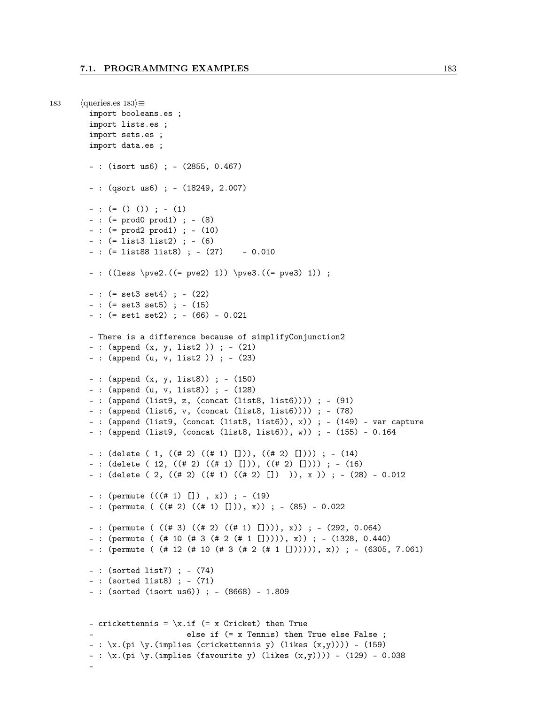```
183 \langle queries.es 183\rangle \equivimport booleans.es ;
        import lists.es ;
        import sets.es ;
        import data.es ;
        – : (isort us6) ; – (2855, 0.467)
        – : (qsort us6) ; – (18249, 2.007)
        - : (= () ()) ; - (1)
        – : (= prod0 prod1) ; – (8)
        – : (= prod2 prod1) ; – (10)
        – : (= list3 list2) ; – (6)
        – : (= list88 list8) ; – (27) – 0.010
        – : ((less \pve2.((= pve2) 1)) \pve3.((= pve3) 1)) ;
        – : (= set3 set4) ; – (22)
        – : (= set3 set5) ; – (15)
        – : (= set1 set2) ; – (66) – 0.021
        – There is a difference because of simplifyConjunction2
        – : (append (x, y, list2 )) ; – (21)
        – : (append (u, v, list2 )) ; – (23)
        – : (append (x, y, list8)) ; – (150)
        – : (append (u, v, list8)) ; – (128)
        – : (append (list9, z, (concat (list8, list6)))) ; – (91)
        – : (append (list6, v, (concat (list8, list6)))) ; – (78)
        – : (append (list9, (concat (list8, list6)), x)) ; – (149) – var capture
        – : (append (list9, (concat (list8, list6)), w)) ; – (155) – 0.164
        – : (delete ( 1, ((# 2) ((# 1) [])), ((# 2) []))); – (14)
        – : (delete ( 12, ((# 2) ((# 1) [])), ((# 2) []))) ; – (16)
        – : (delete ( 2, ((# 2) ((# 1) ((# 2) []) )), x )) ; – (28) – 0.012
        – : (permute (((\# 1) []) , x)); – (19)
        – : (permute ( ((# 2) ((# 1) [])), x)) ; – (85) – 0.022
        – : (permute ( ((# 3) ((# 2) ((# 1) []))), x)) ; – (292, 0.064)
        – : (permute ( (# 10 (# 3 (# 2 (# 1 [])))), x)) ; – (1328, 0.440)
        – : (permute ( (# 12 (# 10 (# 3 (# 2 (# 1 []))))), x)) ; – (6305, 7.061)
        – : (sorted list7) ; – (74)
        – : (sorted list8) ; – (71)
        – : (sorted (isort us6)) ; – (8668) – 1.809
        - crickettennis = \xi.if (= x Cricket) then True
                              else if (= x Tennis) then True else False ;
        - : \langle x.(\pi i \setminus y.(\text{implies } (crickettennis y) (likes (x,y)))) - (159)- : \{x.(pi \ y.(implies (favorite y) (likes (x,y)))) - (129) - 0.038\}–
```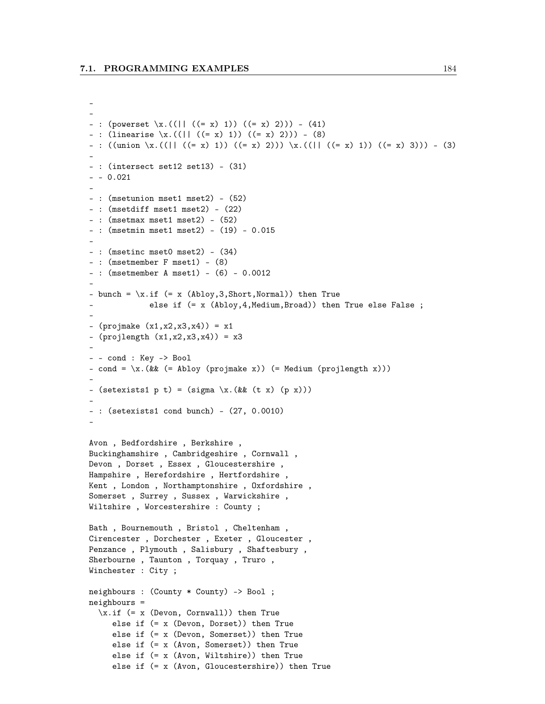```
–
–
– : (powerset \x.((|| ((= x) 1)) ((= x) 2))) – (41)
– : (linearise \x.((|| ((= x) 1)) ((= x) 2))) – (8)
– : ((union \x.((|| ((= x) 1)) ((= x) 2))) \x.((|| ((= x) 1)) ((= x) 3))) – (3)
–
– : (intersect set12 set13) – (31)
– – 0.021
–
– : (msetunion mset1 mset2) – (52)
– : (msetdiff mset1 mset2) – (22)
– : (msetmax mset1 mset2) – (52)
– : (msetmin mset1 mset2) – (19) – 0.015
–
– : (msetinc mset0 mset2) – (34)
– : (msetmember F mset1) – (8)
– : (msetmember A mset1) – (6) – 0.0012
–
- bunch = \x.if (= x (Abloy, 3, Short,Normal)) then Trueelse if (= x \text{ (Abloy}, 4, \text{Median}, \text{Broad})) then True else False ;
–
– (projmake (x1,x2,x3,x4)) = x1
– (projlength (x1,x2,x3,x4)) = x3
–
– – cond : Key -> Bool
- cond = \x. (&& (= Abloy (projmake x)) (= Medium (projlength x)))
–
– (setexists1 p t) = (sigma \x.(&& (t x) (p x)))
–
– : (setexists1 cond bunch) – (27, 0.0010)
–
Avon , Bedfordshire , Berkshire ,
Buckinghamshire , Cambridgeshire , Cornwall ,
Devon , Dorset , Essex , Gloucestershire ,
Hampshire , Herefordshire , Hertfordshire ,
Kent , London , Northamptonshire , Oxfordshire ,
Somerset , Surrey , Sussex , Warwickshire ,
Wiltshire , Worcestershire : County ;
Bath , Bournemouth , Bristol , Cheltenham ,
Cirencester , Dorchester , Exeter , Gloucester ,
Penzance , Plymouth , Salisbury , Shaftesbury ,
Sherbourne , Taunton , Torquay , Truro ,
Winchester : City ;
neighbours : (County * County) -> Bool ;
neighbours =
  \xinf (= x (Devon, Cornwall)) then True
     else if (= x (Devon, Dorset)) then True
     else if (= x (Devon, Somerset)) then True
     else if (= x (Avon, Somerset)) then True
     else if (= x (Avon, Wiltshire)) then True
     else if (= x (Avon, Gloucestershire)) then True
```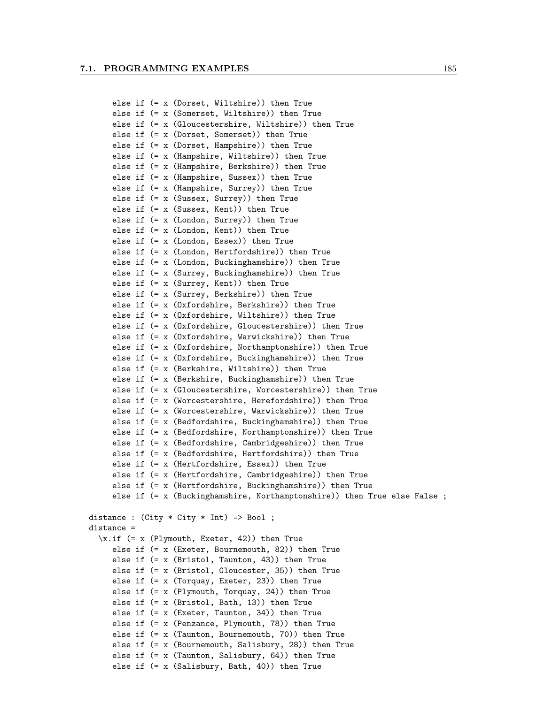```
else if (= x (Dorset, Wiltshire)) then True
     else if (= x (Somerset, Wiltshire)) then True
     else if (= x (Gloucestershire, Wiltshire)) then True
     else if (= x (Dorset, Somerset)) then True
     else if (= x (Dorset, Hampshire)) then True
     else if (= x (Hampshire, Wiltshire)) then True
     else if (= x (Hampshire, Berkshire)) then True
     else if (= x (Hampshire, Sussex)) then True
     else if (= x (Hampshire, Surrey)) then True
     else if (= x (Sussex, Surrey)) then True
    else if (= x (Sussex, Kent)) then True
     else if (= x (London, Surrey)) then True
     else if (= x (London, Kent)) then True
     else if (= x (London, Essex)) then True
     else if (= x (London, Hertfordshire)) then True
     else if (= x (London, Buckinghamshire)) then True
     else if (= x (Surrey, Buckinghamshire)) then True
     else if (= x (Surrey, Kent)) then True
     else if (= x (Surrey, Berkshire)) then True
     else if (= x (Oxfordshire, Berkshire)) then True
     else if (= x (Oxfordshire, Wiltshire)) then True
     else if (= x (Oxfordshire, Gloucestershire)) then True
     else if (= x (Oxfordshire, Warwickshire)) then True
     else if (= x (Oxfordshire, Northamptonshire)) then True
    else if (= x (Oxfordshire, Buckinghamshire)) then True
    else if (= x (Berkshire, Wiltshire)) then True
     else if (= x (Berkshire, Buckinghamshire)) then True
     else if (= x (Gloucestershire, Worcestershire)) then True
    else if (= x (Worcestershire, Herefordshire)) then True
    else if (= x (Worcestershire, Warwickshire)) then True
     else if (= x (Bedfordshire, Buckinghamshire)) then True
    else if (= x (Bedfordshire, Northamptonshire)) then True
     else if (= x (Bedfordshire, Cambridgeshire)) then True
    else if (= x (Bedfordshire, Hertfordshire)) then True
     else if (= x (Hertfordshire, Essex)) then True
     else if (= x (Hertfordshire, Cambridgeshire)) then True
     else if (= x (Hertfordshire, Buckinghamshire)) then True
     else if (= x (Buckinghamshire, Northamptonshire)) then True else False ;
distance : (City * City * Int) -> Bool ;
distance =
  \x.if (= x (Plymouth, Exeter, 42)) then True
     else if (= x (Exeter, Bournemouth, 82)) then True
     else if (= x (Bristol, Taunton, 43)) then True
     else if (= x (Bristol, Gloucester, 35)) then True
     else if (= x (Torquay, Exeter, 23)) then True
     else if (= x (Plymouth, Torquay, 24)) then True
     else if (= x (Bristol, Bath, 13)) then True
     else if (= x (Exeter, Taunton, 34)) then True
     else if (= x (Penzance, Plymouth, 78)) then True
     else if (= x (Taunton, Bournemouth, 70)) then True
     else if (= x (Bournemouth, Salisbury, 28)) then True
     else if (= x (Taunton, Salisbury, 64)) then True
     else if (= x (Salisbury, Bath, 40)) then True
```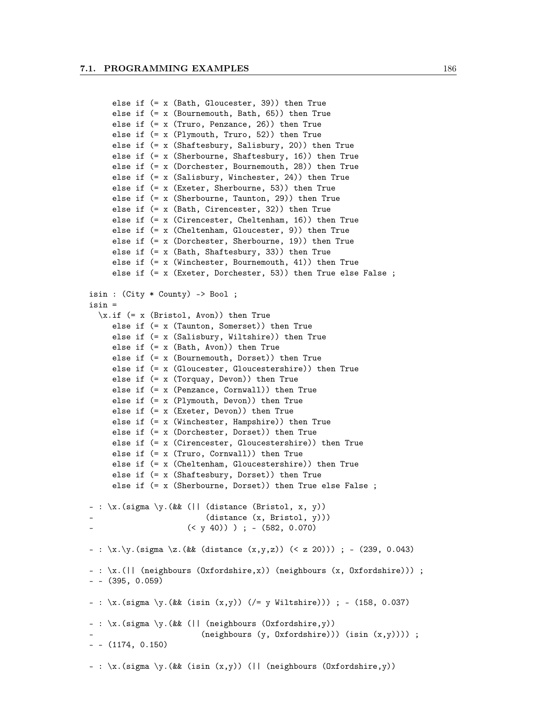```
else if (= x (Bath, Gloucester, 39)) then True
     else if (= x (Bournemouth, Bath, 65)) then True
     else if (= x (Truro, Penzance, 26)) then True
     else if (= x (Plymouth, Truro, 52)) then True
     else if (= x (Shaftesbury, Salisbury, 20)) then True
     else if (= x (Sherbourne, Shaftesbury, 16)) then True
     else if (= x (Dorchester, Bournemouth, 28)) then True
     else if (= x (Salisbury, Winchester, 24)) then True
     else if (= x (Exeter, Sherbourne, 53)) then True
     else if (= x (Sherbourne, Taunton, 29)) then True
     else if (= x (Bath, Cirencester, 32)) then True
     else if (= x (Cirencester, Cheltenham, 16)) then True
     else if (= x (Cheltenham, Gloucester, 9)) then True
     else if (= x (Dorchester, Sherbourne, 19)) then True
     else if (= x (Bath, Shaftesbury, 33)) then True
     else if (= x (Winchester, Bournemouth, 41)) then True
     else if (= x (Exeter, Dorchester, 53)) then True else False ;
isin : (City * County) -> Bool ;
isin =
  \xinf (= x (Bristol, Avon)) then True
     else if (= x (Taunton, Somerset)) then True
     else if (= x (Salisbury, Wiltshire)) then True
     else if (= x (Bath, Avon)) then True
     else if (= x (Bournemouth, Dorset)) then True
     else if (= x (Gloucester, Gloucestershire)) then True
     else if (= x (Torquay, Devon)) then True
     else if (= x (Penzance, Cornwall)) then True
     else if (= x (Plymouth, Devon)) then True
     else if (= x (Exeter, Devon)) then True
     else if (= x (Winchester, Hampshire)) then True
     else if (= x (Dorchester, Dorset)) then True
     else if (= x (Cirencester, Gloucestershire)) then True
     else if (= x (Truro, Cornwall)) then True
     else if (= x (Cheltenham, Gloucestershire)) then True
     else if (= x (Shaftesbury, Dorset)) then True
     else if (= x (Sherbourne, Dorset)) then True else False ;
- : \x. (sigma \y. (&& (|| (distance (Bristol, x, y))
                         (distance (x, Bristol, y)))(<br/>y 40)) ) ; - (582, 0.070)– : \langle x.\rangle y. (sigma \langle z. (&& (distance (x,y,z)) (< z 20))) ; – (239, 0.043)
– : \x.(|| (neighbours (Oxfordshire,x)) (neighbours (x, Oxfordshire))) ;
– – (395, 0.059)
– : \x.(sigma \y.(&& (isin (x,y)) (/= y Wiltshire))) ; – (158, 0.037)
– : \x.(sigma \y.(&& (|| (neighbours (Oxfordshire,y))
                        (neighbours (y, 0xfordshire))) (isin (x,y))));
– – (1174, 0.150)
- : \chi.(sigma \chi.(&& (isin (x,y)) (|| (neighbours (Oxfordshire,y))
```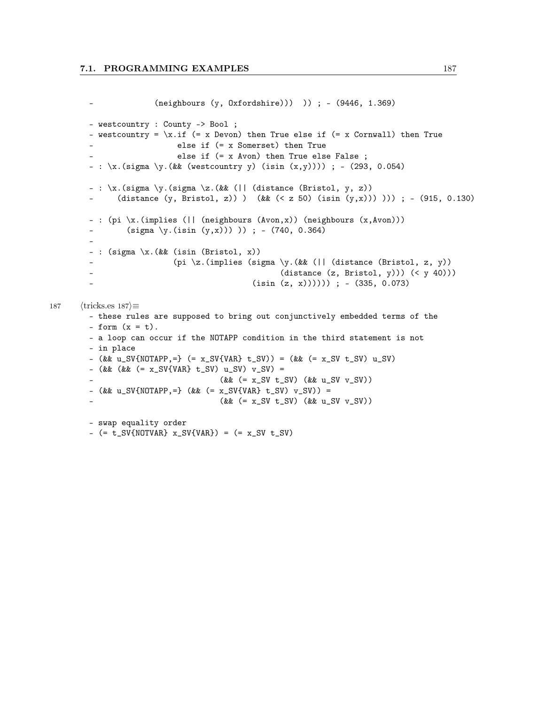```
– (neighbours (y, Oxfordshire))) )) ; – (9446, 1.369)
        – westcountry : County -> Bool ;
        - westcountry = \x.if (= x Down) then True else if (= x Cornwall) then True– else if (= x Somerset) then True
                            else if (= x Avon) then True else False ;
        - : \langle x.(\text{sigma } \y.(\&\&\text{west country } y) \text{ (isin } (x,y)))) ; - (293, 0.054)
        – : \x.(sigma \y.(sigma \z.(&& (|| (distance (Bristol, y, z))
        – (distance (y, Bristol, z)) ) (&& (< z 50) (isin (y,x))) ))) ; – (915, 0.130)
         – : (pi \x.(implies (|| (neighbours (Avon,x)) (neighbours (x,Avon)))
                 (sigma \y.(isin (y,x))) )) ; - (740, 0.364)
         –
         – : (sigma \x.(&& (isin (Bristol, x))
                            (pi \z.(implies (sigma \y.(&& (|| (distance (Bristol, z, y))
                                                    (distance (z, Bristol, y))) (<math>y 40)))
         – (isin (z, x)))))) ; – (335, 0.073)
187 \langle \text{tricks.}\mathbf{es} \ 187 \rangle \equiv– these rules are supposed to bring out conjunctively embedded terms of the
        - form (x = t).
        – a loop can occur if the NOTAPP condition in the third statement is not
        – in place
         – (kk \text{ u } SV \{NOTAPP, =\} (= x_SV{VAR} t_SV)) = (kk (= x_S V t_S V) u_S V)– (kk (kK = x_SV{VAR} t_SV) u_SV) v_SV) =( & ( = x_SV t_SV) ( & u_SV v_SV) )
        - (kk u_SV{NOTAPP, =} (kk (-x_SV{VAR} t_SV) v_SV)) =( & ( = x_SV t_SV) ( & u_SV v_SV) )
        – swap equality order
        - (= t_SV{NOTVAR} x_SV{VAR}) = (= x_SV t_SV)
```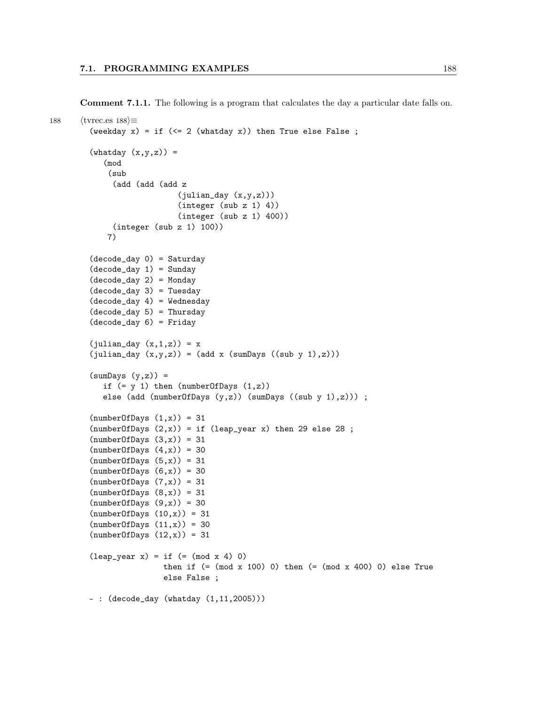Comment 7.1.1. The following is a program that calculates the day a particular date falls on.

```
188 \langletvrec.es 188\rangle \equiv(weekday x) = if (<= 2 (whatday x)) then True else False;
        (\text{whatday } (x,y,z)) =(mod
            (sub
              (add (add (add z
                            (julian_day (x,y,z)))
                            (integer (sub z 1) 4))
                            (integer (sub z 1) 400))
              (integer (sub z 1) 100))
            7)
        (decode_day 0) = Saturday
        (decode_day 1) = Sunday(decode_day 2) = Monday
        (decode_day 3) = Tuesday
        (decode_day 4) = Wednesday
        (decode_day 5) = Thursday(decode_day 6) = Friday
        (julin\_day (x,1,z)) = x(julin\_day (x,y,z)) = (add x (sumDay (sub y 1),z)))(sumDays (y,z)) =if (= y 1) then (numberOfDays (1,z))
           else (add (numberOfDays (y,z)) (sumDays ((sub y 1),z))) ;
        (numberOfDays (1, x)) = 31(numberOfDays (2,x)) = if (leap\_year x) then 29 else 28 ;(numberOfDays (3,x)) = 31(numberOfDays (4,x)) = 30(numberOfDays (5, x)) = 31(numberOfDays (6,x)) = 30(numberOfDays (7,x)) = 31(numberOfDays (8,x)) = 31(numberOfDays (9,x)) = 30(numberOfDays (10,x)) = 31(numberOfDays (11,x)) = 30(numberOfDays (12,x)) = 31(leap\_year x) = if (= (mod x 4) 0)then if (=(mod x 100) 0) then (=(mod x 400) 0) else True
                         else False ;
        – : (decode_day (whatday (1,11,2005)))
```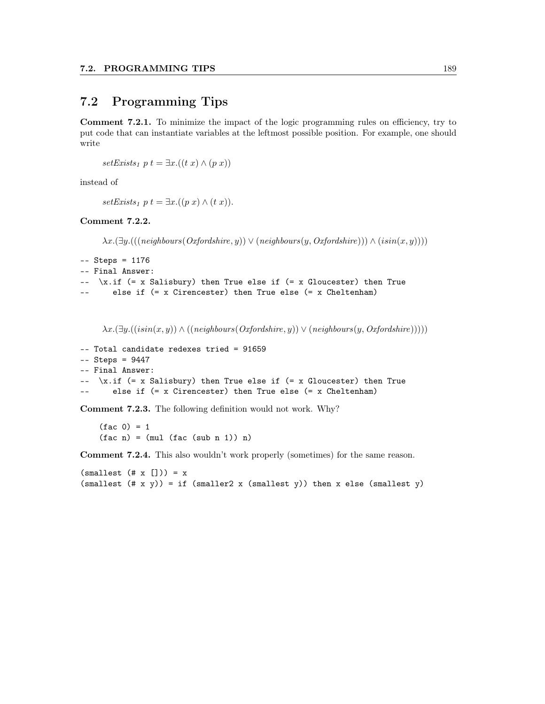#### 7.2 Programming Tips

Comment 7.2.1. To minimize the impact of the logic programming rules on efficiency, try to put code that can instantiate variables at the leftmost possible position. For example, one should write

setExists<sub>1</sub> p  $t = \exists x.((t x) \land (p x))$ 

instead of

 $setExists_1 p t = \exists x. ((p x) \wedge (t x)).$ 

Comment 7.2.2.

 $\lambda x.(\exists y.(((neighbours(Oxfoldsize, y)) \vee (neighbours(y, Oxfordshire)))) \wedge (isin(x, y))))$ 

```
-- Steps = 1176
-- Final Answer:
-- \x.if (= x Salisbury) then True else if (= x Gloucester) then True
-- else if (= x Cirencester) then True else (= x Cheltenham)
```
 $\lambda x.(\exists y.((isin(x, y)) \land ((neighbours(Ordshire, y)) \lor (neighbours(y, Oxfordshire))))$ 

```
-- Total candidate redexes tried = 91659
-- Steps = 9447
-- Final Answer:
\left(-\right) -- \left(x, \text{if } (= x \text{ Salisbury}) \right) then True else if (= x \text{ Gloucester}) then True
-- else if (= x Cirencester) then True else (= x Cheltenham)
```
Comment 7.2.3. The following definition would not work. Why?

 $(fac 0) = 1$  $(fac n) = (mul (fac (sub n 1)) n)$ 

Comment 7.2.4. This also wouldn't work properly (sometimes) for the same reason.

 $(smallest (# x [])) = x$ (smallest  $(\# \times \gamma)$ ) = if (smaller2 x (smallest y)) then x else (smallest y)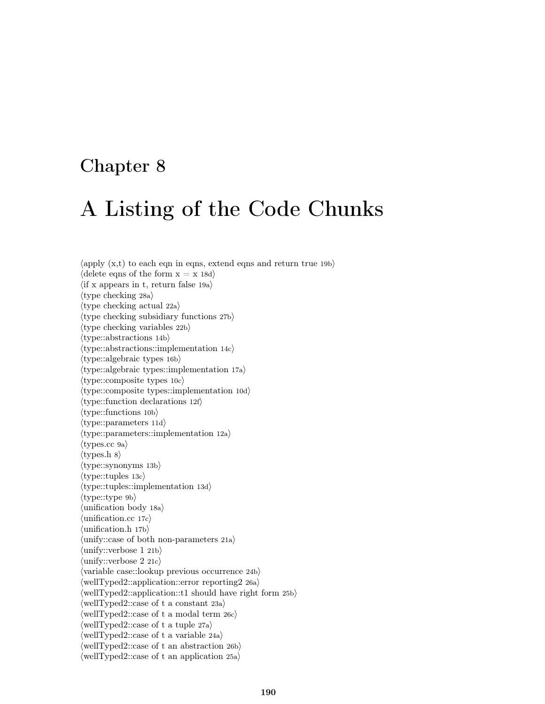### Chapter 8

# A Listing of the Code Chunks

 $\langle \text{apply } (\mathbf{x},t) \rangle$  to each eqn in eqns, extend eqns and return true 19bi  $\langle$  delete eqns of the form  $x = x 18d$  $\langle$  if x appears in t, return false 19a $\rangle$  $\langle$ type checking 28a $\rangle$  $\langle$ type checking actual 22a $\rangle$  $\langle$  type checking subsidiary functions 27b $\rangle$  $\langle$ type checking variables 22b $\rangle$  $\langle$ type::abstractions 14b $\rangle$  $\langle$ type::abstractions::implementation 14c $\rangle$  $\langle$ type::algebraic types 16b $\rangle$  $\langle$ type::algebraic types::implementation 17a $\rangle$  $\langle$ type::composite types 10c $\rangle$  $\langle$ type::composite types::implementation 10d $\rangle$  $\langle$ type::function declarations 12f $\rangle$  $\langle$ type::functions 10b $\rangle$  $\langle$ type::parameters 11d $\rangle$  $\langle$ type::parameters::implementation 12a $\rangle$  $\langle$ types.cc 9a $\rangle$  $\langle$ types.h 8 $\rangle$  $\langle$ type::synonyms 13b $\rangle$  $\langle$ type::tuples 13c $\rangle$  $\langle$ type::tuples::implementation 13d $\rangle$  $\langle$ type::type 9b $\rangle$  $\langle$ unification body 18a $\rangle$  $\langle$ unification.cc 17c $\rangle$  $\langle$ unification.h 17b $\rangle$  $\langle$ unify::case of both non-parameters 21a $\rangle$  $\langle$ unify::verbose 1 21b $\rangle$  $\langle \text{unify::verbose } 2 \text{ 21c} \rangle$  $\langle$ variable case::lookup previous occurrence 24b $\rangle$  $\langle$ wellTyped2::application::error reporting2 26a)  $\langle$ wellTyped2::application::t1 should have right form 25b $\rangle$  $\langle$ wellTyped2::case of t a constant 23a $\rangle$  $\langle \text{wellTyped2::case of t a modal term } 26c \rangle$  $\langle$ wellTyped2::case of t a tuple 27a $\rangle$  $\langle$ wellTyped2::case of t a variable 24a $\rangle$  $\langle$ wellTyped2::case of t an abstraction 26b $\rangle$  $\langle$ wellTyped2::case of t an application 25a $\rangle$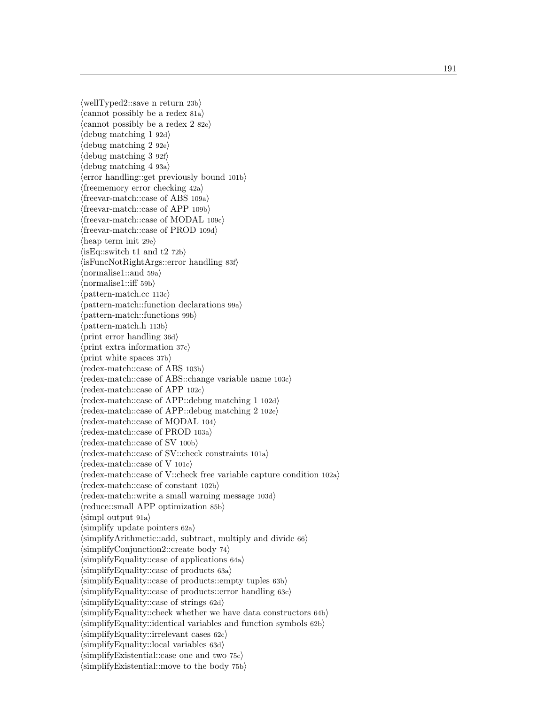$\langle$ wellTyped2::save n return 23b $\rangle$  $\langle$ cannot possibly be a redex 81a $\rangle$  $\langle$ cannot possibly be a redex 2 82e $\rangle$  $\langle$  debug matching 1 92d $\rangle$  $\langle$  debug matching 2 92e $\rangle$  $\langle$  debug matching 3 92f $\rangle$  $\langle$  debug matching 4 93a $\rangle$ herror handling::get previously bound 101b i  $\langle$  freememory error checking 42a $\rangle$  $\langle$  freevar-match::case of ABS 109a $\rangle$  $\langle$  freevar-match::case of APP 109b $\rangle$  $\langle$  freevar-match::case of MODAL 109c $\rangle$  $\langle$  freevar-match::case of PROD 109d $\rangle$  $\langle$ heap term init 29e $\rangle$  $\langle$ isEq::switch t1 and t2 72b $\rangle$  $\langle$ isFuncNotRightArgs::error handling 83f $\rangle$  $\langle$  normalise1::and 59a $\rangle$  $\langle$ normalise1::iff 59b $\rangle$  $\langle$ pattern-match.cc 113c $\rangle$  $\langle$  pattern-match::function declarations 99a $\rangle$  $\langle$ pattern-match::functions 99b $\rangle$  $\langle$ pattern-match.h 113b $\rangle$  $\langle$ print error handling 36d $\rangle$  $\langle$ print extra information 37c $\rangle$  $\langle$ print white spaces 37b $\rangle$  $\langle$ redex-match::case of ABS 103b $\rangle$  $\langle$ redex-match::case of ABS::change variable name 103c $\rangle$  $\langle$ redex-match::case of APP 102c $\rangle$  $\langle$ redex-match::case of APP::debug matching 1 102d $\rangle$  $\langle$ redex-match::case of APP::debug matching 2 102e $\rangle$  $\langle$ redex-match::case of MODAL 104 $\rangle$  $\langle$ redex-match::case of PROD 103a $\rangle$  $\langle$ redex-match::case of SV 100b $\rangle$  $\langle$ redex-match::case of SV::check constraints 101a $\rangle$  $\langle$ redex-match::case of V 101c $\rangle$  $\langle$ redex-match::case of V::check free variable capture condition 102a $\rangle$  $\langle$ redex-match::case of constant 102b $\rangle$  $\langle$ redex-match::write a small warning message 103d $\rangle$  $\langle$ reduce::small APP optimization 85b $\rangle$  $\langle$ simpl output 91a $\rangle$  $\langle$ simplify update pointers 62a $\rangle$  $\langle$ simplifyArithmetic::add, subtract, multiply and divide 66 $\rangle$  $\langle$ simplifyConjunction2::create body 74 $\rangle$  $\langle$ simplifyEquality::case of applications 64a $\rangle$  $\langle$ simplifyEquality::case of products 63a $\rangle$  $\langle$ simplifyEquality::case of products::empty tuples 63b $\rangle$  $\langle$ simplifyEquality::case of products::error handling 63c $\rangle$  $\langle$ simplifyEquality::case of strings 62d $\rangle$  $\langle$ simplifyEquality::check whether we have data constructors 64b $\rangle$  $\langle$ simplifyEquality::identical variables and function symbols 62b $\rangle$  $\langle$ simplifyEquality::irrelevant cases 62c $\rangle$  $\langle$ simplifyEquality::local variables 63d $\rangle$  $\langle$ simplifyExistential::case one and two 75c $\rangle$  $\langle$ simplifyExistential::move to the body 75b $\rangle$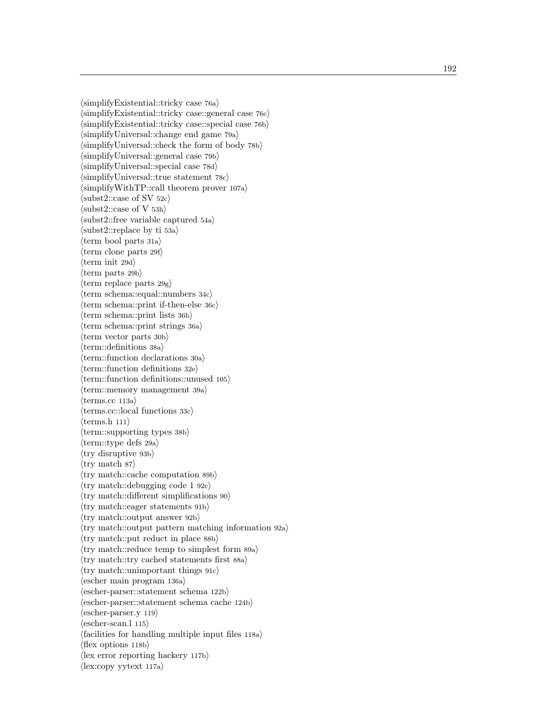$\langle$ simplifyExistential::tricky case 76a $\rangle$  $\langle$ simplifyExistential::tricky case::general case 76c $\rangle$  $\langle$ simplifyExistential::tricky case::special case 76b $\rangle$  $\langle$ simplifyUniversal::change end game 79a $\rangle$  $\langle$ simplifyUniversal::check the form of body 78b $\rangle$  $\langle$ simplifyUniversal::general case 79b $\rangle$  $\langle$ simplifyUniversal::special case 78d $\rangle$  $\langle$ simplifyUniversal::true statement 78c $\rangle$  $\langle$ simplifyWithTP::call theorem prover 107a $\rangle$  $\langle \text{subst2::case of SV 52c} \rangle$  $\langle \text{subst2::case of V 53h} \rangle$  $\langle \text{subst2::free variable captured 54a} \rangle$  $\langle \text{subst2::replace by ti 53a} \rangle$  $\langle \text{term } \text{bool parts } 31a \rangle$  $\langle \text{term clone parts 29f} \rangle$  $\langle \text{term init } 29d \rangle$  $\langle$ term parts 29b $\rangle$  $\langle$ term replace parts 29g $\rangle$  $\langle \text{term schema::equal::numbers 34c} \rangle$  $\langle \text{term schema::print if-then-else 36c} \rangle$  $\langle \text{term schema::print lists } 36b \rangle$  $\langle \text{term schema::print strings } 36a \rangle$  $\langle$ term vector parts 30b $\rangle$  $\langle$ term::definitions 38a $\rangle$  $\langle$ term::function declarations 30a $\rangle$  $\langle \text{term::function definitions 32e} \rangle$  $\langle$ term::function definitions::unused 105 $\rangle$  $\langle \text{term::memory management 39a} \rangle$  $\langle \text{terms}.\text{cc 113a} \rangle$  $\langle \text{terms.cc::local functions } 33c \rangle$  $\langle \text{terms.h } 111 \rangle$  $\langle \text{term::supporting types 38b} \rangle$  $\langle \text{term::type defs 29a} \rangle$  $\langle$ try disruptive 93b $\rangle$  $\langle$ try match 87 $\rangle$  $\langle$ try match::cache computation 89b $\rangle$  $\langle$ try match::debugging code 1 92c $\rangle$  $\langle$ try match::different simplifications 90 $\rangle$  $\langle$ try match::eager statements 91b $\rangle$  $\langle$ try match::output answer 92b $\rangle$  $\langle$ try match::output pattern matching information 92a $\rangle$  $\langle$ try match::put reduct in place 88b $\rangle$  $\langle$ try match::reduce temp to simplest form 89a $\rangle$  $\langle$ try match::try cached statements first 88a $\rangle$  $\langle$ try match::unimportant things 91c $\rangle$  $\langle$ escher main program 136a $\rangle$  $\langle$ escher-parser::statement schema 122b $\rangle$  $\langle$ escher-parser::statement schema cache 124b $\rangle$  $\langle \text{escher-parser.y } 119 \rangle$  $\langle \text{escher-scan.} \rangle$  115)  $\langle$  facilities for handling multiple input files 118a $\rangle$  $\langle$ flex options 118b $\rangle$  $\langle$ lex error reporting hackery 117b $\rangle$  $\langle$ lex:copy yytext 117a $\rangle$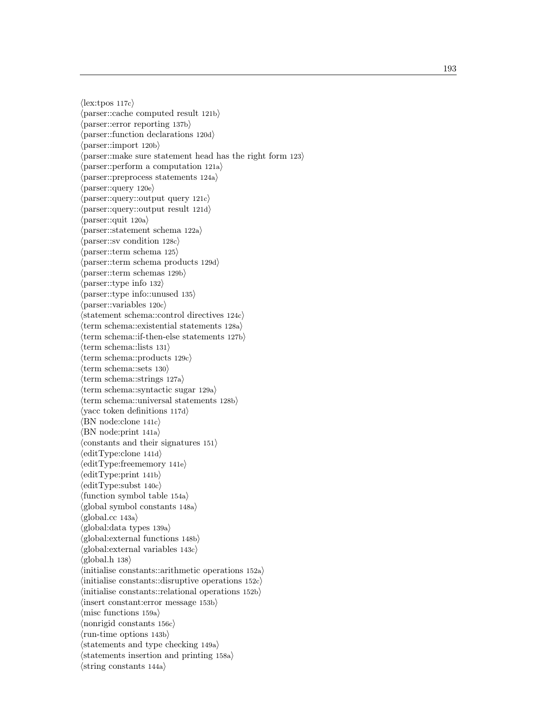$\langle$ lex:tpos 117c $\rangle$  $\langle$  parser::cache computed result 121b $\rangle$  $\langle$  parser::error reporting 137b $\rangle$  $\langle$  parser::function declarations 120d $\rangle$  $\langle$ parser::import 120b $\rangle$  $\langle$  parser::make sure statement head has the right form 123 $\rangle$  $\langle$  parser::perform a computation 121a $\rangle$  $\langle$  parser::preprocess statements 124a $\rangle$  $\langle \text{parser::query 120e} \rangle$  $\langle$  parser::query::output query 121c $\rangle$  $\langle$  parser::query::output result 121d $\rangle$  $\langle$ parser::quit 120a $\rangle$  $\langle$  parser::statement schema 122a $\rangle$  $\langle \text{parser::sv condition 128c} \rangle$  $\langle$ parser::term schema 125 $\rangle$  $\langle$  parser::term schema products 129d $\rangle$  $\langle$ parser::term schemas 129b $\rangle$  $\langle$  parser::type info 132 $\rangle$  $\langle$  parser::type info::unused 135 $\rangle$  $\langle$  parser::variables 120c $\rangle$  $\langle$ statement schema::control directives 124c $\rangle$  $\langle \text{term schema::existential statements 128a} \rangle$  $\langle \text{term schema::}$  if-then-else statements 127b $\rangle$  $\langle \text{term schema::lists 131} \rangle$  $\langle \text{term schema::products } 129c \rangle$  $\langle$ term schema::sets 130 $\rangle$  $\langle \text{term schema::strings 127a} \rangle$  $\langle \text{term schematic sugar 129a} \rangle$  $\langle \text{term schema::universal statements 128b} \rangle$  $\langle$ yacc token definitions 117d $\rangle$  $\langle$ BN node:clone 141c $\rangle$  $\langle$ BN node:print 141a $\rangle$  $\langle$  constants and their signatures 151 $\rangle$  $\langle$ editType:clone 141d $\rangle$  $\langle$ editType:freememory 141e $\rangle$  $\langle$ editType:print 141b $\rangle$  $\langle$ editType:subst 140c $\rangle$  $\langle$  function symbol table 154a $\rangle$  $\langle$ global symbol constants 148a $\rangle$  $\langle$ global.cc 143a $\rangle$  $\langle$ global:data types 139a $\rangle$  $\langle$ global: external functions 148b $\rangle$  $\langle$ global: external variables 143c $\rangle$  $\langle \text{global.h} 138 \rangle$  $\langle$ initialise constants::arithmetic operations 152a $\rangle$  $\langle$ initialise constants::disruptive operations 152c $\rangle$  $\langle$ initialise constants::relational operations 152b $\rangle$  $\langle$ insert constant:error message 153b $\rangle$  $\langle$ misc functions 159a $\rangle$  $\langle$  nonrigid constants 156c $\rangle$  $\langle$ run-time options 143b $\rangle$  $\langle$  statements and type checking 149a $\rangle$  $\langle$ statements insertion and printing 158a $\rangle$  $\langle$ string constants 144a $\rangle$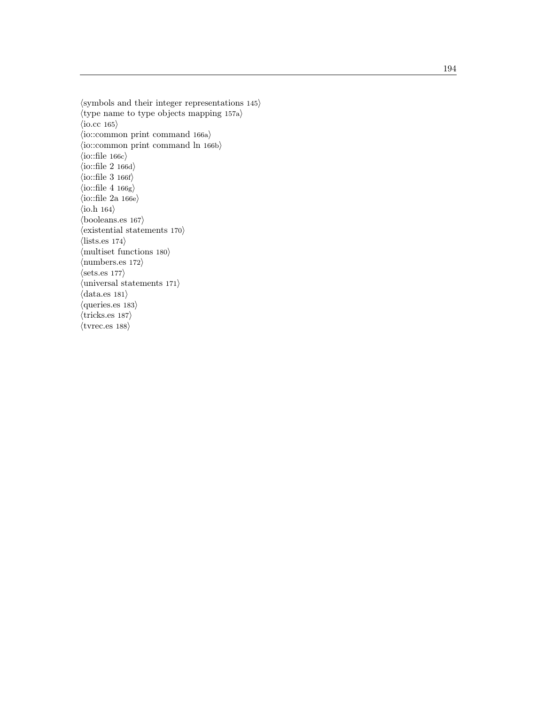```
\langlesymbols and their integer representations 145\rangle\langletype name to type objects mapping 157a\rangle\langleio.cc 165\rangle\langleio::common print command 166a\rangle\langleio::common print command ln 166b\rangle\langleio::file 166c\rangle\langleio::file 2 166d\rangle\langleio::file 3 166f\rangle\langleio::file 4 166g\rangle\langleio::file 2a 166e\rangle\langleio.h 164\rangle\langlebooleans.es 167\rangle\langle existential statements 170\rangle\langlelists.es 174\rangle\langle multiset functions 180\rangle\langlenumbers.es 172\rangle\langle \text{sets.es } 177 \rangle\langleuniversal statements 171\rangle\langle data.es 181\rangle\langle \text{queries.}es 183\rangle\langletricks.es 187\rangle\langletvrec.es 188\rangle
```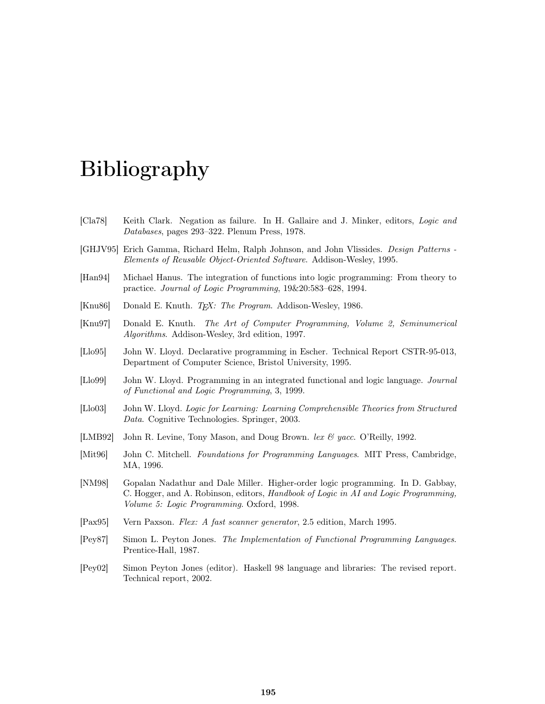# Bibliography

- [Cla78] Keith Clark. Negation as failure. In H. Gallaire and J. Minker, editors, Logic and Databases, pages 293–322. Plenum Press, 1978.
- [GHJV95] Erich Gamma, Richard Helm, Ralph Johnson, and John Vlissides. Design Patterns Elements of Reusable Object-Oriented Software. Addison-Wesley, 1995.
- [Han94] Michael Hanus. The integration of functions into logic programming: From theory to practice. Journal of Logic Programming, 19&20:583–628, 1994.
- [Knu86] Donald E. Knuth. T<sub>E</sub>X: The Program. Addison-Wesley, 1986.
- [Knu97] Donald E. Knuth. The Art of Computer Programming, Volume 2, Seminumerical Algorithms. Addison-Wesley, 3rd edition, 1997.
- [Llo95] John W. Lloyd. Declarative programming in Escher. Technical Report CSTR-95-013, Department of Computer Science, Bristol University, 1995.
- [Llo99] John W. Lloyd. Programming in an integrated functional and logic language. Journal of Functional and Logic Programming, 3, 1999.
- [Llo03] John W. Lloyd. Logic for Learning: Learning Comprehensible Theories from Structured Data. Cognitive Technologies. Springer, 2003.
- [LMB92] John R. Levine, Tony Mason, and Doug Brown. lex  $\mathcal{C}$  yacc. O'Reilly, 1992.
- [Mit96] John C. Mitchell. Foundations for Programming Languages. MIT Press, Cambridge, MA, 1996.
- [NM98] Gopalan Nadathur and Dale Miller. Higher-order logic programming. In D. Gabbay, C. Hogger, and A. Robinson, editors, Handbook of Logic in AI and Logic Programming, Volume 5: Logic Programming. Oxford, 1998.
- [Pax95] Vern Paxson. Flex: A fast scanner generator, 2.5 edition, March 1995.
- [Pey87] Simon L. Peyton Jones. The Implementation of Functional Programming Languages. Prentice-Hall, 1987.
- [Pey02] Simon Peyton Jones (editor). Haskell 98 language and libraries: The revised report. Technical report, 2002.